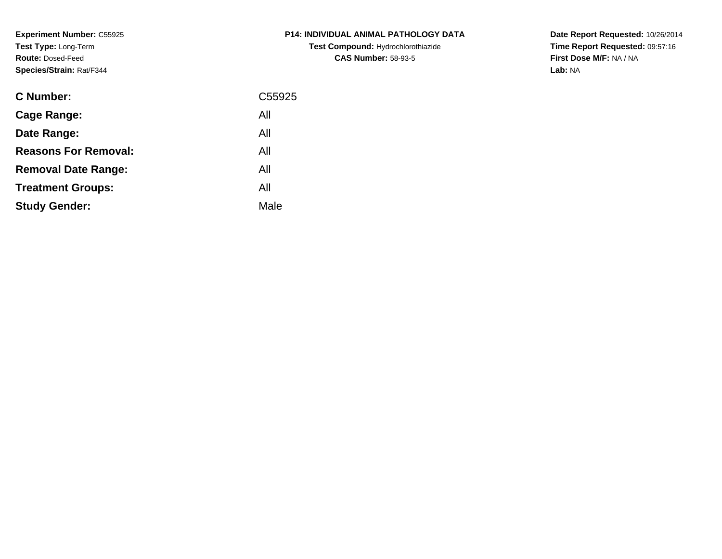**Experiment Number:** C55925**Test Type:** Long-Term**Route:** Dosed-Feed**Species/Strain:** Rat/F344

| <b>C Number:</b>            | C55925 |
|-----------------------------|--------|
| <b>Cage Range:</b>          | All    |
| Date Range:                 | All    |
| <b>Reasons For Removal:</b> | All    |
| <b>Removal Date Range:</b>  | All    |
| <b>Treatment Groups:</b>    | All    |
| <b>Study Gender:</b>        | Male   |
|                             |        |

# **P14: INDIVIDUAL ANIMAL PATHOLOGY DATATest Compound:** Hydrochlorothiazide**CAS Number:** 58-93-5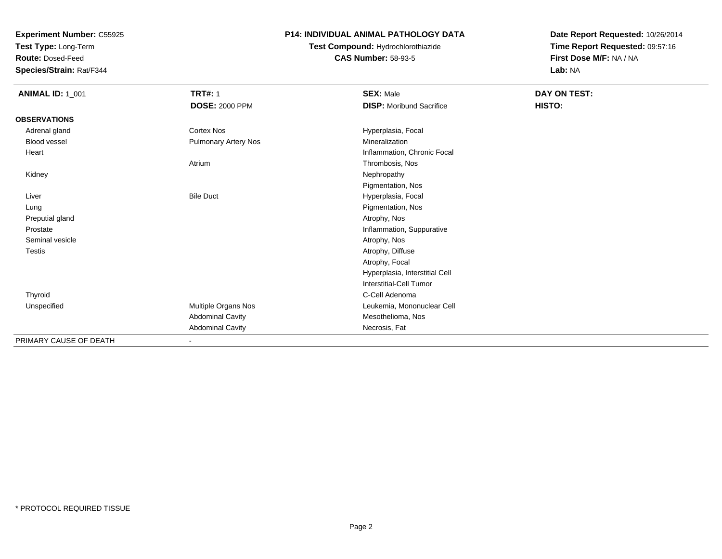**Test Type:** Long-Term

**Route:** Dosed-Feed

**Species/Strain:** Rat/F344

#### **P14: INDIVIDUAL ANIMAL PATHOLOGY DATA**

### **Test Compound:** Hydrochlorothiazide**CAS Number:** 58-93-5

| <b>ANIMAL ID: 1_001</b> | <b>TRT#: 1</b>          | <b>SEX: Male</b>                | DAY ON TEST: |  |
|-------------------------|-------------------------|---------------------------------|--------------|--|
|                         | <b>DOSE: 2000 PPM</b>   | <b>DISP:</b> Moribund Sacrifice | HISTO:       |  |
| <b>OBSERVATIONS</b>     |                         |                                 |              |  |
| Adrenal gland           | Cortex Nos              | Hyperplasia, Focal              |              |  |
| <b>Blood vessel</b>     | Pulmonary Artery Nos    | Mineralization                  |              |  |
| Heart                   |                         | Inflammation, Chronic Focal     |              |  |
|                         | Atrium                  | Thrombosis, Nos                 |              |  |
| Kidney                  |                         | Nephropathy                     |              |  |
|                         |                         | Pigmentation, Nos               |              |  |
| Liver                   | <b>Bile Duct</b>        | Hyperplasia, Focal              |              |  |
| Lung                    |                         | Pigmentation, Nos               |              |  |
| Preputial gland         |                         | Atrophy, Nos                    |              |  |
| Prostate                |                         | Inflammation, Suppurative       |              |  |
| Seminal vesicle         |                         | Atrophy, Nos                    |              |  |
| Testis                  |                         | Atrophy, Diffuse                |              |  |
|                         |                         | Atrophy, Focal                  |              |  |
|                         |                         | Hyperplasia, Interstitial Cell  |              |  |
|                         |                         | <b>Interstitial-Cell Tumor</b>  |              |  |
| Thyroid                 |                         | C-Cell Adenoma                  |              |  |
| Unspecified             | Multiple Organs Nos     | Leukemia, Mononuclear Cell      |              |  |
|                         | <b>Abdominal Cavity</b> | Mesothelioma, Nos               |              |  |
|                         | <b>Abdominal Cavity</b> | Necrosis, Fat                   |              |  |
| PRIMARY CAUSE OF DEATH  | $\blacksquare$          |                                 |              |  |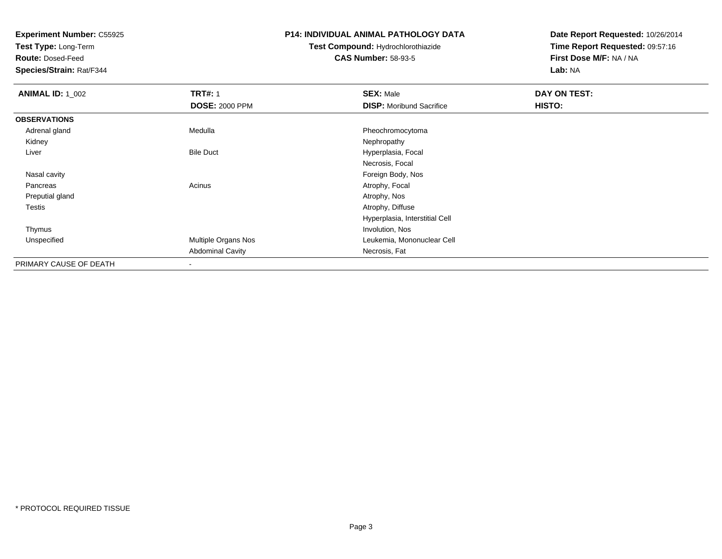**Test Type:** Long-Term

**Route:** Dosed-Feed

**Species/Strain:** Rat/F344

#### **P14: INDIVIDUAL ANIMAL PATHOLOGY DATA**

### **Test Compound:** Hydrochlorothiazide**CAS Number:** 58-93-5

| <b>ANIMAL ID: 1_002</b> | <b>TRT#: 1</b>           | <b>SEX: Male</b>                | DAY ON TEST: |  |
|-------------------------|--------------------------|---------------------------------|--------------|--|
|                         | <b>DOSE: 2000 PPM</b>    | <b>DISP:</b> Moribund Sacrifice | HISTO:       |  |
| <b>OBSERVATIONS</b>     |                          |                                 |              |  |
| Adrenal gland           | Medulla                  | Pheochromocytoma                |              |  |
| Kidney                  |                          | Nephropathy                     |              |  |
| Liver                   | <b>Bile Duct</b>         | Hyperplasia, Focal              |              |  |
|                         |                          | Necrosis, Focal                 |              |  |
| Nasal cavity            |                          | Foreign Body, Nos               |              |  |
| Pancreas                | Acinus                   | Atrophy, Focal                  |              |  |
| Preputial gland         |                          | Atrophy, Nos                    |              |  |
| Testis                  |                          | Atrophy, Diffuse                |              |  |
|                         |                          | Hyperplasia, Interstitial Cell  |              |  |
| Thymus                  |                          | Involution, Nos                 |              |  |
| Unspecified             | Multiple Organs Nos      | Leukemia, Mononuclear Cell      |              |  |
|                         | <b>Abdominal Cavity</b>  | Necrosis, Fat                   |              |  |
| PRIMARY CAUSE OF DEATH  | $\overline{\phantom{a}}$ |                                 |              |  |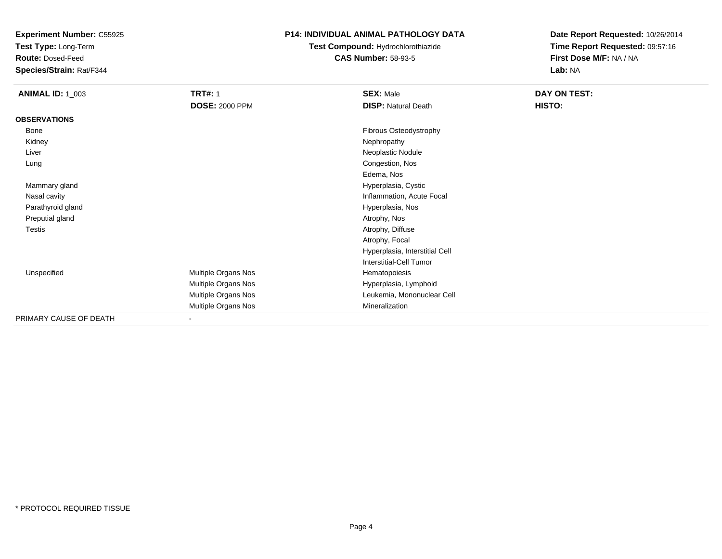**Test Type:** Long-Term

**Route:** Dosed-Feed

**Species/Strain:** Rat/F344

#### **P14: INDIVIDUAL ANIMAL PATHOLOGY DATA**

## **Test Compound:** Hydrochlorothiazide**CAS Number:** 58-93-5

| <b>ANIMAL ID: 1_003</b> | <b>TRT#: 1</b><br><b>DOSE: 2000 PPM</b> | <b>SEX: Male</b><br><b>DISP: Natural Death</b> | DAY ON TEST:<br>HISTO: |
|-------------------------|-----------------------------------------|------------------------------------------------|------------------------|
| <b>OBSERVATIONS</b>     |                                         |                                                |                        |
| Bone                    |                                         | Fibrous Osteodystrophy                         |                        |
| Kidney                  |                                         | Nephropathy                                    |                        |
| Liver                   |                                         | Neoplastic Nodule                              |                        |
| Lung                    |                                         | Congestion, Nos                                |                        |
|                         |                                         | Edema, Nos                                     |                        |
| Mammary gland           |                                         | Hyperplasia, Cystic                            |                        |
| Nasal cavity            |                                         | Inflammation, Acute Focal                      |                        |
| Parathyroid gland       |                                         | Hyperplasia, Nos                               |                        |
| Preputial gland         |                                         | Atrophy, Nos                                   |                        |
| Testis                  |                                         | Atrophy, Diffuse                               |                        |
|                         |                                         | Atrophy, Focal                                 |                        |
|                         |                                         | Hyperplasia, Interstitial Cell                 |                        |
|                         |                                         | <b>Interstitial-Cell Tumor</b>                 |                        |
| Unspecified             | Multiple Organs Nos                     | Hematopoiesis                                  |                        |
|                         | Multiple Organs Nos                     | Hyperplasia, Lymphoid                          |                        |
|                         | Multiple Organs Nos                     | Leukemia, Mononuclear Cell                     |                        |
|                         | Multiple Organs Nos                     | Mineralization                                 |                        |
| PRIMARY CAUSE OF DEATH  |                                         |                                                |                        |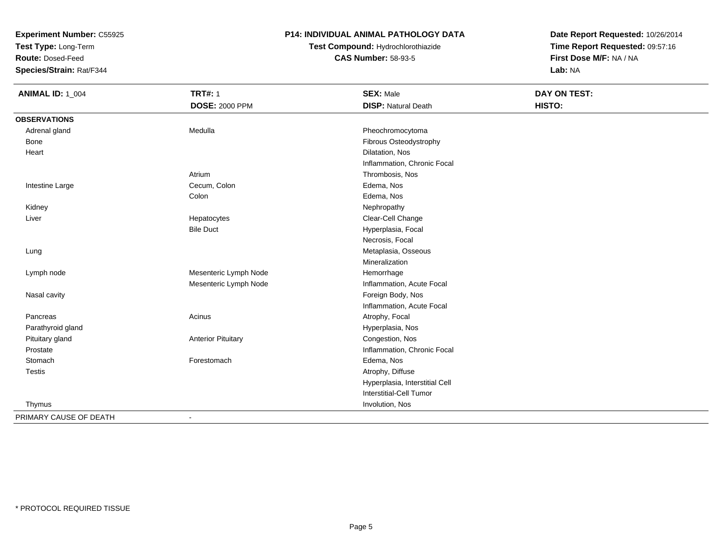**Test Type:** Long-Term

**Route:** Dosed-Feed

**Species/Strain:** Rat/F344

### **P14: INDIVIDUAL ANIMAL PATHOLOGY DATA**

## **Test Compound:** Hydrochlorothiazide**CAS Number:** 58-93-5

| <b>ANIMAL ID: 1_004</b> | <b>TRT#: 1</b>            | <b>SEX: Male</b>               | DAY ON TEST: |
|-------------------------|---------------------------|--------------------------------|--------------|
|                         | <b>DOSE: 2000 PPM</b>     | <b>DISP: Natural Death</b>     | HISTO:       |
| <b>OBSERVATIONS</b>     |                           |                                |              |
| Adrenal gland           | Medulla                   | Pheochromocytoma               |              |
| Bone                    |                           | Fibrous Osteodystrophy         |              |
| Heart                   |                           | Dilatation, Nos                |              |
|                         |                           | Inflammation, Chronic Focal    |              |
|                         | Atrium                    | Thrombosis, Nos                |              |
| Intestine Large         | Cecum, Colon              | Edema, Nos                     |              |
|                         | Colon                     | Edema, Nos                     |              |
| Kidney                  |                           | Nephropathy                    |              |
| Liver                   | Hepatocytes               | Clear-Cell Change              |              |
|                         | <b>Bile Duct</b>          | Hyperplasia, Focal             |              |
|                         |                           | Necrosis, Focal                |              |
| Lung                    |                           | Metaplasia, Osseous            |              |
|                         |                           | Mineralization                 |              |
| Lymph node              | Mesenteric Lymph Node     | Hemorrhage                     |              |
|                         | Mesenteric Lymph Node     | Inflammation, Acute Focal      |              |
| Nasal cavity            |                           | Foreign Body, Nos              |              |
|                         |                           | Inflammation, Acute Focal      |              |
| Pancreas                | Acinus                    | Atrophy, Focal                 |              |
| Parathyroid gland       |                           | Hyperplasia, Nos               |              |
| Pituitary gland         | <b>Anterior Pituitary</b> | Congestion, Nos                |              |
| Prostate                |                           | Inflammation, Chronic Focal    |              |
| Stomach                 | Forestomach               | Edema, Nos                     |              |
| <b>Testis</b>           |                           | Atrophy, Diffuse               |              |
|                         |                           | Hyperplasia, Interstitial Cell |              |
|                         |                           | Interstitial-Cell Tumor        |              |
| Thymus                  |                           | Involution, Nos                |              |
| PRIMARY CAUSE OF DEATH  |                           |                                |              |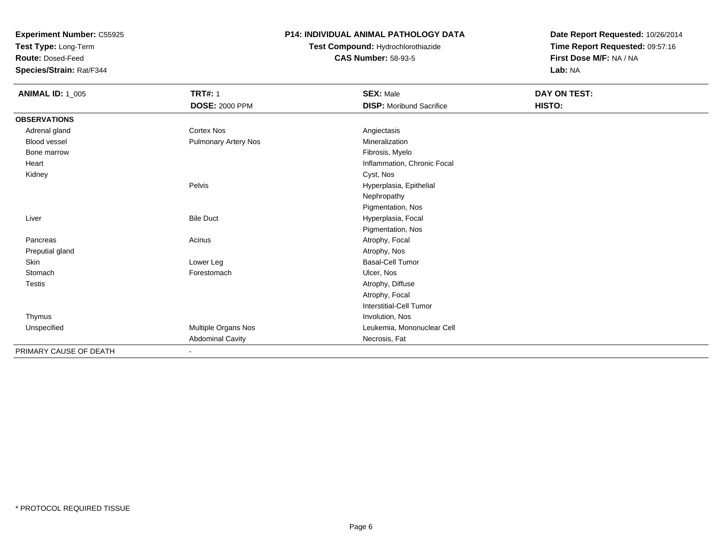**Test Type:** Long-Term

**Route:** Dosed-Feed

**Species/Strain:** Rat/F344

#### **P14: INDIVIDUAL ANIMAL PATHOLOGY DATA**

## **Test Compound:** Hydrochlorothiazide**CAS Number:** 58-93-5

| <b>ANIMAL ID: 1_005</b> | <b>TRT#: 1</b>              | <b>SEX: Male</b>                | DAY ON TEST: |  |
|-------------------------|-----------------------------|---------------------------------|--------------|--|
|                         | <b>DOSE: 2000 PPM</b>       | <b>DISP:</b> Moribund Sacrifice | HISTO:       |  |
| <b>OBSERVATIONS</b>     |                             |                                 |              |  |
| Adrenal gland           | <b>Cortex Nos</b>           | Angiectasis                     |              |  |
| Blood vessel            | <b>Pulmonary Artery Nos</b> | Mineralization                  |              |  |
| Bone marrow             |                             | Fibrosis, Myelo                 |              |  |
| Heart                   |                             | Inflammation, Chronic Focal     |              |  |
| Kidney                  |                             | Cyst, Nos                       |              |  |
|                         | Pelvis                      | Hyperplasia, Epithelial         |              |  |
|                         |                             | Nephropathy                     |              |  |
|                         |                             | Pigmentation, Nos               |              |  |
| Liver                   | <b>Bile Duct</b>            | Hyperplasia, Focal              |              |  |
|                         |                             | Pigmentation, Nos               |              |  |
| Pancreas                | Acinus                      | Atrophy, Focal                  |              |  |
| Preputial gland         |                             | Atrophy, Nos                    |              |  |
| <b>Skin</b>             | Lower Leg                   | <b>Basal-Cell Tumor</b>         |              |  |
| Stomach                 | Forestomach                 | Ulcer, Nos                      |              |  |
| Testis                  |                             | Atrophy, Diffuse                |              |  |
|                         |                             | Atrophy, Focal                  |              |  |
|                         |                             | Interstitial-Cell Tumor         |              |  |
| Thymus                  |                             | Involution, Nos                 |              |  |
| Unspecified             | Multiple Organs Nos         | Leukemia, Mononuclear Cell      |              |  |
|                         | <b>Abdominal Cavity</b>     | Necrosis, Fat                   |              |  |
| PRIMARY CAUSE OF DEATH  | $\sim$                      |                                 |              |  |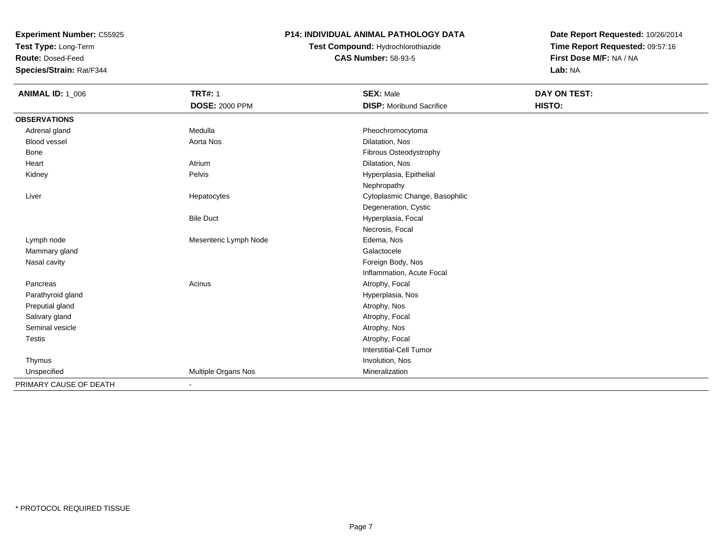**Test Type:** Long-Term

**Route:** Dosed-Feed

**Species/Strain:** Rat/F344

### **P14: INDIVIDUAL ANIMAL PATHOLOGY DATA**

**Test Compound:** Hydrochlorothiazide**CAS Number:** 58-93-5

| <b>ANIMAL ID: 1_006</b> | <b>TRT#: 1</b>        | <b>SEX: Male</b>                | DAY ON TEST: |  |
|-------------------------|-----------------------|---------------------------------|--------------|--|
|                         | <b>DOSE: 2000 PPM</b> | <b>DISP:</b> Moribund Sacrifice | HISTO:       |  |
| <b>OBSERVATIONS</b>     |                       |                                 |              |  |
| Adrenal gland           | Medulla               | Pheochromocytoma                |              |  |
| <b>Blood vessel</b>     | Aorta Nos             | Dilatation, Nos                 |              |  |
| <b>Bone</b>             |                       | Fibrous Osteodystrophy          |              |  |
| Heart                   | Atrium                | Dilatation, Nos                 |              |  |
| Kidney                  | Pelvis                | Hyperplasia, Epithelial         |              |  |
|                         |                       | Nephropathy                     |              |  |
| Liver                   | Hepatocytes           | Cytoplasmic Change, Basophilic  |              |  |
|                         |                       | Degeneration, Cystic            |              |  |
|                         | <b>Bile Duct</b>      | Hyperplasia, Focal              |              |  |
|                         |                       | Necrosis, Focal                 |              |  |
| Lymph node              | Mesenteric Lymph Node | Edema, Nos                      |              |  |
| Mammary gland           |                       | Galactocele                     |              |  |
| Nasal cavity            |                       | Foreign Body, Nos               |              |  |
|                         |                       | Inflammation, Acute Focal       |              |  |
| Pancreas                | Acinus                | Atrophy, Focal                  |              |  |
| Parathyroid gland       |                       | Hyperplasia, Nos                |              |  |
| Preputial gland         |                       | Atrophy, Nos                    |              |  |
| Salivary gland          |                       | Atrophy, Focal                  |              |  |
| Seminal vesicle         |                       | Atrophy, Nos                    |              |  |
| Testis                  |                       | Atrophy, Focal                  |              |  |
|                         |                       | Interstitial-Cell Tumor         |              |  |
| Thymus                  |                       | Involution, Nos                 |              |  |
| Unspecified             | Multiple Organs Nos   | Mineralization                  |              |  |
| PRIMARY CAUSE OF DEATH  |                       |                                 |              |  |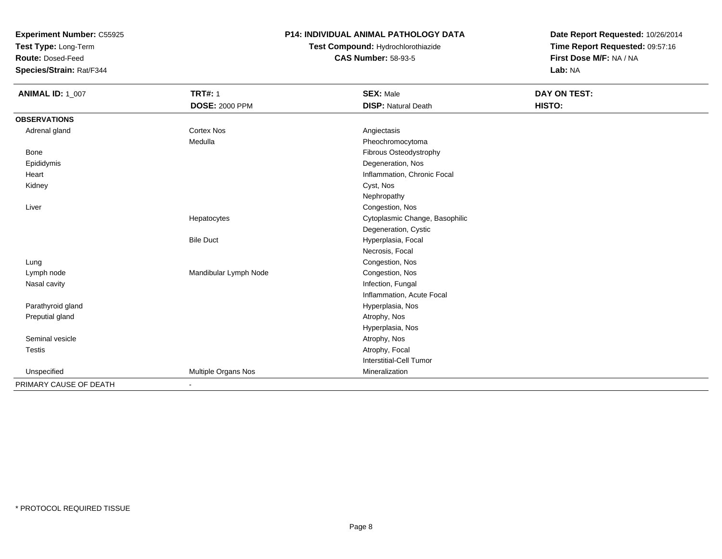**Test Type:** Long-Term

**Route:** Dosed-Feed

**Species/Strain:** Rat/F344

### **P14: INDIVIDUAL ANIMAL PATHOLOGY DATA**

## **Test Compound:** Hydrochlorothiazide**CAS Number:** 58-93-5

| <b>ANIMAL ID: 1_007</b> | <b>TRT#: 1</b>               | <b>SEX: Male</b>               | <b>DAY ON TEST:</b> |
|-------------------------|------------------------------|--------------------------------|---------------------|
|                         | <b>DOSE: 2000 PPM</b>        | <b>DISP: Natural Death</b>     | HISTO:              |
| <b>OBSERVATIONS</b>     |                              |                                |                     |
| Adrenal gland           | <b>Cortex Nos</b>            | Angiectasis                    |                     |
|                         | Medulla                      | Pheochromocytoma               |                     |
| <b>Bone</b>             |                              | Fibrous Osteodystrophy         |                     |
| Epididymis              |                              | Degeneration, Nos              |                     |
| Heart                   |                              | Inflammation, Chronic Focal    |                     |
| Kidney                  |                              | Cyst, Nos                      |                     |
|                         |                              | Nephropathy                    |                     |
| Liver                   |                              | Congestion, Nos                |                     |
|                         | Hepatocytes                  | Cytoplasmic Change, Basophilic |                     |
|                         |                              | Degeneration, Cystic           |                     |
|                         | <b>Bile Duct</b>             | Hyperplasia, Focal             |                     |
|                         |                              | Necrosis, Focal                |                     |
| Lung                    |                              | Congestion, Nos                |                     |
| Lymph node              | Mandibular Lymph Node        | Congestion, Nos                |                     |
| Nasal cavity            |                              | Infection, Fungal              |                     |
|                         |                              | Inflammation, Acute Focal      |                     |
| Parathyroid gland       |                              | Hyperplasia, Nos               |                     |
| Preputial gland         |                              | Atrophy, Nos                   |                     |
|                         |                              | Hyperplasia, Nos               |                     |
| Seminal vesicle         |                              | Atrophy, Nos                   |                     |
| <b>Testis</b>           |                              | Atrophy, Focal                 |                     |
|                         |                              | Interstitial-Cell Tumor        |                     |
| Unspecified             | Multiple Organs Nos          | Mineralization                 |                     |
| PRIMARY CAUSE OF DEATH  | $\qquad \qquad \blacksquare$ |                                |                     |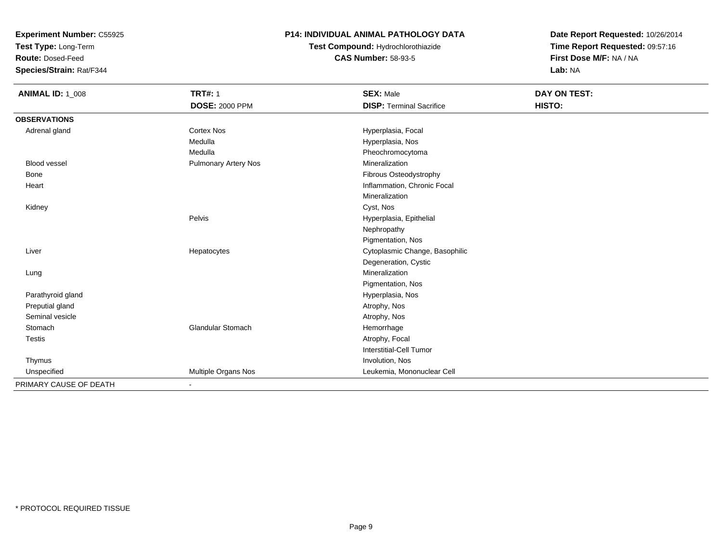**Test Type:** Long-Term

**Route:** Dosed-Feed

**Species/Strain:** Rat/F344

#### **P14: INDIVIDUAL ANIMAL PATHOLOGY DATA**

**Test Compound:** Hydrochlorothiazide**CAS Number:** 58-93-5

| <b>ANIMAL ID: 1_008</b> | <b>TRT#: 1</b>               | <b>SEX: Male</b>                | DAY ON TEST: |  |
|-------------------------|------------------------------|---------------------------------|--------------|--|
|                         | <b>DOSE: 2000 PPM</b>        | <b>DISP: Terminal Sacrifice</b> | HISTO:       |  |
| <b>OBSERVATIONS</b>     |                              |                                 |              |  |
| Adrenal gland           | Cortex Nos                   | Hyperplasia, Focal              |              |  |
|                         | Medulla                      | Hyperplasia, Nos                |              |  |
|                         | Medulla                      | Pheochromocytoma                |              |  |
| <b>Blood vessel</b>     | <b>Pulmonary Artery Nos</b>  | Mineralization                  |              |  |
| Bone                    |                              | Fibrous Osteodystrophy          |              |  |
| Heart                   |                              | Inflammation, Chronic Focal     |              |  |
|                         |                              | Mineralization                  |              |  |
| Kidney                  |                              | Cyst, Nos                       |              |  |
|                         | Pelvis                       | Hyperplasia, Epithelial         |              |  |
|                         |                              | Nephropathy                     |              |  |
|                         |                              | Pigmentation, Nos               |              |  |
| Liver                   | Hepatocytes                  | Cytoplasmic Change, Basophilic  |              |  |
|                         |                              | Degeneration, Cystic            |              |  |
| Lung                    |                              | Mineralization                  |              |  |
|                         |                              | Pigmentation, Nos               |              |  |
| Parathyroid gland       |                              | Hyperplasia, Nos                |              |  |
| Preputial gland         |                              | Atrophy, Nos                    |              |  |
| Seminal vesicle         |                              | Atrophy, Nos                    |              |  |
| Stomach                 | Glandular Stomach            | Hemorrhage                      |              |  |
| Testis                  |                              | Atrophy, Focal                  |              |  |
|                         |                              | Interstitial-Cell Tumor         |              |  |
| Thymus                  |                              | Involution, Nos                 |              |  |
| Unspecified             | Multiple Organs Nos          | Leukemia, Mononuclear Cell      |              |  |
| PRIMARY CAUSE OF DEATH  | $\qquad \qquad \blacksquare$ |                                 |              |  |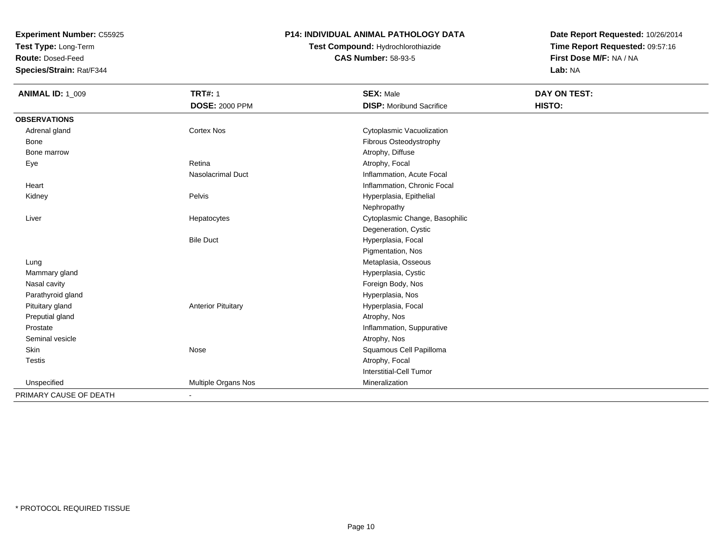**Test Type:** Long-Term

**Route:** Dosed-Feed

**Species/Strain:** Rat/F344

#### **P14: INDIVIDUAL ANIMAL PATHOLOGY DATA**

## **Test Compound:** Hydrochlorothiazide**CAS Number:** 58-93-5

| <b>ANIMAL ID: 1_009</b> | <b>TRT#: 1</b>            | <b>SEX: Male</b>                | <b>DAY ON TEST:</b> |  |
|-------------------------|---------------------------|---------------------------------|---------------------|--|
|                         | <b>DOSE: 2000 PPM</b>     | <b>DISP:</b> Moribund Sacrifice | HISTO:              |  |
| <b>OBSERVATIONS</b>     |                           |                                 |                     |  |
| Adrenal gland           | <b>Cortex Nos</b>         | Cytoplasmic Vacuolization       |                     |  |
| Bone                    |                           | Fibrous Osteodystrophy          |                     |  |
| Bone marrow             |                           | Atrophy, Diffuse                |                     |  |
| Eye                     | Retina                    | Atrophy, Focal                  |                     |  |
|                         | Nasolacrimal Duct         | Inflammation, Acute Focal       |                     |  |
| Heart                   |                           | Inflammation, Chronic Focal     |                     |  |
| Kidney                  | Pelvis                    | Hyperplasia, Epithelial         |                     |  |
|                         |                           | Nephropathy                     |                     |  |
| Liver                   | Hepatocytes               | Cytoplasmic Change, Basophilic  |                     |  |
|                         |                           | Degeneration, Cystic            |                     |  |
|                         | <b>Bile Duct</b>          | Hyperplasia, Focal              |                     |  |
|                         |                           | Pigmentation, Nos               |                     |  |
| Lung                    |                           | Metaplasia, Osseous             |                     |  |
| Mammary gland           |                           | Hyperplasia, Cystic             |                     |  |
| Nasal cavity            |                           | Foreign Body, Nos               |                     |  |
| Parathyroid gland       |                           | Hyperplasia, Nos                |                     |  |
| Pituitary gland         | <b>Anterior Pituitary</b> | Hyperplasia, Focal              |                     |  |
| Preputial gland         |                           | Atrophy, Nos                    |                     |  |
| Prostate                |                           | Inflammation, Suppurative       |                     |  |
| Seminal vesicle         |                           | Atrophy, Nos                    |                     |  |
| Skin                    | Nose                      | Squamous Cell Papilloma         |                     |  |
| <b>Testis</b>           |                           | Atrophy, Focal                  |                     |  |
|                         |                           | <b>Interstitial-Cell Tumor</b>  |                     |  |
| Unspecified             | Multiple Organs Nos       | Mineralization                  |                     |  |
| PRIMARY CAUSE OF DEATH  | ٠                         |                                 |                     |  |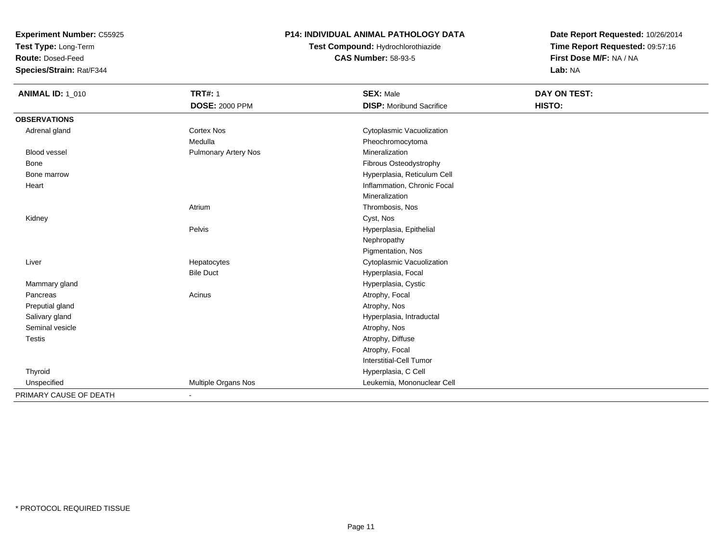**Test Type:** Long-Term

**Route:** Dosed-Feed

**Species/Strain:** Rat/F344

### **P14: INDIVIDUAL ANIMAL PATHOLOGY DATA**

**Test Compound:** Hydrochlorothiazide**CAS Number:** 58-93-5

| <b>ANIMAL ID: 1_010</b> | <b>TRT#: 1</b>              | <b>SEX: Male</b>                | <b>DAY ON TEST:</b> |  |
|-------------------------|-----------------------------|---------------------------------|---------------------|--|
|                         | <b>DOSE: 2000 PPM</b>       | <b>DISP:</b> Moribund Sacrifice | HISTO:              |  |
| <b>OBSERVATIONS</b>     |                             |                                 |                     |  |
| Adrenal gland           | <b>Cortex Nos</b>           | Cytoplasmic Vacuolization       |                     |  |
|                         | Medulla                     | Pheochromocytoma                |                     |  |
| <b>Blood vessel</b>     | <b>Pulmonary Artery Nos</b> | Mineralization                  |                     |  |
| Bone                    |                             | Fibrous Osteodystrophy          |                     |  |
| Bone marrow             |                             | Hyperplasia, Reticulum Cell     |                     |  |
| Heart                   |                             | Inflammation, Chronic Focal     |                     |  |
|                         |                             | Mineralization                  |                     |  |
|                         | Atrium                      | Thrombosis, Nos                 |                     |  |
| Kidney                  |                             | Cyst, Nos                       |                     |  |
|                         | Pelvis                      | Hyperplasia, Epithelial         |                     |  |
|                         |                             | Nephropathy                     |                     |  |
|                         |                             | Pigmentation, Nos               |                     |  |
| Liver                   | Hepatocytes                 | Cytoplasmic Vacuolization       |                     |  |
|                         | <b>Bile Duct</b>            | Hyperplasia, Focal              |                     |  |
| Mammary gland           |                             | Hyperplasia, Cystic             |                     |  |
| Pancreas                | Acinus                      | Atrophy, Focal                  |                     |  |
| Preputial gland         |                             | Atrophy, Nos                    |                     |  |
| Salivary gland          |                             | Hyperplasia, Intraductal        |                     |  |
| Seminal vesicle         |                             | Atrophy, Nos                    |                     |  |
| <b>Testis</b>           |                             | Atrophy, Diffuse                |                     |  |
|                         |                             | Atrophy, Focal                  |                     |  |
|                         |                             | Interstitial-Cell Tumor         |                     |  |
| Thyroid                 |                             | Hyperplasia, C Cell             |                     |  |
| Unspecified             | Multiple Organs Nos         | Leukemia, Mononuclear Cell      |                     |  |
| PRIMARY CAUSE OF DEATH  | $\blacksquare$              |                                 |                     |  |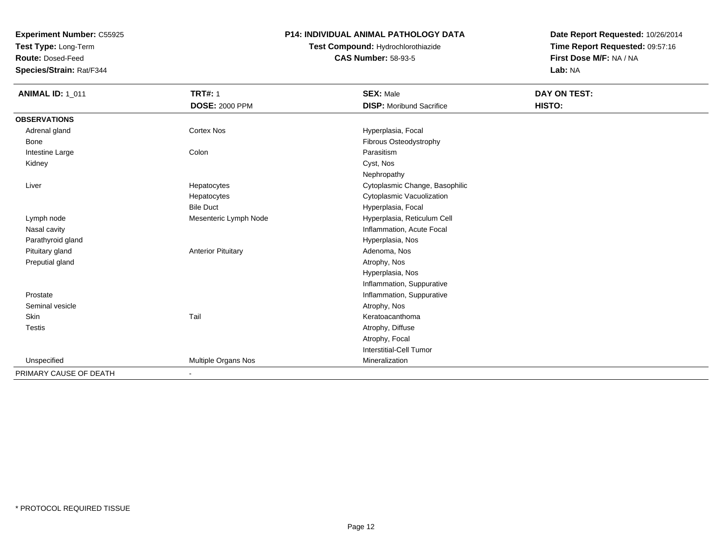**Test Type:** Long-Term

**Route:** Dosed-Feed

**Species/Strain:** Rat/F344

#### **P14: INDIVIDUAL ANIMAL PATHOLOGY DATA**

**Test Compound:** Hydrochlorothiazide**CAS Number:** 58-93-5

| <b>ANIMAL ID: 1 011</b> | <b>TRT#: 1</b>            | <b>SEX: Male</b>                | DAY ON TEST: |
|-------------------------|---------------------------|---------------------------------|--------------|
|                         | <b>DOSE: 2000 PPM</b>     | <b>DISP:</b> Moribund Sacrifice | HISTO:       |
| <b>OBSERVATIONS</b>     |                           |                                 |              |
| Adrenal gland           | Cortex Nos                | Hyperplasia, Focal              |              |
| Bone                    |                           | Fibrous Osteodystrophy          |              |
| Intestine Large         | Colon                     | Parasitism                      |              |
| Kidney                  |                           | Cyst, Nos                       |              |
|                         |                           | Nephropathy                     |              |
| Liver                   | Hepatocytes               | Cytoplasmic Change, Basophilic  |              |
|                         | Hepatocytes               | Cytoplasmic Vacuolization       |              |
|                         | <b>Bile Duct</b>          | Hyperplasia, Focal              |              |
| Lymph node              | Mesenteric Lymph Node     | Hyperplasia, Reticulum Cell     |              |
| Nasal cavity            |                           | Inflammation, Acute Focal       |              |
| Parathyroid gland       |                           | Hyperplasia, Nos                |              |
| Pituitary gland         | <b>Anterior Pituitary</b> | Adenoma, Nos                    |              |
| Preputial gland         |                           | Atrophy, Nos                    |              |
|                         |                           | Hyperplasia, Nos                |              |
|                         |                           | Inflammation, Suppurative       |              |
| Prostate                |                           | Inflammation, Suppurative       |              |
| Seminal vesicle         |                           | Atrophy, Nos                    |              |
| Skin                    | Tail                      | Keratoacanthoma                 |              |
| <b>Testis</b>           |                           | Atrophy, Diffuse                |              |
|                         |                           | Atrophy, Focal                  |              |
|                         |                           | <b>Interstitial-Cell Tumor</b>  |              |
| Unspecified             | Multiple Organs Nos       | Mineralization                  |              |
| PRIMARY CAUSE OF DEATH  | $\blacksquare$            |                                 |              |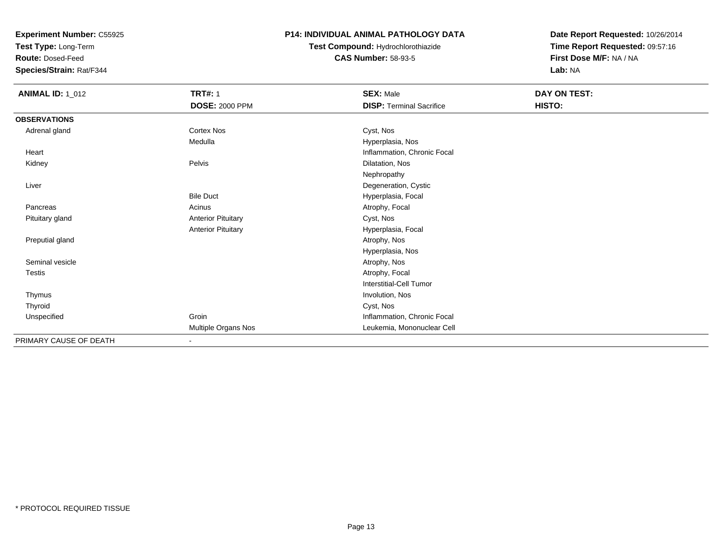**Test Type:** Long-Term

**Route:** Dosed-Feed

**Species/Strain:** Rat/F344

#### **P14: INDIVIDUAL ANIMAL PATHOLOGY DATA**

**Test Compound:** Hydrochlorothiazide**CAS Number:** 58-93-5

| <b>ANIMAL ID: 1_012</b> | <b>TRT#: 1</b>            | <b>SEX: Male</b>                | DAY ON TEST: |  |
|-------------------------|---------------------------|---------------------------------|--------------|--|
|                         | <b>DOSE: 2000 PPM</b>     | <b>DISP: Terminal Sacrifice</b> | HISTO:       |  |
| <b>OBSERVATIONS</b>     |                           |                                 |              |  |
| Adrenal gland           | Cortex Nos                | Cyst, Nos                       |              |  |
|                         | Medulla                   | Hyperplasia, Nos                |              |  |
| Heart                   |                           | Inflammation, Chronic Focal     |              |  |
| Kidney                  | Pelvis                    | Dilatation, Nos                 |              |  |
|                         |                           | Nephropathy                     |              |  |
| Liver                   |                           | Degeneration, Cystic            |              |  |
|                         | <b>Bile Duct</b>          | Hyperplasia, Focal              |              |  |
| Pancreas                | Acinus                    | Atrophy, Focal                  |              |  |
| Pituitary gland         | <b>Anterior Pituitary</b> | Cyst, Nos                       |              |  |
|                         | <b>Anterior Pituitary</b> | Hyperplasia, Focal              |              |  |
| Preputial gland         |                           | Atrophy, Nos                    |              |  |
|                         |                           | Hyperplasia, Nos                |              |  |
| Seminal vesicle         |                           | Atrophy, Nos                    |              |  |
| <b>Testis</b>           |                           | Atrophy, Focal                  |              |  |
|                         |                           | Interstitial-Cell Tumor         |              |  |
| Thymus                  |                           | Involution, Nos                 |              |  |
| Thyroid                 |                           | Cyst, Nos                       |              |  |
| Unspecified             | Groin                     | Inflammation, Chronic Focal     |              |  |
|                         | Multiple Organs Nos       | Leukemia, Mononuclear Cell      |              |  |
| PRIMARY CAUSE OF DEATH  | $\sim$                    |                                 |              |  |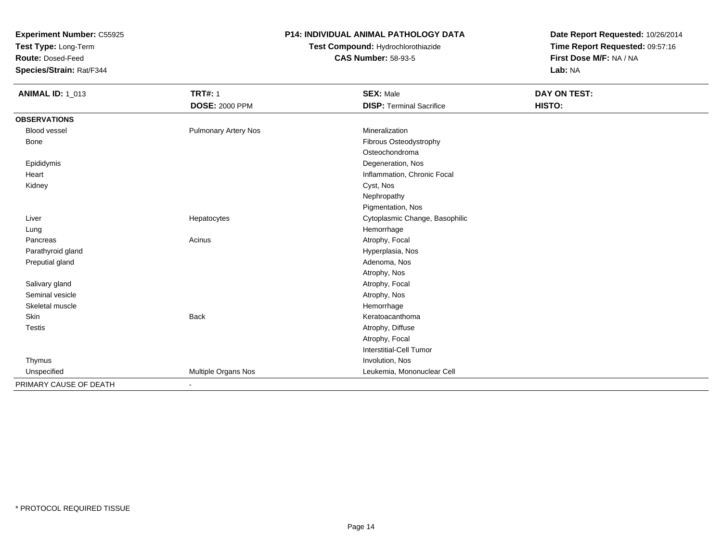**Test Type:** Long-Term

**Route:** Dosed-Feed

**Species/Strain:** Rat/F344

### **P14: INDIVIDUAL ANIMAL PATHOLOGY DATA**

## **Test Compound:** Hydrochlorothiazide**CAS Number:** 58-93-5

| <b>ANIMAL ID: 1_013</b> | <b>TRT#: 1</b>              | <b>SEX: Male</b>                | DAY ON TEST: |
|-------------------------|-----------------------------|---------------------------------|--------------|
|                         | <b>DOSE: 2000 PPM</b>       | <b>DISP: Terminal Sacrifice</b> | HISTO:       |
| <b>OBSERVATIONS</b>     |                             |                                 |              |
| <b>Blood vessel</b>     | <b>Pulmonary Artery Nos</b> | Mineralization                  |              |
| Bone                    |                             | Fibrous Osteodystrophy          |              |
|                         |                             | Osteochondroma                  |              |
| Epididymis              |                             | Degeneration, Nos               |              |
| Heart                   |                             | Inflammation, Chronic Focal     |              |
| Kidney                  |                             | Cyst, Nos                       |              |
|                         |                             | Nephropathy                     |              |
|                         |                             | Pigmentation, Nos               |              |
| Liver                   | Hepatocytes                 | Cytoplasmic Change, Basophilic  |              |
| Lung                    |                             | Hemorrhage                      |              |
| Pancreas                | Acinus                      | Atrophy, Focal                  |              |
| Parathyroid gland       |                             | Hyperplasia, Nos                |              |
| Preputial gland         |                             | Adenoma, Nos                    |              |
|                         |                             | Atrophy, Nos                    |              |
| Salivary gland          |                             | Atrophy, Focal                  |              |
| Seminal vesicle         |                             | Atrophy, Nos                    |              |
| Skeletal muscle         |                             | Hemorrhage                      |              |
| Skin                    | Back                        | Keratoacanthoma                 |              |
| Testis                  |                             | Atrophy, Diffuse                |              |
|                         |                             | Atrophy, Focal                  |              |
|                         |                             | <b>Interstitial-Cell Tumor</b>  |              |
| Thymus                  |                             | Involution, Nos                 |              |
| Unspecified             | Multiple Organs Nos         | Leukemia, Mononuclear Cell      |              |
| PRIMARY CAUSE OF DEATH  | ٠                           |                                 |              |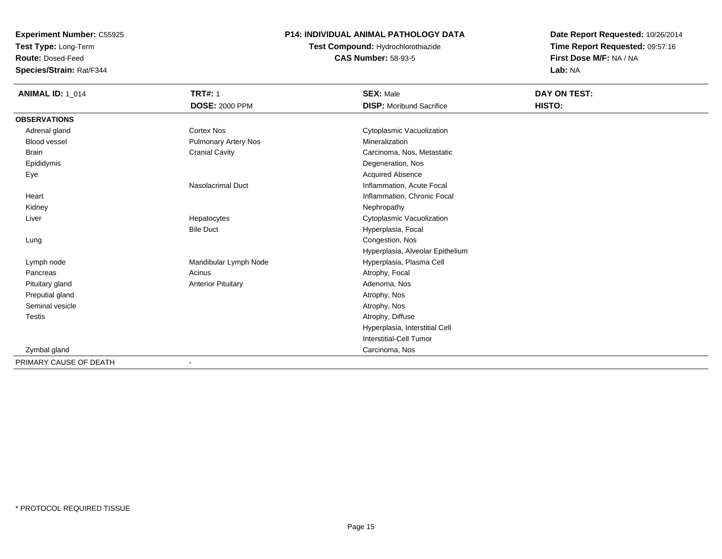**Test Type:** Long-Term

**Route:** Dosed-Feed

**Species/Strain:** Rat/F344

#### **P14: INDIVIDUAL ANIMAL PATHOLOGY DATA**

## **Test Compound:** Hydrochlorothiazide**CAS Number:** 58-93-5

| <b>ANIMAL ID: 1_014</b> | <b>TRT#: 1</b>            | <b>SEX: Male</b>                 | DAY ON TEST: |  |
|-------------------------|---------------------------|----------------------------------|--------------|--|
|                         | <b>DOSE: 2000 PPM</b>     | <b>DISP:</b> Moribund Sacrifice  | HISTO:       |  |
| <b>OBSERVATIONS</b>     |                           |                                  |              |  |
| Adrenal gland           | <b>Cortex Nos</b>         | Cytoplasmic Vacuolization        |              |  |
| <b>Blood vessel</b>     | Pulmonary Artery Nos      | Mineralization                   |              |  |
| <b>Brain</b>            | <b>Cranial Cavity</b>     | Carcinoma, Nos, Metastatic       |              |  |
| Epididymis              |                           | Degeneration, Nos                |              |  |
| Eye                     |                           | <b>Acquired Absence</b>          |              |  |
|                         | <b>Nasolacrimal Duct</b>  | Inflammation, Acute Focal        |              |  |
| Heart                   |                           | Inflammation, Chronic Focal      |              |  |
| Kidney                  |                           | Nephropathy                      |              |  |
| Liver                   | Hepatocytes               | Cytoplasmic Vacuolization        |              |  |
|                         | <b>Bile Duct</b>          | Hyperplasia, Focal               |              |  |
| Lung                    |                           | Congestion, Nos                  |              |  |
|                         |                           | Hyperplasia, Alveolar Epithelium |              |  |
| Lymph node              | Mandibular Lymph Node     | Hyperplasia, Plasma Cell         |              |  |
| Pancreas                | Acinus                    | Atrophy, Focal                   |              |  |
| Pituitary gland         | <b>Anterior Pituitary</b> | Adenoma, Nos                     |              |  |
| Preputial gland         |                           | Atrophy, Nos                     |              |  |
| Seminal vesicle         |                           | Atrophy, Nos                     |              |  |
| Testis                  |                           | Atrophy, Diffuse                 |              |  |
|                         |                           | Hyperplasia, Interstitial Cell   |              |  |
|                         |                           | <b>Interstitial-Cell Tumor</b>   |              |  |
| Zymbal gland            |                           | Carcinoma, Nos                   |              |  |
| PRIMARY CAUSE OF DEATH  | $\blacksquare$            |                                  |              |  |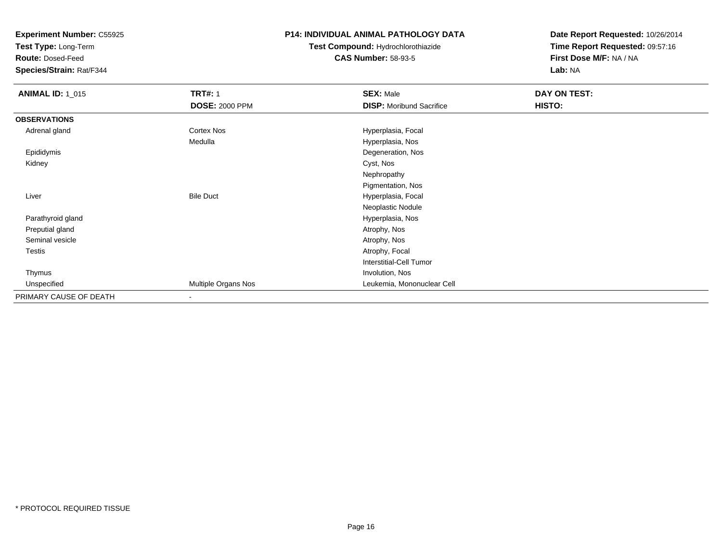**Test Type:** Long-Term

**Route:** Dosed-Feed

**Species/Strain:** Rat/F344

### **P14: INDIVIDUAL ANIMAL PATHOLOGY DATA**

## **Test Compound:** Hydrochlorothiazide**CAS Number:** 58-93-5

| <b>ANIMAL ID: 1_015</b> | <b>TRT#: 1</b>        | <b>SEX: Male</b>                | DAY ON TEST: |  |
|-------------------------|-----------------------|---------------------------------|--------------|--|
|                         | <b>DOSE: 2000 PPM</b> | <b>DISP:</b> Moribund Sacrifice | HISTO:       |  |
| <b>OBSERVATIONS</b>     |                       |                                 |              |  |
| Adrenal gland           | <b>Cortex Nos</b>     | Hyperplasia, Focal              |              |  |
|                         | Medulla               | Hyperplasia, Nos                |              |  |
| Epididymis              |                       | Degeneration, Nos               |              |  |
| Kidney                  |                       | Cyst, Nos                       |              |  |
|                         |                       | Nephropathy                     |              |  |
|                         |                       | Pigmentation, Nos               |              |  |
| Liver                   | <b>Bile Duct</b>      | Hyperplasia, Focal              |              |  |
|                         |                       | Neoplastic Nodule               |              |  |
| Parathyroid gland       |                       | Hyperplasia, Nos                |              |  |
| Preputial gland         |                       | Atrophy, Nos                    |              |  |
| Seminal vesicle         |                       | Atrophy, Nos                    |              |  |
| Testis                  |                       | Atrophy, Focal                  |              |  |
|                         |                       | Interstitial-Cell Tumor         |              |  |
| Thymus                  |                       | Involution, Nos                 |              |  |
| Unspecified             | Multiple Organs Nos   | Leukemia, Mononuclear Cell      |              |  |
| PRIMARY CAUSE OF DEATH  |                       |                                 |              |  |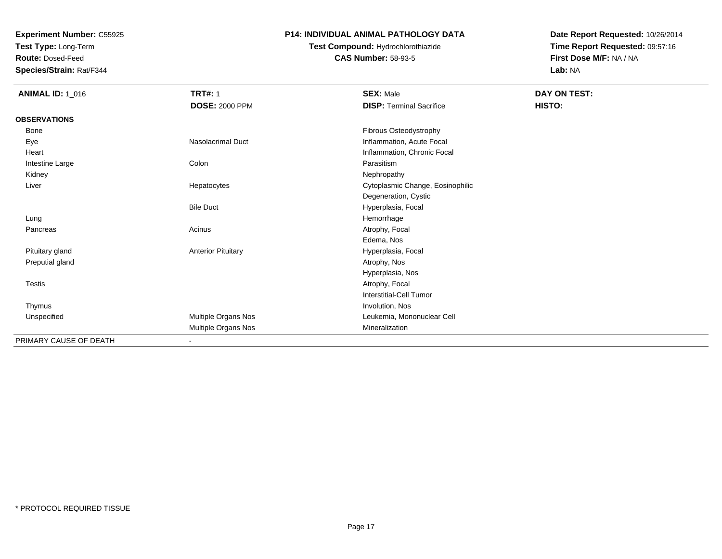**Test Type:** Long-Term

**Route:** Dosed-Feed

**Species/Strain:** Rat/F344

#### **P14: INDIVIDUAL ANIMAL PATHOLOGY DATA**

## **Test Compound:** Hydrochlorothiazide**CAS Number:** 58-93-5

| <b>ANIMAL ID: 1_016</b> | <b>TRT#: 1</b>            | <b>SEX: Male</b>                 | DAY ON TEST: |
|-------------------------|---------------------------|----------------------------------|--------------|
|                         | <b>DOSE: 2000 PPM</b>     | <b>DISP: Terminal Sacrifice</b>  | HISTO:       |
| <b>OBSERVATIONS</b>     |                           |                                  |              |
| Bone                    |                           | Fibrous Osteodystrophy           |              |
| Eye                     | Nasolacrimal Duct         | Inflammation, Acute Focal        |              |
| Heart                   |                           | Inflammation, Chronic Focal      |              |
| Intestine Large         | Colon                     | Parasitism                       |              |
| Kidney                  |                           | Nephropathy                      |              |
| Liver                   | Hepatocytes               | Cytoplasmic Change, Eosinophilic |              |
|                         |                           | Degeneration, Cystic             |              |
|                         | <b>Bile Duct</b>          | Hyperplasia, Focal               |              |
| Lung                    |                           | Hemorrhage                       |              |
| Pancreas                | Acinus                    | Atrophy, Focal                   |              |
|                         |                           | Edema, Nos                       |              |
| Pituitary gland         | <b>Anterior Pituitary</b> | Hyperplasia, Focal               |              |
| Preputial gland         |                           | Atrophy, Nos                     |              |
|                         |                           | Hyperplasia, Nos                 |              |
| Testis                  |                           | Atrophy, Focal                   |              |
|                         |                           | <b>Interstitial-Cell Tumor</b>   |              |
| Thymus                  |                           | Involution, Nos                  |              |
| Unspecified             | Multiple Organs Nos       | Leukemia, Mononuclear Cell       |              |
|                         | Multiple Organs Nos       | Mineralization                   |              |
| PRIMARY CAUSE OF DEATH  | $\sim$                    |                                  |              |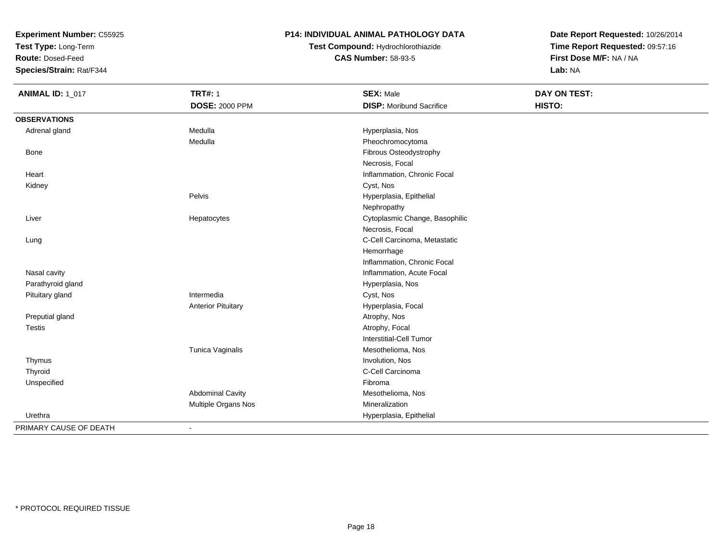**Test Type:** Long-Term

**Route:** Dosed-Feed

**Species/Strain:** Rat/F344

### **P14: INDIVIDUAL ANIMAL PATHOLOGY DATA**

## **Test Compound:** Hydrochlorothiazide**CAS Number:** 58-93-5

| <b>ANIMAL ID: 1_017</b> | <b>TRT#: 1</b>            | <b>SEX: Male</b>                | DAY ON TEST: |
|-------------------------|---------------------------|---------------------------------|--------------|
|                         | <b>DOSE: 2000 PPM</b>     | <b>DISP: Moribund Sacrifice</b> | HISTO:       |
| <b>OBSERVATIONS</b>     |                           |                                 |              |
| Adrenal gland           | Medulla                   | Hyperplasia, Nos                |              |
|                         | Medulla                   | Pheochromocytoma                |              |
| <b>Bone</b>             |                           | Fibrous Osteodystrophy          |              |
|                         |                           | Necrosis, Focal                 |              |
| Heart                   |                           | Inflammation, Chronic Focal     |              |
| Kidney                  |                           | Cyst, Nos                       |              |
|                         | Pelvis                    | Hyperplasia, Epithelial         |              |
|                         |                           | Nephropathy                     |              |
| Liver                   | Hepatocytes               | Cytoplasmic Change, Basophilic  |              |
|                         |                           | Necrosis, Focal                 |              |
| Lung                    |                           | C-Cell Carcinoma, Metastatic    |              |
|                         |                           | Hemorrhage                      |              |
|                         |                           | Inflammation, Chronic Focal     |              |
| Nasal cavity            |                           | Inflammation, Acute Focal       |              |
| Parathyroid gland       |                           | Hyperplasia, Nos                |              |
| Pituitary gland         | Intermedia                | Cyst, Nos                       |              |
|                         | <b>Anterior Pituitary</b> | Hyperplasia, Focal              |              |
| Preputial gland         |                           | Atrophy, Nos                    |              |
| Testis                  |                           | Atrophy, Focal                  |              |
|                         |                           | Interstitial-Cell Tumor         |              |
|                         | Tunica Vaginalis          | Mesothelioma, Nos               |              |
| Thymus                  |                           | Involution, Nos                 |              |
| Thyroid                 |                           | C-Cell Carcinoma                |              |
| Unspecified             |                           | Fibroma                         |              |
|                         | <b>Abdominal Cavity</b>   | Mesothelioma, Nos               |              |
|                         | Multiple Organs Nos       | Mineralization                  |              |
| Urethra                 |                           | Hyperplasia, Epithelial         |              |
| PRIMARY CAUSE OF DEATH  | $\blacksquare$            |                                 |              |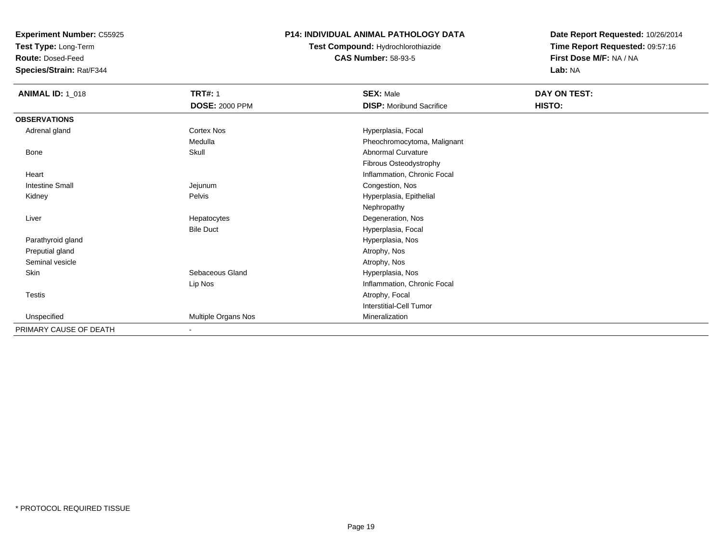**Test Type:** Long-Term

**Route:** Dosed-Feed

**Species/Strain:** Rat/F344

#### **P14: INDIVIDUAL ANIMAL PATHOLOGY DATA**

### **Test Compound:** Hydrochlorothiazide**CAS Number:** 58-93-5

| <b>ANIMAL ID: 1_018</b> | <b>TRT#: 1</b><br><b>DOSE: 2000 PPM</b> | <b>SEX: Male</b><br><b>DISP:</b> Moribund Sacrifice | DAY ON TEST:<br>HISTO: |
|-------------------------|-----------------------------------------|-----------------------------------------------------|------------------------|
| <b>OBSERVATIONS</b>     |                                         |                                                     |                        |
| Adrenal gland           | Cortex Nos                              | Hyperplasia, Focal                                  |                        |
|                         | Medulla                                 | Pheochromocytoma, Malignant                         |                        |
| Bone                    | Skull                                   | <b>Abnormal Curvature</b>                           |                        |
|                         |                                         | Fibrous Osteodystrophy                              |                        |
| Heart                   |                                         | Inflammation, Chronic Focal                         |                        |
| <b>Intestine Small</b>  | Jejunum                                 | Congestion, Nos                                     |                        |
| Kidney                  | Pelvis                                  | Hyperplasia, Epithelial                             |                        |
|                         |                                         | Nephropathy                                         |                        |
| Liver                   | Hepatocytes                             | Degeneration, Nos                                   |                        |
|                         | <b>Bile Duct</b>                        | Hyperplasia, Focal                                  |                        |
| Parathyroid gland       |                                         | Hyperplasia, Nos                                    |                        |
| Preputial gland         |                                         | Atrophy, Nos                                        |                        |
| Seminal vesicle         |                                         | Atrophy, Nos                                        |                        |
| Skin                    | Sebaceous Gland                         | Hyperplasia, Nos                                    |                        |
|                         | Lip Nos                                 | Inflammation, Chronic Focal                         |                        |
| Testis                  |                                         | Atrophy, Focal                                      |                        |
|                         |                                         | <b>Interstitial-Cell Tumor</b>                      |                        |
| Unspecified             | Multiple Organs Nos                     | Mineralization                                      |                        |
| PRIMARY CAUSE OF DEATH  | $\blacksquare$                          |                                                     |                        |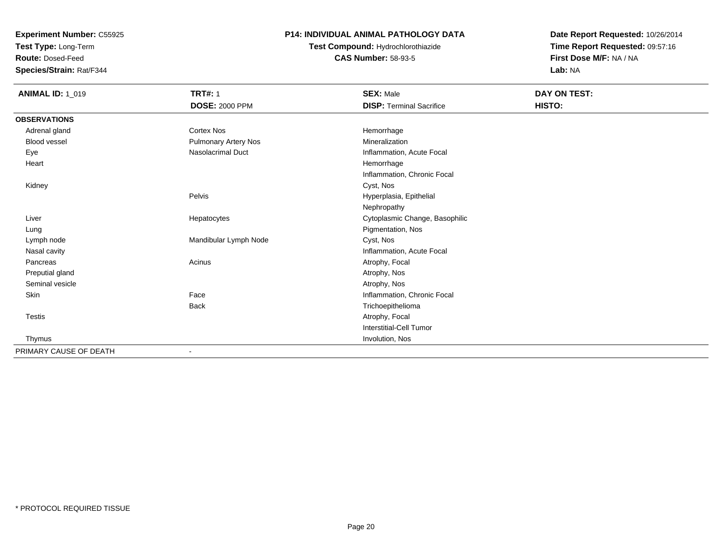**Test Type:** Long-Term

**Route:** Dosed-Feed

**Species/Strain:** Rat/F344

### **P14: INDIVIDUAL ANIMAL PATHOLOGY DATA**

**Test Compound:** Hydrochlorothiazide**CAS Number:** 58-93-5

| <b>ANIMAL ID: 1_019</b> | <b>TRT#: 1</b>           | <b>SEX: Male</b>                | DAY ON TEST: |
|-------------------------|--------------------------|---------------------------------|--------------|
|                         | <b>DOSE: 2000 PPM</b>    | <b>DISP: Terminal Sacrifice</b> | HISTO:       |
| <b>OBSERVATIONS</b>     |                          |                                 |              |
| Adrenal gland           | <b>Cortex Nos</b>        | Hemorrhage                      |              |
| Blood vessel            | Pulmonary Artery Nos     | Mineralization                  |              |
| Eye                     | <b>Nasolacrimal Duct</b> | Inflammation, Acute Focal       |              |
| Heart                   |                          | Hemorrhage                      |              |
|                         |                          | Inflammation, Chronic Focal     |              |
| Kidney                  |                          | Cyst, Nos                       |              |
|                         | Pelvis                   | Hyperplasia, Epithelial         |              |
|                         |                          | Nephropathy                     |              |
| Liver                   | Hepatocytes              | Cytoplasmic Change, Basophilic  |              |
| Lung                    |                          | Pigmentation, Nos               |              |
| Lymph node              | Mandibular Lymph Node    | Cyst, Nos                       |              |
| Nasal cavity            |                          | Inflammation, Acute Focal       |              |
| Pancreas                | Acinus                   | Atrophy, Focal                  |              |
| Preputial gland         |                          | Atrophy, Nos                    |              |
| Seminal vesicle         |                          | Atrophy, Nos                    |              |
| Skin                    | Face                     | Inflammation, Chronic Focal     |              |
|                         | <b>Back</b>              | Trichoepithelioma               |              |
| Testis                  |                          | Atrophy, Focal                  |              |
|                         |                          | Interstitial-Cell Tumor         |              |
| Thymus                  |                          | Involution, Nos                 |              |
| PRIMARY CAUSE OF DEATH  | $\blacksquare$           |                                 |              |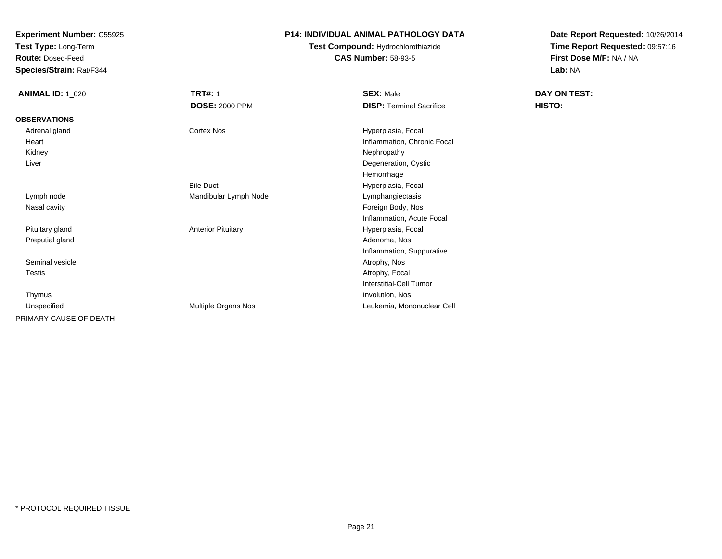**Test Type:** Long-Term

**Route:** Dosed-Feed

**Species/Strain:** Rat/F344

#### **P14: INDIVIDUAL ANIMAL PATHOLOGY DATA**

## **Test Compound:** Hydrochlorothiazide**CAS Number:** 58-93-5

| <b>ANIMAL ID: 1_020</b> | <b>TRT#: 1</b>            | <b>SEX: Male</b>                | DAY ON TEST: |
|-------------------------|---------------------------|---------------------------------|--------------|
|                         | <b>DOSE: 2000 PPM</b>     | <b>DISP: Terminal Sacrifice</b> | HISTO:       |
| <b>OBSERVATIONS</b>     |                           |                                 |              |
| Adrenal gland           | Cortex Nos                | Hyperplasia, Focal              |              |
| Heart                   |                           | Inflammation, Chronic Focal     |              |
| Kidney                  |                           | Nephropathy                     |              |
| Liver                   |                           | Degeneration, Cystic            |              |
|                         |                           | Hemorrhage                      |              |
|                         | <b>Bile Duct</b>          | Hyperplasia, Focal              |              |
| Lymph node              | Mandibular Lymph Node     | Lymphangiectasis                |              |
| Nasal cavity            |                           | Foreign Body, Nos               |              |
|                         |                           | Inflammation, Acute Focal       |              |
| Pituitary gland         | <b>Anterior Pituitary</b> | Hyperplasia, Focal              |              |
| Preputial gland         |                           | Adenoma, Nos                    |              |
|                         |                           | Inflammation, Suppurative       |              |
| Seminal vesicle         |                           | Atrophy, Nos                    |              |
| Testis                  |                           | Atrophy, Focal                  |              |
|                         |                           | Interstitial-Cell Tumor         |              |
| Thymus                  |                           | Involution, Nos                 |              |
| Unspecified             | Multiple Organs Nos       | Leukemia, Mononuclear Cell      |              |
| PRIMARY CAUSE OF DEATH  | $\sim$                    |                                 |              |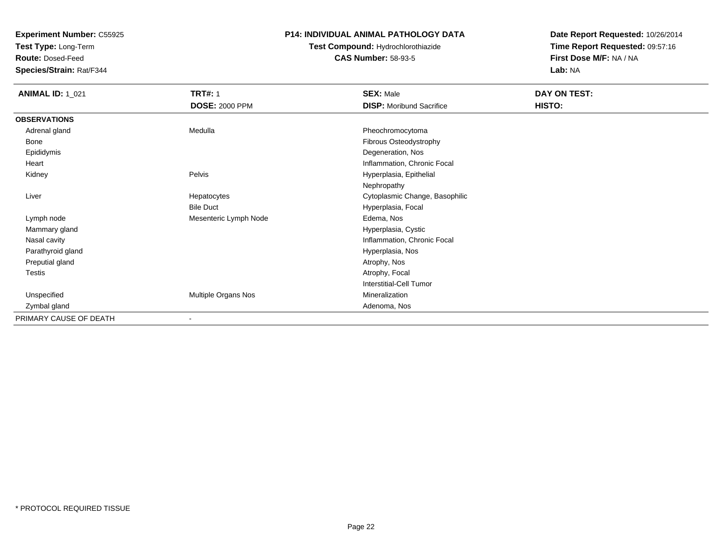**Test Type:** Long-Term

**Route:** Dosed-Feed

**Species/Strain:** Rat/F344

#### **P14: INDIVIDUAL ANIMAL PATHOLOGY DATA**

## **Test Compound:** Hydrochlorothiazide**CAS Number:** 58-93-5

| <b>ANIMAL ID: 1_021</b> | <b>TRT#: 1</b>        | <b>SEX: Male</b>                | DAY ON TEST: |
|-------------------------|-----------------------|---------------------------------|--------------|
|                         | <b>DOSE: 2000 PPM</b> | <b>DISP:</b> Moribund Sacrifice | HISTO:       |
| <b>OBSERVATIONS</b>     |                       |                                 |              |
| Adrenal gland           | Medulla               | Pheochromocytoma                |              |
| Bone                    |                       | Fibrous Osteodystrophy          |              |
| Epididymis              |                       | Degeneration, Nos               |              |
| Heart                   |                       | Inflammation, Chronic Focal     |              |
| Kidney                  | Pelvis                | Hyperplasia, Epithelial         |              |
|                         |                       | Nephropathy                     |              |
| Liver                   | Hepatocytes           | Cytoplasmic Change, Basophilic  |              |
|                         | <b>Bile Duct</b>      | Hyperplasia, Focal              |              |
| Lymph node              | Mesenteric Lymph Node | Edema, Nos                      |              |
| Mammary gland           |                       | Hyperplasia, Cystic             |              |
| Nasal cavity            |                       | Inflammation, Chronic Focal     |              |
| Parathyroid gland       |                       | Hyperplasia, Nos                |              |
| Preputial gland         |                       | Atrophy, Nos                    |              |
| <b>Testis</b>           |                       | Atrophy, Focal                  |              |
|                         |                       | Interstitial-Cell Tumor         |              |
| Unspecified             | Multiple Organs Nos   | Mineralization                  |              |
| Zymbal gland            |                       | Adenoma, Nos                    |              |
| PRIMARY CAUSE OF DEATH  |                       |                                 |              |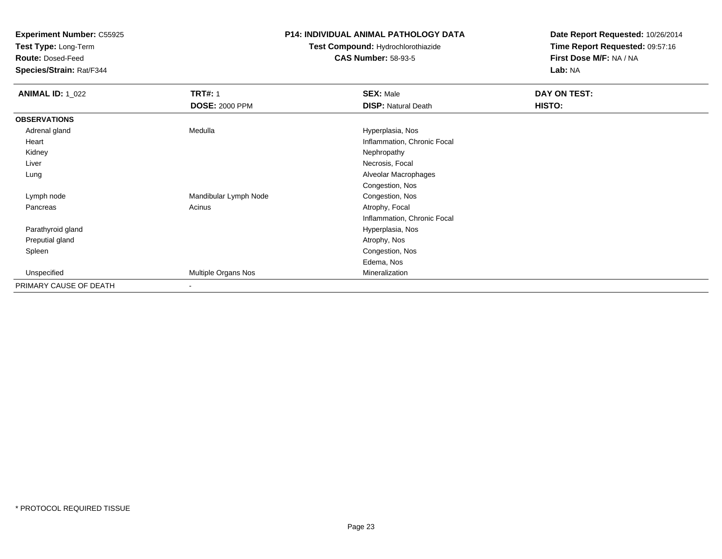**Test Type:** Long-Term

**Route:** Dosed-Feed

**Species/Strain:** Rat/F344

#### **P14: INDIVIDUAL ANIMAL PATHOLOGY DATA**

## **Test Compound:** Hydrochlorothiazide**CAS Number:** 58-93-5

| <b>ANIMAL ID: 1_022</b> | <b>TRT#: 1</b>           | <b>SEX: Male</b>            | DAY ON TEST: |
|-------------------------|--------------------------|-----------------------------|--------------|
|                         | <b>DOSE: 2000 PPM</b>    | <b>DISP: Natural Death</b>  | HISTO:       |
| <b>OBSERVATIONS</b>     |                          |                             |              |
| Adrenal gland           | Medulla                  | Hyperplasia, Nos            |              |
| Heart                   |                          | Inflammation, Chronic Focal |              |
| Kidney                  |                          | Nephropathy                 |              |
| Liver                   |                          | Necrosis, Focal             |              |
| Lung                    |                          | Alveolar Macrophages        |              |
|                         |                          | Congestion, Nos             |              |
| Lymph node              | Mandibular Lymph Node    | Congestion, Nos             |              |
| Pancreas                | Acinus                   | Atrophy, Focal              |              |
|                         |                          | Inflammation, Chronic Focal |              |
| Parathyroid gland       |                          | Hyperplasia, Nos            |              |
| Preputial gland         |                          | Atrophy, Nos                |              |
| Spleen                  |                          | Congestion, Nos             |              |
|                         |                          | Edema, Nos                  |              |
| Unspecified             | Multiple Organs Nos      | Mineralization              |              |
| PRIMARY CAUSE OF DEATH  | $\overline{\phantom{a}}$ |                             |              |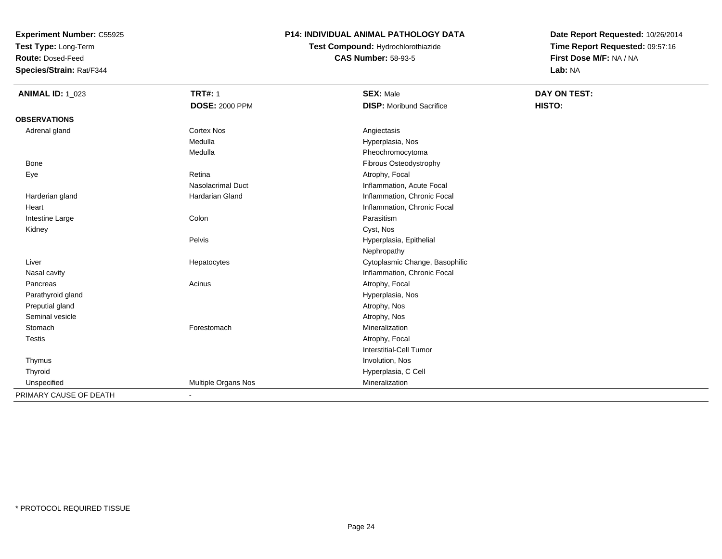**Test Type:** Long-Term

**Route:** Dosed-Feed

**Species/Strain:** Rat/F344

#### **P14: INDIVIDUAL ANIMAL PATHOLOGY DATA**

**Test Compound:** Hydrochlorothiazide**CAS Number:** 58-93-5

| <b>ANIMAL ID: 1_023</b> | <b>TRT#: 1</b>           | <b>SEX: Male</b>                | <b>DAY ON TEST:</b> |
|-------------------------|--------------------------|---------------------------------|---------------------|
|                         | <b>DOSE: 2000 PPM</b>    | <b>DISP:</b> Moribund Sacrifice | HISTO:              |
| <b>OBSERVATIONS</b>     |                          |                                 |                     |
| Adrenal gland           | <b>Cortex Nos</b>        | Angiectasis                     |                     |
|                         | Medulla                  | Hyperplasia, Nos                |                     |
|                         | Medulla                  | Pheochromocytoma                |                     |
| <b>Bone</b>             |                          | <b>Fibrous Osteodystrophy</b>   |                     |
| Eye                     | Retina                   | Atrophy, Focal                  |                     |
|                         | <b>Nasolacrimal Duct</b> | Inflammation, Acute Focal       |                     |
| Harderian gland         | Hardarian Gland          | Inflammation, Chronic Focal     |                     |
| Heart                   |                          | Inflammation, Chronic Focal     |                     |
| Intestine Large         | Colon                    | Parasitism                      |                     |
| Kidney                  |                          | Cyst, Nos                       |                     |
|                         | Pelvis                   | Hyperplasia, Epithelial         |                     |
|                         |                          | Nephropathy                     |                     |
| Liver                   | Hepatocytes              | Cytoplasmic Change, Basophilic  |                     |
| Nasal cavity            |                          | Inflammation, Chronic Focal     |                     |
| Pancreas                | Acinus                   | Atrophy, Focal                  |                     |
| Parathyroid gland       |                          | Hyperplasia, Nos                |                     |
| Preputial gland         |                          | Atrophy, Nos                    |                     |
| Seminal vesicle         |                          | Atrophy, Nos                    |                     |
| Stomach                 | Forestomach              | Mineralization                  |                     |
| <b>Testis</b>           |                          | Atrophy, Focal                  |                     |
|                         |                          | <b>Interstitial-Cell Tumor</b>  |                     |
| Thymus                  |                          | Involution, Nos                 |                     |
| Thyroid                 |                          | Hyperplasia, C Cell             |                     |
| Unspecified             | Multiple Organs Nos      | Mineralization                  |                     |
| PRIMARY CAUSE OF DEATH  | ۰                        |                                 |                     |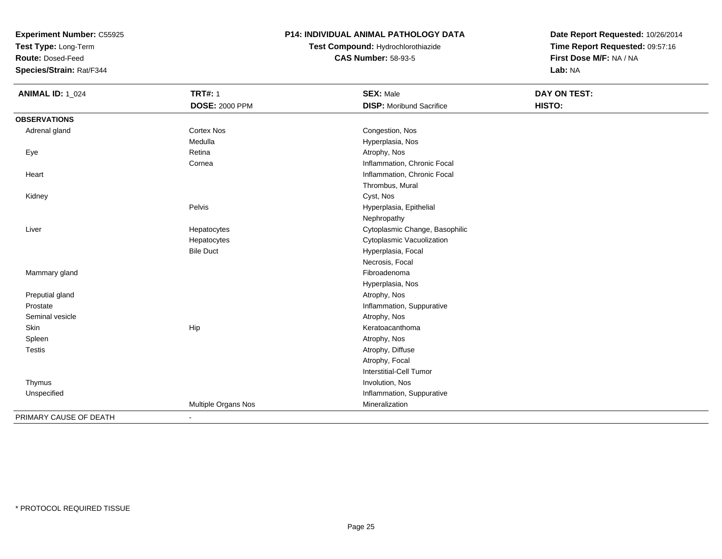**Test Type:** Long-Term

**Route:** Dosed-Feed

**Species/Strain:** Rat/F344

#### **P14: INDIVIDUAL ANIMAL PATHOLOGY DATA**

**Test Compound:** Hydrochlorothiazide**CAS Number:** 58-93-5

| <b>ANIMAL ID: 1_024</b> | <b>TRT#: 1</b>        | <b>SEX: Male</b>                | DAY ON TEST: |
|-------------------------|-----------------------|---------------------------------|--------------|
|                         | <b>DOSE: 2000 PPM</b> | <b>DISP:</b> Moribund Sacrifice | HISTO:       |
| <b>OBSERVATIONS</b>     |                       |                                 |              |
| Adrenal gland           | <b>Cortex Nos</b>     | Congestion, Nos                 |              |
|                         | Medulla               | Hyperplasia, Nos                |              |
| Eye                     | Retina                | Atrophy, Nos                    |              |
|                         | Cornea                | Inflammation, Chronic Focal     |              |
| Heart                   |                       | Inflammation, Chronic Focal     |              |
|                         |                       | Thrombus, Mural                 |              |
| Kidney                  |                       | Cyst, Nos                       |              |
|                         | Pelvis                | Hyperplasia, Epithelial         |              |
|                         |                       | Nephropathy                     |              |
| Liver                   | Hepatocytes           | Cytoplasmic Change, Basophilic  |              |
|                         | Hepatocytes           | Cytoplasmic Vacuolization       |              |
|                         | <b>Bile Duct</b>      | Hyperplasia, Focal              |              |
|                         |                       | Necrosis, Focal                 |              |
| Mammary gland           |                       | Fibroadenoma                    |              |
|                         |                       | Hyperplasia, Nos                |              |
| Preputial gland         |                       | Atrophy, Nos                    |              |
| Prostate                |                       | Inflammation, Suppurative       |              |
| Seminal vesicle         |                       | Atrophy, Nos                    |              |
| Skin                    | Hip                   | Keratoacanthoma                 |              |
| Spleen                  |                       | Atrophy, Nos                    |              |
| <b>Testis</b>           |                       | Atrophy, Diffuse                |              |
|                         |                       | Atrophy, Focal                  |              |
|                         |                       | Interstitial-Cell Tumor         |              |
| Thymus                  |                       | Involution, Nos                 |              |
| Unspecified             |                       | Inflammation, Suppurative       |              |
|                         | Multiple Organs Nos   | Mineralization                  |              |
| PRIMARY CAUSE OF DEATH  | $\blacksquare$        |                                 |              |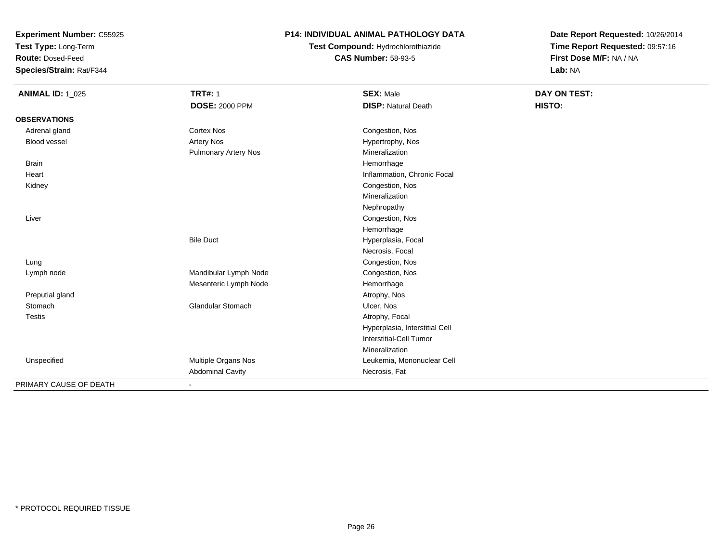**Test Type:** Long-Term

**Route:** Dosed-Feed

**Species/Strain:** Rat/F344

### **P14: INDIVIDUAL ANIMAL PATHOLOGY DATA**

## **Test Compound:** Hydrochlorothiazide**CAS Number:** 58-93-5

| <b>ANIMAL ID: 1_025</b> | <b>TRT#: 1</b>              | <b>SEX: Male</b>               | DAY ON TEST: |
|-------------------------|-----------------------------|--------------------------------|--------------|
|                         | <b>DOSE: 2000 PPM</b>       | <b>DISP: Natural Death</b>     | HISTO:       |
| <b>OBSERVATIONS</b>     |                             |                                |              |
| Adrenal gland           | <b>Cortex Nos</b>           | Congestion, Nos                |              |
| <b>Blood vessel</b>     | Artery Nos                  | Hypertrophy, Nos               |              |
|                         | <b>Pulmonary Artery Nos</b> | Mineralization                 |              |
| <b>Brain</b>            |                             | Hemorrhage                     |              |
| Heart                   |                             | Inflammation, Chronic Focal    |              |
| Kidney                  |                             | Congestion, Nos                |              |
|                         |                             | Mineralization                 |              |
|                         |                             | Nephropathy                    |              |
| Liver                   |                             | Congestion, Nos                |              |
|                         |                             | Hemorrhage                     |              |
|                         | <b>Bile Duct</b>            | Hyperplasia, Focal             |              |
|                         |                             | Necrosis, Focal                |              |
| Lung                    |                             | Congestion, Nos                |              |
| Lymph node              | Mandibular Lymph Node       | Congestion, Nos                |              |
|                         | Mesenteric Lymph Node       | Hemorrhage                     |              |
| Preputial gland         |                             | Atrophy, Nos                   |              |
| Stomach                 | <b>Glandular Stomach</b>    | Ulcer, Nos                     |              |
| <b>Testis</b>           |                             | Atrophy, Focal                 |              |
|                         |                             | Hyperplasia, Interstitial Cell |              |
|                         |                             | <b>Interstitial-Cell Tumor</b> |              |
|                         |                             | Mineralization                 |              |
| Unspecified             | Multiple Organs Nos         | Leukemia, Mononuclear Cell     |              |
|                         | <b>Abdominal Cavity</b>     | Necrosis, Fat                  |              |
| PRIMARY CAUSE OF DEATH  |                             |                                |              |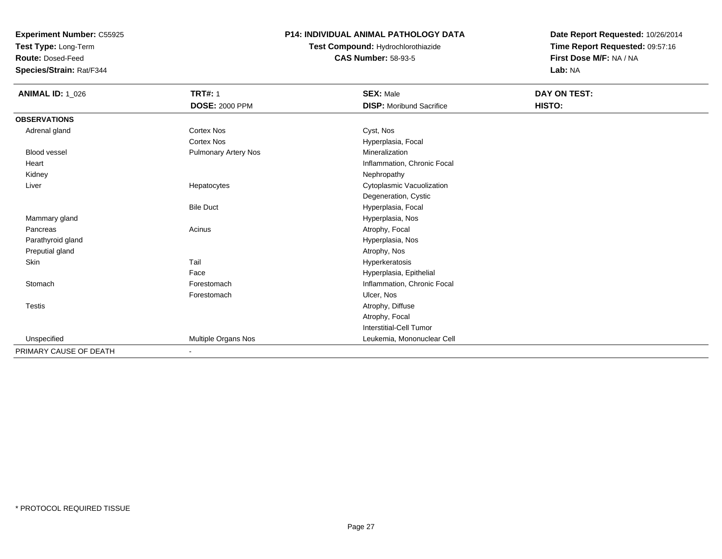**Test Type:** Long-Term

**Route:** Dosed-Feed

**Species/Strain:** Rat/F344

#### **P14: INDIVIDUAL ANIMAL PATHOLOGY DATA**

### **Test Compound:** Hydrochlorothiazide**CAS Number:** 58-93-5

| <b>ANIMAL ID: 1_026</b> | <b>TRT#: 1</b>              | <b>SEX: Male</b>                | DAY ON TEST: |  |
|-------------------------|-----------------------------|---------------------------------|--------------|--|
|                         | <b>DOSE: 2000 PPM</b>       | <b>DISP:</b> Moribund Sacrifice | HISTO:       |  |
| <b>OBSERVATIONS</b>     |                             |                                 |              |  |
| Adrenal gland           | <b>Cortex Nos</b>           | Cyst, Nos                       |              |  |
|                         | <b>Cortex Nos</b>           | Hyperplasia, Focal              |              |  |
| <b>Blood vessel</b>     | <b>Pulmonary Artery Nos</b> | Mineralization                  |              |  |
| Heart                   |                             | Inflammation, Chronic Focal     |              |  |
| Kidney                  |                             | Nephropathy                     |              |  |
| Liver                   | Hepatocytes                 | Cytoplasmic Vacuolization       |              |  |
|                         |                             | Degeneration, Cystic            |              |  |
|                         | <b>Bile Duct</b>            | Hyperplasia, Focal              |              |  |
| Mammary gland           |                             | Hyperplasia, Nos                |              |  |
| Pancreas                | Acinus                      | Atrophy, Focal                  |              |  |
| Parathyroid gland       |                             | Hyperplasia, Nos                |              |  |
| Preputial gland         |                             | Atrophy, Nos                    |              |  |
| Skin                    | Tail                        | Hyperkeratosis                  |              |  |
|                         | Face                        | Hyperplasia, Epithelial         |              |  |
| Stomach                 | Forestomach                 | Inflammation, Chronic Focal     |              |  |
|                         | Forestomach                 | Ulcer, Nos                      |              |  |
| <b>Testis</b>           |                             | Atrophy, Diffuse                |              |  |
|                         |                             | Atrophy, Focal                  |              |  |
|                         |                             | Interstitial-Cell Tumor         |              |  |
| Unspecified             | Multiple Organs Nos         | Leukemia, Mononuclear Cell      |              |  |
| PRIMARY CAUSE OF DEATH  | $\sim$                      |                                 |              |  |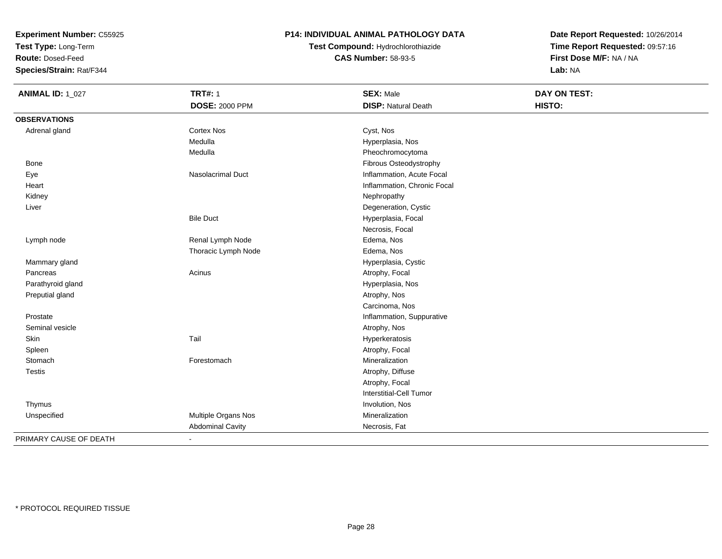**Test Type:** Long-Term

**Route:** Dosed-Feed

**Species/Strain:** Rat/F344

#### **P14: INDIVIDUAL ANIMAL PATHOLOGY DATA**

## **Test Compound:** Hydrochlorothiazide**CAS Number:** 58-93-5

| <b>ANIMAL ID: 1_027</b> | <b>TRT#: 1</b>           | <b>SEX: Male</b>               | <b>DAY ON TEST:</b> |  |
|-------------------------|--------------------------|--------------------------------|---------------------|--|
|                         | <b>DOSE: 2000 PPM</b>    | <b>DISP: Natural Death</b>     | HISTO:              |  |
| <b>OBSERVATIONS</b>     |                          |                                |                     |  |
| Adrenal gland           | Cortex Nos               | Cyst, Nos                      |                     |  |
|                         | Medulla                  | Hyperplasia, Nos               |                     |  |
|                         | Medulla                  | Pheochromocytoma               |                     |  |
| Bone                    |                          | Fibrous Osteodystrophy         |                     |  |
| Eye                     | <b>Nasolacrimal Duct</b> | Inflammation, Acute Focal      |                     |  |
| Heart                   |                          | Inflammation, Chronic Focal    |                     |  |
| Kidney                  |                          | Nephropathy                    |                     |  |
| Liver                   |                          | Degeneration, Cystic           |                     |  |
|                         | <b>Bile Duct</b>         | Hyperplasia, Focal             |                     |  |
|                         |                          | Necrosis, Focal                |                     |  |
| Lymph node              | Renal Lymph Node         | Edema, Nos                     |                     |  |
|                         | Thoracic Lymph Node      | Edema, Nos                     |                     |  |
| Mammary gland           |                          | Hyperplasia, Cystic            |                     |  |
| Pancreas                | Acinus                   | Atrophy, Focal                 |                     |  |
| Parathyroid gland       |                          | Hyperplasia, Nos               |                     |  |
| Preputial gland         |                          | Atrophy, Nos                   |                     |  |
|                         |                          | Carcinoma, Nos                 |                     |  |
| Prostate                |                          | Inflammation, Suppurative      |                     |  |
| Seminal vesicle         |                          | Atrophy, Nos                   |                     |  |
| Skin                    | Tail                     | Hyperkeratosis                 |                     |  |
| Spleen                  |                          | Atrophy, Focal                 |                     |  |
| Stomach                 | Forestomach              | Mineralization                 |                     |  |
| <b>Testis</b>           |                          | Atrophy, Diffuse               |                     |  |
|                         |                          | Atrophy, Focal                 |                     |  |
|                         |                          | <b>Interstitial-Cell Tumor</b> |                     |  |
| Thymus                  |                          | Involution, Nos                |                     |  |
| Unspecified             | Multiple Organs Nos      | Mineralization                 |                     |  |
|                         | <b>Abdominal Cavity</b>  | Necrosis, Fat                  |                     |  |
| PRIMARY CAUSE OF DEATH  | $\blacksquare$           |                                |                     |  |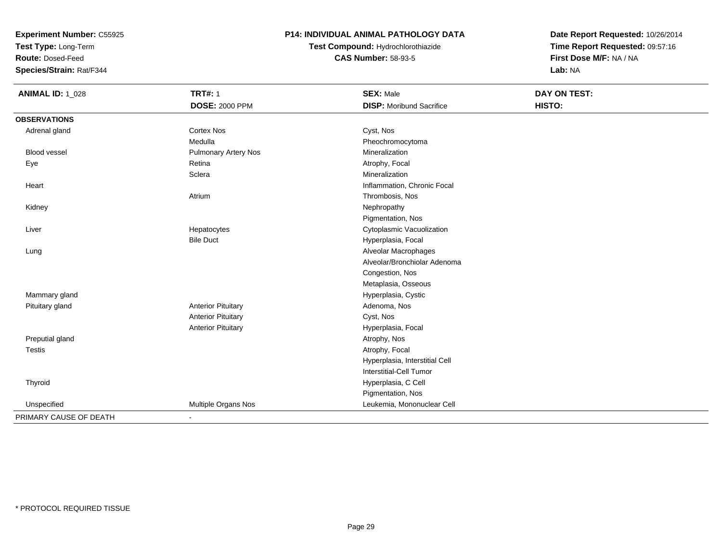**Test Type:** Long-Term

**Route:** Dosed-Feed

**Species/Strain:** Rat/F344

### **P14: INDIVIDUAL ANIMAL PATHOLOGY DATA**

**Test Compound:** Hydrochlorothiazide**CAS Number:** 58-93-5

| <b>ANIMAL ID: 1_028</b> | <b>TRT#: 1</b>              | <b>SEX: Male</b>                | DAY ON TEST: |  |
|-------------------------|-----------------------------|---------------------------------|--------------|--|
|                         | <b>DOSE: 2000 PPM</b>       | <b>DISP: Moribund Sacrifice</b> | HISTO:       |  |
| <b>OBSERVATIONS</b>     |                             |                                 |              |  |
| Adrenal gland           | Cortex Nos                  | Cyst, Nos                       |              |  |
|                         | Medulla                     | Pheochromocytoma                |              |  |
| Blood vessel            | <b>Pulmonary Artery Nos</b> | Mineralization                  |              |  |
| Eye                     | Retina                      | Atrophy, Focal                  |              |  |
|                         | Sclera                      | Mineralization                  |              |  |
| Heart                   |                             | Inflammation, Chronic Focal     |              |  |
|                         | Atrium                      | Thrombosis, Nos                 |              |  |
| Kidney                  |                             | Nephropathy                     |              |  |
|                         |                             | Pigmentation, Nos               |              |  |
| Liver                   | Hepatocytes                 | Cytoplasmic Vacuolization       |              |  |
|                         | <b>Bile Duct</b>            | Hyperplasia, Focal              |              |  |
| Lung                    |                             | Alveolar Macrophages            |              |  |
|                         |                             | Alveolar/Bronchiolar Adenoma    |              |  |
|                         |                             | Congestion, Nos                 |              |  |
|                         |                             | Metaplasia, Osseous             |              |  |
| Mammary gland           |                             | Hyperplasia, Cystic             |              |  |
| Pituitary gland         | <b>Anterior Pituitary</b>   | Adenoma, Nos                    |              |  |
|                         | <b>Anterior Pituitary</b>   | Cyst, Nos                       |              |  |
|                         | <b>Anterior Pituitary</b>   | Hyperplasia, Focal              |              |  |
| Preputial gland         |                             | Atrophy, Nos                    |              |  |
| <b>Testis</b>           |                             | Atrophy, Focal                  |              |  |
|                         |                             | Hyperplasia, Interstitial Cell  |              |  |
|                         |                             | Interstitial-Cell Tumor         |              |  |
| Thyroid                 |                             | Hyperplasia, C Cell             |              |  |
|                         |                             | Pigmentation, Nos               |              |  |
| Unspecified             | Multiple Organs Nos         | Leukemia, Mononuclear Cell      |              |  |
| PRIMARY CAUSE OF DEATH  | $\blacksquare$              |                                 |              |  |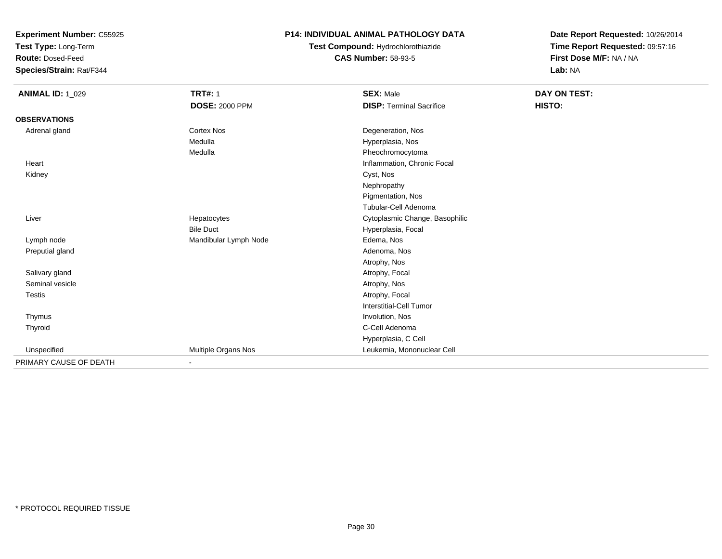**Test Type:** Long-Term

**Route:** Dosed-Feed

**Species/Strain:** Rat/F344

#### **P14: INDIVIDUAL ANIMAL PATHOLOGY DATA**

**Test Compound:** Hydrochlorothiazide**CAS Number:** 58-93-5

| <b>ANIMAL ID: 1_029</b> | <b>TRT#: 1</b>        | <b>SEX: Male</b>                | <b>DAY ON TEST:</b> |
|-------------------------|-----------------------|---------------------------------|---------------------|
|                         | <b>DOSE: 2000 PPM</b> | <b>DISP: Terminal Sacrifice</b> | HISTO:              |
| <b>OBSERVATIONS</b>     |                       |                                 |                     |
| Adrenal gland           | <b>Cortex Nos</b>     | Degeneration, Nos               |                     |
|                         | Medulla               | Hyperplasia, Nos                |                     |
|                         | Medulla               | Pheochromocytoma                |                     |
| Heart                   |                       | Inflammation, Chronic Focal     |                     |
| Kidney                  |                       | Cyst, Nos                       |                     |
|                         |                       | Nephropathy                     |                     |
|                         |                       | Pigmentation, Nos               |                     |
|                         |                       | Tubular-Cell Adenoma            |                     |
| Liver                   | Hepatocytes           | Cytoplasmic Change, Basophilic  |                     |
|                         | <b>Bile Duct</b>      | Hyperplasia, Focal              |                     |
| Lymph node              | Mandibular Lymph Node | Edema, Nos                      |                     |
| Preputial gland         |                       | Adenoma, Nos                    |                     |
|                         |                       | Atrophy, Nos                    |                     |
| Salivary gland          |                       | Atrophy, Focal                  |                     |
| Seminal vesicle         |                       | Atrophy, Nos                    |                     |
| <b>Testis</b>           |                       | Atrophy, Focal                  |                     |
|                         |                       | Interstitial-Cell Tumor         |                     |
| Thymus                  |                       | Involution, Nos                 |                     |
| Thyroid                 |                       | C-Cell Adenoma                  |                     |
|                         |                       | Hyperplasia, C Cell             |                     |
| Unspecified             | Multiple Organs Nos   | Leukemia, Mononuclear Cell      |                     |
| PRIMARY CAUSE OF DEATH  | $\blacksquare$        |                                 |                     |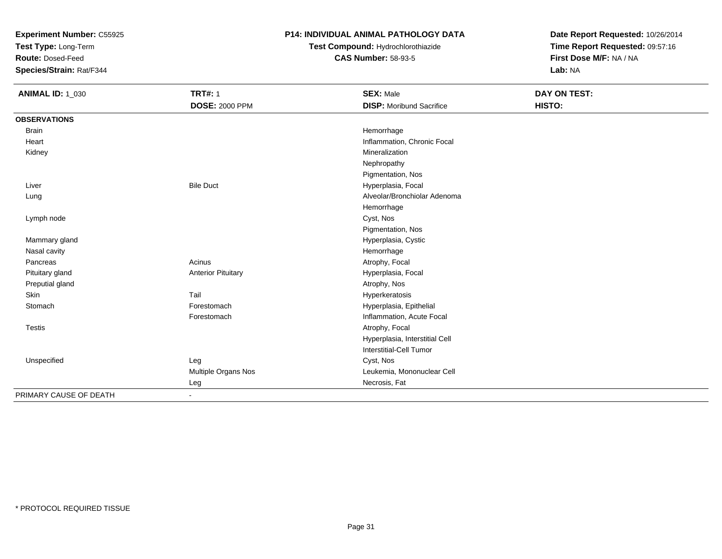**Test Type:** Long-Term

**Route:** Dosed-Feed

**Species/Strain:** Rat/F344

### **P14: INDIVIDUAL ANIMAL PATHOLOGY DATA**

## **Test Compound:** Hydrochlorothiazide**CAS Number:** 58-93-5

| <b>ANIMAL ID: 1_030</b> | <b>TRT#: 1</b>            | <b>SEX: Male</b>                | <b>DAY ON TEST:</b> |  |
|-------------------------|---------------------------|---------------------------------|---------------------|--|
|                         | <b>DOSE: 2000 PPM</b>     | <b>DISP:</b> Moribund Sacrifice | HISTO:              |  |
| <b>OBSERVATIONS</b>     |                           |                                 |                     |  |
| <b>Brain</b>            |                           | Hemorrhage                      |                     |  |
| Heart                   |                           | Inflammation, Chronic Focal     |                     |  |
| Kidney                  |                           | Mineralization                  |                     |  |
|                         |                           | Nephropathy                     |                     |  |
|                         |                           | Pigmentation, Nos               |                     |  |
| Liver                   | <b>Bile Duct</b>          | Hyperplasia, Focal              |                     |  |
| Lung                    |                           | Alveolar/Bronchiolar Adenoma    |                     |  |
|                         |                           | Hemorrhage                      |                     |  |
| Lymph node              |                           | Cyst, Nos                       |                     |  |
|                         |                           | Pigmentation, Nos               |                     |  |
| Mammary gland           |                           | Hyperplasia, Cystic             |                     |  |
| Nasal cavity            |                           | Hemorrhage                      |                     |  |
| Pancreas                | Acinus                    | Atrophy, Focal                  |                     |  |
| Pituitary gland         | <b>Anterior Pituitary</b> | Hyperplasia, Focal              |                     |  |
| Preputial gland         |                           | Atrophy, Nos                    |                     |  |
| Skin                    | Tail                      | Hyperkeratosis                  |                     |  |
| Stomach                 | Forestomach               | Hyperplasia, Epithelial         |                     |  |
|                         | Forestomach               | Inflammation, Acute Focal       |                     |  |
| <b>Testis</b>           |                           | Atrophy, Focal                  |                     |  |
|                         |                           | Hyperplasia, Interstitial Cell  |                     |  |
|                         |                           | Interstitial-Cell Tumor         |                     |  |
| Unspecified             | Leg                       | Cyst, Nos                       |                     |  |
|                         | Multiple Organs Nos       | Leukemia, Mononuclear Cell      |                     |  |
|                         | Leg                       | Necrosis, Fat                   |                     |  |
| PRIMARY CAUSE OF DEATH  | $\overline{\phantom{a}}$  |                                 |                     |  |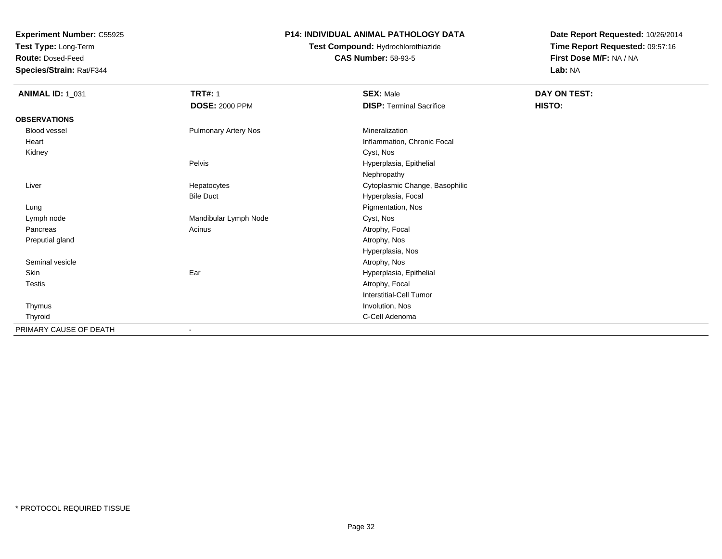**Test Type:** Long-Term

**Route:** Dosed-Feed

**Species/Strain:** Rat/F344

#### **P14: INDIVIDUAL ANIMAL PATHOLOGY DATA**

**Test Compound:** Hydrochlorothiazide**CAS Number:** 58-93-5

| <b>ANIMAL ID: 1_031</b> | <b>TRT#: 1</b>              | <b>SEX: Male</b>                | DAY ON TEST: |
|-------------------------|-----------------------------|---------------------------------|--------------|
|                         | <b>DOSE: 2000 PPM</b>       | <b>DISP: Terminal Sacrifice</b> | HISTO:       |
| <b>OBSERVATIONS</b>     |                             |                                 |              |
| <b>Blood vessel</b>     | <b>Pulmonary Artery Nos</b> | Mineralization                  |              |
| Heart                   |                             | Inflammation, Chronic Focal     |              |
| Kidney                  |                             | Cyst, Nos                       |              |
|                         | Pelvis                      | Hyperplasia, Epithelial         |              |
|                         |                             | Nephropathy                     |              |
| Liver                   | Hepatocytes                 | Cytoplasmic Change, Basophilic  |              |
|                         | <b>Bile Duct</b>            | Hyperplasia, Focal              |              |
| Lung                    |                             | Pigmentation, Nos               |              |
| Lymph node              | Mandibular Lymph Node       | Cyst, Nos                       |              |
| Pancreas                | Acinus                      | Atrophy, Focal                  |              |
| Preputial gland         |                             | Atrophy, Nos                    |              |
|                         |                             | Hyperplasia, Nos                |              |
| Seminal vesicle         |                             | Atrophy, Nos                    |              |
| Skin                    | Ear                         | Hyperplasia, Epithelial         |              |
| Testis                  |                             | Atrophy, Focal                  |              |
|                         |                             | <b>Interstitial-Cell Tumor</b>  |              |
| Thymus                  |                             | Involution, Nos                 |              |
| Thyroid                 |                             | C-Cell Adenoma                  |              |
| PRIMARY CAUSE OF DEATH  | ٠                           |                                 |              |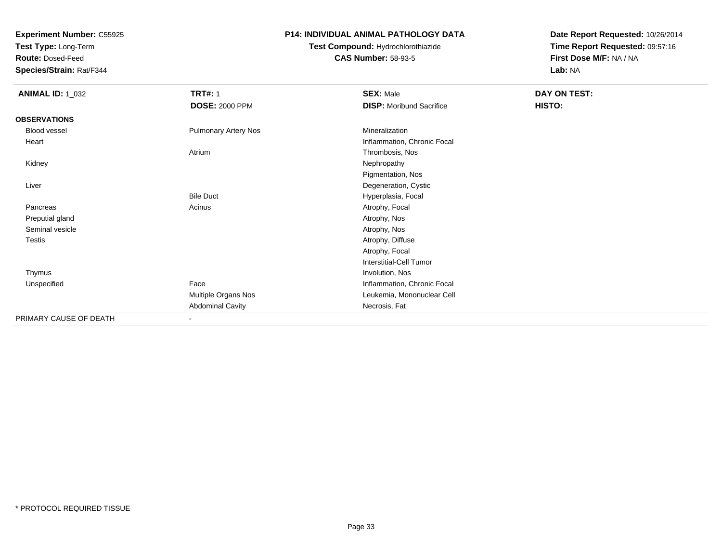**Test Type:** Long-Term

**Route:** Dosed-Feed

**Species/Strain:** Rat/F344

#### **P14: INDIVIDUAL ANIMAL PATHOLOGY DATA**

## **Test Compound:** Hydrochlorothiazide**CAS Number:** 58-93-5

| <b>ANIMAL ID: 1_032</b> | <b>TRT#: 1</b>              | <b>SEX: Male</b>                | DAY ON TEST: |
|-------------------------|-----------------------------|---------------------------------|--------------|
|                         | <b>DOSE: 2000 PPM</b>       | <b>DISP:</b> Moribund Sacrifice | HISTO:       |
| <b>OBSERVATIONS</b>     |                             |                                 |              |
| Blood vessel            | <b>Pulmonary Artery Nos</b> | Mineralization                  |              |
| Heart                   |                             | Inflammation, Chronic Focal     |              |
|                         | Atrium                      | Thrombosis, Nos                 |              |
| Kidney                  |                             | Nephropathy                     |              |
|                         |                             | Pigmentation, Nos               |              |
| Liver                   |                             | Degeneration, Cystic            |              |
|                         | <b>Bile Duct</b>            | Hyperplasia, Focal              |              |
| Pancreas                | Acinus                      | Atrophy, Focal                  |              |
| Preputial gland         |                             | Atrophy, Nos                    |              |
| Seminal vesicle         |                             | Atrophy, Nos                    |              |
| Testis                  |                             | Atrophy, Diffuse                |              |
|                         |                             | Atrophy, Focal                  |              |
|                         |                             | <b>Interstitial-Cell Tumor</b>  |              |
| Thymus                  |                             | Involution, Nos                 |              |
| Unspecified             | Face                        | Inflammation, Chronic Focal     |              |
|                         | Multiple Organs Nos         | Leukemia, Mononuclear Cell      |              |
|                         | <b>Abdominal Cavity</b>     | Necrosis, Fat                   |              |
| PRIMARY CAUSE OF DEATH  | $\sim$                      |                                 |              |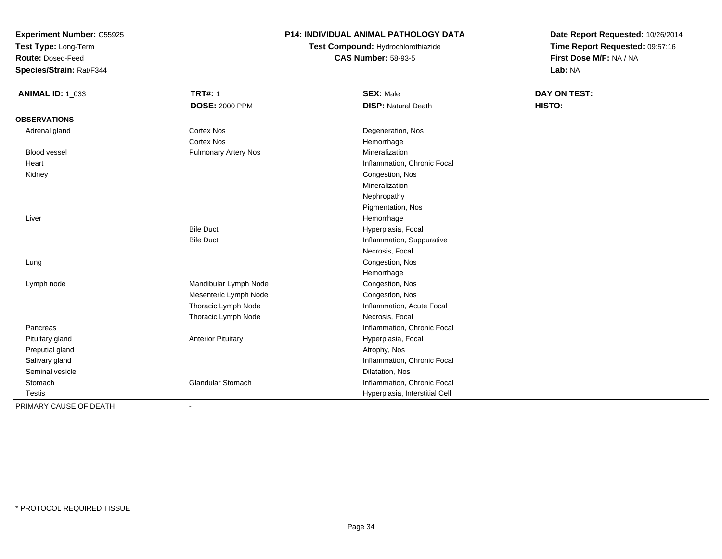**Test Type:** Long-Term

**Route:** Dosed-Feed

**Species/Strain:** Rat/F344

#### **P14: INDIVIDUAL ANIMAL PATHOLOGY DATA**

## **Test Compound:** Hydrochlorothiazide**CAS Number:** 58-93-5

| <b>ANIMAL ID: 1_033</b> | <b>TRT#: 1</b>              | <b>SEX: Male</b>               | DAY ON TEST: |
|-------------------------|-----------------------------|--------------------------------|--------------|
|                         | <b>DOSE: 2000 PPM</b>       | <b>DISP: Natural Death</b>     | HISTO:       |
| <b>OBSERVATIONS</b>     |                             |                                |              |
| Adrenal gland           | <b>Cortex Nos</b>           | Degeneration, Nos              |              |
|                         | <b>Cortex Nos</b>           | Hemorrhage                     |              |
| <b>Blood vessel</b>     | <b>Pulmonary Artery Nos</b> | Mineralization                 |              |
| Heart                   |                             | Inflammation, Chronic Focal    |              |
| Kidney                  |                             | Congestion, Nos                |              |
|                         |                             | Mineralization                 |              |
|                         |                             | Nephropathy                    |              |
|                         |                             | Pigmentation, Nos              |              |
| Liver                   |                             | Hemorrhage                     |              |
|                         | <b>Bile Duct</b>            | Hyperplasia, Focal             |              |
|                         | <b>Bile Duct</b>            | Inflammation, Suppurative      |              |
|                         |                             | Necrosis, Focal                |              |
| Lung                    |                             | Congestion, Nos                |              |
|                         |                             | Hemorrhage                     |              |
| Lymph node              | Mandibular Lymph Node       | Congestion, Nos                |              |
|                         | Mesenteric Lymph Node       | Congestion, Nos                |              |
|                         | Thoracic Lymph Node         | Inflammation, Acute Focal      |              |
|                         | Thoracic Lymph Node         | Necrosis, Focal                |              |
| Pancreas                |                             | Inflammation, Chronic Focal    |              |
| Pituitary gland         | <b>Anterior Pituitary</b>   | Hyperplasia, Focal             |              |
| Preputial gland         |                             | Atrophy, Nos                   |              |
| Salivary gland          |                             | Inflammation, Chronic Focal    |              |
| Seminal vesicle         |                             | Dilatation, Nos                |              |
| Stomach                 | <b>Glandular Stomach</b>    | Inflammation, Chronic Focal    |              |
| <b>Testis</b>           |                             | Hyperplasia, Interstitial Cell |              |
| PRIMARY CAUSE OF DEATH  | $\overline{\phantom{0}}$    |                                |              |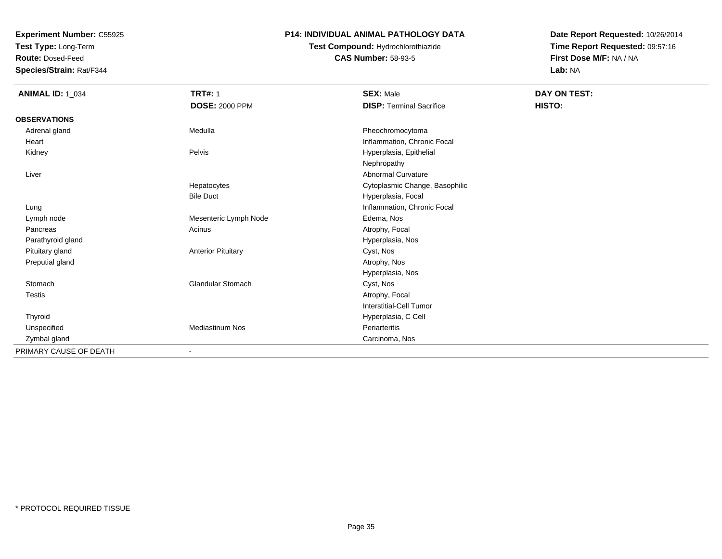**Test Type:** Long-Term

**Route:** Dosed-Feed

**Species/Strain:** Rat/F344

#### **P14: INDIVIDUAL ANIMAL PATHOLOGY DATA**

### **Test Compound:** Hydrochlorothiazide**CAS Number:** 58-93-5

| <b>ANIMAL ID: 1_034</b> | <b>TRT#: 1</b>            | <b>SEX: Male</b>                | DAY ON TEST: |
|-------------------------|---------------------------|---------------------------------|--------------|
|                         | <b>DOSE: 2000 PPM</b>     | <b>DISP: Terminal Sacrifice</b> | HISTO:       |
| <b>OBSERVATIONS</b>     |                           |                                 |              |
| Adrenal gland           | Medulla                   | Pheochromocytoma                |              |
| Heart                   |                           | Inflammation, Chronic Focal     |              |
| Kidney                  | Pelvis                    | Hyperplasia, Epithelial         |              |
|                         |                           | Nephropathy                     |              |
| Liver                   |                           | Abnormal Curvature              |              |
|                         | Hepatocytes               | Cytoplasmic Change, Basophilic  |              |
|                         | <b>Bile Duct</b>          | Hyperplasia, Focal              |              |
| Lung                    |                           | Inflammation, Chronic Focal     |              |
| Lymph node              | Mesenteric Lymph Node     | Edema, Nos                      |              |
| Pancreas                | Acinus                    | Atrophy, Focal                  |              |
| Parathyroid gland       |                           | Hyperplasia, Nos                |              |
| Pituitary gland         | <b>Anterior Pituitary</b> | Cyst, Nos                       |              |
| Preputial gland         |                           | Atrophy, Nos                    |              |
|                         |                           | Hyperplasia, Nos                |              |
| Stomach                 | <b>Glandular Stomach</b>  | Cyst, Nos                       |              |
| <b>Testis</b>           |                           | Atrophy, Focal                  |              |
|                         |                           | Interstitial-Cell Tumor         |              |
| Thyroid                 |                           | Hyperplasia, C Cell             |              |
| Unspecified             | <b>Mediastinum Nos</b>    | Periarteritis                   |              |
| Zymbal gland            |                           | Carcinoma, Nos                  |              |
| PRIMARY CAUSE OF DEATH  |                           |                                 |              |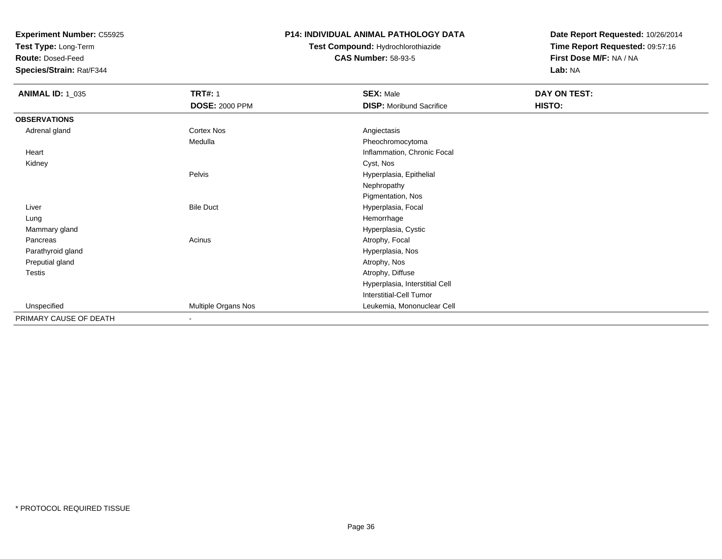**Test Type:** Long-Term

**Route:** Dosed-Feed

**Species/Strain:** Rat/F344

#### **P14: INDIVIDUAL ANIMAL PATHOLOGY DATA**

### **Test Compound:** Hydrochlorothiazide**CAS Number:** 58-93-5

| <b>ANIMAL ID: 1_035</b> | <b>TRT#: 1</b>        | <b>SEX: Male</b>                | <b>DAY ON TEST:</b> |  |
|-------------------------|-----------------------|---------------------------------|---------------------|--|
|                         | <b>DOSE: 2000 PPM</b> | <b>DISP:</b> Moribund Sacrifice | HISTO:              |  |
| <b>OBSERVATIONS</b>     |                       |                                 |                     |  |
| Adrenal gland           | Cortex Nos            | Angiectasis                     |                     |  |
|                         | Medulla               | Pheochromocytoma                |                     |  |
| Heart                   |                       | Inflammation, Chronic Focal     |                     |  |
| Kidney                  |                       | Cyst, Nos                       |                     |  |
|                         | Pelvis                | Hyperplasia, Epithelial         |                     |  |
|                         |                       | Nephropathy                     |                     |  |
|                         |                       | Pigmentation, Nos               |                     |  |
| Liver                   | <b>Bile Duct</b>      | Hyperplasia, Focal              |                     |  |
| Lung                    |                       | Hemorrhage                      |                     |  |
| Mammary gland           |                       | Hyperplasia, Cystic             |                     |  |
| Pancreas                | Acinus                | Atrophy, Focal                  |                     |  |
| Parathyroid gland       |                       | Hyperplasia, Nos                |                     |  |
| Preputial gland         |                       | Atrophy, Nos                    |                     |  |
| <b>Testis</b>           |                       | Atrophy, Diffuse                |                     |  |
|                         |                       | Hyperplasia, Interstitial Cell  |                     |  |
|                         |                       | Interstitial-Cell Tumor         |                     |  |
| Unspecified             | Multiple Organs Nos   | Leukemia, Mononuclear Cell      |                     |  |
| PRIMARY CAUSE OF DEATH  | $\sim$                |                                 |                     |  |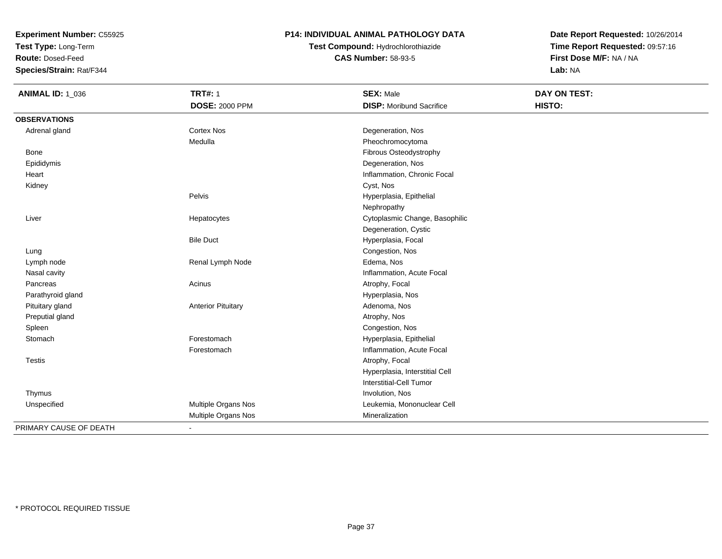**Test Type:** Long-Term

**Route:** Dosed-Feed

**Species/Strain:** Rat/F344

### **P14: INDIVIDUAL ANIMAL PATHOLOGY DATA**

# **Test Compound:** Hydrochlorothiazide**CAS Number:** 58-93-5

| <b>ANIMAL ID: 1_036</b> | <b>TRT#: 1</b>            | <b>SEX: Male</b>                | <b>DAY ON TEST:</b> |
|-------------------------|---------------------------|---------------------------------|---------------------|
|                         | <b>DOSE: 2000 PPM</b>     | <b>DISP:</b> Moribund Sacrifice | HISTO:              |
| <b>OBSERVATIONS</b>     |                           |                                 |                     |
| Adrenal gland           | Cortex Nos                | Degeneration, Nos               |                     |
|                         | Medulla                   | Pheochromocytoma                |                     |
| Bone                    |                           | Fibrous Osteodystrophy          |                     |
| Epididymis              |                           | Degeneration, Nos               |                     |
| Heart                   |                           | Inflammation, Chronic Focal     |                     |
| Kidney                  |                           | Cyst, Nos                       |                     |
|                         | Pelvis                    | Hyperplasia, Epithelial         |                     |
|                         |                           | Nephropathy                     |                     |
| Liver                   | Hepatocytes               | Cytoplasmic Change, Basophilic  |                     |
|                         |                           | Degeneration, Cystic            |                     |
|                         | <b>Bile Duct</b>          | Hyperplasia, Focal              |                     |
| Lung                    |                           | Congestion, Nos                 |                     |
| Lymph node              | Renal Lymph Node          | Edema, Nos                      |                     |
| Nasal cavity            |                           | Inflammation, Acute Focal       |                     |
| Pancreas                | Acinus                    | Atrophy, Focal                  |                     |
| Parathyroid gland       |                           | Hyperplasia, Nos                |                     |
| Pituitary gland         | <b>Anterior Pituitary</b> | Adenoma, Nos                    |                     |
| Preputial gland         |                           | Atrophy, Nos                    |                     |
| Spleen                  |                           | Congestion, Nos                 |                     |
| Stomach                 | Forestomach               | Hyperplasia, Epithelial         |                     |
|                         | Forestomach               | Inflammation, Acute Focal       |                     |
| <b>Testis</b>           |                           | Atrophy, Focal                  |                     |
|                         |                           | Hyperplasia, Interstitial Cell  |                     |
|                         |                           | Interstitial-Cell Tumor         |                     |
| Thymus                  |                           | Involution, Nos                 |                     |
| Unspecified             | Multiple Organs Nos       | Leukemia, Mononuclear Cell      |                     |
|                         | Multiple Organs Nos       | Mineralization                  |                     |
| PRIMARY CAUSE OF DEATH  | $\blacksquare$            |                                 |                     |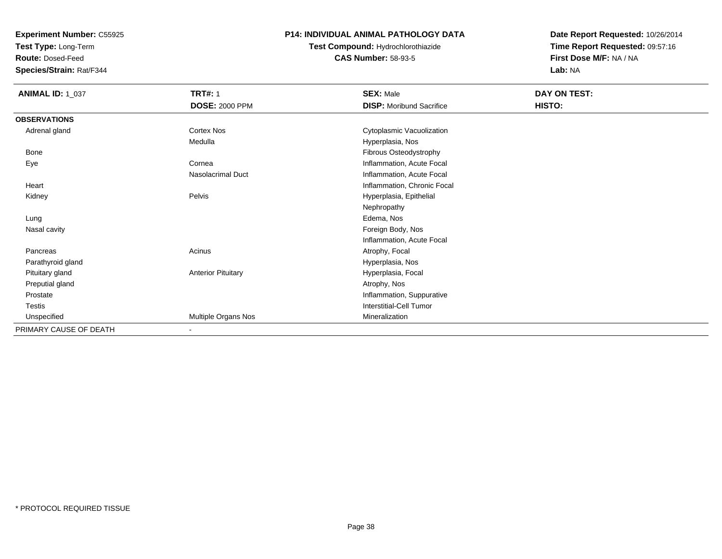**Test Type:** Long-Term

**Route:** Dosed-Feed

**Species/Strain:** Rat/F344

### **P14: INDIVIDUAL ANIMAL PATHOLOGY DATA**

## **Test Compound:** Hydrochlorothiazide**CAS Number:** 58-93-5

| <b>ANIMAL ID: 1_037</b> | <b>TRT#: 1</b><br><b>DOSE: 2000 PPM</b> | <b>SEX: Male</b><br><b>DISP:</b> Moribund Sacrifice | DAY ON TEST:<br>HISTO: |
|-------------------------|-----------------------------------------|-----------------------------------------------------|------------------------|
|                         |                                         |                                                     |                        |
| <b>OBSERVATIONS</b>     |                                         |                                                     |                        |
| Adrenal gland           | Cortex Nos                              | Cytoplasmic Vacuolization                           |                        |
|                         | Medulla                                 | Hyperplasia, Nos                                    |                        |
| Bone                    |                                         | Fibrous Osteodystrophy                              |                        |
| Eye                     | Cornea                                  | Inflammation, Acute Focal                           |                        |
|                         | Nasolacrimal Duct                       | Inflammation, Acute Focal                           |                        |
| Heart                   |                                         | Inflammation, Chronic Focal                         |                        |
| Kidney                  | Pelvis                                  | Hyperplasia, Epithelial                             |                        |
|                         |                                         | Nephropathy                                         |                        |
| Lung                    |                                         | Edema, Nos                                          |                        |
| Nasal cavity            |                                         | Foreign Body, Nos                                   |                        |
|                         |                                         | Inflammation, Acute Focal                           |                        |
| Pancreas                | Acinus                                  | Atrophy, Focal                                      |                        |
| Parathyroid gland       |                                         | Hyperplasia, Nos                                    |                        |
| Pituitary gland         | <b>Anterior Pituitary</b>               | Hyperplasia, Focal                                  |                        |
| Preputial gland         |                                         | Atrophy, Nos                                        |                        |
| Prostate                |                                         | Inflammation, Suppurative                           |                        |
| Testis                  |                                         | Interstitial-Cell Tumor                             |                        |
| Unspecified             | Multiple Organs Nos                     | Mineralization                                      |                        |
| PRIMARY CAUSE OF DEATH  | $\blacksquare$                          |                                                     |                        |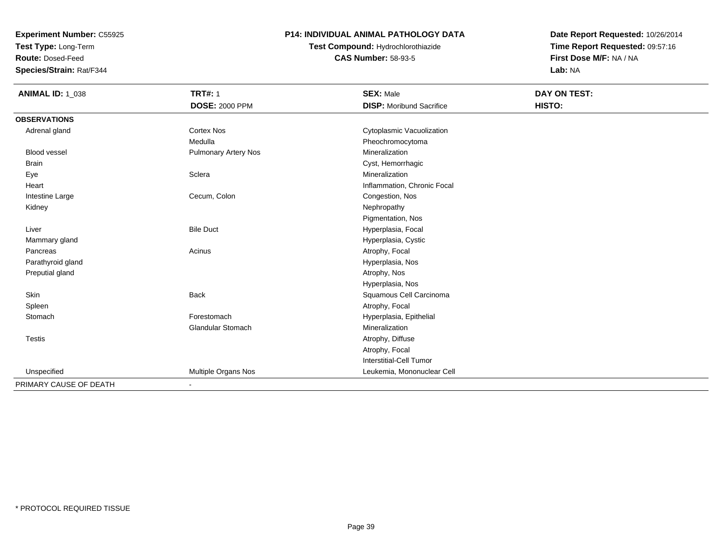**Test Type:** Long-Term

**Route:** Dosed-Feed

**Species/Strain:** Rat/F344

### **P14: INDIVIDUAL ANIMAL PATHOLOGY DATA**

# **Test Compound:** Hydrochlorothiazide**CAS Number:** 58-93-5

| <b>ANIMAL ID: 1_038</b> | <b>TRT#: 1</b>           | <b>SEX: Male</b>                | DAY ON TEST: |
|-------------------------|--------------------------|---------------------------------|--------------|
|                         | <b>DOSE: 2000 PPM</b>    | <b>DISP:</b> Moribund Sacrifice | HISTO:       |
| <b>OBSERVATIONS</b>     |                          |                                 |              |
| Adrenal gland           | <b>Cortex Nos</b>        | Cytoplasmic Vacuolization       |              |
|                         | Medulla                  | Pheochromocytoma                |              |
| <b>Blood vessel</b>     | Pulmonary Artery Nos     | Mineralization                  |              |
| <b>Brain</b>            |                          | Cyst, Hemorrhagic               |              |
| Eye                     | Sclera                   | Mineralization                  |              |
| Heart                   |                          | Inflammation, Chronic Focal     |              |
| Intestine Large         | Cecum, Colon             | Congestion, Nos                 |              |
| Kidney                  |                          | Nephropathy                     |              |
|                         |                          | Pigmentation, Nos               |              |
| Liver                   | <b>Bile Duct</b>         | Hyperplasia, Focal              |              |
| Mammary gland           |                          | Hyperplasia, Cystic             |              |
| Pancreas                | Acinus                   | Atrophy, Focal                  |              |
| Parathyroid gland       |                          | Hyperplasia, Nos                |              |
| Preputial gland         |                          | Atrophy, Nos                    |              |
|                         |                          | Hyperplasia, Nos                |              |
| <b>Skin</b>             | <b>Back</b>              | Squamous Cell Carcinoma         |              |
| Spleen                  |                          | Atrophy, Focal                  |              |
| Stomach                 | Forestomach              | Hyperplasia, Epithelial         |              |
|                         | <b>Glandular Stomach</b> | Mineralization                  |              |
| <b>Testis</b>           |                          | Atrophy, Diffuse                |              |
|                         |                          | Atrophy, Focal                  |              |
|                         |                          | Interstitial-Cell Tumor         |              |
| Unspecified             | Multiple Organs Nos      | Leukemia, Mononuclear Cell      |              |
| PRIMARY CAUSE OF DEATH  |                          |                                 |              |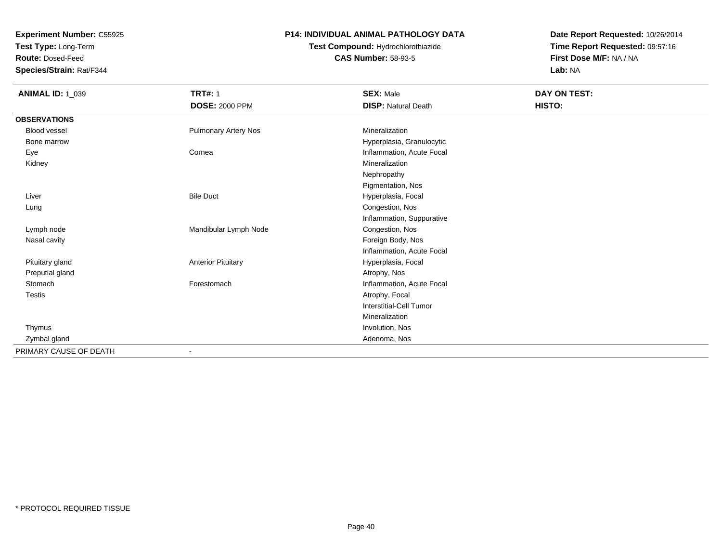**Test Type:** Long-Term

**Route:** Dosed-Feed

**Species/Strain:** Rat/F344

## **P14: INDIVIDUAL ANIMAL PATHOLOGY DATA**

# **Test Compound:** Hydrochlorothiazide**CAS Number:** 58-93-5

| <b>ANIMAL ID: 1_039</b> | <b>TRT#: 1</b>              | <b>SEX: Male</b>           | DAY ON TEST: |
|-------------------------|-----------------------------|----------------------------|--------------|
|                         | <b>DOSE: 2000 PPM</b>       | <b>DISP: Natural Death</b> | HISTO:       |
| <b>OBSERVATIONS</b>     |                             |                            |              |
| Blood vessel            | <b>Pulmonary Artery Nos</b> | Mineralization             |              |
| Bone marrow             |                             | Hyperplasia, Granulocytic  |              |
| Eye                     | Cornea                      | Inflammation, Acute Focal  |              |
| Kidney                  |                             | Mineralization             |              |
|                         |                             | Nephropathy                |              |
|                         |                             | Pigmentation, Nos          |              |
| Liver                   | <b>Bile Duct</b>            | Hyperplasia, Focal         |              |
| Lung                    |                             | Congestion, Nos            |              |
|                         |                             | Inflammation, Suppurative  |              |
| Lymph node              | Mandibular Lymph Node       | Congestion, Nos            |              |
| Nasal cavity            |                             | Foreign Body, Nos          |              |
|                         |                             | Inflammation, Acute Focal  |              |
| Pituitary gland         | <b>Anterior Pituitary</b>   | Hyperplasia, Focal         |              |
| Preputial gland         |                             | Atrophy, Nos               |              |
| Stomach                 | Forestomach                 | Inflammation, Acute Focal  |              |
| <b>Testis</b>           |                             | Atrophy, Focal             |              |
|                         |                             | Interstitial-Cell Tumor    |              |
|                         |                             | Mineralization             |              |
| Thymus                  |                             | Involution, Nos            |              |
| Zymbal gland            |                             | Adenoma, Nos               |              |
| PRIMARY CAUSE OF DEATH  |                             |                            |              |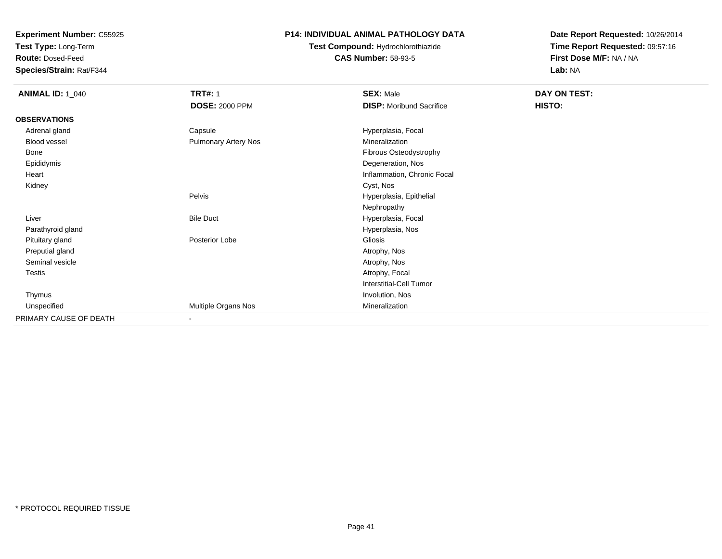**Test Type:** Long-Term

**Route:** Dosed-Feed

**Species/Strain:** Rat/F344

### **P14: INDIVIDUAL ANIMAL PATHOLOGY DATA**

## **Test Compound:** Hydrochlorothiazide**CAS Number:** 58-93-5

| <b>ANIMAL ID: 1_040</b> | <b>TRT#: 1</b>              | <b>SEX: Male</b>                | DAY ON TEST: |  |
|-------------------------|-----------------------------|---------------------------------|--------------|--|
|                         | <b>DOSE: 2000 PPM</b>       | <b>DISP:</b> Moribund Sacrifice | HISTO:       |  |
| <b>OBSERVATIONS</b>     |                             |                                 |              |  |
| Adrenal gland           | Capsule                     | Hyperplasia, Focal              |              |  |
| Blood vessel            | <b>Pulmonary Artery Nos</b> | Mineralization                  |              |  |
| Bone                    |                             | Fibrous Osteodystrophy          |              |  |
| Epididymis              |                             | Degeneration, Nos               |              |  |
| Heart                   |                             | Inflammation, Chronic Focal     |              |  |
| Kidney                  |                             | Cyst, Nos                       |              |  |
|                         | Pelvis                      | Hyperplasia, Epithelial         |              |  |
|                         |                             | Nephropathy                     |              |  |
| Liver                   | <b>Bile Duct</b>            | Hyperplasia, Focal              |              |  |
| Parathyroid gland       |                             | Hyperplasia, Nos                |              |  |
| Pituitary gland         | Posterior Lobe              | Gliosis                         |              |  |
| Preputial gland         |                             | Atrophy, Nos                    |              |  |
| Seminal vesicle         |                             | Atrophy, Nos                    |              |  |
| Testis                  |                             | Atrophy, Focal                  |              |  |
|                         |                             | Interstitial-Cell Tumor         |              |  |
| Thymus                  |                             | Involution, Nos                 |              |  |
| Unspecified             | Multiple Organs Nos         | Mineralization                  |              |  |
| PRIMARY CAUSE OF DEATH  | $\overline{\phantom{a}}$    |                                 |              |  |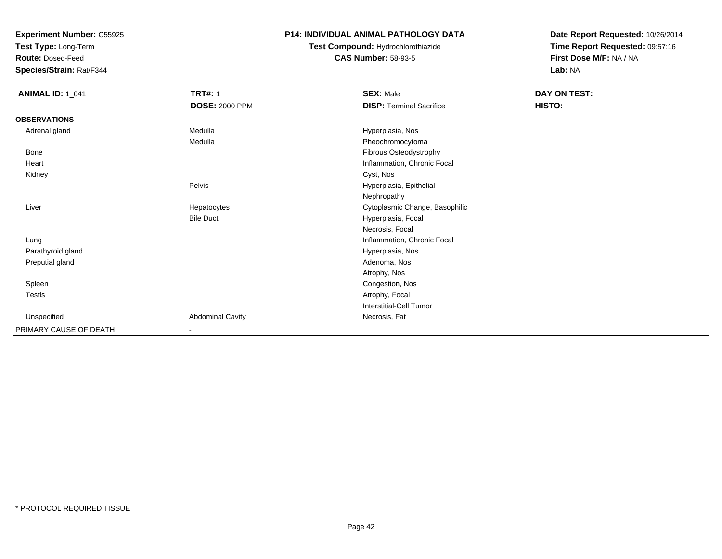**Test Type:** Long-Term

**Route:** Dosed-Feed

**Species/Strain:** Rat/F344

### **P14: INDIVIDUAL ANIMAL PATHOLOGY DATA**

# **Test Compound:** Hydrochlorothiazide**CAS Number:** 58-93-5

| <b>ANIMAL ID: 1_041</b> | <b>TRT#: 1</b>          | <b>SEX: Male</b>                | DAY ON TEST: |
|-------------------------|-------------------------|---------------------------------|--------------|
|                         | <b>DOSE: 2000 PPM</b>   | <b>DISP: Terminal Sacrifice</b> | HISTO:       |
| <b>OBSERVATIONS</b>     |                         |                                 |              |
| Adrenal gland           | Medulla                 | Hyperplasia, Nos                |              |
|                         | Medulla                 | Pheochromocytoma                |              |
| Bone                    |                         | Fibrous Osteodystrophy          |              |
| Heart                   |                         | Inflammation, Chronic Focal     |              |
| Kidney                  |                         | Cyst, Nos                       |              |
|                         | Pelvis                  | Hyperplasia, Epithelial         |              |
|                         |                         | Nephropathy                     |              |
| Liver                   | Hepatocytes             | Cytoplasmic Change, Basophilic  |              |
|                         | <b>Bile Duct</b>        | Hyperplasia, Focal              |              |
|                         |                         | Necrosis, Focal                 |              |
| Lung                    |                         | Inflammation, Chronic Focal     |              |
| Parathyroid gland       |                         | Hyperplasia, Nos                |              |
| Preputial gland         |                         | Adenoma, Nos                    |              |
|                         |                         | Atrophy, Nos                    |              |
| Spleen                  |                         | Congestion, Nos                 |              |
| Testis                  |                         | Atrophy, Focal                  |              |
|                         |                         | Interstitial-Cell Tumor         |              |
| Unspecified             | <b>Abdominal Cavity</b> | Necrosis, Fat                   |              |
| PRIMARY CAUSE OF DEATH  | ٠                       |                                 |              |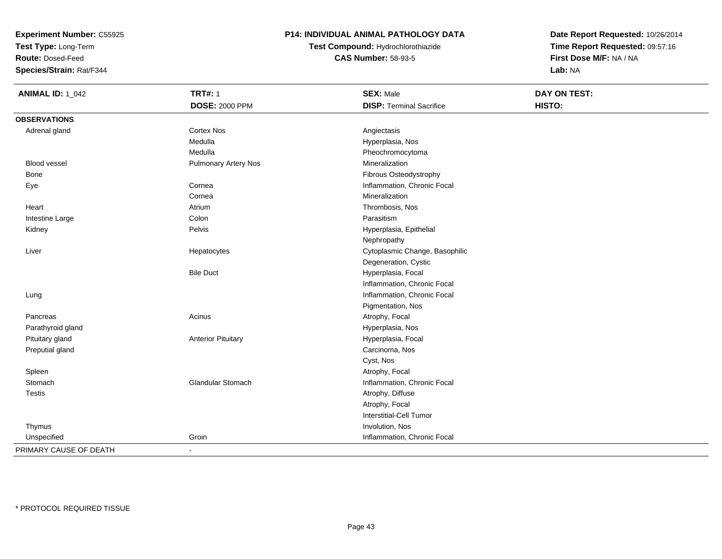**Test Type:** Long-Term

**Route:** Dosed-Feed

**Species/Strain:** Rat/F344

### **P14: INDIVIDUAL ANIMAL PATHOLOGY DATA**

**Test Compound:** Hydrochlorothiazide**CAS Number:** 58-93-5

| <b>ANIMAL ID: 1_042</b> | <b>TRT#: 1</b>              | <b>SEX: Male</b>                | DAY ON TEST: |
|-------------------------|-----------------------------|---------------------------------|--------------|
|                         | <b>DOSE: 2000 PPM</b>       | <b>DISP: Terminal Sacrifice</b> | HISTO:       |
| <b>OBSERVATIONS</b>     |                             |                                 |              |
| Adrenal gland           | <b>Cortex Nos</b>           | Angiectasis                     |              |
|                         | Medulla                     | Hyperplasia, Nos                |              |
|                         | Medulla                     | Pheochromocytoma                |              |
| <b>Blood vessel</b>     | <b>Pulmonary Artery Nos</b> | Mineralization                  |              |
| Bone                    |                             | Fibrous Osteodystrophy          |              |
| Eye                     | Cornea                      | Inflammation, Chronic Focal     |              |
|                         | Cornea                      | Mineralization                  |              |
| Heart                   | Atrium                      | Thrombosis, Nos                 |              |
| Intestine Large         | Colon                       | Parasitism                      |              |
| Kidney                  | Pelvis                      | Hyperplasia, Epithelial         |              |
|                         |                             | Nephropathy                     |              |
| Liver                   | Hepatocytes                 | Cytoplasmic Change, Basophilic  |              |
|                         |                             | Degeneration, Cystic            |              |
|                         | <b>Bile Duct</b>            | Hyperplasia, Focal              |              |
|                         |                             | Inflammation, Chronic Focal     |              |
| Lung                    |                             | Inflammation, Chronic Focal     |              |
|                         |                             | Pigmentation, Nos               |              |
| Pancreas                | Acinus                      | Atrophy, Focal                  |              |
| Parathyroid gland       |                             | Hyperplasia, Nos                |              |
| Pituitary gland         | <b>Anterior Pituitary</b>   | Hyperplasia, Focal              |              |
| Preputial gland         |                             | Carcinoma, Nos                  |              |
|                         |                             | Cyst, Nos                       |              |
| Spleen                  |                             | Atrophy, Focal                  |              |
| Stomach                 | <b>Glandular Stomach</b>    | Inflammation, Chronic Focal     |              |
| Testis                  |                             | Atrophy, Diffuse                |              |
|                         |                             | Atrophy, Focal                  |              |
|                         |                             | Interstitial-Cell Tumor         |              |
| Thymus                  |                             | Involution, Nos                 |              |
| Unspecified             | Groin                       | Inflammation, Chronic Focal     |              |
| PRIMARY CAUSE OF DEATH  | $\blacksquare$              |                                 |              |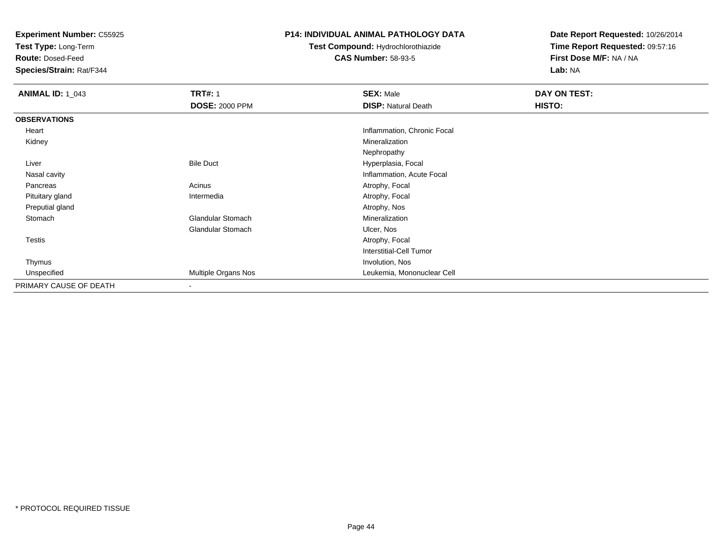**Test Type:** Long-Term

**Route:** Dosed-Feed

**Species/Strain:** Rat/F344

### **P14: INDIVIDUAL ANIMAL PATHOLOGY DATA**

# **Test Compound:** Hydrochlorothiazide**CAS Number:** 58-93-5

| <b>ANIMAL ID: 1_043</b> | <b>TRT#: 1</b>           | <b>SEX: Male</b>               | DAY ON TEST: |  |
|-------------------------|--------------------------|--------------------------------|--------------|--|
|                         | <b>DOSE: 2000 PPM</b>    | <b>DISP: Natural Death</b>     | HISTO:       |  |
| <b>OBSERVATIONS</b>     |                          |                                |              |  |
| Heart                   |                          | Inflammation, Chronic Focal    |              |  |
| Kidney                  |                          | Mineralization                 |              |  |
|                         |                          | Nephropathy                    |              |  |
| Liver                   | <b>Bile Duct</b>         | Hyperplasia, Focal             |              |  |
| Nasal cavity            |                          | Inflammation, Acute Focal      |              |  |
| Pancreas                | Acinus                   | Atrophy, Focal                 |              |  |
| Pituitary gland         | Intermedia               | Atrophy, Focal                 |              |  |
| Preputial gland         |                          | Atrophy, Nos                   |              |  |
| Stomach                 | Glandular Stomach        | Mineralization                 |              |  |
|                         | Glandular Stomach        | Ulcer, Nos                     |              |  |
| Testis                  |                          | Atrophy, Focal                 |              |  |
|                         |                          | <b>Interstitial-Cell Tumor</b> |              |  |
| Thymus                  |                          | Involution, Nos                |              |  |
| Unspecified             | Multiple Organs Nos      | Leukemia, Mononuclear Cell     |              |  |
| PRIMARY CAUSE OF DEATH  | $\overline{\phantom{a}}$ |                                |              |  |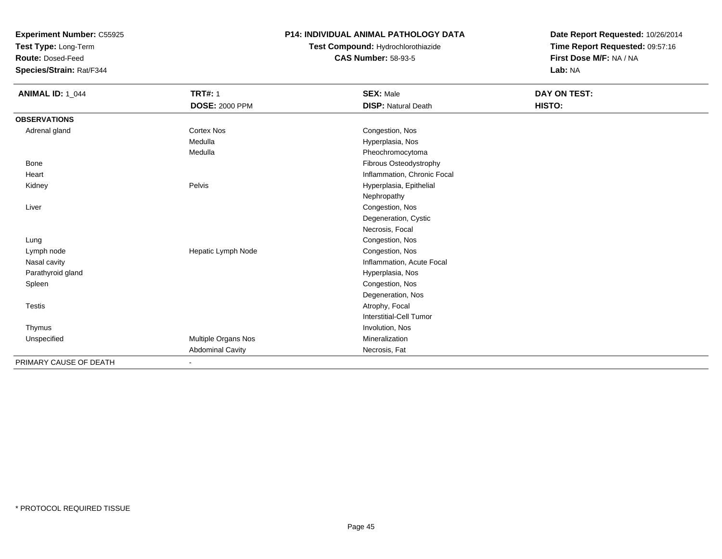**Test Type:** Long-Term

**Route:** Dosed-Feed

**Species/Strain:** Rat/F344

### **P14: INDIVIDUAL ANIMAL PATHOLOGY DATA**

# **Test Compound:** Hydrochlorothiazide**CAS Number:** 58-93-5

| <b>ANIMAL ID: 1_044</b> | <b>TRT#: 1</b>          | <b>SEX: Male</b>            | DAY ON TEST: |
|-------------------------|-------------------------|-----------------------------|--------------|
|                         | <b>DOSE: 2000 PPM</b>   | <b>DISP: Natural Death</b>  | HISTO:       |
| <b>OBSERVATIONS</b>     |                         |                             |              |
| Adrenal gland           | Cortex Nos              | Congestion, Nos             |              |
|                         | Medulla                 | Hyperplasia, Nos            |              |
|                         | Medulla                 | Pheochromocytoma            |              |
| Bone                    |                         | Fibrous Osteodystrophy      |              |
| Heart                   |                         | Inflammation, Chronic Focal |              |
| Kidney                  | Pelvis                  | Hyperplasia, Epithelial     |              |
|                         |                         | Nephropathy                 |              |
| Liver                   |                         | Congestion, Nos             |              |
|                         |                         | Degeneration, Cystic        |              |
|                         |                         | Necrosis, Focal             |              |
| Lung                    |                         | Congestion, Nos             |              |
| Lymph node              | Hepatic Lymph Node      | Congestion, Nos             |              |
| Nasal cavity            |                         | Inflammation, Acute Focal   |              |
| Parathyroid gland       |                         | Hyperplasia, Nos            |              |
| Spleen                  |                         | Congestion, Nos             |              |
|                         |                         | Degeneration, Nos           |              |
| Testis                  |                         | Atrophy, Focal              |              |
|                         |                         | Interstitial-Cell Tumor     |              |
| Thymus                  |                         | Involution, Nos             |              |
| Unspecified             | Multiple Organs Nos     | Mineralization              |              |
|                         | <b>Abdominal Cavity</b> | Necrosis, Fat               |              |
| PRIMARY CAUSE OF DEATH  |                         |                             |              |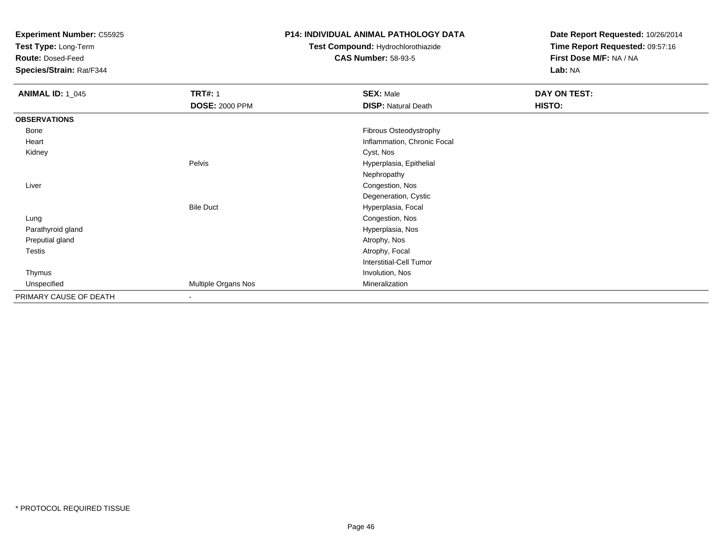**Test Type:** Long-Term

**Route:** Dosed-Feed

**Species/Strain:** Rat/F344

### **P14: INDIVIDUAL ANIMAL PATHOLOGY DATA**

# **Test Compound:** Hydrochlorothiazide**CAS Number:** 58-93-5

| <b>ANIMAL ID: 1_045</b> | <b>TRT#: 1</b>           | <b>SEX: Male</b>               | DAY ON TEST: |  |
|-------------------------|--------------------------|--------------------------------|--------------|--|
|                         | <b>DOSE: 2000 PPM</b>    | <b>DISP: Natural Death</b>     | HISTO:       |  |
| <b>OBSERVATIONS</b>     |                          |                                |              |  |
| Bone                    |                          | Fibrous Osteodystrophy         |              |  |
| Heart                   |                          | Inflammation, Chronic Focal    |              |  |
| Kidney                  |                          | Cyst, Nos                      |              |  |
|                         | Pelvis                   | Hyperplasia, Epithelial        |              |  |
|                         |                          | Nephropathy                    |              |  |
| Liver                   |                          | Congestion, Nos                |              |  |
|                         |                          | Degeneration, Cystic           |              |  |
|                         | <b>Bile Duct</b>         | Hyperplasia, Focal             |              |  |
| Lung                    |                          | Congestion, Nos                |              |  |
| Parathyroid gland       |                          | Hyperplasia, Nos               |              |  |
| Preputial gland         |                          | Atrophy, Nos                   |              |  |
| <b>Testis</b>           |                          | Atrophy, Focal                 |              |  |
|                         |                          | <b>Interstitial-Cell Tumor</b> |              |  |
| Thymus                  |                          | Involution, Nos                |              |  |
| Unspecified             | Multiple Organs Nos      | Mineralization                 |              |  |
| PRIMARY CAUSE OF DEATH  | $\overline{\phantom{a}}$ |                                |              |  |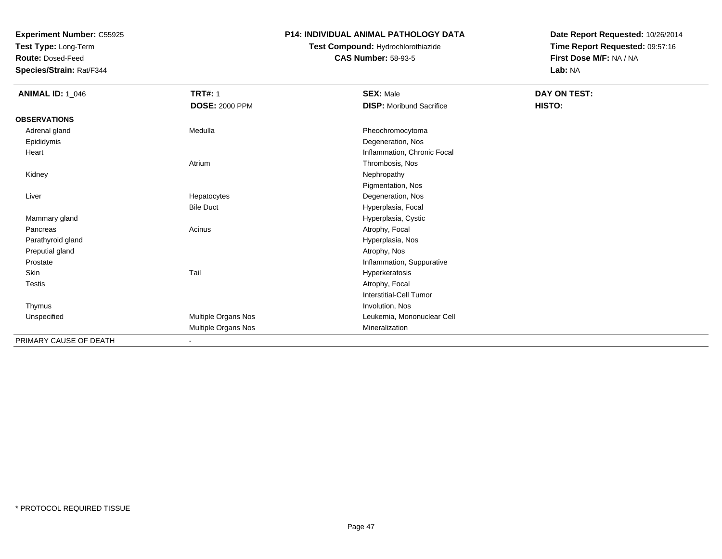**Test Type:** Long-Term

**Route:** Dosed-Feed

**Species/Strain:** Rat/F344

### **P14: INDIVIDUAL ANIMAL PATHOLOGY DATA**

## **Test Compound:** Hydrochlorothiazide**CAS Number:** 58-93-5

| <b>ANIMAL ID: 1_046</b> | <b>TRT#: 1</b>        | <b>SEX: Male</b>                | <b>DAY ON TEST:</b> |  |
|-------------------------|-----------------------|---------------------------------|---------------------|--|
|                         | <b>DOSE: 2000 PPM</b> | <b>DISP:</b> Moribund Sacrifice | HISTO:              |  |
| <b>OBSERVATIONS</b>     |                       |                                 |                     |  |
| Adrenal gland           | Medulla               | Pheochromocytoma                |                     |  |
| Epididymis              |                       | Degeneration, Nos               |                     |  |
| Heart                   |                       | Inflammation, Chronic Focal     |                     |  |
|                         | Atrium                | Thrombosis, Nos                 |                     |  |
| Kidney                  |                       | Nephropathy                     |                     |  |
|                         |                       | Pigmentation, Nos               |                     |  |
| Liver                   | Hepatocytes           | Degeneration, Nos               |                     |  |
|                         | <b>Bile Duct</b>      | Hyperplasia, Focal              |                     |  |
| Mammary gland           |                       | Hyperplasia, Cystic             |                     |  |
| Pancreas                | Acinus                | Atrophy, Focal                  |                     |  |
| Parathyroid gland       |                       | Hyperplasia, Nos                |                     |  |
| Preputial gland         |                       | Atrophy, Nos                    |                     |  |
| Prostate                |                       | Inflammation, Suppurative       |                     |  |
| Skin                    | Tail                  | Hyperkeratosis                  |                     |  |
| Testis                  |                       | Atrophy, Focal                  |                     |  |
|                         |                       | <b>Interstitial-Cell Tumor</b>  |                     |  |
| Thymus                  |                       | Involution, Nos                 |                     |  |
| Unspecified             | Multiple Organs Nos   | Leukemia, Mononuclear Cell      |                     |  |
|                         | Multiple Organs Nos   | Mineralization                  |                     |  |
| PRIMARY CAUSE OF DEATH  | ٠                     |                                 |                     |  |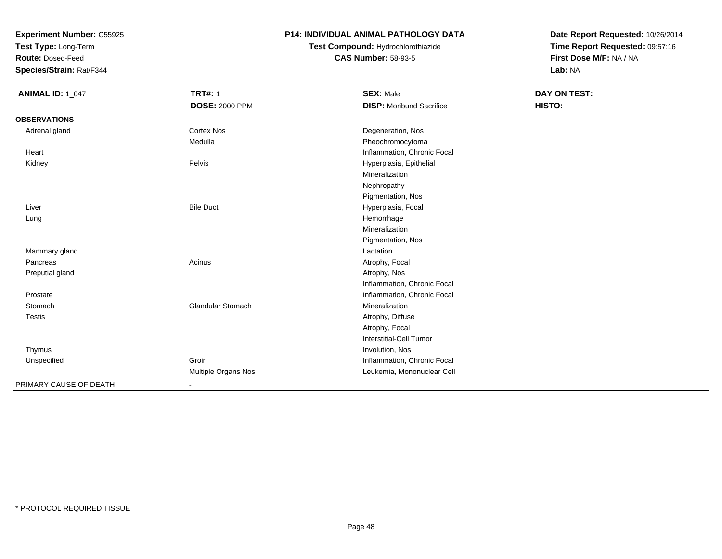**Test Type:** Long-Term

**Route:** Dosed-Feed

**Species/Strain:** Rat/F344

### **P14: INDIVIDUAL ANIMAL PATHOLOGY DATA**

# **Test Compound:** Hydrochlorothiazide**CAS Number:** 58-93-5

| <b>ANIMAL ID: 1_047</b> | <b>TRT#: 1</b>               | <b>SEX: Male</b>                | <b>DAY ON TEST:</b> |  |
|-------------------------|------------------------------|---------------------------------|---------------------|--|
|                         | <b>DOSE: 2000 PPM</b>        | <b>DISP:</b> Moribund Sacrifice | HISTO:              |  |
| <b>OBSERVATIONS</b>     |                              |                                 |                     |  |
| Adrenal gland           | <b>Cortex Nos</b>            | Degeneration, Nos               |                     |  |
|                         | Medulla                      | Pheochromocytoma                |                     |  |
| Heart                   |                              | Inflammation, Chronic Focal     |                     |  |
| Kidney                  | Pelvis                       | Hyperplasia, Epithelial         |                     |  |
|                         |                              | Mineralization                  |                     |  |
|                         |                              | Nephropathy                     |                     |  |
|                         |                              | Pigmentation, Nos               |                     |  |
| Liver                   | <b>Bile Duct</b>             | Hyperplasia, Focal              |                     |  |
| Lung                    |                              | Hemorrhage                      |                     |  |
|                         |                              | Mineralization                  |                     |  |
|                         |                              | Pigmentation, Nos               |                     |  |
| Mammary gland           |                              | Lactation                       |                     |  |
| Pancreas                | Acinus                       | Atrophy, Focal                  |                     |  |
| Preputial gland         |                              | Atrophy, Nos                    |                     |  |
|                         |                              | Inflammation, Chronic Focal     |                     |  |
| Prostate                |                              | Inflammation, Chronic Focal     |                     |  |
| Stomach                 | Glandular Stomach            | Mineralization                  |                     |  |
| <b>Testis</b>           |                              | Atrophy, Diffuse                |                     |  |
|                         |                              | Atrophy, Focal                  |                     |  |
|                         |                              | <b>Interstitial-Cell Tumor</b>  |                     |  |
| Thymus                  |                              | Involution, Nos                 |                     |  |
| Unspecified             | Groin                        | Inflammation, Chronic Focal     |                     |  |
|                         | Multiple Organs Nos          | Leukemia, Mononuclear Cell      |                     |  |
| PRIMARY CAUSE OF DEATH  | $\qquad \qquad \blacksquare$ |                                 |                     |  |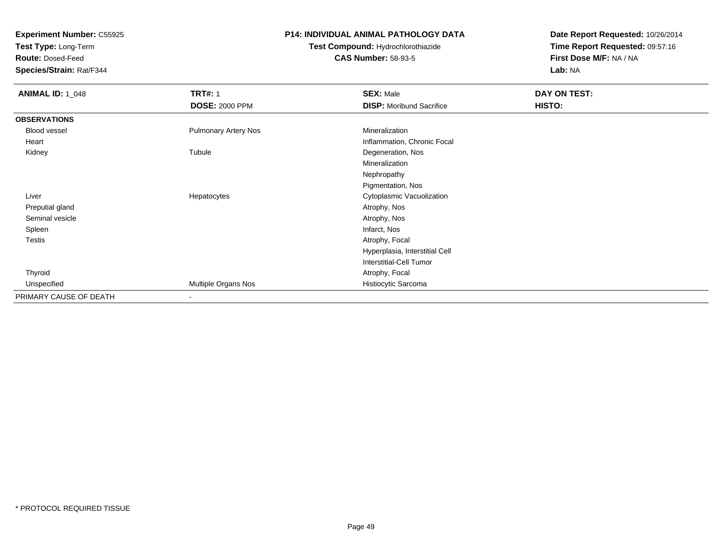**Test Type:** Long-Term

**Route:** Dosed-Feed

**Species/Strain:** Rat/F344

### **P14: INDIVIDUAL ANIMAL PATHOLOGY DATA**

# **Test Compound:** Hydrochlorothiazide**CAS Number:** 58-93-5

| <b>ANIMAL ID: 1_048</b> | <b>TRT#: 1</b><br><b>DOSE: 2000 PPM</b> | <b>SEX: Male</b><br><b>DISP:</b> Moribund Sacrifice | DAY ON TEST:<br>HISTO: |
|-------------------------|-----------------------------------------|-----------------------------------------------------|------------------------|
|                         |                                         |                                                     |                        |
| <b>OBSERVATIONS</b>     |                                         |                                                     |                        |
| Blood vessel            | Pulmonary Artery Nos                    | Mineralization                                      |                        |
| Heart                   |                                         | Inflammation, Chronic Focal                         |                        |
| Kidney                  | Tubule                                  | Degeneration, Nos                                   |                        |
|                         |                                         | Mineralization                                      |                        |
|                         |                                         | Nephropathy                                         |                        |
|                         |                                         | Pigmentation, Nos                                   |                        |
| Liver                   | Hepatocytes                             | Cytoplasmic Vacuolization                           |                        |
| Preputial gland         |                                         | Atrophy, Nos                                        |                        |
| Seminal vesicle         |                                         | Atrophy, Nos                                        |                        |
| Spleen                  |                                         | Infarct, Nos                                        |                        |
| Testis                  |                                         | Atrophy, Focal                                      |                        |
|                         |                                         | Hyperplasia, Interstitial Cell                      |                        |
|                         |                                         | <b>Interstitial-Cell Tumor</b>                      |                        |
| Thyroid                 |                                         | Atrophy, Focal                                      |                        |
| Unspecified             | Multiple Organs Nos                     | Histiocytic Sarcoma                                 |                        |
| PRIMARY CAUSE OF DEATH  | $\overline{\phantom{a}}$                |                                                     |                        |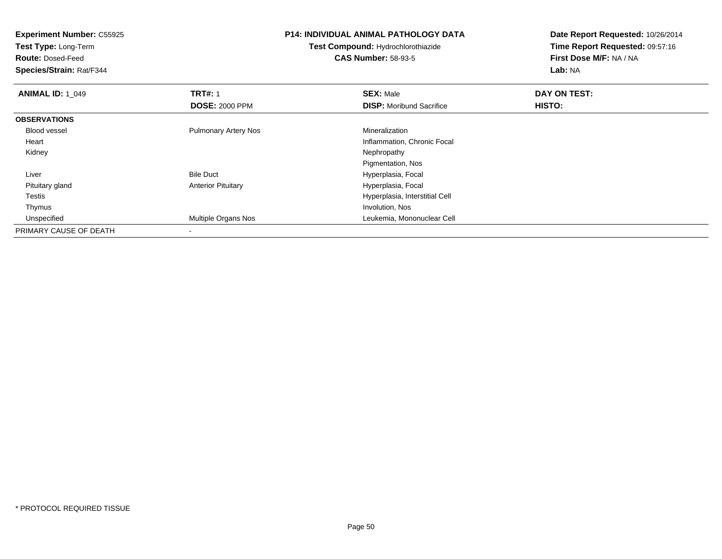| <b>Experiment Number: C55925</b><br>Test Type: Long-Term<br><b>Route: Dosed-Feed</b><br>Species/Strain: Rat/F344 |                             | <b>P14: INDIVIDUAL ANIMAL PATHOLOGY DATA</b><br><b>Test Compound: Hydrochlorothiazide</b><br><b>CAS Number: 58-93-5</b> | Date Report Requested: 10/26/2014<br>Time Report Requested: 09:57:16<br>First Dose M/F: NA / NA<br>Lab: NA |
|------------------------------------------------------------------------------------------------------------------|-----------------------------|-------------------------------------------------------------------------------------------------------------------------|------------------------------------------------------------------------------------------------------------|
| <b>ANIMAL ID: 1_049</b>                                                                                          | <b>TRT#: 1</b>              | <b>SEX: Male</b>                                                                                                        | DAY ON TEST:                                                                                               |
|                                                                                                                  | <b>DOSE: 2000 PPM</b>       | <b>DISP:</b> Moribund Sacrifice                                                                                         | HISTO:                                                                                                     |
| <b>OBSERVATIONS</b>                                                                                              |                             |                                                                                                                         |                                                                                                            |
| <b>Blood vessel</b>                                                                                              | <b>Pulmonary Artery Nos</b> | Mineralization                                                                                                          |                                                                                                            |
| Heart                                                                                                            |                             | Inflammation, Chronic Focal                                                                                             |                                                                                                            |
| Kidney                                                                                                           |                             | Nephropathy                                                                                                             |                                                                                                            |
|                                                                                                                  |                             | Pigmentation, Nos                                                                                                       |                                                                                                            |
| Liver                                                                                                            | <b>Bile Duct</b>            | Hyperplasia, Focal                                                                                                      |                                                                                                            |
| Pituitary gland                                                                                                  | <b>Anterior Pituitary</b>   | Hyperplasia, Focal                                                                                                      |                                                                                                            |
| Testis                                                                                                           |                             | Hyperplasia, Interstitial Cell                                                                                          |                                                                                                            |
| Thymus                                                                                                           |                             | Involution, Nos                                                                                                         |                                                                                                            |
| Unspecified                                                                                                      | Multiple Organs Nos         | Leukemia, Mononuclear Cell                                                                                              |                                                                                                            |
| PRIMARY CAUSE OF DEATH                                                                                           |                             |                                                                                                                         |                                                                                                            |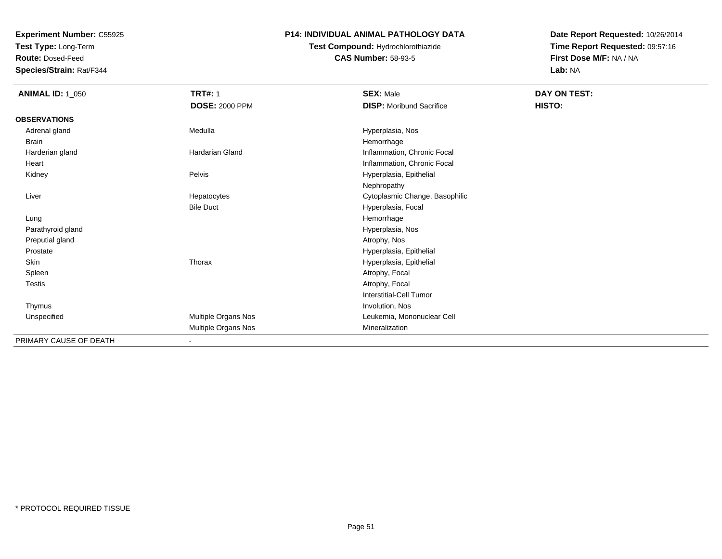**Test Type:** Long-Term

**Route:** Dosed-Feed

**Species/Strain:** Rat/F344

### **P14: INDIVIDUAL ANIMAL PATHOLOGY DATA**

## **Test Compound:** Hydrochlorothiazide**CAS Number:** 58-93-5

| <b>ANIMAL ID: 1_050</b> | <b>TRT#: 1</b>        | <b>SEX: Male</b>                | DAY ON TEST: |
|-------------------------|-----------------------|---------------------------------|--------------|
|                         | <b>DOSE: 2000 PPM</b> | <b>DISP:</b> Moribund Sacrifice | HISTO:       |
| <b>OBSERVATIONS</b>     |                       |                                 |              |
| Adrenal gland           | Medulla               | Hyperplasia, Nos                |              |
| Brain                   |                       | Hemorrhage                      |              |
| Harderian gland         | Hardarian Gland       | Inflammation, Chronic Focal     |              |
| Heart                   |                       | Inflammation, Chronic Focal     |              |
| Kidney                  | Pelvis                | Hyperplasia, Epithelial         |              |
|                         |                       | Nephropathy                     |              |
| Liver                   | Hepatocytes           | Cytoplasmic Change, Basophilic  |              |
|                         | <b>Bile Duct</b>      | Hyperplasia, Focal              |              |
| Lung                    |                       | Hemorrhage                      |              |
| Parathyroid gland       |                       | Hyperplasia, Nos                |              |
| Preputial gland         |                       | Atrophy, Nos                    |              |
| Prostate                |                       | Hyperplasia, Epithelial         |              |
| Skin                    | Thorax                | Hyperplasia, Epithelial         |              |
| Spleen                  |                       | Atrophy, Focal                  |              |
| Testis                  |                       | Atrophy, Focal                  |              |
|                         |                       | <b>Interstitial-Cell Tumor</b>  |              |
| Thymus                  |                       | Involution, Nos                 |              |
| Unspecified             | Multiple Organs Nos   | Leukemia, Mononuclear Cell      |              |
|                         | Multiple Organs Nos   | Mineralization                  |              |
| PRIMARY CAUSE OF DEATH  | $\blacksquare$        |                                 |              |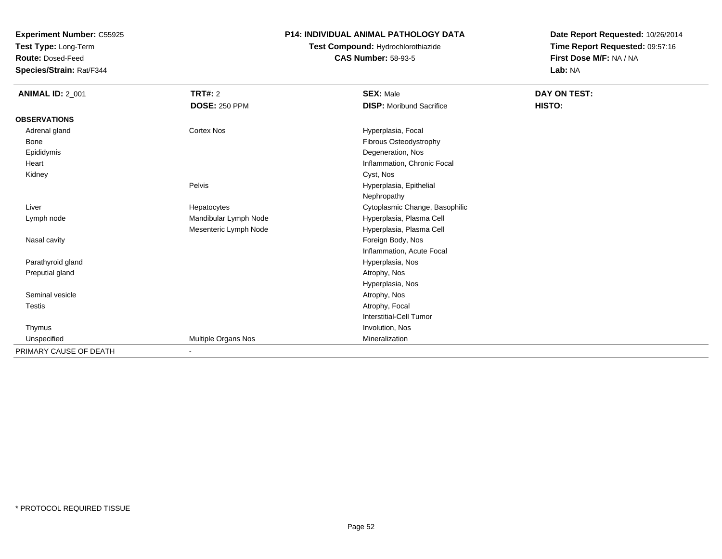**Test Type:** Long-Term

**Route:** Dosed-Feed

**Species/Strain:** Rat/F344

### **P14: INDIVIDUAL ANIMAL PATHOLOGY DATA**

## **Test Compound:** Hydrochlorothiazide**CAS Number:** 58-93-5

| <b>ANIMAL ID: 2_001</b> | <b>TRT#: 2</b><br><b>DOSE: 250 PPM</b> | <b>SEX: Male</b><br><b>DISP:</b> Moribund Sacrifice | DAY ON TEST:<br>HISTO: |
|-------------------------|----------------------------------------|-----------------------------------------------------|------------------------|
| <b>OBSERVATIONS</b>     |                                        |                                                     |                        |
| Adrenal gland           | <b>Cortex Nos</b>                      | Hyperplasia, Focal                                  |                        |
| Bone                    |                                        | Fibrous Osteodystrophy                              |                        |
| Epididymis              |                                        | Degeneration, Nos                                   |                        |
| Heart                   |                                        | Inflammation, Chronic Focal                         |                        |
| Kidney                  |                                        | Cyst, Nos                                           |                        |
|                         | Pelvis                                 | Hyperplasia, Epithelial                             |                        |
|                         |                                        | Nephropathy                                         |                        |
| Liver                   | Hepatocytes                            | Cytoplasmic Change, Basophilic                      |                        |
| Lymph node              | Mandibular Lymph Node                  | Hyperplasia, Plasma Cell                            |                        |
|                         | Mesenteric Lymph Node                  | Hyperplasia, Plasma Cell                            |                        |
| Nasal cavity            |                                        | Foreign Body, Nos                                   |                        |
|                         |                                        | Inflammation, Acute Focal                           |                        |
| Parathyroid gland       |                                        | Hyperplasia, Nos                                    |                        |
| Preputial gland         |                                        | Atrophy, Nos                                        |                        |
|                         |                                        | Hyperplasia, Nos                                    |                        |
| Seminal vesicle         |                                        | Atrophy, Nos                                        |                        |
| Testis                  |                                        | Atrophy, Focal                                      |                        |
|                         |                                        | Interstitial-Cell Tumor                             |                        |
| Thymus                  |                                        | Involution, Nos                                     |                        |
| Unspecified             | Multiple Organs Nos                    | Mineralization                                      |                        |
| PRIMARY CAUSE OF DEATH  | ٠                                      |                                                     |                        |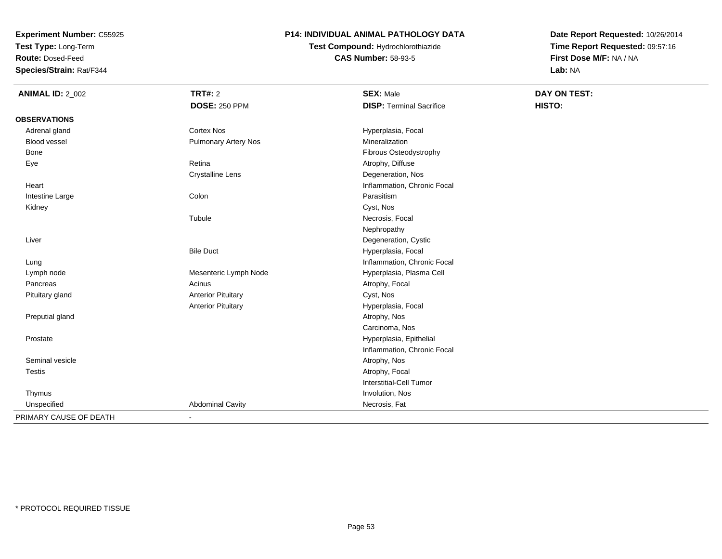**Test Type:** Long-Term

**Route:** Dosed-Feed

**Species/Strain:** Rat/F344

### **P14: INDIVIDUAL ANIMAL PATHOLOGY DATA**

**Test Compound:** Hydrochlorothiazide**CAS Number:** 58-93-5

| <b>ANIMAL ID: 2_002</b> | <b>TRT#: 2</b>              | <b>SEX: Male</b>                | <b>DAY ON TEST:</b> |
|-------------------------|-----------------------------|---------------------------------|---------------------|
|                         | <b>DOSE: 250 PPM</b>        | <b>DISP: Terminal Sacrifice</b> | HISTO:              |
| <b>OBSERVATIONS</b>     |                             |                                 |                     |
| Adrenal gland           | Cortex Nos                  | Hyperplasia, Focal              |                     |
| <b>Blood vessel</b>     | <b>Pulmonary Artery Nos</b> | Mineralization                  |                     |
| Bone                    |                             | Fibrous Osteodystrophy          |                     |
| Eye                     | Retina                      | Atrophy, Diffuse                |                     |
|                         | <b>Crystalline Lens</b>     | Degeneration, Nos               |                     |
| Heart                   |                             | Inflammation, Chronic Focal     |                     |
| Intestine Large         | Colon                       | Parasitism                      |                     |
| Kidney                  |                             | Cyst, Nos                       |                     |
|                         | Tubule                      | Necrosis, Focal                 |                     |
|                         |                             | Nephropathy                     |                     |
| Liver                   |                             | Degeneration, Cystic            |                     |
|                         | <b>Bile Duct</b>            | Hyperplasia, Focal              |                     |
| Lung                    |                             | Inflammation, Chronic Focal     |                     |
| Lymph node              | Mesenteric Lymph Node       | Hyperplasia, Plasma Cell        |                     |
| Pancreas                | Acinus                      | Atrophy, Focal                  |                     |
| Pituitary gland         | <b>Anterior Pituitary</b>   | Cyst, Nos                       |                     |
|                         | <b>Anterior Pituitary</b>   | Hyperplasia, Focal              |                     |
| Preputial gland         |                             | Atrophy, Nos                    |                     |
|                         |                             | Carcinoma, Nos                  |                     |
| Prostate                |                             | Hyperplasia, Epithelial         |                     |
|                         |                             | Inflammation, Chronic Focal     |                     |
| Seminal vesicle         |                             | Atrophy, Nos                    |                     |
| <b>Testis</b>           |                             | Atrophy, Focal                  |                     |
|                         |                             | <b>Interstitial-Cell Tumor</b>  |                     |
| Thymus                  |                             | Involution, Nos                 |                     |
| Unspecified             | <b>Abdominal Cavity</b>     | Necrosis, Fat                   |                     |
| PRIMARY CAUSE OF DEATH  |                             |                                 |                     |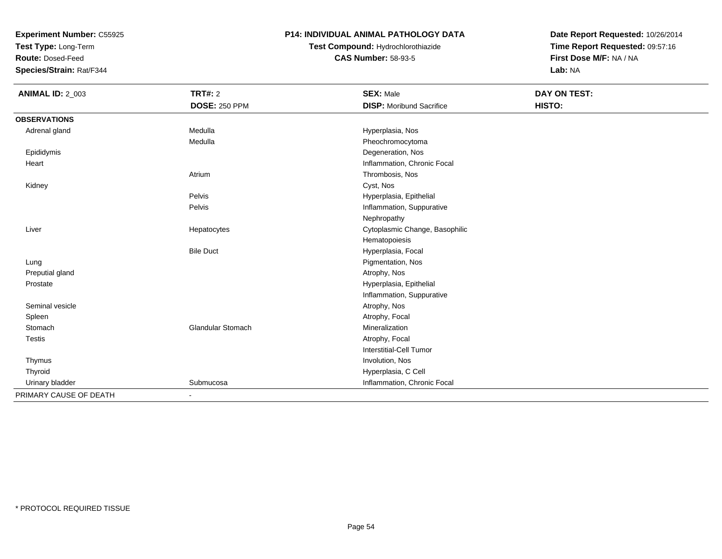**Test Type:** Long-Term

**Route:** Dosed-Feed

**Species/Strain:** Rat/F344

### **P14: INDIVIDUAL ANIMAL PATHOLOGY DATA**

# **Test Compound:** Hydrochlorothiazide**CAS Number:** 58-93-5

| <b>ANIMAL ID: 2_003</b> | <b>TRT#: 2</b>           | <b>SEX: Male</b>                | <b>DAY ON TEST:</b> |  |
|-------------------------|--------------------------|---------------------------------|---------------------|--|
|                         | <b>DOSE: 250 PPM</b>     | <b>DISP:</b> Moribund Sacrifice | HISTO:              |  |
| <b>OBSERVATIONS</b>     |                          |                                 |                     |  |
| Adrenal gland           | Medulla                  | Hyperplasia, Nos                |                     |  |
|                         | Medulla                  | Pheochromocytoma                |                     |  |
| Epididymis              |                          | Degeneration, Nos               |                     |  |
| Heart                   |                          | Inflammation, Chronic Focal     |                     |  |
|                         | Atrium                   | Thrombosis, Nos                 |                     |  |
| Kidney                  |                          | Cyst, Nos                       |                     |  |
|                         | Pelvis                   | Hyperplasia, Epithelial         |                     |  |
|                         | Pelvis                   | Inflammation, Suppurative       |                     |  |
|                         |                          | Nephropathy                     |                     |  |
| Liver                   | Hepatocytes              | Cytoplasmic Change, Basophilic  |                     |  |
|                         |                          | Hematopoiesis                   |                     |  |
|                         | <b>Bile Duct</b>         | Hyperplasia, Focal              |                     |  |
| Lung                    |                          | Pigmentation, Nos               |                     |  |
| Preputial gland         |                          | Atrophy, Nos                    |                     |  |
| Prostate                |                          | Hyperplasia, Epithelial         |                     |  |
|                         |                          | Inflammation, Suppurative       |                     |  |
| Seminal vesicle         |                          | Atrophy, Nos                    |                     |  |
| Spleen                  |                          | Atrophy, Focal                  |                     |  |
| Stomach                 | <b>Glandular Stomach</b> | Mineralization                  |                     |  |
| <b>Testis</b>           |                          | Atrophy, Focal                  |                     |  |
|                         |                          | <b>Interstitial-Cell Tumor</b>  |                     |  |
| Thymus                  |                          | Involution, Nos                 |                     |  |
| Thyroid                 |                          | Hyperplasia, C Cell             |                     |  |
| Urinary bladder         | Submucosa                | Inflammation, Chronic Focal     |                     |  |
| PRIMARY CAUSE OF DEATH  | $\blacksquare$           |                                 |                     |  |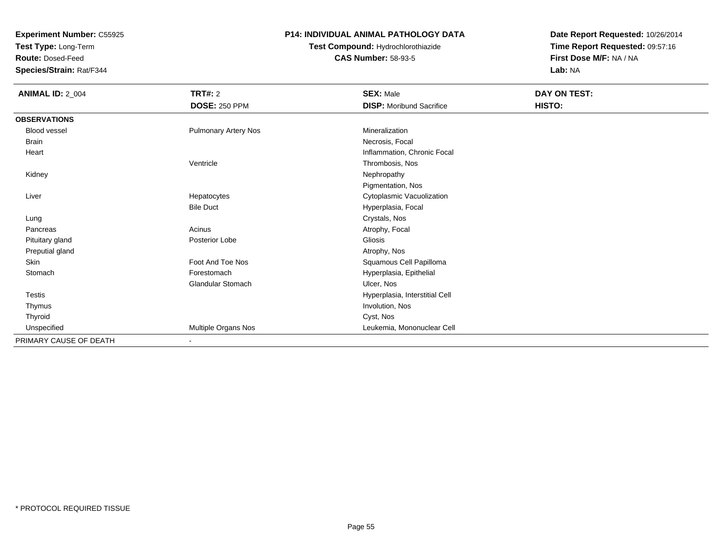**Test Type:** Long-Term

**Route:** Dosed-Feed

**Species/Strain:** Rat/F344

### **P14: INDIVIDUAL ANIMAL PATHOLOGY DATA**

## **Test Compound:** Hydrochlorothiazide**CAS Number:** 58-93-5

| <b>ANIMAL ID: 2_004</b> | TRT#: 2                     | <b>SEX: Male</b>                | DAY ON TEST: |  |
|-------------------------|-----------------------------|---------------------------------|--------------|--|
|                         | <b>DOSE: 250 PPM</b>        | <b>DISP:</b> Moribund Sacrifice | HISTO:       |  |
| <b>OBSERVATIONS</b>     |                             |                                 |              |  |
| <b>Blood vessel</b>     | <b>Pulmonary Artery Nos</b> | Mineralization                  |              |  |
| Brain                   |                             | Necrosis, Focal                 |              |  |
| Heart                   |                             | Inflammation, Chronic Focal     |              |  |
|                         | Ventricle                   | Thrombosis, Nos                 |              |  |
| Kidney                  |                             | Nephropathy                     |              |  |
|                         |                             | Pigmentation, Nos               |              |  |
| Liver                   | Hepatocytes                 | Cytoplasmic Vacuolization       |              |  |
|                         | <b>Bile Duct</b>            | Hyperplasia, Focal              |              |  |
| Lung                    |                             | Crystals, Nos                   |              |  |
| Pancreas                | Acinus                      | Atrophy, Focal                  |              |  |
| Pituitary gland         | Posterior Lobe              | Gliosis                         |              |  |
| Preputial gland         |                             | Atrophy, Nos                    |              |  |
| Skin                    | Foot And Toe Nos            | Squamous Cell Papilloma         |              |  |
| Stomach                 | Forestomach                 | Hyperplasia, Epithelial         |              |  |
|                         | Glandular Stomach           | Ulcer, Nos                      |              |  |
| Testis                  |                             | Hyperplasia, Interstitial Cell  |              |  |
| Thymus                  |                             | Involution, Nos                 |              |  |
| Thyroid                 |                             | Cyst, Nos                       |              |  |
| Unspecified             | Multiple Organs Nos         | Leukemia, Mononuclear Cell      |              |  |
| PRIMARY CAUSE OF DEATH  | ٠                           |                                 |              |  |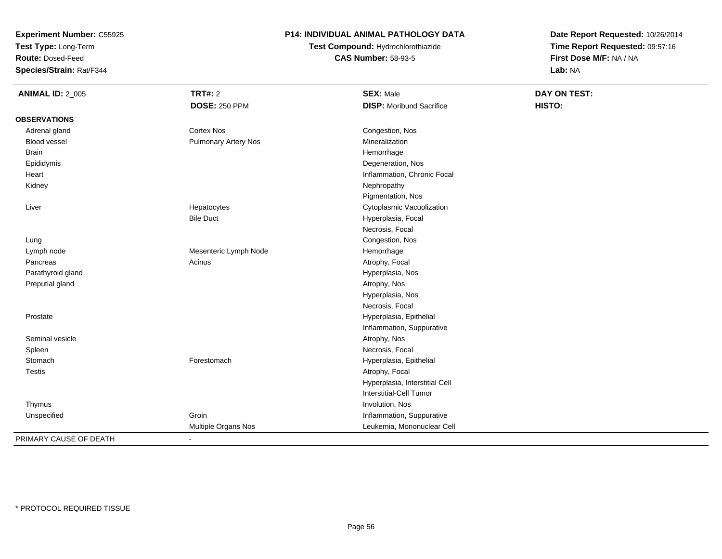**Test Type:** Long-Term

**Route:** Dosed-Feed

**Species/Strain:** Rat/F344

### **P14: INDIVIDUAL ANIMAL PATHOLOGY DATA**

# **Test Compound:** Hydrochlorothiazide**CAS Number:** 58-93-5

| <b>ANIMAL ID: 2_005</b> | <b>TRT#: 2</b>              | <b>SEX: Male</b>                | DAY ON TEST: |  |
|-------------------------|-----------------------------|---------------------------------|--------------|--|
|                         | <b>DOSE: 250 PPM</b>        | <b>DISP: Moribund Sacrifice</b> | HISTO:       |  |
| <b>OBSERVATIONS</b>     |                             |                                 |              |  |
| Adrenal gland           | <b>Cortex Nos</b>           | Congestion, Nos                 |              |  |
| Blood vessel            | <b>Pulmonary Artery Nos</b> | Mineralization                  |              |  |
| <b>Brain</b>            |                             | Hemorrhage                      |              |  |
| Epididymis              |                             | Degeneration, Nos               |              |  |
| Heart                   |                             | Inflammation, Chronic Focal     |              |  |
| Kidney                  |                             | Nephropathy                     |              |  |
|                         |                             | Pigmentation, Nos               |              |  |
| Liver                   | Hepatocytes                 | Cytoplasmic Vacuolization       |              |  |
|                         | <b>Bile Duct</b>            | Hyperplasia, Focal              |              |  |
|                         |                             | Necrosis, Focal                 |              |  |
| Lung                    |                             | Congestion, Nos                 |              |  |
| Lymph node              | Mesenteric Lymph Node       | Hemorrhage                      |              |  |
| Pancreas                | Acinus                      | Atrophy, Focal                  |              |  |
| Parathyroid gland       |                             | Hyperplasia, Nos                |              |  |
| Preputial gland         |                             | Atrophy, Nos                    |              |  |
|                         |                             | Hyperplasia, Nos                |              |  |
|                         |                             | Necrosis, Focal                 |              |  |
| Prostate                |                             | Hyperplasia, Epithelial         |              |  |
|                         |                             | Inflammation, Suppurative       |              |  |
| Seminal vesicle         |                             | Atrophy, Nos                    |              |  |
| Spleen                  |                             | Necrosis, Focal                 |              |  |
| Stomach                 | Forestomach                 | Hyperplasia, Epithelial         |              |  |
| <b>Testis</b>           |                             | Atrophy, Focal                  |              |  |
|                         |                             | Hyperplasia, Interstitial Cell  |              |  |
|                         |                             | Interstitial-Cell Tumor         |              |  |
| Thymus                  |                             | Involution, Nos                 |              |  |
| Unspecified             | Groin                       | Inflammation, Suppurative       |              |  |
|                         | Multiple Organs Nos         | Leukemia, Mononuclear Cell      |              |  |
| PRIMARY CAUSE OF DEATH  | $\sim$                      |                                 |              |  |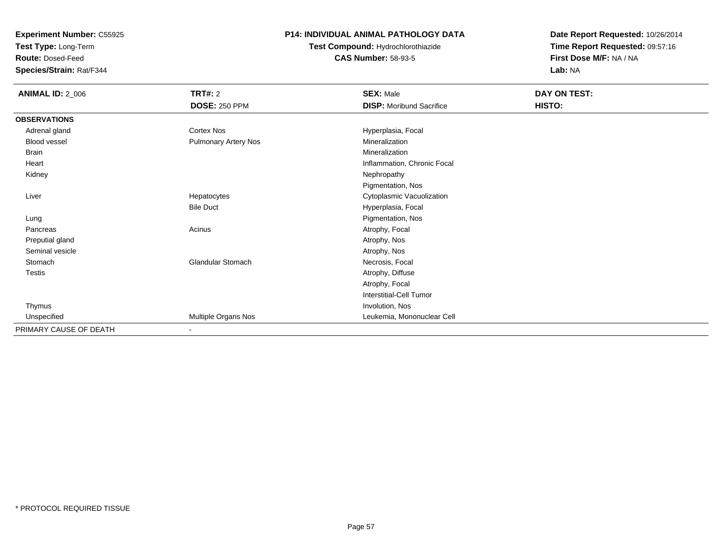**Test Type:** Long-Term

**Route:** Dosed-Feed

**Species/Strain:** Rat/F344

### **P14: INDIVIDUAL ANIMAL PATHOLOGY DATA**

# **Test Compound:** Hydrochlorothiazide**CAS Number:** 58-93-5

| <b>ANIMAL ID: 2_006</b> | <b>TRT#: 2</b>              | <b>SEX: Male</b>                | DAY ON TEST: |
|-------------------------|-----------------------------|---------------------------------|--------------|
|                         | <b>DOSE: 250 PPM</b>        | <b>DISP: Moribund Sacrifice</b> | HISTO:       |
| <b>OBSERVATIONS</b>     |                             |                                 |              |
| Adrenal gland           | Cortex Nos                  | Hyperplasia, Focal              |              |
| Blood vessel            | <b>Pulmonary Artery Nos</b> | Mineralization                  |              |
| <b>Brain</b>            |                             | Mineralization                  |              |
| Heart                   |                             | Inflammation, Chronic Focal     |              |
| Kidney                  |                             | Nephropathy                     |              |
|                         |                             | Pigmentation, Nos               |              |
| Liver                   | Hepatocytes                 | Cytoplasmic Vacuolization       |              |
|                         | <b>Bile Duct</b>            | Hyperplasia, Focal              |              |
| Lung                    |                             | Pigmentation, Nos               |              |
| Pancreas                | Acinus                      | Atrophy, Focal                  |              |
| Preputial gland         |                             | Atrophy, Nos                    |              |
| Seminal vesicle         |                             | Atrophy, Nos                    |              |
| Stomach                 | Glandular Stomach           | Necrosis, Focal                 |              |
| Testis                  |                             | Atrophy, Diffuse                |              |
|                         |                             | Atrophy, Focal                  |              |
|                         |                             | Interstitial-Cell Tumor         |              |
| Thymus                  |                             | Involution, Nos                 |              |
| Unspecified             | Multiple Organs Nos         | Leukemia, Mononuclear Cell      |              |
| PRIMARY CAUSE OF DEATH  | ٠                           |                                 |              |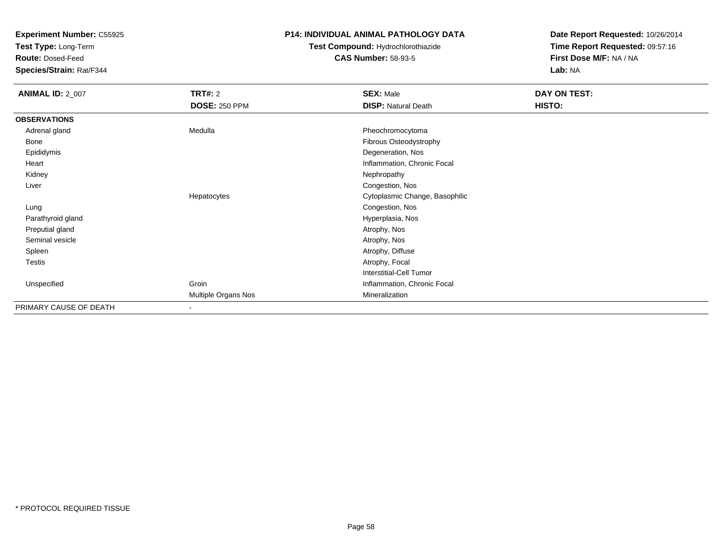**Test Type:** Long-Term

**Route:** Dosed-Feed

**Species/Strain:** Rat/F344

### **P14: INDIVIDUAL ANIMAL PATHOLOGY DATA**

# **Test Compound:** Hydrochlorothiazide**CAS Number:** 58-93-5

| <b>ANIMAL ID: 2_007</b> | <b>TRT#: 2</b>           | <b>SEX: Male</b>               | DAY ON TEST: |
|-------------------------|--------------------------|--------------------------------|--------------|
|                         | <b>DOSE: 250 PPM</b>     | <b>DISP: Natural Death</b>     | HISTO:       |
| <b>OBSERVATIONS</b>     |                          |                                |              |
| Adrenal gland           | Medulla                  | Pheochromocytoma               |              |
| Bone                    |                          | Fibrous Osteodystrophy         |              |
| Epididymis              |                          | Degeneration, Nos              |              |
| Heart                   |                          | Inflammation, Chronic Focal    |              |
| Kidney                  |                          | Nephropathy                    |              |
| Liver                   |                          | Congestion, Nos                |              |
|                         | Hepatocytes              | Cytoplasmic Change, Basophilic |              |
| Lung                    |                          | Congestion, Nos                |              |
| Parathyroid gland       |                          | Hyperplasia, Nos               |              |
| Preputial gland         |                          | Atrophy, Nos                   |              |
| Seminal vesicle         |                          | Atrophy, Nos                   |              |
| Spleen                  |                          | Atrophy, Diffuse               |              |
| Testis                  |                          | Atrophy, Focal                 |              |
|                         |                          | Interstitial-Cell Tumor        |              |
| Unspecified             | Groin                    | Inflammation, Chronic Focal    |              |
|                         | Multiple Organs Nos      | Mineralization                 |              |
| PRIMARY CAUSE OF DEATH  | $\overline{\phantom{a}}$ |                                |              |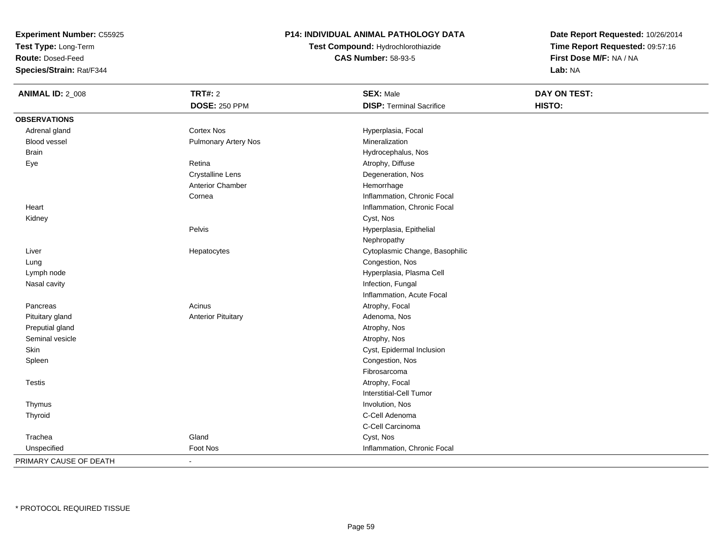**Test Type:** Long-Term

**Route:** Dosed-Feed

**Species/Strain:** Rat/F344

### **P14: INDIVIDUAL ANIMAL PATHOLOGY DATA**

**Test Compound:** Hydrochlorothiazide**CAS Number:** 58-93-5

| <b>ANIMAL ID: 2_008</b> | <b>TRT#: 2</b>              | <b>SEX: Male</b>                | DAY ON TEST: |
|-------------------------|-----------------------------|---------------------------------|--------------|
|                         | <b>DOSE: 250 PPM</b>        | <b>DISP: Terminal Sacrifice</b> | HISTO:       |
| <b>OBSERVATIONS</b>     |                             |                                 |              |
| Adrenal gland           | <b>Cortex Nos</b>           | Hyperplasia, Focal              |              |
| <b>Blood vessel</b>     | <b>Pulmonary Artery Nos</b> | Mineralization                  |              |
| <b>Brain</b>            |                             | Hydrocephalus, Nos              |              |
| Eye                     | Retina                      | Atrophy, Diffuse                |              |
|                         | <b>Crystalline Lens</b>     | Degeneration, Nos               |              |
|                         | Anterior Chamber            | Hemorrhage                      |              |
|                         | Cornea                      | Inflammation, Chronic Focal     |              |
| Heart                   |                             | Inflammation, Chronic Focal     |              |
| Kidney                  |                             | Cyst, Nos                       |              |
|                         | Pelvis                      | Hyperplasia, Epithelial         |              |
|                         |                             | Nephropathy                     |              |
| Liver                   | Hepatocytes                 | Cytoplasmic Change, Basophilic  |              |
| Lung                    |                             | Congestion, Nos                 |              |
| Lymph node              |                             | Hyperplasia, Plasma Cell        |              |
| Nasal cavity            |                             | Infection, Fungal               |              |
|                         |                             | Inflammation, Acute Focal       |              |
| Pancreas                | Acinus                      | Atrophy, Focal                  |              |
| Pituitary gland         | <b>Anterior Pituitary</b>   | Adenoma, Nos                    |              |
| Preputial gland         |                             | Atrophy, Nos                    |              |
| Seminal vesicle         |                             | Atrophy, Nos                    |              |
| Skin                    |                             | Cyst, Epidermal Inclusion       |              |
| Spleen                  |                             | Congestion, Nos                 |              |
|                         |                             | Fibrosarcoma                    |              |
| <b>Testis</b>           |                             | Atrophy, Focal                  |              |
|                         |                             | Interstitial-Cell Tumor         |              |
| Thymus                  |                             | Involution, Nos                 |              |
| Thyroid                 |                             | C-Cell Adenoma                  |              |
|                         |                             | C-Cell Carcinoma                |              |
| Trachea                 | Gland                       | Cyst, Nos                       |              |
| Unspecified             | Foot Nos                    | Inflammation, Chronic Focal     |              |
| PRIMARY CAUSE OF DEATH  | $\blacksquare$              |                                 |              |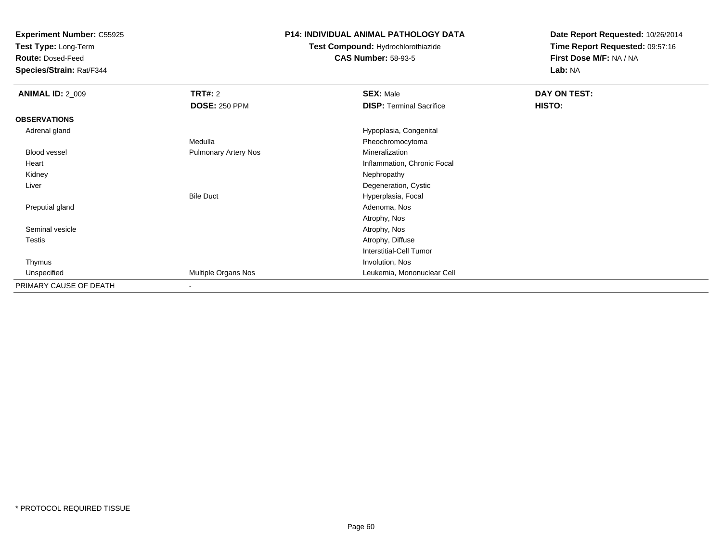**Test Type:** Long-Term

**Route:** Dosed-Feed

**Species/Strain:** Rat/F344

### **P14: INDIVIDUAL ANIMAL PATHOLOGY DATA**

# **Test Compound:** Hydrochlorothiazide**CAS Number:** 58-93-5

| <b>ANIMAL ID: 2_009</b> | TRT#: 2                     | <b>SEX: Male</b>                | DAY ON TEST: |  |
|-------------------------|-----------------------------|---------------------------------|--------------|--|
|                         | <b>DOSE: 250 PPM</b>        | <b>DISP: Terminal Sacrifice</b> | HISTO:       |  |
| <b>OBSERVATIONS</b>     |                             |                                 |              |  |
| Adrenal gland           |                             | Hypoplasia, Congenital          |              |  |
|                         | Medulla                     | Pheochromocytoma                |              |  |
| Blood vessel            | <b>Pulmonary Artery Nos</b> | Mineralization                  |              |  |
| Heart                   |                             | Inflammation, Chronic Focal     |              |  |
| Kidney                  |                             | Nephropathy                     |              |  |
| Liver                   |                             | Degeneration, Cystic            |              |  |
|                         | <b>Bile Duct</b>            | Hyperplasia, Focal              |              |  |
| Preputial gland         |                             | Adenoma, Nos                    |              |  |
|                         |                             | Atrophy, Nos                    |              |  |
| Seminal vesicle         |                             | Atrophy, Nos                    |              |  |
| <b>Testis</b>           |                             | Atrophy, Diffuse                |              |  |
|                         |                             | Interstitial-Cell Tumor         |              |  |
| Thymus                  |                             | Involution, Nos                 |              |  |
| Unspecified             | Multiple Organs Nos         | Leukemia, Mononuclear Cell      |              |  |
| PRIMARY CAUSE OF DEATH  | $\overline{\phantom{a}}$    |                                 |              |  |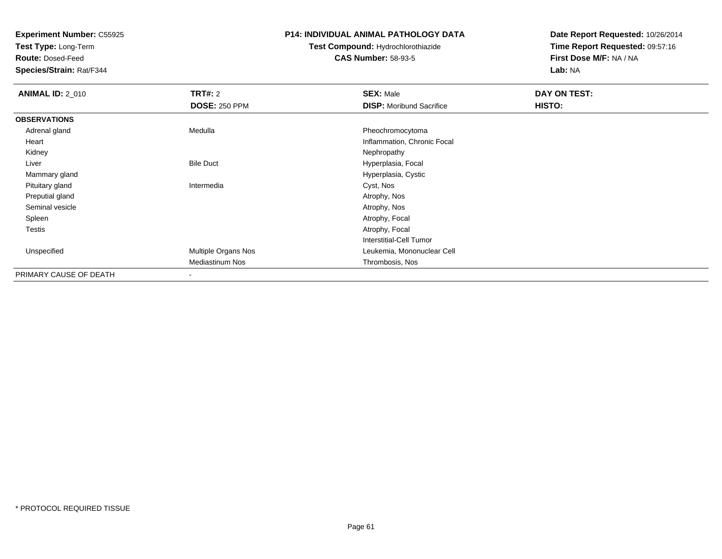**Test Type:** Long-Term

**Route:** Dosed-Feed

**Species/Strain:** Rat/F344

#### **P14: INDIVIDUAL ANIMAL PATHOLOGY DATA**

# **Test Compound:** Hydrochlorothiazide**CAS Number:** 58-93-5

| <b>ANIMAL ID: 2_010</b> | <b>TRT#: 2</b>       | <b>SEX: Male</b>                | DAY ON TEST: |  |
|-------------------------|----------------------|---------------------------------|--------------|--|
|                         | <b>DOSE: 250 PPM</b> | <b>DISP:</b> Moribund Sacrifice | HISTO:       |  |
| <b>OBSERVATIONS</b>     |                      |                                 |              |  |
| Adrenal gland           | Medulla              | Pheochromocytoma                |              |  |
| Heart                   |                      | Inflammation, Chronic Focal     |              |  |
| Kidney                  |                      | Nephropathy                     |              |  |
| Liver                   | <b>Bile Duct</b>     | Hyperplasia, Focal              |              |  |
| Mammary gland           |                      | Hyperplasia, Cystic             |              |  |
| Pituitary gland         | Intermedia           | Cyst, Nos                       |              |  |
| Preputial gland         |                      | Atrophy, Nos                    |              |  |
| Seminal vesicle         |                      | Atrophy, Nos                    |              |  |
| Spleen                  |                      | Atrophy, Focal                  |              |  |
| Testis                  |                      | Atrophy, Focal                  |              |  |
|                         |                      | <b>Interstitial-Cell Tumor</b>  |              |  |
| Unspecified             | Multiple Organs Nos  | Leukemia, Mononuclear Cell      |              |  |
|                         | Mediastinum Nos      | Thrombosis, Nos                 |              |  |
| PRIMARY CAUSE OF DEATH  |                      |                                 |              |  |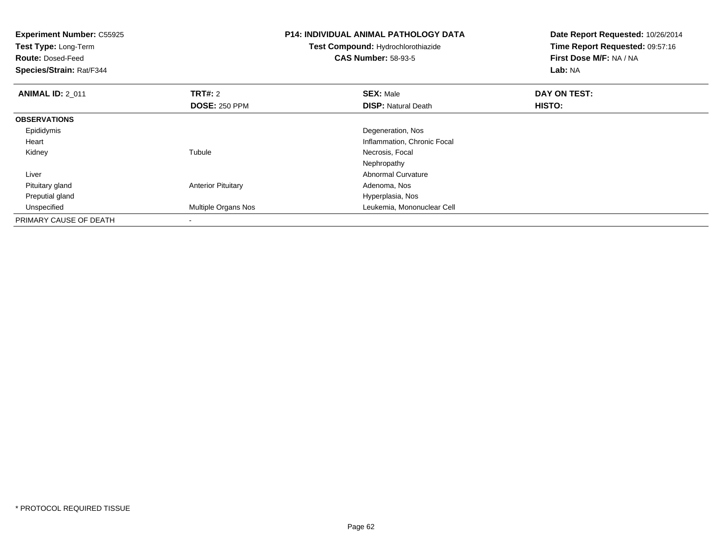| <b>Experiment Number: C55925</b><br>Test Type: Long-Term<br><b>Route: Dosed-Feed</b><br>Species/Strain: Rat/F344 |                           | <b>P14: INDIVIDUAL ANIMAL PATHOLOGY DATA</b><br>Test Compound: Hydrochlorothiazide<br><b>CAS Number: 58-93-5</b> | Date Report Requested: 10/26/2014<br>Time Report Requested: 09:57:16<br>First Dose M/F: NA / NA<br>Lab: NA |
|------------------------------------------------------------------------------------------------------------------|---------------------------|------------------------------------------------------------------------------------------------------------------|------------------------------------------------------------------------------------------------------------|
| <b>ANIMAL ID: 2 011</b>                                                                                          | <b>TRT#:</b> 2            | <b>SEX: Male</b>                                                                                                 | DAY ON TEST:                                                                                               |
|                                                                                                                  | <b>DOSE: 250 PPM</b>      | <b>DISP: Natural Death</b>                                                                                       | HISTO:                                                                                                     |
| <b>OBSERVATIONS</b>                                                                                              |                           |                                                                                                                  |                                                                                                            |
| Epididymis                                                                                                       |                           | Degeneration, Nos                                                                                                |                                                                                                            |
| Heart                                                                                                            |                           | Inflammation, Chronic Focal                                                                                      |                                                                                                            |
| Kidney                                                                                                           | Tubule                    | Necrosis, Focal                                                                                                  |                                                                                                            |
|                                                                                                                  |                           | Nephropathy                                                                                                      |                                                                                                            |
| Liver                                                                                                            |                           | <b>Abnormal Curvature</b>                                                                                        |                                                                                                            |
| Pituitary gland                                                                                                  | <b>Anterior Pituitary</b> | Adenoma, Nos                                                                                                     |                                                                                                            |
| Preputial gland                                                                                                  |                           | Hyperplasia, Nos                                                                                                 |                                                                                                            |
| Unspecified                                                                                                      | Multiple Organs Nos       | Leukemia, Mononuclear Cell                                                                                       |                                                                                                            |
| PRIMARY CAUSE OF DEATH                                                                                           |                           |                                                                                                                  |                                                                                                            |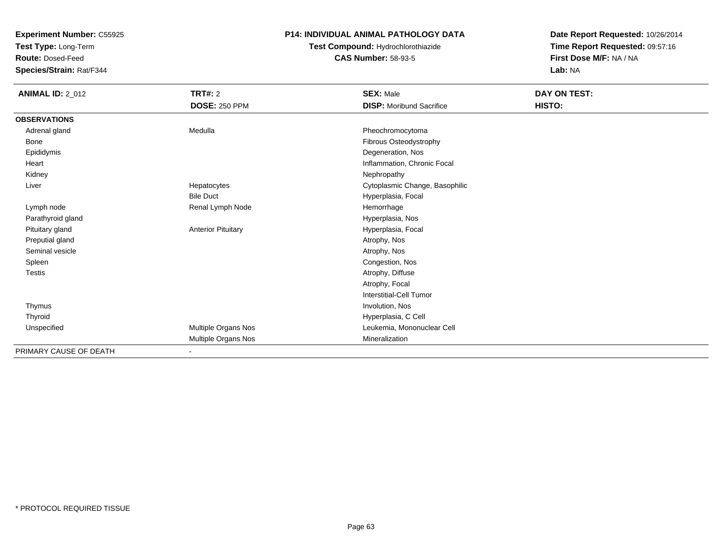**Test Type:** Long-Term

**Route:** Dosed-Feed

**Species/Strain:** Rat/F344

### **P14: INDIVIDUAL ANIMAL PATHOLOGY DATA**

## **Test Compound:** Hydrochlorothiazide**CAS Number:** 58-93-5

| <b>ANIMAL ID: 2_012</b> | <b>TRT#: 2</b>            | <b>SEX: Male</b>                | DAY ON TEST: |  |
|-------------------------|---------------------------|---------------------------------|--------------|--|
|                         | <b>DOSE: 250 PPM</b>      | <b>DISP:</b> Moribund Sacrifice | HISTO:       |  |
| <b>OBSERVATIONS</b>     |                           |                                 |              |  |
| Adrenal gland           | Medulla                   | Pheochromocytoma                |              |  |
| Bone                    |                           | Fibrous Osteodystrophy          |              |  |
| Epididymis              |                           | Degeneration, Nos               |              |  |
| Heart                   |                           | Inflammation, Chronic Focal     |              |  |
| Kidney                  |                           | Nephropathy                     |              |  |
| Liver                   | Hepatocytes               | Cytoplasmic Change, Basophilic  |              |  |
|                         | <b>Bile Duct</b>          | Hyperplasia, Focal              |              |  |
| Lymph node              | Renal Lymph Node          | Hemorrhage                      |              |  |
| Parathyroid gland       |                           | Hyperplasia, Nos                |              |  |
| Pituitary gland         | <b>Anterior Pituitary</b> | Hyperplasia, Focal              |              |  |
| Preputial gland         |                           | Atrophy, Nos                    |              |  |
| Seminal vesicle         |                           | Atrophy, Nos                    |              |  |
| Spleen                  |                           | Congestion, Nos                 |              |  |
| Testis                  |                           | Atrophy, Diffuse                |              |  |
|                         |                           | Atrophy, Focal                  |              |  |
|                         |                           | Interstitial-Cell Tumor         |              |  |
| Thymus                  |                           | Involution, Nos                 |              |  |
| Thyroid                 |                           | Hyperplasia, C Cell             |              |  |
| Unspecified             | Multiple Organs Nos       | Leukemia, Mononuclear Cell      |              |  |
|                         | Multiple Organs Nos       | Mineralization                  |              |  |
| PRIMARY CAUSE OF DEATH  | $\blacksquare$            |                                 |              |  |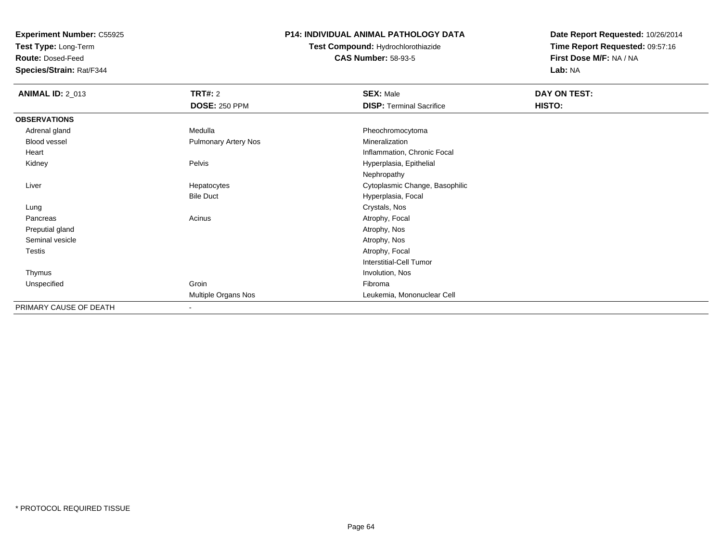**Test Type:** Long-Term

**Route:** Dosed-Feed

**Species/Strain:** Rat/F344

### **P14: INDIVIDUAL ANIMAL PATHOLOGY DATA**

**Test Compound:** Hydrochlorothiazide**CAS Number:** 58-93-5

| <b>ANIMAL ID: 2_013</b> | <b>TRT#: 2</b>              | <b>SEX: Male</b>                | DAY ON TEST: |
|-------------------------|-----------------------------|---------------------------------|--------------|
|                         | <b>DOSE: 250 PPM</b>        | <b>DISP: Terminal Sacrifice</b> | HISTO:       |
| <b>OBSERVATIONS</b>     |                             |                                 |              |
| Adrenal gland           | Medulla                     | Pheochromocytoma                |              |
| <b>Blood vessel</b>     | <b>Pulmonary Artery Nos</b> | Mineralization                  |              |
| Heart                   |                             | Inflammation, Chronic Focal     |              |
| Kidney                  | Pelvis                      | Hyperplasia, Epithelial         |              |
|                         |                             | Nephropathy                     |              |
| Liver                   | Hepatocytes                 | Cytoplasmic Change, Basophilic  |              |
|                         | <b>Bile Duct</b>            | Hyperplasia, Focal              |              |
| Lung                    |                             | Crystals, Nos                   |              |
| Pancreas                | Acinus                      | Atrophy, Focal                  |              |
| Preputial gland         |                             | Atrophy, Nos                    |              |
| Seminal vesicle         |                             | Atrophy, Nos                    |              |
| Testis                  |                             | Atrophy, Focal                  |              |
|                         |                             | Interstitial-Cell Tumor         |              |
| Thymus                  |                             | Involution, Nos                 |              |
| Unspecified             | Groin                       | Fibroma                         |              |
|                         | Multiple Organs Nos         | Leukemia, Mononuclear Cell      |              |
| PRIMARY CAUSE OF DEATH  | $\overline{\phantom{a}}$    |                                 |              |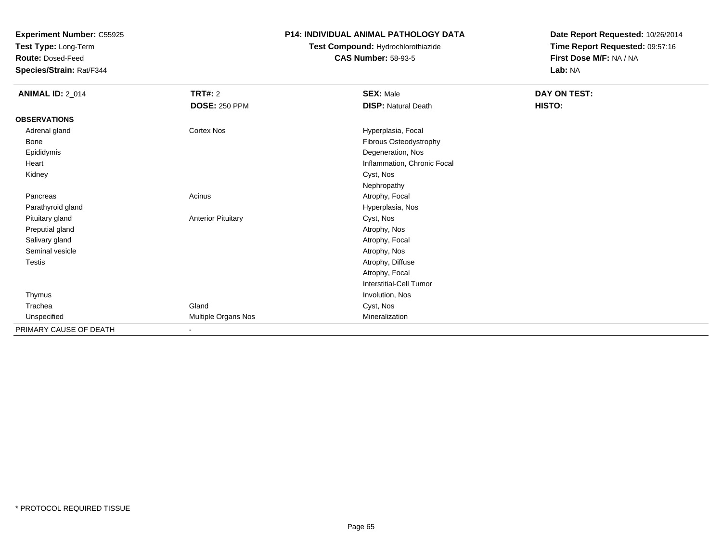**Test Type:** Long-Term

**Route:** Dosed-Feed

**Species/Strain:** Rat/F344

#### **P14: INDIVIDUAL ANIMAL PATHOLOGY DATA**

## **Test Compound:** Hydrochlorothiazide**CAS Number:** 58-93-5

| <b>ANIMAL ID: 2_014</b> | <b>TRT#: 2</b><br><b>DOSE: 250 PPM</b> | <b>SEX: Male</b><br><b>DISP: Natural Death</b> | DAY ON TEST:<br>HISTO: |
|-------------------------|----------------------------------------|------------------------------------------------|------------------------|
| <b>OBSERVATIONS</b>     |                                        |                                                |                        |
| Adrenal gland           | Cortex Nos                             | Hyperplasia, Focal                             |                        |
| Bone                    |                                        | Fibrous Osteodystrophy                         |                        |
| Epididymis              |                                        | Degeneration, Nos                              |                        |
| Heart                   |                                        | Inflammation, Chronic Focal                    |                        |
| Kidney                  |                                        | Cyst, Nos                                      |                        |
|                         |                                        | Nephropathy                                    |                        |
| Pancreas                | Acinus                                 | Atrophy, Focal                                 |                        |
| Parathyroid gland       |                                        | Hyperplasia, Nos                               |                        |
| Pituitary gland         | <b>Anterior Pituitary</b>              | Cyst, Nos                                      |                        |
| Preputial gland         |                                        | Atrophy, Nos                                   |                        |
| Salivary gland          |                                        | Atrophy, Focal                                 |                        |
| Seminal vesicle         |                                        | Atrophy, Nos                                   |                        |
| Testis                  |                                        | Atrophy, Diffuse                               |                        |
|                         |                                        | Atrophy, Focal                                 |                        |
|                         |                                        | <b>Interstitial-Cell Tumor</b>                 |                        |
| Thymus                  |                                        | Involution, Nos                                |                        |
| Trachea                 | Gland                                  | Cyst, Nos                                      |                        |
| Unspecified             | Multiple Organs Nos                    | Mineralization                                 |                        |
| PRIMARY CAUSE OF DEATH  | ٠                                      |                                                |                        |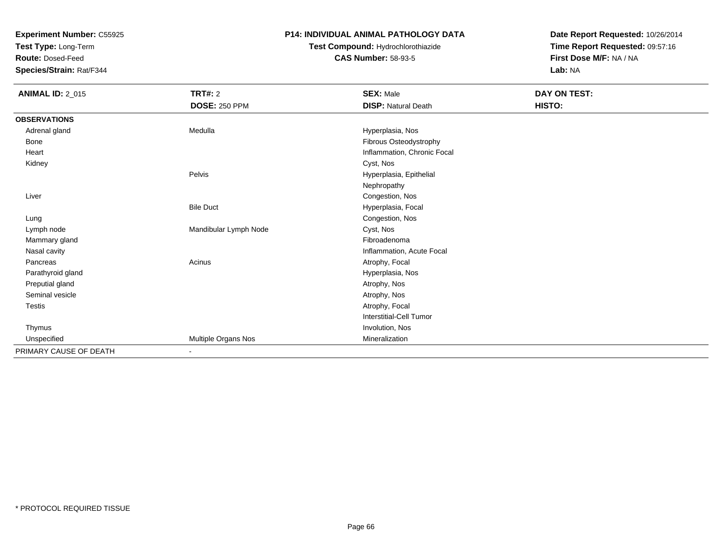**Test Type:** Long-Term

**Route:** Dosed-Feed

**Species/Strain:** Rat/F344

### **P14: INDIVIDUAL ANIMAL PATHOLOGY DATA**

## **Test Compound:** Hydrochlorothiazide**CAS Number:** 58-93-5

| <b>ANIMAL ID: 2_015</b> | <b>TRT#: 2</b><br><b>DOSE: 250 PPM</b> | <b>SEX: Male</b><br><b>DISP: Natural Death</b> | DAY ON TEST:<br>HISTO: |
|-------------------------|----------------------------------------|------------------------------------------------|------------------------|
| <b>OBSERVATIONS</b>     |                                        |                                                |                        |
| Adrenal gland           | Medulla                                | Hyperplasia, Nos                               |                        |
| Bone                    |                                        | Fibrous Osteodystrophy                         |                        |
| Heart                   |                                        | Inflammation, Chronic Focal                    |                        |
| Kidney                  |                                        | Cyst, Nos                                      |                        |
|                         | Pelvis                                 | Hyperplasia, Epithelial                        |                        |
|                         |                                        | Nephropathy                                    |                        |
| Liver                   |                                        | Congestion, Nos                                |                        |
|                         | <b>Bile Duct</b>                       | Hyperplasia, Focal                             |                        |
| Lung                    |                                        | Congestion, Nos                                |                        |
| Lymph node              | Mandibular Lymph Node                  | Cyst, Nos                                      |                        |
| Mammary gland           |                                        | Fibroadenoma                                   |                        |
| Nasal cavity            |                                        | Inflammation, Acute Focal                      |                        |
| Pancreas                | Acinus                                 | Atrophy, Focal                                 |                        |
| Parathyroid gland       |                                        | Hyperplasia, Nos                               |                        |
| Preputial gland         |                                        | Atrophy, Nos                                   |                        |
| Seminal vesicle         |                                        | Atrophy, Nos                                   |                        |
| Testis                  |                                        | Atrophy, Focal                                 |                        |
|                         |                                        | Interstitial-Cell Tumor                        |                        |
| Thymus                  |                                        | Involution, Nos                                |                        |
| Unspecified             | Multiple Organs Nos                    | Mineralization                                 |                        |
| PRIMARY CAUSE OF DEATH  | ٠                                      |                                                |                        |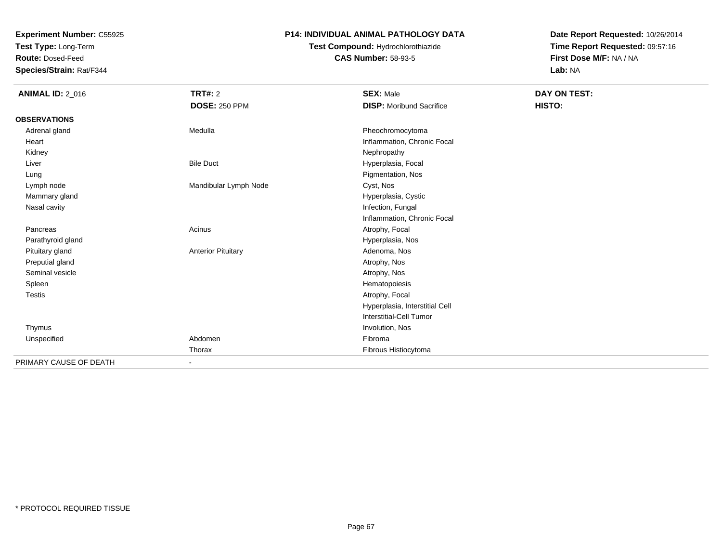**Test Type:** Long-Term

**Route:** Dosed-Feed

**Species/Strain:** Rat/F344

### **P14: INDIVIDUAL ANIMAL PATHOLOGY DATA**

# **Test Compound:** Hydrochlorothiazide**CAS Number:** 58-93-5

| <b>ANIMAL ID: 2_016</b> | TRT#: 2                   | <b>SEX: Male</b>                | DAY ON TEST: |
|-------------------------|---------------------------|---------------------------------|--------------|
|                         | <b>DOSE: 250 PPM</b>      | <b>DISP:</b> Moribund Sacrifice | HISTO:       |
| <b>OBSERVATIONS</b>     |                           |                                 |              |
| Adrenal gland           | Medulla                   | Pheochromocytoma                |              |
| Heart                   |                           | Inflammation, Chronic Focal     |              |
| Kidney                  |                           | Nephropathy                     |              |
| Liver                   | <b>Bile Duct</b>          | Hyperplasia, Focal              |              |
| Lung                    |                           | Pigmentation, Nos               |              |
| Lymph node              | Mandibular Lymph Node     | Cyst, Nos                       |              |
| Mammary gland           |                           | Hyperplasia, Cystic             |              |
| Nasal cavity            |                           | Infection, Fungal               |              |
|                         |                           | Inflammation, Chronic Focal     |              |
| Pancreas                | Acinus                    | Atrophy, Focal                  |              |
| Parathyroid gland       |                           | Hyperplasia, Nos                |              |
| Pituitary gland         | <b>Anterior Pituitary</b> | Adenoma, Nos                    |              |
| Preputial gland         |                           | Atrophy, Nos                    |              |
| Seminal vesicle         |                           | Atrophy, Nos                    |              |
| Spleen                  |                           | Hematopoiesis                   |              |
| <b>Testis</b>           |                           | Atrophy, Focal                  |              |
|                         |                           | Hyperplasia, Interstitial Cell  |              |
|                         |                           | Interstitial-Cell Tumor         |              |
| Thymus                  |                           | Involution, Nos                 |              |
| Unspecified             | Abdomen                   | Fibroma                         |              |
|                         | Thorax                    | Fibrous Histiocytoma            |              |
| PRIMARY CAUSE OF DEATH  | $\blacksquare$            |                                 |              |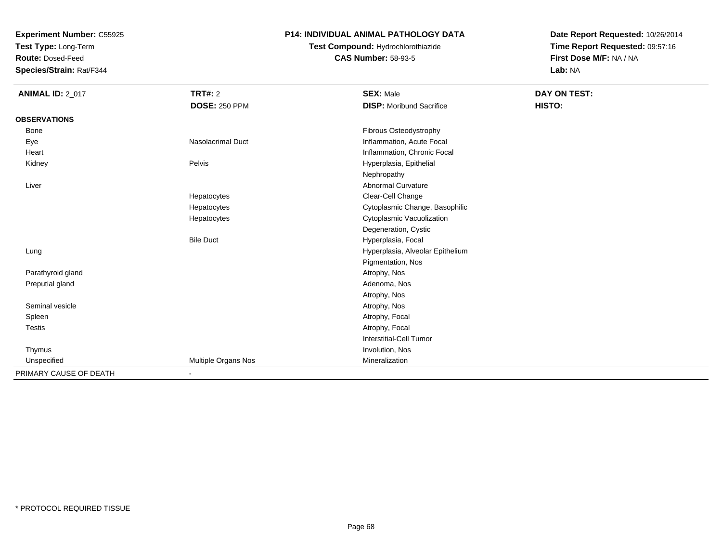**Test Type:** Long-Term

**Route:** Dosed-Feed

**Species/Strain:** Rat/F344

#### **P14: INDIVIDUAL ANIMAL PATHOLOGY DATA**

# **Test Compound:** Hydrochlorothiazide**CAS Number:** 58-93-5

| <b>ANIMAL ID: 2_017</b> | <b>TRT#: 2</b>           | <b>SEX: Male</b>                 | DAY ON TEST: |  |
|-------------------------|--------------------------|----------------------------------|--------------|--|
|                         | <b>DOSE: 250 PPM</b>     | <b>DISP:</b> Moribund Sacrifice  | HISTO:       |  |
| <b>OBSERVATIONS</b>     |                          |                                  |              |  |
| Bone                    |                          | Fibrous Osteodystrophy           |              |  |
| Eye                     | <b>Nasolacrimal Duct</b> | Inflammation, Acute Focal        |              |  |
| Heart                   |                          | Inflammation, Chronic Focal      |              |  |
| Kidney                  | Pelvis                   | Hyperplasia, Epithelial          |              |  |
|                         |                          | Nephropathy                      |              |  |
| Liver                   |                          | <b>Abnormal Curvature</b>        |              |  |
|                         | Hepatocytes              | Clear-Cell Change                |              |  |
|                         | Hepatocytes              | Cytoplasmic Change, Basophilic   |              |  |
|                         | Hepatocytes              | Cytoplasmic Vacuolization        |              |  |
|                         |                          | Degeneration, Cystic             |              |  |
|                         | <b>Bile Duct</b>         | Hyperplasia, Focal               |              |  |
| Lung                    |                          | Hyperplasia, Alveolar Epithelium |              |  |
|                         |                          | Pigmentation, Nos                |              |  |
| Parathyroid gland       |                          | Atrophy, Nos                     |              |  |
| Preputial gland         |                          | Adenoma, Nos                     |              |  |
|                         |                          | Atrophy, Nos                     |              |  |
| Seminal vesicle         |                          | Atrophy, Nos                     |              |  |
| Spleen                  |                          | Atrophy, Focal                   |              |  |
| Testis                  |                          | Atrophy, Focal                   |              |  |
|                         |                          | <b>Interstitial-Cell Tumor</b>   |              |  |
| Thymus                  |                          | Involution, Nos                  |              |  |
| Unspecified             | Multiple Organs Nos      | Mineralization                   |              |  |
| PRIMARY CAUSE OF DEATH  | $\blacksquare$           |                                  |              |  |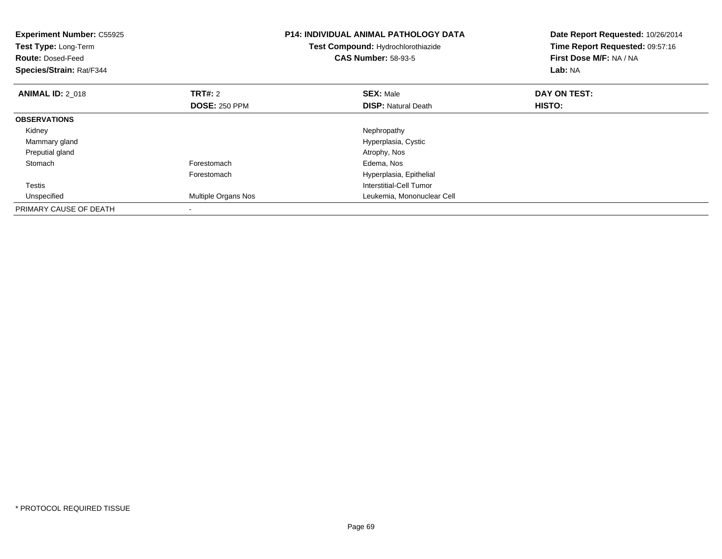| <b>Experiment Number: C55925</b><br>Test Type: Long-Term<br><b>Route: Dosed-Feed</b><br>Species/Strain: Rat/F344 |                      | <b>P14: INDIVIDUAL ANIMAL PATHOLOGY DATA</b><br>Test Compound: Hydrochlorothiazide<br><b>CAS Number: 58-93-5</b> | Date Report Requested: 10/26/2014<br>Time Report Requested: 09:57:16<br>First Dose M/F: NA / NA<br>Lab: NA |
|------------------------------------------------------------------------------------------------------------------|----------------------|------------------------------------------------------------------------------------------------------------------|------------------------------------------------------------------------------------------------------------|
| <b>ANIMAL ID: 2 018</b>                                                                                          | <b>TRT#: 2</b>       | <b>SEX: Male</b>                                                                                                 | DAY ON TEST:                                                                                               |
|                                                                                                                  | <b>DOSE: 250 PPM</b> | <b>DISP:</b> Natural Death                                                                                       | HISTO:                                                                                                     |
| <b>OBSERVATIONS</b>                                                                                              |                      |                                                                                                                  |                                                                                                            |
| Kidney                                                                                                           |                      | Nephropathy                                                                                                      |                                                                                                            |
| Mammary gland                                                                                                    |                      | Hyperplasia, Cystic                                                                                              |                                                                                                            |
| Preputial gland                                                                                                  |                      | Atrophy, Nos                                                                                                     |                                                                                                            |
| Stomach                                                                                                          | Forestomach          | Edema, Nos                                                                                                       |                                                                                                            |
|                                                                                                                  | Forestomach          | Hyperplasia, Epithelial                                                                                          |                                                                                                            |
| <b>Testis</b>                                                                                                    |                      | Interstitial-Cell Tumor                                                                                          |                                                                                                            |
| Unspecified                                                                                                      | Multiple Organs Nos  | Leukemia, Mononuclear Cell                                                                                       |                                                                                                            |
| PRIMARY CAUSE OF DEATH                                                                                           |                      |                                                                                                                  |                                                                                                            |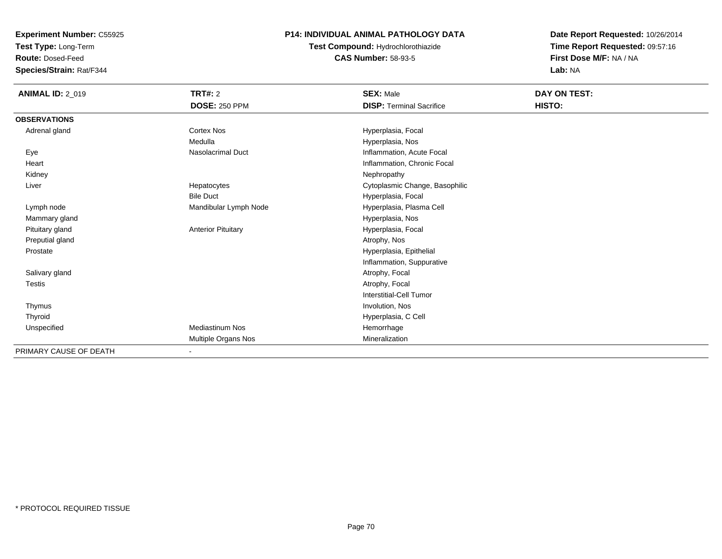**Test Type:** Long-Term

**Route:** Dosed-Feed

**Species/Strain:** Rat/F344

### **P14: INDIVIDUAL ANIMAL PATHOLOGY DATA**

**Test Compound:** Hydrochlorothiazide**CAS Number:** 58-93-5

| <b>ANIMAL ID: 2_019</b> | TRT#: 2                   | <b>SEX: Male</b>                | DAY ON TEST: |
|-------------------------|---------------------------|---------------------------------|--------------|
|                         | <b>DOSE: 250 PPM</b>      | <b>DISP: Terminal Sacrifice</b> | HISTO:       |
| <b>OBSERVATIONS</b>     |                           |                                 |              |
| Adrenal gland           | Cortex Nos                | Hyperplasia, Focal              |              |
|                         | Medulla                   | Hyperplasia, Nos                |              |
| Eye                     | <b>Nasolacrimal Duct</b>  | Inflammation, Acute Focal       |              |
| Heart                   |                           | Inflammation, Chronic Focal     |              |
| Kidney                  |                           | Nephropathy                     |              |
| Liver                   | Hepatocytes               | Cytoplasmic Change, Basophilic  |              |
|                         | <b>Bile Duct</b>          | Hyperplasia, Focal              |              |
| Lymph node              | Mandibular Lymph Node     | Hyperplasia, Plasma Cell        |              |
| Mammary gland           |                           | Hyperplasia, Nos                |              |
| Pituitary gland         | <b>Anterior Pituitary</b> | Hyperplasia, Focal              |              |
| Preputial gland         |                           | Atrophy, Nos                    |              |
| Prostate                |                           | Hyperplasia, Epithelial         |              |
|                         |                           | Inflammation, Suppurative       |              |
| Salivary gland          |                           | Atrophy, Focal                  |              |
| Testis                  |                           | Atrophy, Focal                  |              |
|                         |                           | <b>Interstitial-Cell Tumor</b>  |              |
| Thymus                  |                           | Involution, Nos                 |              |
| Thyroid                 |                           | Hyperplasia, C Cell             |              |
| Unspecified             | <b>Mediastinum Nos</b>    | Hemorrhage                      |              |
|                         | Multiple Organs Nos       | Mineralization                  |              |
| PRIMARY CAUSE OF DEATH  | $\blacksquare$            |                                 |              |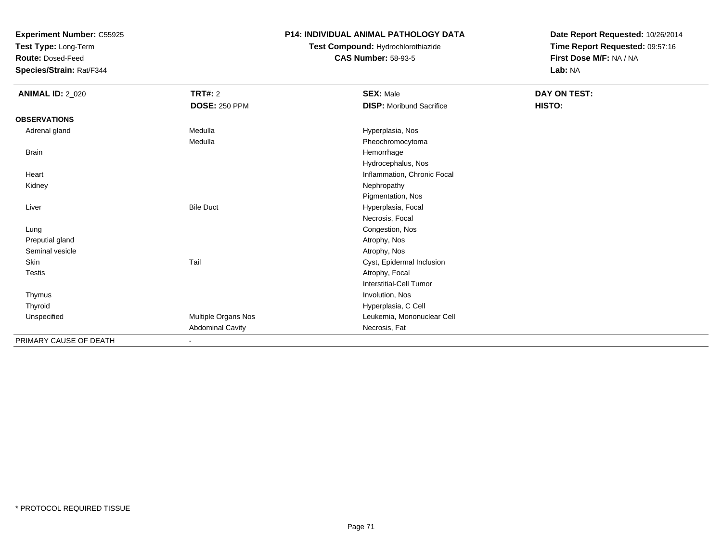**Test Type:** Long-Term

**Route:** Dosed-Feed

**Species/Strain:** Rat/F344

### **P14: INDIVIDUAL ANIMAL PATHOLOGY DATA**

## **Test Compound:** Hydrochlorothiazide**CAS Number:** 58-93-5

| <b>ANIMAL ID: 2_020</b> | <b>TRT#: 2</b>          | <b>SEX: Male</b>                | DAY ON TEST: |
|-------------------------|-------------------------|---------------------------------|--------------|
|                         | <b>DOSE: 250 PPM</b>    | <b>DISP:</b> Moribund Sacrifice | HISTO:       |
| <b>OBSERVATIONS</b>     |                         |                                 |              |
| Adrenal gland           | Medulla                 | Hyperplasia, Nos                |              |
|                         | Medulla                 | Pheochromocytoma                |              |
| Brain                   |                         | Hemorrhage                      |              |
|                         |                         | Hydrocephalus, Nos              |              |
| Heart                   |                         | Inflammation, Chronic Focal     |              |
| Kidney                  |                         | Nephropathy                     |              |
|                         |                         | Pigmentation, Nos               |              |
| Liver                   | <b>Bile Duct</b>        | Hyperplasia, Focal              |              |
|                         |                         | Necrosis, Focal                 |              |
| Lung                    |                         | Congestion, Nos                 |              |
| Preputial gland         |                         | Atrophy, Nos                    |              |
| Seminal vesicle         |                         | Atrophy, Nos                    |              |
| Skin                    | Tail                    | Cyst, Epidermal Inclusion       |              |
| Testis                  |                         | Atrophy, Focal                  |              |
|                         |                         | <b>Interstitial-Cell Tumor</b>  |              |
| Thymus                  |                         | Involution, Nos                 |              |
| Thyroid                 |                         | Hyperplasia, C Cell             |              |
| Unspecified             | Multiple Organs Nos     | Leukemia, Mononuclear Cell      |              |
|                         | <b>Abdominal Cavity</b> | Necrosis, Fat                   |              |
| PRIMARY CAUSE OF DEATH  | $\blacksquare$          |                                 |              |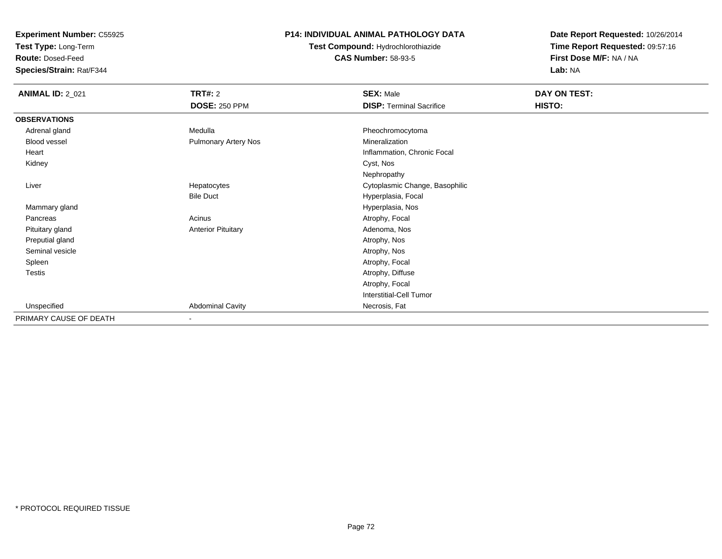**Test Type:** Long-Term

**Route:** Dosed-Feed

**Species/Strain:** Rat/F344

### **P14: INDIVIDUAL ANIMAL PATHOLOGY DATA**

**Test Compound:** Hydrochlorothiazide**CAS Number:** 58-93-5

| <b>ANIMAL ID: 2_021</b> | TRT#: 2                   | <b>SEX: Male</b>                | DAY ON TEST: |
|-------------------------|---------------------------|---------------------------------|--------------|
|                         | <b>DOSE: 250 PPM</b>      | <b>DISP: Terminal Sacrifice</b> | HISTO:       |
| <b>OBSERVATIONS</b>     |                           |                                 |              |
| Adrenal gland           | Medulla                   | Pheochromocytoma                |              |
| Blood vessel            | Pulmonary Artery Nos      | Mineralization                  |              |
| Heart                   |                           | Inflammation, Chronic Focal     |              |
| Kidney                  |                           | Cyst, Nos                       |              |
|                         |                           | Nephropathy                     |              |
| Liver                   | Hepatocytes               | Cytoplasmic Change, Basophilic  |              |
|                         | <b>Bile Duct</b>          | Hyperplasia, Focal              |              |
| Mammary gland           |                           | Hyperplasia, Nos                |              |
| Pancreas                | Acinus                    | Atrophy, Focal                  |              |
| Pituitary gland         | <b>Anterior Pituitary</b> | Adenoma, Nos                    |              |
| Preputial gland         |                           | Atrophy, Nos                    |              |
| Seminal vesicle         |                           | Atrophy, Nos                    |              |
| Spleen                  |                           | Atrophy, Focal                  |              |
| <b>Testis</b>           |                           | Atrophy, Diffuse                |              |
|                         |                           | Atrophy, Focal                  |              |
|                         |                           | Interstitial-Cell Tumor         |              |
| Unspecified             | <b>Abdominal Cavity</b>   | Necrosis, Fat                   |              |
| PRIMARY CAUSE OF DEATH  | Ξ.                        |                                 |              |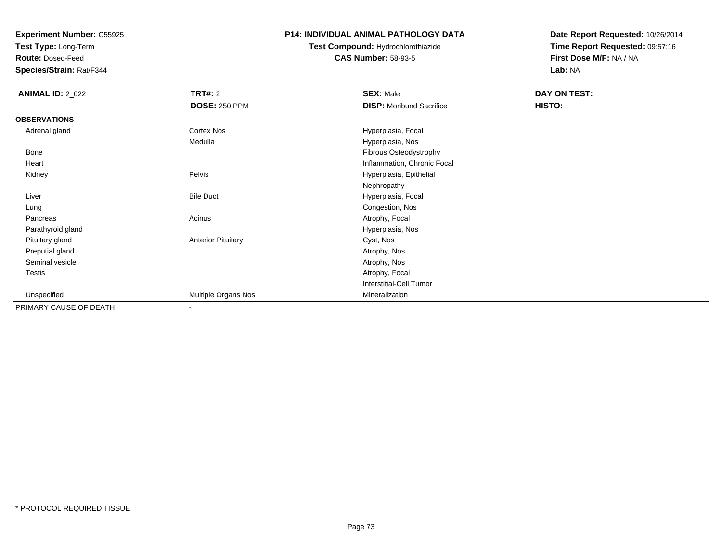**Test Type:** Long-Term

**Route:** Dosed-Feed

**Species/Strain:** Rat/F344

### **P14: INDIVIDUAL ANIMAL PATHOLOGY DATA**

# **Test Compound:** Hydrochlorothiazide**CAS Number:** 58-93-5

| <b>ANIMAL ID: 2_022</b> | <b>TRT#: 2</b>            | <b>SEX: Male</b>                | DAY ON TEST: |  |
|-------------------------|---------------------------|---------------------------------|--------------|--|
|                         | <b>DOSE: 250 PPM</b>      | <b>DISP:</b> Moribund Sacrifice | HISTO:       |  |
| <b>OBSERVATIONS</b>     |                           |                                 |              |  |
| Adrenal gland           | <b>Cortex Nos</b>         | Hyperplasia, Focal              |              |  |
|                         | Medulla                   | Hyperplasia, Nos                |              |  |
| Bone                    |                           | Fibrous Osteodystrophy          |              |  |
| Heart                   |                           | Inflammation, Chronic Focal     |              |  |
| Kidney                  | Pelvis                    | Hyperplasia, Epithelial         |              |  |
|                         |                           | Nephropathy                     |              |  |
| Liver                   | <b>Bile Duct</b>          | Hyperplasia, Focal              |              |  |
| Lung                    |                           | Congestion, Nos                 |              |  |
| Pancreas                | Acinus                    | Atrophy, Focal                  |              |  |
| Parathyroid gland       |                           | Hyperplasia, Nos                |              |  |
| Pituitary gland         | <b>Anterior Pituitary</b> | Cyst, Nos                       |              |  |
| Preputial gland         |                           | Atrophy, Nos                    |              |  |
| Seminal vesicle         |                           | Atrophy, Nos                    |              |  |
| Testis                  |                           | Atrophy, Focal                  |              |  |
|                         |                           | Interstitial-Cell Tumor         |              |  |
| Unspecified             | Multiple Organs Nos       | Mineralization                  |              |  |
| PRIMARY CAUSE OF DEATH  | $\overline{\phantom{a}}$  |                                 |              |  |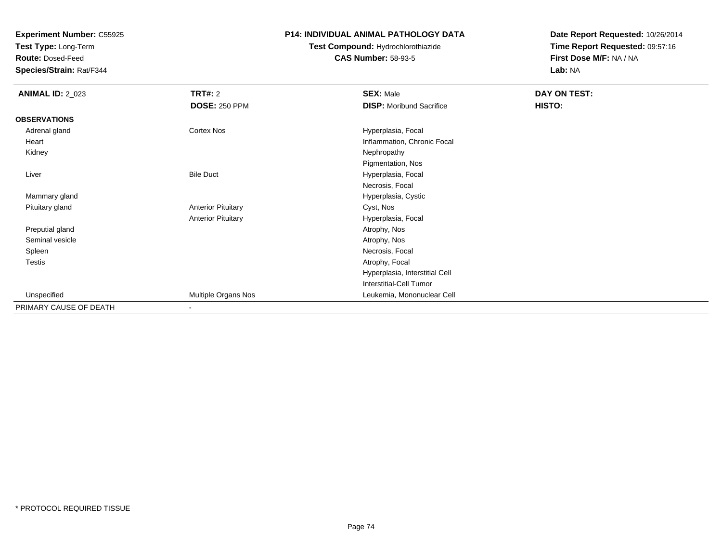**Test Type:** Long-Term

**Route:** Dosed-Feed

**Species/Strain:** Rat/F344

### **P14: INDIVIDUAL ANIMAL PATHOLOGY DATA**

## **Test Compound:** Hydrochlorothiazide**CAS Number:** 58-93-5

| <b>ANIMAL ID: 2_023</b> | <b>TRT#: 2</b>            | <b>SEX: Male</b>                | DAY ON TEST: |  |
|-------------------------|---------------------------|---------------------------------|--------------|--|
|                         | <b>DOSE: 250 PPM</b>      | <b>DISP: Moribund Sacrifice</b> | HISTO:       |  |
| <b>OBSERVATIONS</b>     |                           |                                 |              |  |
| Adrenal gland           | Cortex Nos                | Hyperplasia, Focal              |              |  |
| Heart                   |                           | Inflammation, Chronic Focal     |              |  |
| Kidney                  |                           | Nephropathy                     |              |  |
|                         |                           | Pigmentation, Nos               |              |  |
| Liver                   | <b>Bile Duct</b>          | Hyperplasia, Focal              |              |  |
|                         |                           | Necrosis, Focal                 |              |  |
| Mammary gland           |                           | Hyperplasia, Cystic             |              |  |
| Pituitary gland         | <b>Anterior Pituitary</b> | Cyst, Nos                       |              |  |
|                         | <b>Anterior Pituitary</b> | Hyperplasia, Focal              |              |  |
| Preputial gland         |                           | Atrophy, Nos                    |              |  |
| Seminal vesicle         |                           | Atrophy, Nos                    |              |  |
| Spleen                  |                           | Necrosis, Focal                 |              |  |
| <b>Testis</b>           |                           | Atrophy, Focal                  |              |  |
|                         |                           | Hyperplasia, Interstitial Cell  |              |  |
|                         |                           | <b>Interstitial-Cell Tumor</b>  |              |  |
| Unspecified             | Multiple Organs Nos       | Leukemia, Mononuclear Cell      |              |  |
| PRIMARY CAUSE OF DEATH  |                           |                                 |              |  |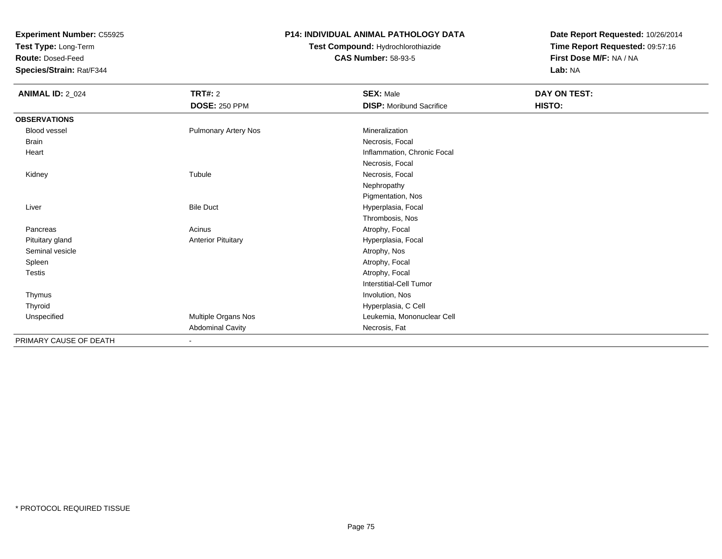**Test Type:** Long-Term

**Route:** Dosed-Feed

**Species/Strain:** Rat/F344

### **P14: INDIVIDUAL ANIMAL PATHOLOGY DATA**

## **Test Compound:** Hydrochlorothiazide**CAS Number:** 58-93-5

| <b>ANIMAL ID: 2_024</b> | <b>TRT#: 2</b>              | <b>SEX: Male</b>                | DAY ON TEST: |  |
|-------------------------|-----------------------------|---------------------------------|--------------|--|
|                         | <b>DOSE: 250 PPM</b>        | <b>DISP:</b> Moribund Sacrifice | HISTO:       |  |
| <b>OBSERVATIONS</b>     |                             |                                 |              |  |
| Blood vessel            | <b>Pulmonary Artery Nos</b> | Mineralization                  |              |  |
| <b>Brain</b>            |                             | Necrosis, Focal                 |              |  |
| Heart                   |                             | Inflammation, Chronic Focal     |              |  |
|                         |                             | Necrosis, Focal                 |              |  |
| Kidney                  | Tubule                      | Necrosis, Focal                 |              |  |
|                         |                             | Nephropathy                     |              |  |
|                         |                             | Pigmentation, Nos               |              |  |
| Liver                   | <b>Bile Duct</b>            | Hyperplasia, Focal              |              |  |
|                         |                             | Thrombosis, Nos                 |              |  |
| Pancreas                | Acinus                      | Atrophy, Focal                  |              |  |
| Pituitary gland         | <b>Anterior Pituitary</b>   | Hyperplasia, Focal              |              |  |
| Seminal vesicle         |                             | Atrophy, Nos                    |              |  |
| Spleen                  |                             | Atrophy, Focal                  |              |  |
| Testis                  |                             | Atrophy, Focal                  |              |  |
|                         |                             | <b>Interstitial-Cell Tumor</b>  |              |  |
| Thymus                  |                             | Involution, Nos                 |              |  |
| Thyroid                 |                             | Hyperplasia, C Cell             |              |  |
| Unspecified             | Multiple Organs Nos         | Leukemia, Mononuclear Cell      |              |  |
|                         | <b>Abdominal Cavity</b>     | Necrosis, Fat                   |              |  |
| PRIMARY CAUSE OF DEATH  | ٠                           |                                 |              |  |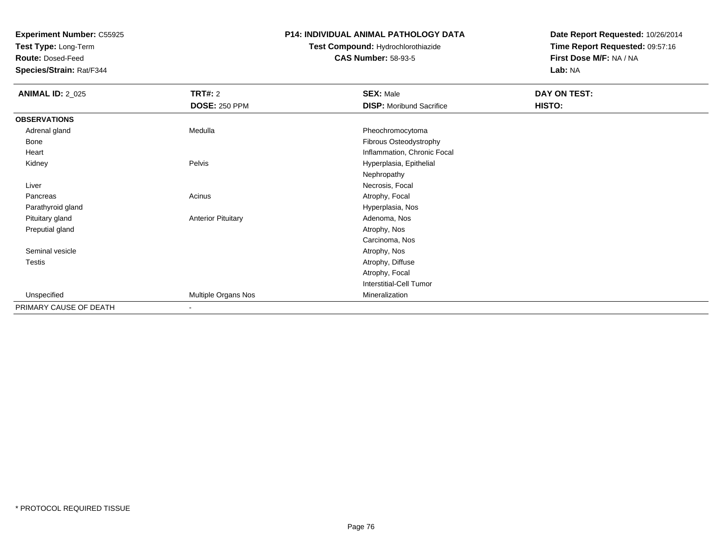**Test Type:** Long-Term

**Route:** Dosed-Feed

**Species/Strain:** Rat/F344

### **P14: INDIVIDUAL ANIMAL PATHOLOGY DATA**

# **Test Compound:** Hydrochlorothiazide**CAS Number:** 58-93-5

| <b>ANIMAL ID: 2_025</b> | <b>TRT#: 2</b>            | <b>SEX: Male</b>                | DAY ON TEST: |  |
|-------------------------|---------------------------|---------------------------------|--------------|--|
|                         | <b>DOSE: 250 PPM</b>      | <b>DISP:</b> Moribund Sacrifice | HISTO:       |  |
| <b>OBSERVATIONS</b>     |                           |                                 |              |  |
| Adrenal gland           | Medulla                   | Pheochromocytoma                |              |  |
| Bone                    |                           | Fibrous Osteodystrophy          |              |  |
| Heart                   |                           | Inflammation, Chronic Focal     |              |  |
| Kidney                  | Pelvis                    | Hyperplasia, Epithelial         |              |  |
|                         |                           | Nephropathy                     |              |  |
| Liver                   |                           | Necrosis, Focal                 |              |  |
| Pancreas                | Acinus                    | Atrophy, Focal                  |              |  |
| Parathyroid gland       |                           | Hyperplasia, Nos                |              |  |
| Pituitary gland         | <b>Anterior Pituitary</b> | Adenoma, Nos                    |              |  |
| Preputial gland         |                           | Atrophy, Nos                    |              |  |
|                         |                           | Carcinoma, Nos                  |              |  |
| Seminal vesicle         |                           | Atrophy, Nos                    |              |  |
| Testis                  |                           | Atrophy, Diffuse                |              |  |
|                         |                           | Atrophy, Focal                  |              |  |
|                         |                           | Interstitial-Cell Tumor         |              |  |
| Unspecified             | Multiple Organs Nos       | Mineralization                  |              |  |
| PRIMARY CAUSE OF DEATH  | $\overline{\phantom{a}}$  |                                 |              |  |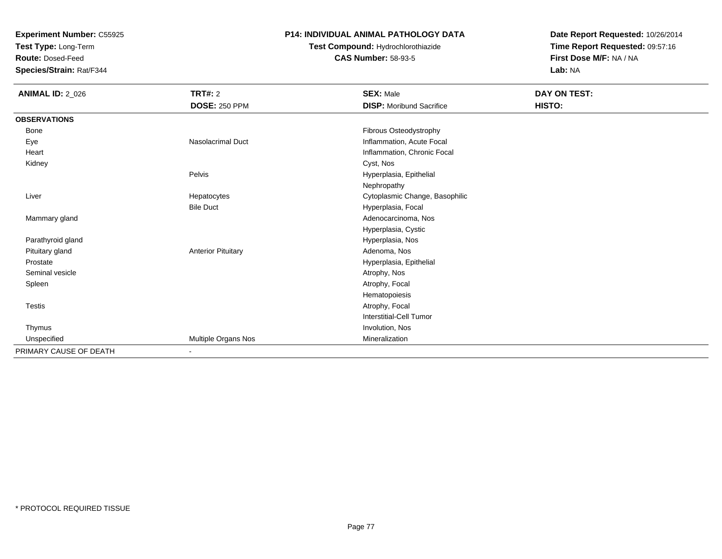**Test Type:** Long-Term

**Route:** Dosed-Feed

**Species/Strain:** Rat/F344

### **P14: INDIVIDUAL ANIMAL PATHOLOGY DATA**

# **Test Compound:** Hydrochlorothiazide**CAS Number:** 58-93-5

| <b>ANIMAL ID: 2_026</b> | <b>TRT#: 2</b><br><b>DOSE: 250 PPM</b> | <b>SEX: Male</b><br><b>DISP:</b> Moribund Sacrifice | DAY ON TEST:<br>HISTO: |
|-------------------------|----------------------------------------|-----------------------------------------------------|------------------------|
|                         |                                        |                                                     |                        |
| <b>OBSERVATIONS</b>     |                                        |                                                     |                        |
| Bone                    |                                        | Fibrous Osteodystrophy                              |                        |
| Eye                     | Nasolacrimal Duct                      | Inflammation, Acute Focal                           |                        |
| Heart                   |                                        | Inflammation, Chronic Focal                         |                        |
| Kidney                  |                                        | Cyst, Nos                                           |                        |
|                         | Pelvis                                 | Hyperplasia, Epithelial                             |                        |
|                         |                                        | Nephropathy                                         |                        |
| Liver                   | Hepatocytes                            | Cytoplasmic Change, Basophilic                      |                        |
|                         | <b>Bile Duct</b>                       | Hyperplasia, Focal                                  |                        |
| Mammary gland           |                                        | Adenocarcinoma, Nos                                 |                        |
|                         |                                        | Hyperplasia, Cystic                                 |                        |
| Parathyroid gland       |                                        | Hyperplasia, Nos                                    |                        |
| Pituitary gland         | <b>Anterior Pituitary</b>              | Adenoma, Nos                                        |                        |
| Prostate                |                                        | Hyperplasia, Epithelial                             |                        |
| Seminal vesicle         |                                        | Atrophy, Nos                                        |                        |
| Spleen                  |                                        | Atrophy, Focal                                      |                        |
|                         |                                        | Hematopoiesis                                       |                        |
| <b>Testis</b>           |                                        | Atrophy, Focal                                      |                        |
|                         |                                        | <b>Interstitial-Cell Tumor</b>                      |                        |
| Thymus                  |                                        | Involution, Nos                                     |                        |
| Unspecified             | Multiple Organs Nos                    | Mineralization                                      |                        |
| PRIMARY CAUSE OF DEATH  | $\blacksquare$                         |                                                     |                        |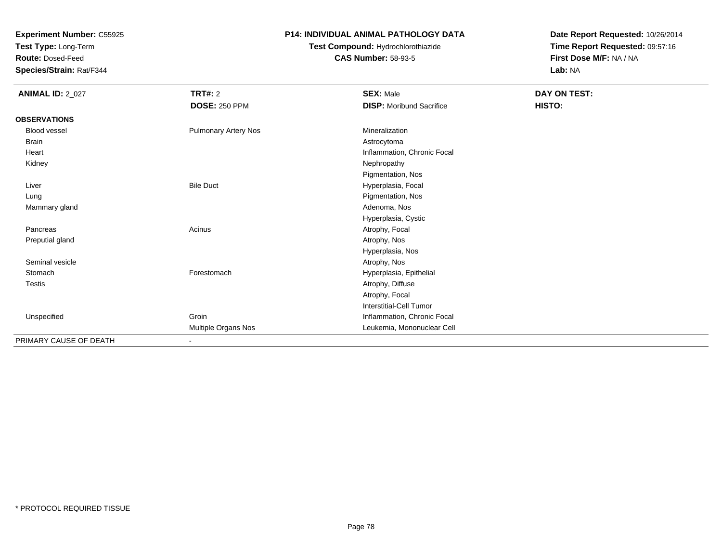**Test Type:** Long-Term

**Route:** Dosed-Feed

**Species/Strain:** Rat/F344

### **P14: INDIVIDUAL ANIMAL PATHOLOGY DATA**

# **Test Compound:** Hydrochlorothiazide**CAS Number:** 58-93-5

| <b>ANIMAL ID: 2_027</b> | TRT#: 2                     | <b>SEX: Male</b>                | DAY ON TEST: |  |
|-------------------------|-----------------------------|---------------------------------|--------------|--|
|                         | <b>DOSE: 250 PPM</b>        | <b>DISP:</b> Moribund Sacrifice | HISTO:       |  |
| <b>OBSERVATIONS</b>     |                             |                                 |              |  |
| <b>Blood vessel</b>     | <b>Pulmonary Artery Nos</b> | Mineralization                  |              |  |
| Brain                   |                             | Astrocytoma                     |              |  |
| Heart                   |                             | Inflammation, Chronic Focal     |              |  |
| Kidney                  |                             | Nephropathy                     |              |  |
|                         |                             | Pigmentation, Nos               |              |  |
| Liver                   | <b>Bile Duct</b>            | Hyperplasia, Focal              |              |  |
| Lung                    |                             | Pigmentation, Nos               |              |  |
| Mammary gland           |                             | Adenoma, Nos                    |              |  |
|                         |                             | Hyperplasia, Cystic             |              |  |
| Pancreas                | Acinus                      | Atrophy, Focal                  |              |  |
| Preputial gland         |                             | Atrophy, Nos                    |              |  |
|                         |                             | Hyperplasia, Nos                |              |  |
| Seminal vesicle         |                             | Atrophy, Nos                    |              |  |
| Stomach                 | Forestomach                 | Hyperplasia, Epithelial         |              |  |
| <b>Testis</b>           |                             | Atrophy, Diffuse                |              |  |
|                         |                             | Atrophy, Focal                  |              |  |
|                         |                             | <b>Interstitial-Cell Tumor</b>  |              |  |
| Unspecified             | Groin                       | Inflammation, Chronic Focal     |              |  |
|                         | Multiple Organs Nos         | Leukemia, Mononuclear Cell      |              |  |
| PRIMARY CAUSE OF DEATH  | $\blacksquare$              |                                 |              |  |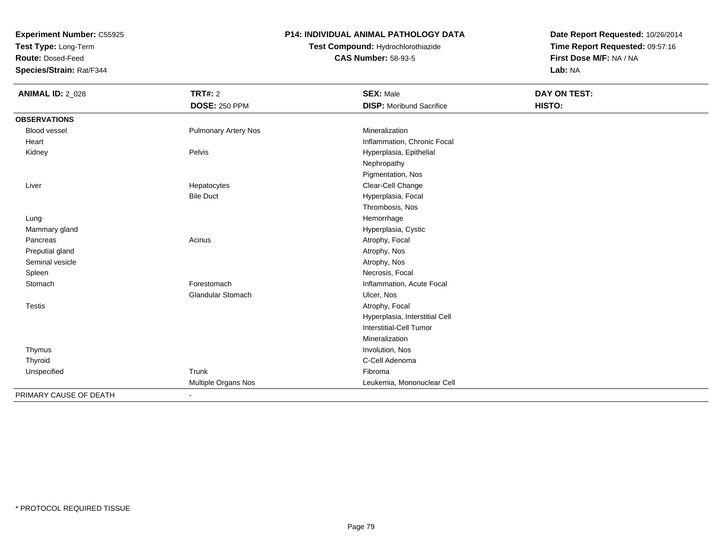**Test Type:** Long-Term

**Route:** Dosed-Feed

**Species/Strain:** Rat/F344

### **P14: INDIVIDUAL ANIMAL PATHOLOGY DATA**

# **Test Compound:** Hydrochlorothiazide**CAS Number:** 58-93-5

| <b>ANIMAL ID: 2_028</b> | <b>TRT#: 2</b>              | <b>SEX: Male</b>                | <b>DAY ON TEST:</b> |  |
|-------------------------|-----------------------------|---------------------------------|---------------------|--|
|                         | <b>DOSE: 250 PPM</b>        | <b>DISP:</b> Moribund Sacrifice | HISTO:              |  |
| <b>OBSERVATIONS</b>     |                             |                                 |                     |  |
| <b>Blood vessel</b>     | <b>Pulmonary Artery Nos</b> | Mineralization                  |                     |  |
| Heart                   |                             | Inflammation, Chronic Focal     |                     |  |
| Kidney                  | Pelvis                      | Hyperplasia, Epithelial         |                     |  |
|                         |                             | Nephropathy                     |                     |  |
|                         |                             | Pigmentation, Nos               |                     |  |
| Liver                   | Hepatocytes                 | Clear-Cell Change               |                     |  |
|                         | <b>Bile Duct</b>            | Hyperplasia, Focal              |                     |  |
|                         |                             | Thrombosis, Nos                 |                     |  |
| Lung                    |                             | Hemorrhage                      |                     |  |
| Mammary gland           |                             | Hyperplasia, Cystic             |                     |  |
| Pancreas                | Acinus                      | Atrophy, Focal                  |                     |  |
| Preputial gland         |                             | Atrophy, Nos                    |                     |  |
| Seminal vesicle         |                             | Atrophy, Nos                    |                     |  |
| Spleen                  |                             | Necrosis, Focal                 |                     |  |
| Stomach                 | Forestomach                 | Inflammation, Acute Focal       |                     |  |
|                         | <b>Glandular Stomach</b>    | Ulcer, Nos                      |                     |  |
| Testis                  |                             | Atrophy, Focal                  |                     |  |
|                         |                             | Hyperplasia, Interstitial Cell  |                     |  |
|                         |                             | Interstitial-Cell Tumor         |                     |  |
|                         |                             | Mineralization                  |                     |  |
| Thymus                  |                             | Involution, Nos                 |                     |  |
| Thyroid                 |                             | C-Cell Adenoma                  |                     |  |
| Unspecified             | Trunk                       | Fibroma                         |                     |  |
|                         | Multiple Organs Nos         | Leukemia, Mononuclear Cell      |                     |  |
| PRIMARY CAUSE OF DEATH  | $\blacksquare$              |                                 |                     |  |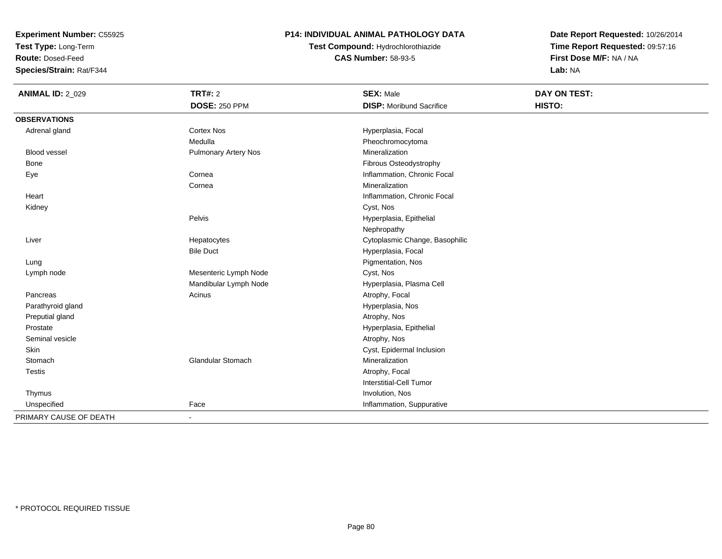**Test Type:** Long-Term

**Route:** Dosed-Feed

**Species/Strain:** Rat/F344

### **P14: INDIVIDUAL ANIMAL PATHOLOGY DATA**

**Test Compound:** Hydrochlorothiazide**CAS Number:** 58-93-5

| <b>ANIMAL ID: 2_029</b> | <b>TRT#: 2</b>              | <b>SEX: Male</b>                | DAY ON TEST: |  |
|-------------------------|-----------------------------|---------------------------------|--------------|--|
|                         | <b>DOSE: 250 PPM</b>        | <b>DISP:</b> Moribund Sacrifice | HISTO:       |  |
| <b>OBSERVATIONS</b>     |                             |                                 |              |  |
| Adrenal gland           | <b>Cortex Nos</b>           | Hyperplasia, Focal              |              |  |
|                         | Medulla                     | Pheochromocytoma                |              |  |
| Blood vessel            | <b>Pulmonary Artery Nos</b> | Mineralization                  |              |  |
| <b>Bone</b>             |                             | Fibrous Osteodystrophy          |              |  |
| Eye                     | Cornea                      | Inflammation, Chronic Focal     |              |  |
|                         | Cornea                      | Mineralization                  |              |  |
| Heart                   |                             | Inflammation, Chronic Focal     |              |  |
| Kidney                  |                             | Cyst, Nos                       |              |  |
|                         | Pelvis                      | Hyperplasia, Epithelial         |              |  |
|                         |                             | Nephropathy                     |              |  |
| Liver                   | Hepatocytes                 | Cytoplasmic Change, Basophilic  |              |  |
|                         | <b>Bile Duct</b>            | Hyperplasia, Focal              |              |  |
| Lung                    |                             | Pigmentation, Nos               |              |  |
| Lymph node              | Mesenteric Lymph Node       | Cyst, Nos                       |              |  |
|                         | Mandibular Lymph Node       | Hyperplasia, Plasma Cell        |              |  |
| Pancreas                | Acinus                      | Atrophy, Focal                  |              |  |
| Parathyroid gland       |                             | Hyperplasia, Nos                |              |  |
| Preputial gland         |                             | Atrophy, Nos                    |              |  |
| Prostate                |                             | Hyperplasia, Epithelial         |              |  |
| Seminal vesicle         |                             | Atrophy, Nos                    |              |  |
| <b>Skin</b>             |                             | Cyst, Epidermal Inclusion       |              |  |
| Stomach                 | <b>Glandular Stomach</b>    | Mineralization                  |              |  |
| <b>Testis</b>           |                             | Atrophy, Focal                  |              |  |
|                         |                             | Interstitial-Cell Tumor         |              |  |
| Thymus                  |                             | Involution, Nos                 |              |  |
| Unspecified             | Face                        | Inflammation, Suppurative       |              |  |
| PRIMARY CAUSE OF DEATH  | $\blacksquare$              |                                 |              |  |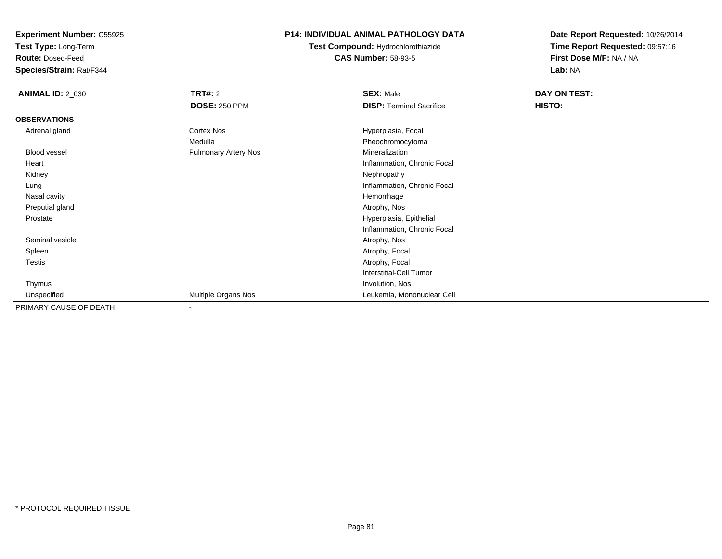**Test Type:** Long-Term

**Route:** Dosed-Feed

**Species/Strain:** Rat/F344

### **P14: INDIVIDUAL ANIMAL PATHOLOGY DATA**

# **Test Compound:** Hydrochlorothiazide**CAS Number:** 58-93-5

| <b>ANIMAL ID: 2_030</b> | <b>TRT#: 2</b>              | <b>SEX: Male</b>                | DAY ON TEST: |  |
|-------------------------|-----------------------------|---------------------------------|--------------|--|
|                         | <b>DOSE: 250 PPM</b>        | <b>DISP: Terminal Sacrifice</b> | HISTO:       |  |
| <b>OBSERVATIONS</b>     |                             |                                 |              |  |
| Adrenal gland           | Cortex Nos                  | Hyperplasia, Focal              |              |  |
|                         | Medulla                     | Pheochromocytoma                |              |  |
| <b>Blood vessel</b>     | <b>Pulmonary Artery Nos</b> | Mineralization                  |              |  |
| Heart                   |                             | Inflammation, Chronic Focal     |              |  |
| Kidney                  |                             | Nephropathy                     |              |  |
| Lung                    |                             | Inflammation, Chronic Focal     |              |  |
| Nasal cavity            |                             | Hemorrhage                      |              |  |
| Preputial gland         |                             | Atrophy, Nos                    |              |  |
| Prostate                |                             | Hyperplasia, Epithelial         |              |  |
|                         |                             | Inflammation, Chronic Focal     |              |  |
| Seminal vesicle         |                             | Atrophy, Nos                    |              |  |
| Spleen                  |                             | Atrophy, Focal                  |              |  |
| Testis                  |                             | Atrophy, Focal                  |              |  |
|                         |                             | <b>Interstitial-Cell Tumor</b>  |              |  |
| Thymus                  |                             | Involution, Nos                 |              |  |
| Unspecified             | Multiple Organs Nos         | Leukemia, Mononuclear Cell      |              |  |
| PRIMARY CAUSE OF DEATH  |                             |                                 |              |  |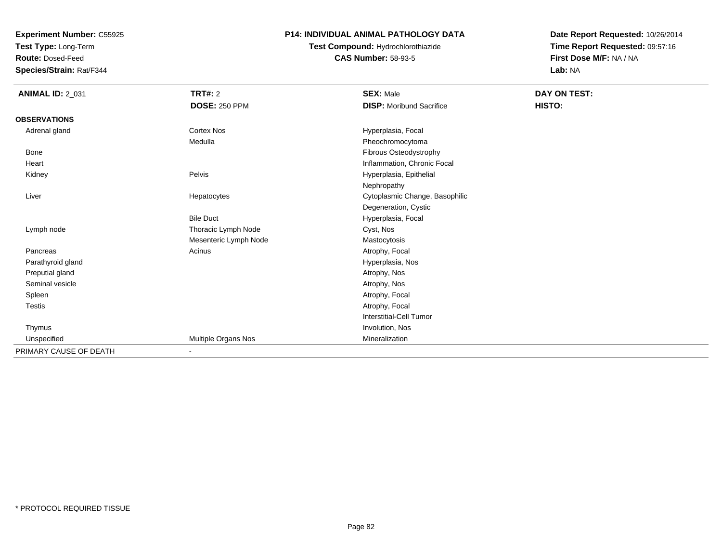**Test Type:** Long-Term

**Route:** Dosed-Feed

**Species/Strain:** Rat/F344

#### **P14: INDIVIDUAL ANIMAL PATHOLOGY DATA**

**Test Compound:** Hydrochlorothiazide**CAS Number:** 58-93-5

| <b>ANIMAL ID: 2_031</b> | <b>TRT#: 2</b>        | <b>SEX: Male</b>                | DAY ON TEST: |
|-------------------------|-----------------------|---------------------------------|--------------|
|                         | <b>DOSE: 250 PPM</b>  | <b>DISP: Moribund Sacrifice</b> | HISTO:       |
| <b>OBSERVATIONS</b>     |                       |                                 |              |
| Adrenal gland           | <b>Cortex Nos</b>     | Hyperplasia, Focal              |              |
|                         | Medulla               | Pheochromocytoma                |              |
| Bone                    |                       | Fibrous Osteodystrophy          |              |
| Heart                   |                       | Inflammation, Chronic Focal     |              |
| Kidney                  | Pelvis                | Hyperplasia, Epithelial         |              |
|                         |                       | Nephropathy                     |              |
| Liver                   | Hepatocytes           | Cytoplasmic Change, Basophilic  |              |
|                         |                       | Degeneration, Cystic            |              |
|                         | <b>Bile Duct</b>      | Hyperplasia, Focal              |              |
| Lymph node              | Thoracic Lymph Node   | Cyst, Nos                       |              |
|                         | Mesenteric Lymph Node | Mastocytosis                    |              |
| Pancreas                | Acinus                | Atrophy, Focal                  |              |
| Parathyroid gland       |                       | Hyperplasia, Nos                |              |
| Preputial gland         |                       | Atrophy, Nos                    |              |
| Seminal vesicle         |                       | Atrophy, Nos                    |              |
| Spleen                  |                       | Atrophy, Focal                  |              |
| Testis                  |                       | Atrophy, Focal                  |              |
|                         |                       | Interstitial-Cell Tumor         |              |
| Thymus                  |                       | Involution, Nos                 |              |
| Unspecified             | Multiple Organs Nos   | Mineralization                  |              |
| PRIMARY CAUSE OF DEATH  | $\sim$                |                                 |              |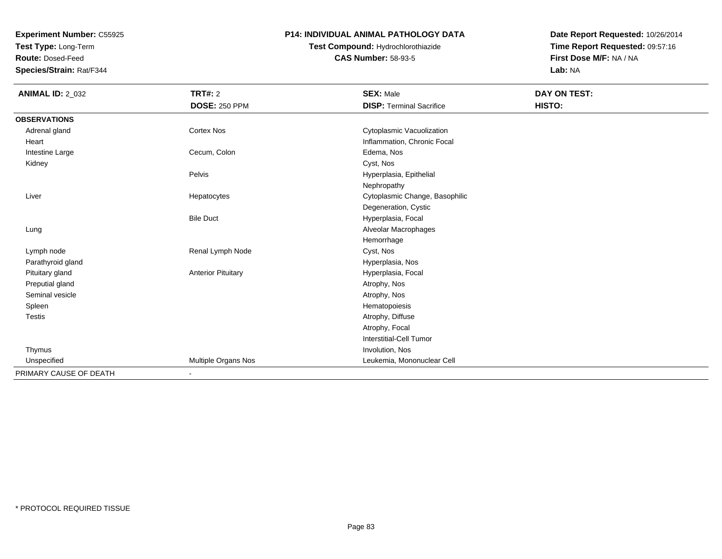**Test Type:** Long-Term

**Route:** Dosed-Feed

**Species/Strain:** Rat/F344

### **P14: INDIVIDUAL ANIMAL PATHOLOGY DATA**

## **Test Compound:** Hydrochlorothiazide**CAS Number:** 58-93-5

| <b>ANIMAL ID: 2_032</b> | <b>TRT#: 2</b>            | <b>SEX: Male</b>                | <b>DAY ON TEST:</b> |
|-------------------------|---------------------------|---------------------------------|---------------------|
|                         | <b>DOSE: 250 PPM</b>      | <b>DISP: Terminal Sacrifice</b> | HISTO:              |
| <b>OBSERVATIONS</b>     |                           |                                 |                     |
| Adrenal gland           | <b>Cortex Nos</b>         | Cytoplasmic Vacuolization       |                     |
| Heart                   |                           | Inflammation, Chronic Focal     |                     |
| Intestine Large         | Cecum, Colon              | Edema, Nos                      |                     |
| Kidney                  |                           | Cyst, Nos                       |                     |
|                         | Pelvis                    | Hyperplasia, Epithelial         |                     |
|                         |                           | Nephropathy                     |                     |
| Liver                   | Hepatocytes               | Cytoplasmic Change, Basophilic  |                     |
|                         |                           | Degeneration, Cystic            |                     |
|                         | <b>Bile Duct</b>          | Hyperplasia, Focal              |                     |
| Lung                    |                           | Alveolar Macrophages            |                     |
|                         |                           | Hemorrhage                      |                     |
| Lymph node              | Renal Lymph Node          | Cyst, Nos                       |                     |
| Parathyroid gland       |                           | Hyperplasia, Nos                |                     |
| Pituitary gland         | <b>Anterior Pituitary</b> | Hyperplasia, Focal              |                     |
| Preputial gland         |                           | Atrophy, Nos                    |                     |
| Seminal vesicle         |                           | Atrophy, Nos                    |                     |
| Spleen                  |                           | Hematopoiesis                   |                     |
| <b>Testis</b>           |                           | Atrophy, Diffuse                |                     |
|                         |                           | Atrophy, Focal                  |                     |
|                         |                           | <b>Interstitial-Cell Tumor</b>  |                     |
| Thymus                  |                           | Involution, Nos                 |                     |
| Unspecified             | Multiple Organs Nos       | Leukemia, Mononuclear Cell      |                     |
| PRIMARY CAUSE OF DEATH  | $\blacksquare$            |                                 |                     |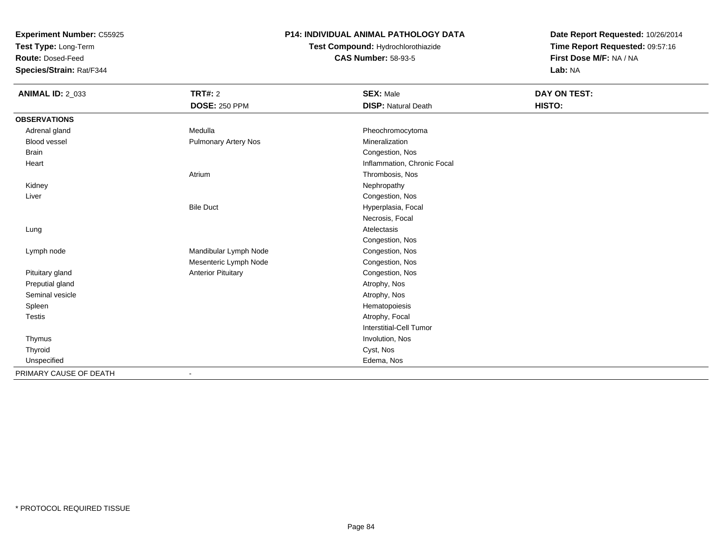**Test Type:** Long-Term

**Route:** Dosed-Feed

**Species/Strain:** Rat/F344

### **P14: INDIVIDUAL ANIMAL PATHOLOGY DATA**

# **Test Compound:** Hydrochlorothiazide**CAS Number:** 58-93-5

| <b>ANIMAL ID: 2_033</b> | <b>TRT#: 2</b>              | <b>SEX: Male</b>            | <b>DAY ON TEST:</b> |  |
|-------------------------|-----------------------------|-----------------------------|---------------------|--|
|                         | <b>DOSE: 250 PPM</b>        | <b>DISP: Natural Death</b>  | HISTO:              |  |
| <b>OBSERVATIONS</b>     |                             |                             |                     |  |
| Adrenal gland           | Medulla                     | Pheochromocytoma            |                     |  |
| <b>Blood vessel</b>     | <b>Pulmonary Artery Nos</b> | Mineralization              |                     |  |
| <b>Brain</b>            |                             | Congestion, Nos             |                     |  |
| Heart                   |                             | Inflammation, Chronic Focal |                     |  |
|                         | Atrium                      | Thrombosis, Nos             |                     |  |
| Kidney                  |                             | Nephropathy                 |                     |  |
| Liver                   |                             | Congestion, Nos             |                     |  |
|                         | <b>Bile Duct</b>            | Hyperplasia, Focal          |                     |  |
|                         |                             | Necrosis, Focal             |                     |  |
| Lung                    |                             | Atelectasis                 |                     |  |
|                         |                             | Congestion, Nos             |                     |  |
| Lymph node              | Mandibular Lymph Node       | Congestion, Nos             |                     |  |
|                         | Mesenteric Lymph Node       | Congestion, Nos             |                     |  |
| Pituitary gland         | <b>Anterior Pituitary</b>   | Congestion, Nos             |                     |  |
| Preputial gland         |                             | Atrophy, Nos                |                     |  |
| Seminal vesicle         |                             | Atrophy, Nos                |                     |  |
| Spleen                  |                             | Hematopoiesis               |                     |  |
| Testis                  |                             | Atrophy, Focal              |                     |  |
|                         |                             | Interstitial-Cell Tumor     |                     |  |
| Thymus                  |                             | Involution, Nos             |                     |  |
| Thyroid                 |                             | Cyst, Nos                   |                     |  |
| Unspecified             |                             | Edema, Nos                  |                     |  |
| PRIMARY CAUSE OF DEATH  | $\overline{\phantom{a}}$    |                             |                     |  |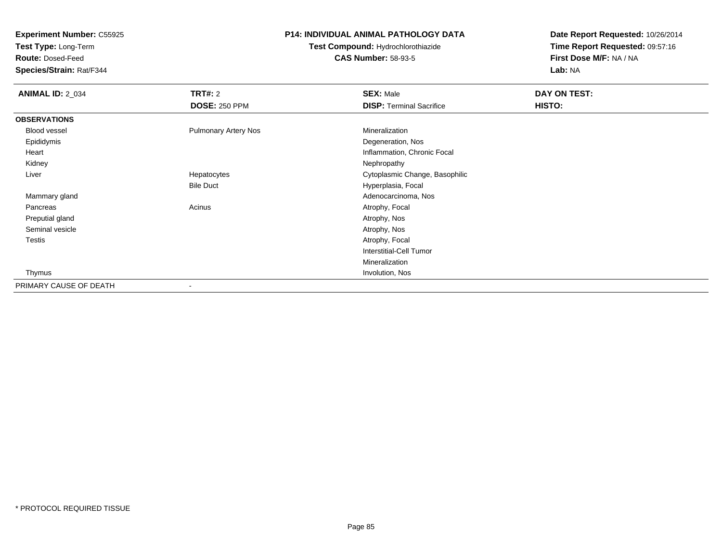**Test Type:** Long-Term

**Route:** Dosed-Feed

**Species/Strain:** Rat/F344

### **P14: INDIVIDUAL ANIMAL PATHOLOGY DATA**

# **Test Compound:** Hydrochlorothiazide**CAS Number:** 58-93-5

| <b>ANIMAL ID: 2_034</b> | <b>TRT#: 2</b>              | <b>SEX: Male</b>                | DAY ON TEST: |  |
|-------------------------|-----------------------------|---------------------------------|--------------|--|
|                         | <b>DOSE: 250 PPM</b>        | <b>DISP: Terminal Sacrifice</b> | HISTO:       |  |
| <b>OBSERVATIONS</b>     |                             |                                 |              |  |
| Blood vessel            | <b>Pulmonary Artery Nos</b> | Mineralization                  |              |  |
| Epididymis              |                             | Degeneration, Nos               |              |  |
| Heart                   |                             | Inflammation, Chronic Focal     |              |  |
| Kidney                  |                             | Nephropathy                     |              |  |
| Liver                   | Hepatocytes                 | Cytoplasmic Change, Basophilic  |              |  |
|                         | <b>Bile Duct</b>            | Hyperplasia, Focal              |              |  |
| Mammary gland           |                             | Adenocarcinoma, Nos             |              |  |
| Pancreas                | Acinus                      | Atrophy, Focal                  |              |  |
| Preputial gland         |                             | Atrophy, Nos                    |              |  |
| Seminal vesicle         |                             | Atrophy, Nos                    |              |  |
| Testis                  |                             | Atrophy, Focal                  |              |  |
|                         |                             | <b>Interstitial-Cell Tumor</b>  |              |  |
|                         |                             | Mineralization                  |              |  |
| Thymus                  |                             | Involution, Nos                 |              |  |
| PRIMARY CAUSE OF DEATH  | $\overline{\phantom{a}}$    |                                 |              |  |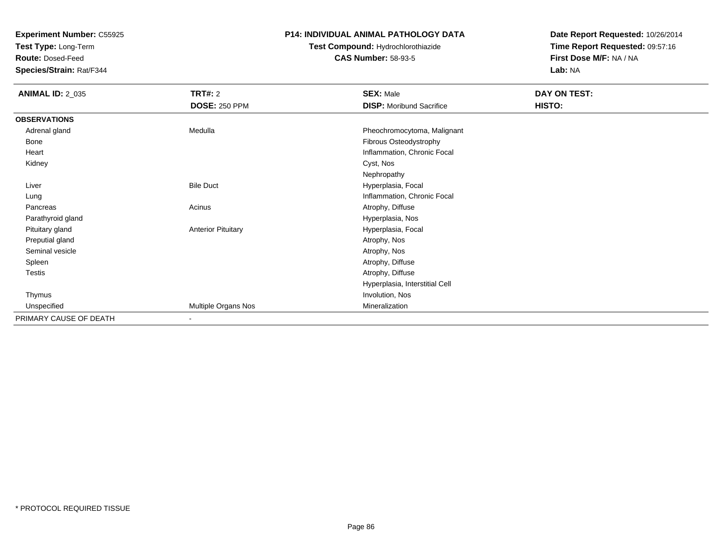**Test Type:** Long-Term

**Route:** Dosed-Feed

**Species/Strain:** Rat/F344

### **P14: INDIVIDUAL ANIMAL PATHOLOGY DATA**

# **Test Compound:** Hydrochlorothiazide**CAS Number:** 58-93-5

| <b>ANIMAL ID: 2_035</b> | <b>TRT#: 2</b>            | <b>SEX: Male</b>                | DAY ON TEST: |  |
|-------------------------|---------------------------|---------------------------------|--------------|--|
|                         | <b>DOSE: 250 PPM</b>      | <b>DISP:</b> Moribund Sacrifice | HISTO:       |  |
| <b>OBSERVATIONS</b>     |                           |                                 |              |  |
| Adrenal gland           | Medulla                   | Pheochromocytoma, Malignant     |              |  |
| Bone                    |                           | Fibrous Osteodystrophy          |              |  |
| Heart                   |                           | Inflammation, Chronic Focal     |              |  |
| Kidney                  |                           | Cyst, Nos                       |              |  |
|                         |                           | Nephropathy                     |              |  |
| Liver                   | <b>Bile Duct</b>          | Hyperplasia, Focal              |              |  |
| Lung                    |                           | Inflammation, Chronic Focal     |              |  |
| Pancreas                | Acinus                    | Atrophy, Diffuse                |              |  |
| Parathyroid gland       |                           | Hyperplasia, Nos                |              |  |
| Pituitary gland         | <b>Anterior Pituitary</b> | Hyperplasia, Focal              |              |  |
| Preputial gland         |                           | Atrophy, Nos                    |              |  |
| Seminal vesicle         |                           | Atrophy, Nos                    |              |  |
| Spleen                  |                           | Atrophy, Diffuse                |              |  |
| <b>Testis</b>           |                           | Atrophy, Diffuse                |              |  |
|                         |                           | Hyperplasia, Interstitial Cell  |              |  |
| Thymus                  |                           | Involution, Nos                 |              |  |
| Unspecified             | Multiple Organs Nos       | Mineralization                  |              |  |
| PRIMARY CAUSE OF DEATH  | ٠                         |                                 |              |  |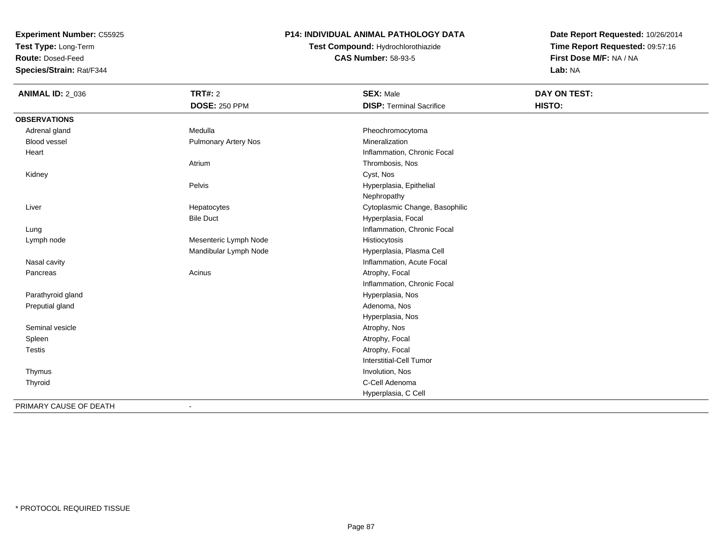**Test Type:** Long-Term

**Route:** Dosed-Feed

**Species/Strain:** Rat/F344

### **P14: INDIVIDUAL ANIMAL PATHOLOGY DATA**

**Test Compound:** Hydrochlorothiazide**CAS Number:** 58-93-5

| <b>ANIMAL ID: 2_036</b> | <b>TRT#: 2</b>              | <b>SEX: Male</b>                | DAY ON TEST: |  |
|-------------------------|-----------------------------|---------------------------------|--------------|--|
|                         | <b>DOSE: 250 PPM</b>        | <b>DISP: Terminal Sacrifice</b> | HISTO:       |  |
| <b>OBSERVATIONS</b>     |                             |                                 |              |  |
| Adrenal gland           | Medulla                     | Pheochromocytoma                |              |  |
| <b>Blood vessel</b>     | <b>Pulmonary Artery Nos</b> | Mineralization                  |              |  |
| Heart                   |                             | Inflammation, Chronic Focal     |              |  |
|                         | Atrium                      | Thrombosis, Nos                 |              |  |
| Kidney                  |                             | Cyst, Nos                       |              |  |
|                         | Pelvis                      | Hyperplasia, Epithelial         |              |  |
|                         |                             | Nephropathy                     |              |  |
| Liver                   | Hepatocytes                 | Cytoplasmic Change, Basophilic  |              |  |
|                         | <b>Bile Duct</b>            | Hyperplasia, Focal              |              |  |
| Lung                    |                             | Inflammation, Chronic Focal     |              |  |
| Lymph node              | Mesenteric Lymph Node       | Histiocytosis                   |              |  |
|                         | Mandibular Lymph Node       | Hyperplasia, Plasma Cell        |              |  |
| Nasal cavity            |                             | Inflammation, Acute Focal       |              |  |
| Pancreas                | Acinus                      | Atrophy, Focal                  |              |  |
|                         |                             | Inflammation, Chronic Focal     |              |  |
| Parathyroid gland       |                             | Hyperplasia, Nos                |              |  |
| Preputial gland         |                             | Adenoma, Nos                    |              |  |
|                         |                             | Hyperplasia, Nos                |              |  |
| Seminal vesicle         |                             | Atrophy, Nos                    |              |  |
| Spleen                  |                             | Atrophy, Focal                  |              |  |
| Testis                  |                             | Atrophy, Focal                  |              |  |
|                         |                             | Interstitial-Cell Tumor         |              |  |
| Thymus                  |                             | Involution, Nos                 |              |  |
| Thyroid                 |                             | C-Cell Adenoma                  |              |  |
|                         |                             | Hyperplasia, C Cell             |              |  |
| PRIMARY CAUSE OF DEATH  | $\blacksquare$              |                                 |              |  |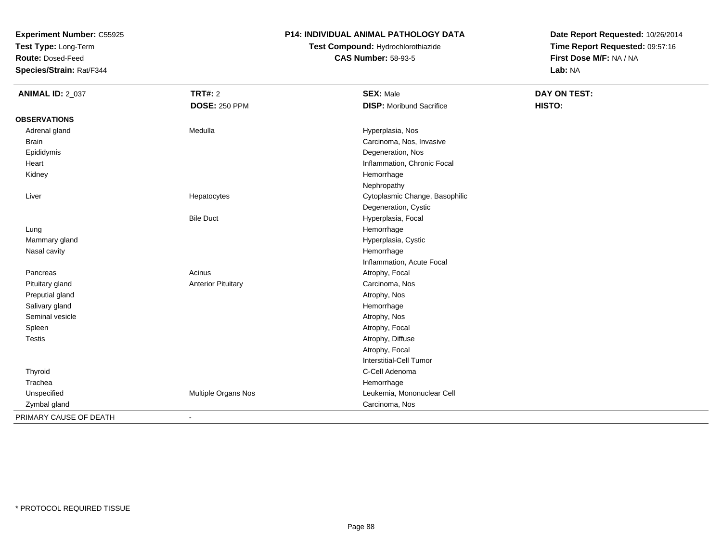**Test Type:** Long-Term

**Route:** Dosed-Feed

**Species/Strain:** Rat/F344

### **P14: INDIVIDUAL ANIMAL PATHOLOGY DATA**

# **Test Compound:** Hydrochlorothiazide**CAS Number:** 58-93-5

| <b>ANIMAL ID: 2_037</b> | <b>TRT#: 2</b>            | <b>SEX: Male</b>                | <b>DAY ON TEST:</b> |
|-------------------------|---------------------------|---------------------------------|---------------------|
|                         | <b>DOSE: 250 PPM</b>      | <b>DISP: Moribund Sacrifice</b> | HISTO:              |
| <b>OBSERVATIONS</b>     |                           |                                 |                     |
| Adrenal gland           | Medulla                   | Hyperplasia, Nos                |                     |
| <b>Brain</b>            |                           | Carcinoma, Nos, Invasive        |                     |
| Epididymis              |                           | Degeneration, Nos               |                     |
| Heart                   |                           | Inflammation, Chronic Focal     |                     |
| Kidney                  |                           | Hemorrhage                      |                     |
|                         |                           | Nephropathy                     |                     |
| Liver                   | Hepatocytes               | Cytoplasmic Change, Basophilic  |                     |
|                         |                           | Degeneration, Cystic            |                     |
|                         | <b>Bile Duct</b>          | Hyperplasia, Focal              |                     |
| Lung                    |                           | Hemorrhage                      |                     |
| Mammary gland           |                           | Hyperplasia, Cystic             |                     |
| Nasal cavity            |                           | Hemorrhage                      |                     |
|                         |                           | Inflammation, Acute Focal       |                     |
| Pancreas                | Acinus                    | Atrophy, Focal                  |                     |
| Pituitary gland         | <b>Anterior Pituitary</b> | Carcinoma, Nos                  |                     |
| Preputial gland         |                           | Atrophy, Nos                    |                     |
| Salivary gland          |                           | Hemorrhage                      |                     |
| Seminal vesicle         |                           | Atrophy, Nos                    |                     |
| Spleen                  |                           | Atrophy, Focal                  |                     |
| Testis                  |                           | Atrophy, Diffuse                |                     |
|                         |                           | Atrophy, Focal                  |                     |
|                         |                           | <b>Interstitial-Cell Tumor</b>  |                     |
| Thyroid                 |                           | C-Cell Adenoma                  |                     |
| Trachea                 |                           | Hemorrhage                      |                     |
| Unspecified             | Multiple Organs Nos       | Leukemia, Mononuclear Cell      |                     |
| Zymbal gland            |                           | Carcinoma, Nos                  |                     |
| PRIMARY CAUSE OF DEATH  | $\blacksquare$            |                                 |                     |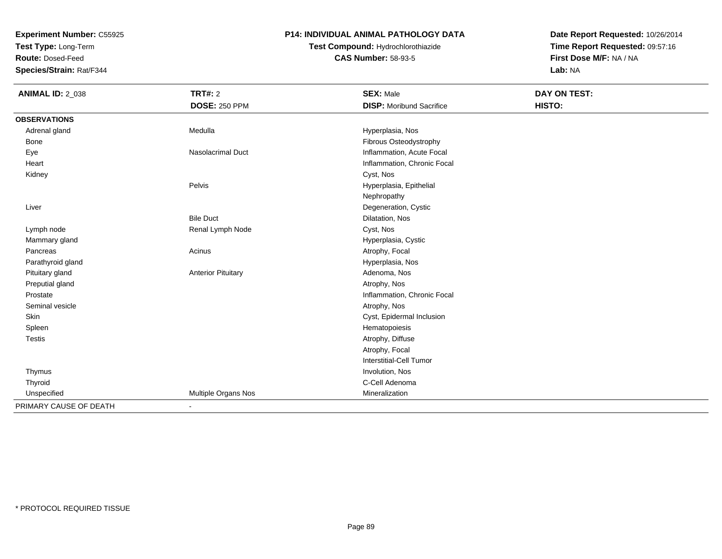**Test Type:** Long-Term

**Route:** Dosed-Feed

**Species/Strain:** Rat/F344

### **P14: INDIVIDUAL ANIMAL PATHOLOGY DATA**

# **Test Compound:** Hydrochlorothiazide**CAS Number:** 58-93-5

| <b>ANIMAL ID: 2_038</b> | <b>TRT#: 2</b>            | <b>SEX: Male</b>                | DAY ON TEST: |
|-------------------------|---------------------------|---------------------------------|--------------|
|                         | <b>DOSE: 250 PPM</b>      | <b>DISP:</b> Moribund Sacrifice | HISTO:       |
| <b>OBSERVATIONS</b>     |                           |                                 |              |
| Adrenal gland           | Medulla                   | Hyperplasia, Nos                |              |
| <b>Bone</b>             |                           | Fibrous Osteodystrophy          |              |
| Eye                     | Nasolacrimal Duct         | Inflammation, Acute Focal       |              |
| Heart                   |                           | Inflammation, Chronic Focal     |              |
| Kidney                  |                           | Cyst, Nos                       |              |
|                         | Pelvis                    | Hyperplasia, Epithelial         |              |
|                         |                           | Nephropathy                     |              |
| Liver                   |                           | Degeneration, Cystic            |              |
|                         | <b>Bile Duct</b>          | Dilatation, Nos                 |              |
| Lymph node              | Renal Lymph Node          | Cyst, Nos                       |              |
| Mammary gland           |                           | Hyperplasia, Cystic             |              |
| Pancreas                | Acinus                    | Atrophy, Focal                  |              |
| Parathyroid gland       |                           | Hyperplasia, Nos                |              |
| Pituitary gland         | <b>Anterior Pituitary</b> | Adenoma, Nos                    |              |
| Preputial gland         |                           | Atrophy, Nos                    |              |
| Prostate                |                           | Inflammation, Chronic Focal     |              |
| Seminal vesicle         |                           | Atrophy, Nos                    |              |
| Skin                    |                           | Cyst, Epidermal Inclusion       |              |
| Spleen                  |                           | Hematopoiesis                   |              |
| <b>Testis</b>           |                           | Atrophy, Diffuse                |              |
|                         |                           | Atrophy, Focal                  |              |
|                         |                           | Interstitial-Cell Tumor         |              |
| Thymus                  |                           | Involution, Nos                 |              |
| Thyroid                 |                           | C-Cell Adenoma                  |              |
| Unspecified             | Multiple Organs Nos       | Mineralization                  |              |
| PRIMARY CAUSE OF DEATH  | $\overline{\phantom{a}}$  |                                 |              |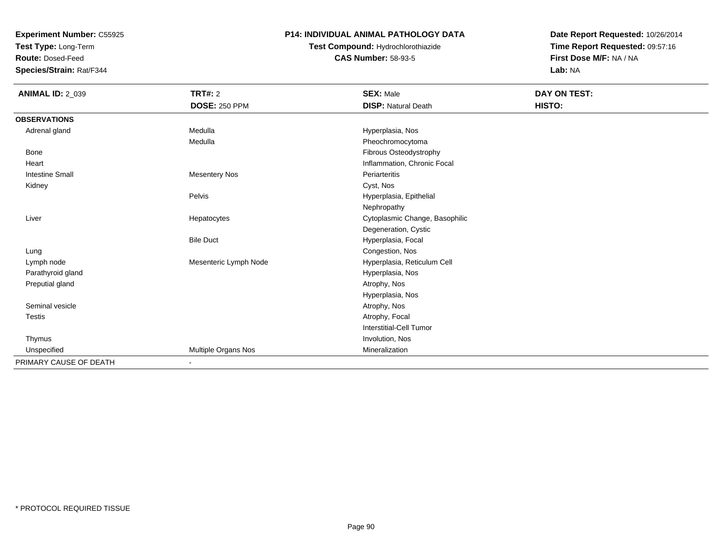**Test Type:** Long-Term

**Route:** Dosed-Feed

**Species/Strain:** Rat/F344

### **P14: INDIVIDUAL ANIMAL PATHOLOGY DATA**

# **Test Compound:** Hydrochlorothiazide**CAS Number:** 58-93-5

| <b>ANIMAL ID: 2_039</b> | <b>TRT#: 2</b>        | <b>SEX: Male</b>               | DAY ON TEST: |  |
|-------------------------|-----------------------|--------------------------------|--------------|--|
|                         | <b>DOSE: 250 PPM</b>  | <b>DISP: Natural Death</b>     | HISTO:       |  |
| <b>OBSERVATIONS</b>     |                       |                                |              |  |
| Adrenal gland           | Medulla               | Hyperplasia, Nos               |              |  |
|                         | Medulla               | Pheochromocytoma               |              |  |
| Bone                    |                       | Fibrous Osteodystrophy         |              |  |
| Heart                   |                       | Inflammation, Chronic Focal    |              |  |
| <b>Intestine Small</b>  | <b>Mesentery Nos</b>  | Periarteritis                  |              |  |
| Kidney                  |                       | Cyst, Nos                      |              |  |
|                         | Pelvis                | Hyperplasia, Epithelial        |              |  |
|                         |                       | Nephropathy                    |              |  |
| Liver                   | Hepatocytes           | Cytoplasmic Change, Basophilic |              |  |
|                         |                       | Degeneration, Cystic           |              |  |
|                         | <b>Bile Duct</b>      | Hyperplasia, Focal             |              |  |
| Lung                    |                       | Congestion, Nos                |              |  |
| Lymph node              | Mesenteric Lymph Node | Hyperplasia, Reticulum Cell    |              |  |
| Parathyroid gland       |                       | Hyperplasia, Nos               |              |  |
| Preputial gland         |                       | Atrophy, Nos                   |              |  |
|                         |                       | Hyperplasia, Nos               |              |  |
| Seminal vesicle         |                       | Atrophy, Nos                   |              |  |
| <b>Testis</b>           |                       | Atrophy, Focal                 |              |  |
|                         |                       | <b>Interstitial-Cell Tumor</b> |              |  |
| Thymus                  |                       | Involution, Nos                |              |  |
| Unspecified             | Multiple Organs Nos   | Mineralization                 |              |  |
| PRIMARY CAUSE OF DEATH  | $\blacksquare$        |                                |              |  |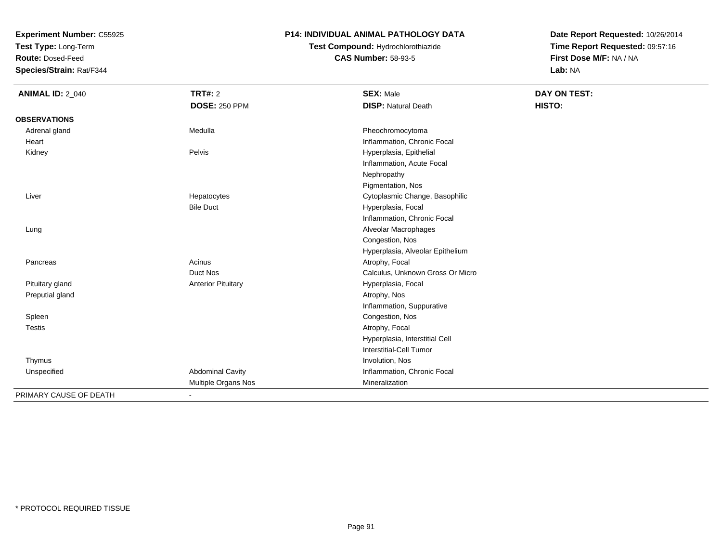**Test Type:** Long-Term

**Route:** Dosed-Feed

**Species/Strain:** Rat/F344

### **P14: INDIVIDUAL ANIMAL PATHOLOGY DATA**

# **Test Compound:** Hydrochlorothiazide**CAS Number:** 58-93-5

| <b>ANIMAL ID: 2_040</b> | <b>TRT#: 2</b><br><b>DOSE: 250 PPM</b> | <b>SEX: Male</b><br><b>DISP: Natural Death</b> | <b>DAY ON TEST:</b><br>HISTO: |
|-------------------------|----------------------------------------|------------------------------------------------|-------------------------------|
| <b>OBSERVATIONS</b>     |                                        |                                                |                               |
| Adrenal gland           | Medulla                                | Pheochromocytoma                               |                               |
| Heart                   |                                        | Inflammation, Chronic Focal                    |                               |
| Kidney                  | Pelvis                                 | Hyperplasia, Epithelial                        |                               |
|                         |                                        | Inflammation, Acute Focal                      |                               |
|                         |                                        | Nephropathy                                    |                               |
|                         |                                        | Pigmentation, Nos                              |                               |
| Liver                   | Hepatocytes                            | Cytoplasmic Change, Basophilic                 |                               |
|                         | <b>Bile Duct</b>                       | Hyperplasia, Focal                             |                               |
|                         |                                        | Inflammation, Chronic Focal                    |                               |
| Lung                    |                                        | Alveolar Macrophages                           |                               |
|                         |                                        | Congestion, Nos                                |                               |
|                         |                                        | Hyperplasia, Alveolar Epithelium               |                               |
| Pancreas                | Acinus                                 | Atrophy, Focal                                 |                               |
|                         | Duct Nos                               | Calculus, Unknown Gross Or Micro               |                               |
| Pituitary gland         | <b>Anterior Pituitary</b>              | Hyperplasia, Focal                             |                               |
| Preputial gland         |                                        | Atrophy, Nos                                   |                               |
|                         |                                        | Inflammation, Suppurative                      |                               |
| Spleen                  |                                        | Congestion, Nos                                |                               |
| Testis                  |                                        | Atrophy, Focal                                 |                               |
|                         |                                        | Hyperplasia, Interstitial Cell                 |                               |
|                         |                                        | Interstitial-Cell Tumor                        |                               |
| Thymus                  |                                        | Involution, Nos                                |                               |
| Unspecified             | <b>Abdominal Cavity</b>                | Inflammation, Chronic Focal                    |                               |
|                         | Multiple Organs Nos                    | Mineralization                                 |                               |
| PRIMARY CAUSE OF DEATH  | $\blacksquare$                         |                                                |                               |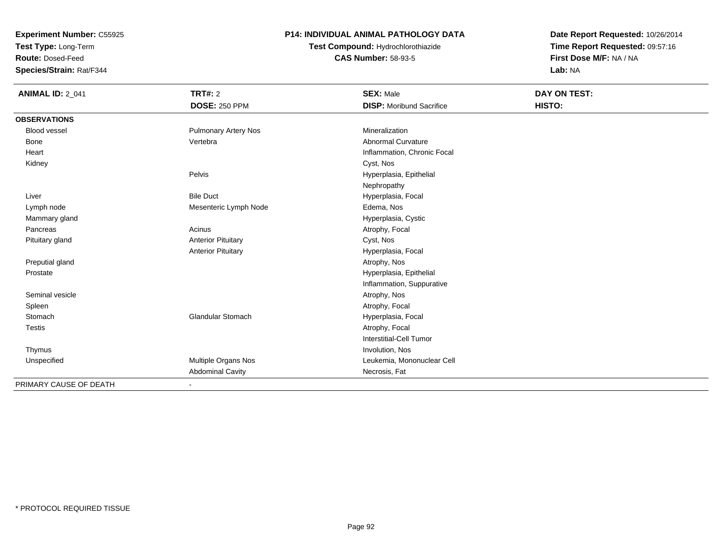**Test Type:** Long-Term

**Route:** Dosed-Feed

**Species/Strain:** Rat/F344

### **P14: INDIVIDUAL ANIMAL PATHOLOGY DATA**

**Test Compound:** Hydrochlorothiazide**CAS Number:** 58-93-5

| <b>ANIMAL ID: 2_041</b> | TRT#: 2                     | <b>SEX: Male</b>                | DAY ON TEST: |
|-------------------------|-----------------------------|---------------------------------|--------------|
|                         | <b>DOSE: 250 PPM</b>        | <b>DISP:</b> Moribund Sacrifice | HISTO:       |
| <b>OBSERVATIONS</b>     |                             |                                 |              |
| Blood vessel            | <b>Pulmonary Artery Nos</b> | Mineralization                  |              |
| <b>Bone</b>             | Vertebra                    | <b>Abnormal Curvature</b>       |              |
| Heart                   |                             | Inflammation, Chronic Focal     |              |
| Kidney                  |                             | Cyst, Nos                       |              |
|                         | Pelvis                      | Hyperplasia, Epithelial         |              |
|                         |                             | Nephropathy                     |              |
| Liver                   | <b>Bile Duct</b>            | Hyperplasia, Focal              |              |
| Lymph node              | Mesenteric Lymph Node       | Edema, Nos                      |              |
| Mammary gland           |                             | Hyperplasia, Cystic             |              |
| Pancreas                | Acinus                      | Atrophy, Focal                  |              |
| Pituitary gland         | <b>Anterior Pituitary</b>   | Cyst, Nos                       |              |
|                         | <b>Anterior Pituitary</b>   | Hyperplasia, Focal              |              |
| Preputial gland         |                             | Atrophy, Nos                    |              |
| Prostate                |                             | Hyperplasia, Epithelial         |              |
|                         |                             | Inflammation, Suppurative       |              |
| Seminal vesicle         |                             | Atrophy, Nos                    |              |
| Spleen                  |                             | Atrophy, Focal                  |              |
| Stomach                 | <b>Glandular Stomach</b>    | Hyperplasia, Focal              |              |
| <b>Testis</b>           |                             | Atrophy, Focal                  |              |
|                         |                             | Interstitial-Cell Tumor         |              |
| Thymus                  |                             | Involution, Nos                 |              |
| Unspecified             | Multiple Organs Nos         | Leukemia, Mononuclear Cell      |              |
|                         | <b>Abdominal Cavity</b>     | Necrosis, Fat                   |              |
| PRIMARY CAUSE OF DEATH  |                             |                                 |              |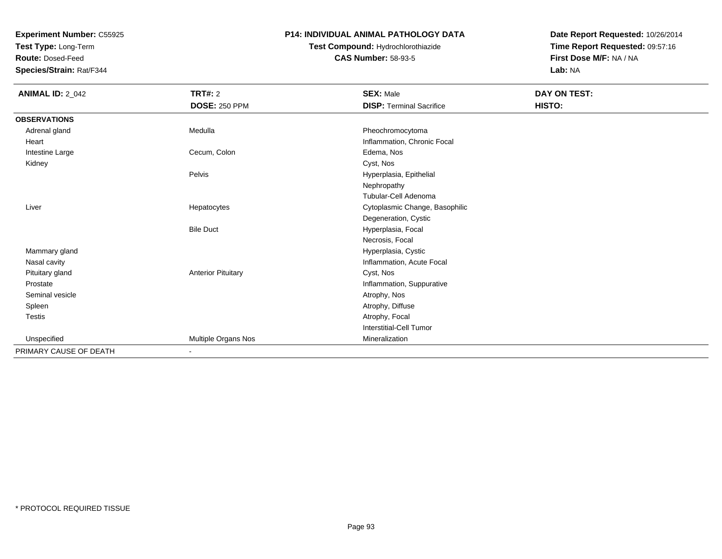**Test Type:** Long-Term

**Route:** Dosed-Feed

**Species/Strain:** Rat/F344

### **P14: INDIVIDUAL ANIMAL PATHOLOGY DATA**

## **Test Compound:** Hydrochlorothiazide**CAS Number:** 58-93-5

| <b>ANIMAL ID: 2_042</b> | <b>TRT#: 2</b>            | <b>SEX: Male</b>                | DAY ON TEST: |  |
|-------------------------|---------------------------|---------------------------------|--------------|--|
|                         | <b>DOSE: 250 PPM</b>      | <b>DISP: Terminal Sacrifice</b> | HISTO:       |  |
| <b>OBSERVATIONS</b>     |                           |                                 |              |  |
| Adrenal gland           | Medulla                   | Pheochromocytoma                |              |  |
| Heart                   |                           | Inflammation, Chronic Focal     |              |  |
| Intestine Large         | Cecum, Colon              | Edema, Nos                      |              |  |
| Kidney                  |                           | Cyst, Nos                       |              |  |
|                         | Pelvis                    | Hyperplasia, Epithelial         |              |  |
|                         |                           | Nephropathy                     |              |  |
|                         |                           | <b>Tubular-Cell Adenoma</b>     |              |  |
| Liver                   | Hepatocytes               | Cytoplasmic Change, Basophilic  |              |  |
|                         |                           | Degeneration, Cystic            |              |  |
|                         | <b>Bile Duct</b>          | Hyperplasia, Focal              |              |  |
|                         |                           | Necrosis, Focal                 |              |  |
| Mammary gland           |                           | Hyperplasia, Cystic             |              |  |
| Nasal cavity            |                           | Inflammation, Acute Focal       |              |  |
| Pituitary gland         | <b>Anterior Pituitary</b> | Cyst, Nos                       |              |  |
| Prostate                |                           | Inflammation, Suppurative       |              |  |
| Seminal vesicle         |                           | Atrophy, Nos                    |              |  |
| Spleen                  |                           | Atrophy, Diffuse                |              |  |
| Testis                  |                           | Atrophy, Focal                  |              |  |
|                         |                           | <b>Interstitial-Cell Tumor</b>  |              |  |
| Unspecified             | Multiple Organs Nos       | Mineralization                  |              |  |
| PRIMARY CAUSE OF DEATH  | $\blacksquare$            |                                 |              |  |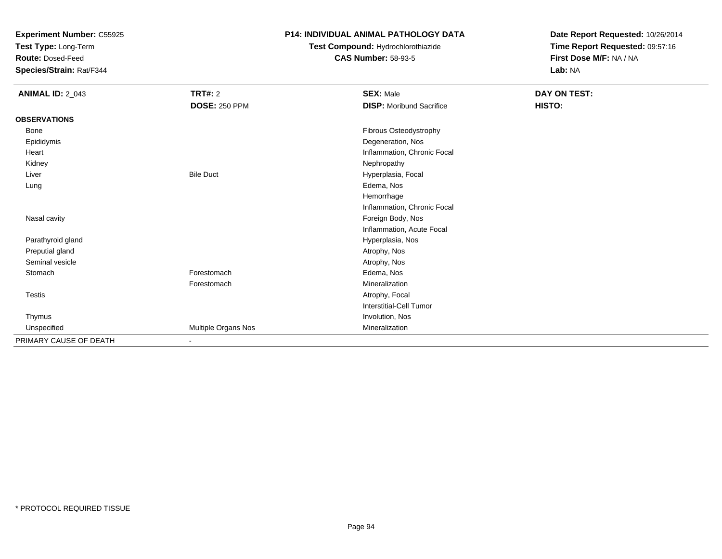**Test Type:** Long-Term

**Route:** Dosed-Feed

**Species/Strain:** Rat/F344

### **P14: INDIVIDUAL ANIMAL PATHOLOGY DATA**

**Test Compound:** Hydrochlorothiazide**CAS Number:** 58-93-5

| <b>ANIMAL ID: 2_043</b> | <b>TRT#: 2</b>       | <b>SEX: Male</b>                | DAY ON TEST: |
|-------------------------|----------------------|---------------------------------|--------------|
|                         | <b>DOSE: 250 PPM</b> | <b>DISP:</b> Moribund Sacrifice | HISTO:       |
| <b>OBSERVATIONS</b>     |                      |                                 |              |
| Bone                    |                      | Fibrous Osteodystrophy          |              |
| Epididymis              |                      | Degeneration, Nos               |              |
| Heart                   |                      | Inflammation, Chronic Focal     |              |
| Kidney                  |                      | Nephropathy                     |              |
| Liver                   | <b>Bile Duct</b>     | Hyperplasia, Focal              |              |
| Lung                    |                      | Edema, Nos                      |              |
|                         |                      | Hemorrhage                      |              |
|                         |                      | Inflammation, Chronic Focal     |              |
| Nasal cavity            |                      | Foreign Body, Nos               |              |
|                         |                      | Inflammation, Acute Focal       |              |
| Parathyroid gland       |                      | Hyperplasia, Nos                |              |
| Preputial gland         |                      | Atrophy, Nos                    |              |
| Seminal vesicle         |                      | Atrophy, Nos                    |              |
| Stomach                 | Forestomach          | Edema, Nos                      |              |
|                         | Forestomach          | Mineralization                  |              |
| Testis                  |                      | Atrophy, Focal                  |              |
|                         |                      | <b>Interstitial-Cell Tumor</b>  |              |
| Thymus                  |                      | Involution, Nos                 |              |
| Unspecified             | Multiple Organs Nos  | Mineralization                  |              |
| PRIMARY CAUSE OF DEATH  | $\blacksquare$       |                                 |              |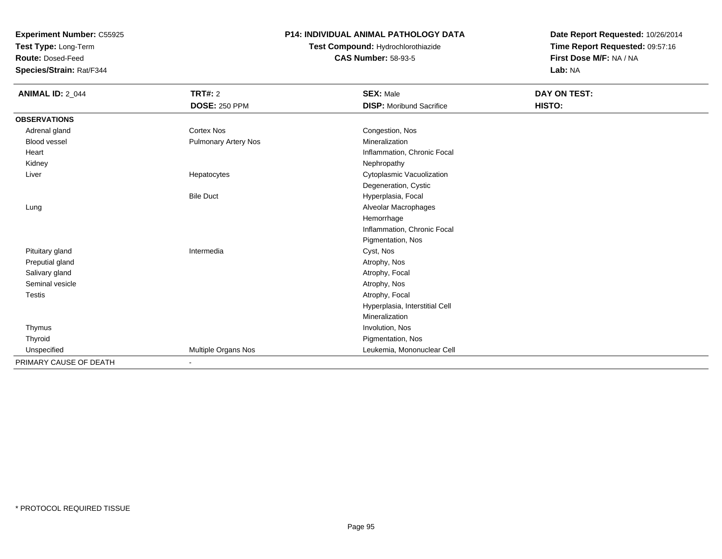**Test Type:** Long-Term

**Route:** Dosed-Feed

**Species/Strain:** Rat/F344

### **P14: INDIVIDUAL ANIMAL PATHOLOGY DATA**

# **Test Compound:** Hydrochlorothiazide**CAS Number:** 58-93-5

| <b>ANIMAL ID: 2_044</b> | TRT#: 2              | <b>SEX: Male</b>                | DAY ON TEST: |  |
|-------------------------|----------------------|---------------------------------|--------------|--|
|                         | <b>DOSE: 250 PPM</b> | <b>DISP:</b> Moribund Sacrifice | HISTO:       |  |
| <b>OBSERVATIONS</b>     |                      |                                 |              |  |
| Adrenal gland           | <b>Cortex Nos</b>    | Congestion, Nos                 |              |  |
| Blood vessel            | Pulmonary Artery Nos | Mineralization                  |              |  |
| Heart                   |                      | Inflammation, Chronic Focal     |              |  |
| Kidney                  |                      | Nephropathy                     |              |  |
| Liver                   | Hepatocytes          | Cytoplasmic Vacuolization       |              |  |
|                         |                      | Degeneration, Cystic            |              |  |
|                         | <b>Bile Duct</b>     | Hyperplasia, Focal              |              |  |
| Lung                    |                      | Alveolar Macrophages            |              |  |
|                         |                      | Hemorrhage                      |              |  |
|                         |                      | Inflammation, Chronic Focal     |              |  |
|                         |                      | Pigmentation, Nos               |              |  |
| Pituitary gland         | Intermedia           | Cyst, Nos                       |              |  |
| Preputial gland         |                      | Atrophy, Nos                    |              |  |
| Salivary gland          |                      | Atrophy, Focal                  |              |  |
| Seminal vesicle         |                      | Atrophy, Nos                    |              |  |
| <b>Testis</b>           |                      | Atrophy, Focal                  |              |  |
|                         |                      | Hyperplasia, Interstitial Cell  |              |  |
|                         |                      | Mineralization                  |              |  |
| Thymus                  |                      | Involution, Nos                 |              |  |
| Thyroid                 |                      | Pigmentation, Nos               |              |  |
| Unspecified             | Multiple Organs Nos  | Leukemia, Mononuclear Cell      |              |  |
| PRIMARY CAUSE OF DEATH  | $\blacksquare$       |                                 |              |  |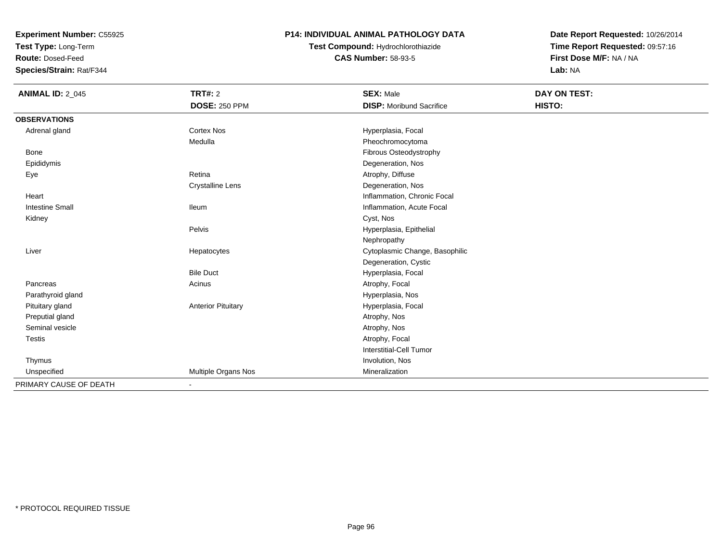**Test Type:** Long-Term

**Route:** Dosed-Feed

**Species/Strain:** Rat/F344

### **P14: INDIVIDUAL ANIMAL PATHOLOGY DATA**

# **Test Compound:** Hydrochlorothiazide**CAS Number:** 58-93-5

| <b>ANIMAL ID: 2_045</b> | <b>TRT#: 2</b>               | <b>SEX: Male</b>                | DAY ON TEST: |  |
|-------------------------|------------------------------|---------------------------------|--------------|--|
|                         | <b>DOSE: 250 PPM</b>         | <b>DISP:</b> Moribund Sacrifice | HISTO:       |  |
| <b>OBSERVATIONS</b>     |                              |                                 |              |  |
| Adrenal gland           | Cortex Nos                   | Hyperplasia, Focal              |              |  |
|                         | Medulla                      | Pheochromocytoma                |              |  |
| <b>Bone</b>             |                              | Fibrous Osteodystrophy          |              |  |
| Epididymis              |                              | Degeneration, Nos               |              |  |
| Eye                     | Retina                       | Atrophy, Diffuse                |              |  |
|                         | <b>Crystalline Lens</b>      | Degeneration, Nos               |              |  |
| Heart                   |                              | Inflammation, Chronic Focal     |              |  |
| <b>Intestine Small</b>  | <b>Ileum</b>                 | Inflammation, Acute Focal       |              |  |
| Kidney                  |                              | Cyst, Nos                       |              |  |
|                         | Pelvis                       | Hyperplasia, Epithelial         |              |  |
|                         |                              | Nephropathy                     |              |  |
| Liver                   | Hepatocytes                  | Cytoplasmic Change, Basophilic  |              |  |
|                         |                              | Degeneration, Cystic            |              |  |
|                         | <b>Bile Duct</b>             | Hyperplasia, Focal              |              |  |
| Pancreas                | Acinus                       | Atrophy, Focal                  |              |  |
| Parathyroid gland       |                              | Hyperplasia, Nos                |              |  |
| Pituitary gland         | <b>Anterior Pituitary</b>    | Hyperplasia, Focal              |              |  |
| Preputial gland         |                              | Atrophy, Nos                    |              |  |
| Seminal vesicle         |                              | Atrophy, Nos                    |              |  |
| <b>Testis</b>           |                              | Atrophy, Focal                  |              |  |
|                         |                              | <b>Interstitial-Cell Tumor</b>  |              |  |
| Thymus                  |                              | Involution, Nos                 |              |  |
| Unspecified             | Multiple Organs Nos          | Mineralization                  |              |  |
| PRIMARY CAUSE OF DEATH  | $\qquad \qquad \blacksquare$ |                                 |              |  |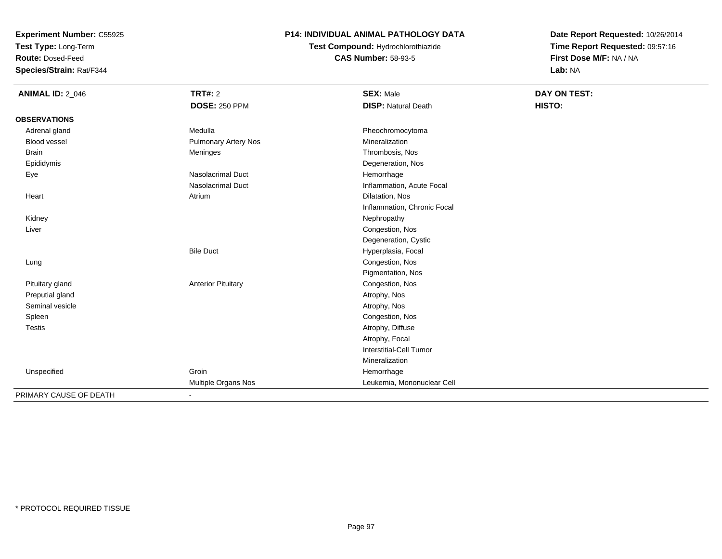**Test Type:** Long-Term

**Route:** Dosed-Feed

**Species/Strain:** Rat/F344

### **P14: INDIVIDUAL ANIMAL PATHOLOGY DATA**

# **Test Compound:** Hydrochlorothiazide**CAS Number:** 58-93-5

| <b>ANIMAL ID: 2_046</b> | <b>TRT#: 2</b>              | <b>SEX: Male</b>            | <b>DAY ON TEST:</b> |
|-------------------------|-----------------------------|-----------------------------|---------------------|
|                         | <b>DOSE: 250 PPM</b>        | <b>DISP: Natural Death</b>  | HISTO:              |
| <b>OBSERVATIONS</b>     |                             |                             |                     |
| Adrenal gland           | Medulla                     | Pheochromocytoma            |                     |
| <b>Blood vessel</b>     | <b>Pulmonary Artery Nos</b> | Mineralization              |                     |
| <b>Brain</b>            | Meninges                    | Thrombosis, Nos             |                     |
| Epididymis              |                             | Degeneration, Nos           |                     |
| Eye                     | <b>Nasolacrimal Duct</b>    | Hemorrhage                  |                     |
|                         | <b>Nasolacrimal Duct</b>    | Inflammation, Acute Focal   |                     |
| Heart                   | Atrium                      | Dilatation, Nos             |                     |
|                         |                             | Inflammation, Chronic Focal |                     |
| Kidney                  |                             | Nephropathy                 |                     |
| Liver                   |                             | Congestion, Nos             |                     |
|                         |                             | Degeneration, Cystic        |                     |
|                         | <b>Bile Duct</b>            | Hyperplasia, Focal          |                     |
| Lung                    |                             | Congestion, Nos             |                     |
|                         |                             | Pigmentation, Nos           |                     |
| Pituitary gland         | <b>Anterior Pituitary</b>   | Congestion, Nos             |                     |
| Preputial gland         |                             | Atrophy, Nos                |                     |
| Seminal vesicle         |                             | Atrophy, Nos                |                     |
| Spleen                  |                             | Congestion, Nos             |                     |
| Testis                  |                             | Atrophy, Diffuse            |                     |
|                         |                             | Atrophy, Focal              |                     |
|                         |                             | Interstitial-Cell Tumor     |                     |
|                         |                             | Mineralization              |                     |
| Unspecified             | Groin                       | Hemorrhage                  |                     |
|                         | Multiple Organs Nos         | Leukemia, Mononuclear Cell  |                     |
| PRIMARY CAUSE OF DEATH  | ٠                           |                             |                     |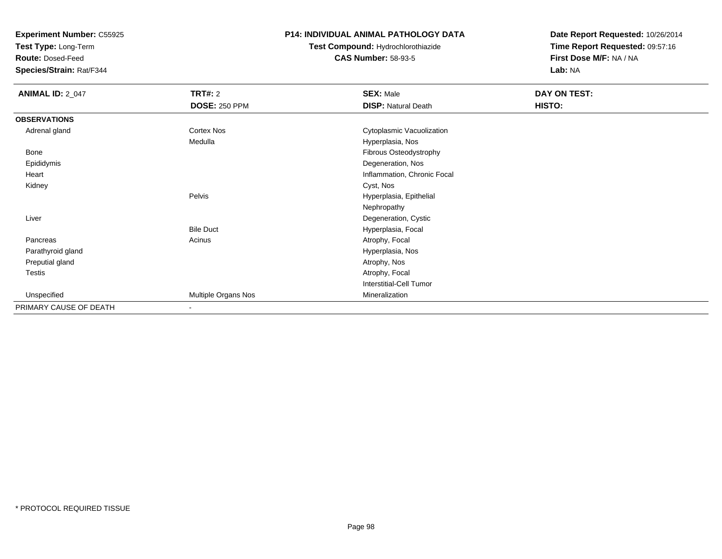**Test Type:** Long-Term

**Route:** Dosed-Feed

**Species/Strain:** Rat/F344

### **P14: INDIVIDUAL ANIMAL PATHOLOGY DATA**

# **Test Compound:** Hydrochlorothiazide**CAS Number:** 58-93-5

| <b>ANIMAL ID: 2_047</b> | <b>TRT#:</b> 2       | <b>SEX: Male</b>            | DAY ON TEST: |  |
|-------------------------|----------------------|-----------------------------|--------------|--|
|                         | <b>DOSE: 250 PPM</b> | <b>DISP: Natural Death</b>  | HISTO:       |  |
| <b>OBSERVATIONS</b>     |                      |                             |              |  |
| Adrenal gland           | <b>Cortex Nos</b>    | Cytoplasmic Vacuolization   |              |  |
|                         | Medulla              | Hyperplasia, Nos            |              |  |
| Bone                    |                      | Fibrous Osteodystrophy      |              |  |
| Epididymis              |                      | Degeneration, Nos           |              |  |
| Heart                   |                      | Inflammation, Chronic Focal |              |  |
| Kidney                  |                      | Cyst, Nos                   |              |  |
|                         | Pelvis               | Hyperplasia, Epithelial     |              |  |
|                         |                      | Nephropathy                 |              |  |
| Liver                   |                      | Degeneration, Cystic        |              |  |
|                         | <b>Bile Duct</b>     | Hyperplasia, Focal          |              |  |
| Pancreas                | Acinus               | Atrophy, Focal              |              |  |
| Parathyroid gland       |                      | Hyperplasia, Nos            |              |  |
| Preputial gland         |                      | Atrophy, Nos                |              |  |
| Testis                  |                      | Atrophy, Focal              |              |  |
|                         |                      | Interstitial-Cell Tumor     |              |  |
| Unspecified             | Multiple Organs Nos  | Mineralization              |              |  |
| PRIMARY CAUSE OF DEATH  |                      |                             |              |  |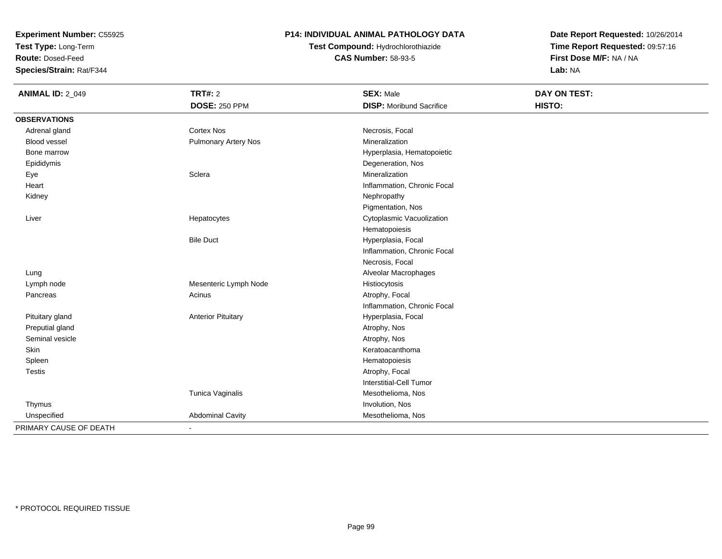**Test Type:** Long-Term

**Route:** Dosed-Feed

**Species/Strain:** Rat/F344

### **P14: INDIVIDUAL ANIMAL PATHOLOGY DATA**

# **Test Compound:** Hydrochlorothiazide**CAS Number:** 58-93-5

| <b>ANIMAL ID: 2_049</b> | <b>TRT#: 2</b>              | <b>SEX: Male</b>                | DAY ON TEST: |
|-------------------------|-----------------------------|---------------------------------|--------------|
|                         | <b>DOSE: 250 PPM</b>        | <b>DISP:</b> Moribund Sacrifice | HISTO:       |
| <b>OBSERVATIONS</b>     |                             |                                 |              |
| Adrenal gland           | <b>Cortex Nos</b>           | Necrosis, Focal                 |              |
| Blood vessel            | <b>Pulmonary Artery Nos</b> | Mineralization                  |              |
| Bone marrow             |                             | Hyperplasia, Hematopoietic      |              |
| Epididymis              |                             | Degeneration, Nos               |              |
| Eye                     | Sclera                      | Mineralization                  |              |
| Heart                   |                             | Inflammation, Chronic Focal     |              |
| Kidney                  |                             | Nephropathy                     |              |
|                         |                             | Pigmentation, Nos               |              |
| Liver                   | Hepatocytes                 | Cytoplasmic Vacuolization       |              |
|                         |                             | Hematopoiesis                   |              |
|                         | <b>Bile Duct</b>            | Hyperplasia, Focal              |              |
|                         |                             | Inflammation, Chronic Focal     |              |
|                         |                             | Necrosis, Focal                 |              |
| Lung                    |                             | Alveolar Macrophages            |              |
| Lymph node              | Mesenteric Lymph Node       | Histiocytosis                   |              |
| Pancreas                | Acinus                      | Atrophy, Focal                  |              |
|                         |                             | Inflammation, Chronic Focal     |              |
| Pituitary gland         | <b>Anterior Pituitary</b>   | Hyperplasia, Focal              |              |
| Preputial gland         |                             | Atrophy, Nos                    |              |
| Seminal vesicle         |                             | Atrophy, Nos                    |              |
| Skin                    |                             | Keratoacanthoma                 |              |
| Spleen                  |                             | Hematopoiesis                   |              |
| Testis                  |                             | Atrophy, Focal                  |              |
|                         |                             | <b>Interstitial-Cell Tumor</b>  |              |
|                         | Tunica Vaginalis            | Mesothelioma, Nos               |              |
| Thymus                  |                             | Involution, Nos                 |              |
| Unspecified             | <b>Abdominal Cavity</b>     | Mesothelioma, Nos               |              |
| PRIMARY CAUSE OF DEATH  | $\blacksquare$              |                                 |              |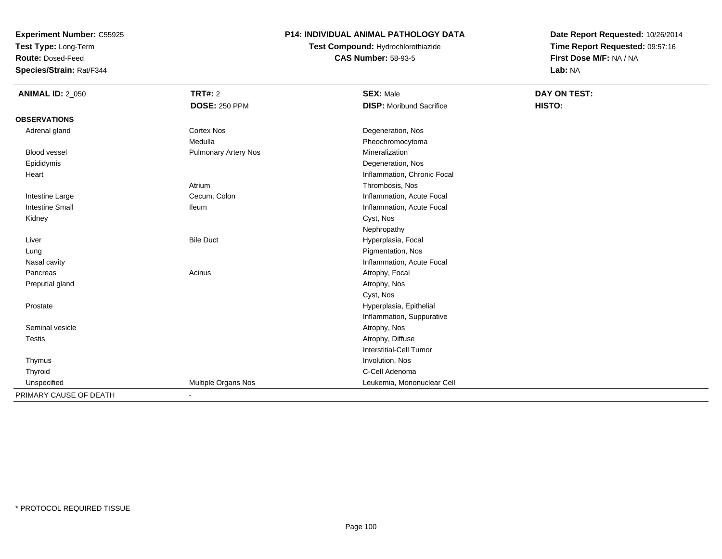**Test Type:** Long-Term

**Route:** Dosed-Feed

**Species/Strain:** Rat/F344

### **P14: INDIVIDUAL ANIMAL PATHOLOGY DATA**

**Test Compound:** Hydrochlorothiazide**CAS Number:** 58-93-5

| <b>ANIMAL ID: 2_050</b> | TRT#: 2                     | <b>SEX: Male</b>                | DAY ON TEST: |  |
|-------------------------|-----------------------------|---------------------------------|--------------|--|
|                         | <b>DOSE: 250 PPM</b>        | <b>DISP:</b> Moribund Sacrifice | HISTO:       |  |
| <b>OBSERVATIONS</b>     |                             |                                 |              |  |
| Adrenal gland           | <b>Cortex Nos</b>           | Degeneration, Nos               |              |  |
|                         | Medulla                     | Pheochromocytoma                |              |  |
| Blood vessel            | <b>Pulmonary Artery Nos</b> | Mineralization                  |              |  |
| Epididymis              |                             | Degeneration, Nos               |              |  |
| Heart                   |                             | Inflammation, Chronic Focal     |              |  |
|                         | Atrium                      | Thrombosis, Nos                 |              |  |
| Intestine Large         | Cecum, Colon                | Inflammation, Acute Focal       |              |  |
| <b>Intestine Small</b>  | <b>Ileum</b>                | Inflammation, Acute Focal       |              |  |
| Kidney                  |                             | Cyst, Nos                       |              |  |
|                         |                             | Nephropathy                     |              |  |
| Liver                   | <b>Bile Duct</b>            | Hyperplasia, Focal              |              |  |
| Lung                    |                             | Pigmentation, Nos               |              |  |
| Nasal cavity            |                             | Inflammation, Acute Focal       |              |  |
| Pancreas                | Acinus                      | Atrophy, Focal                  |              |  |
| Preputial gland         |                             | Atrophy, Nos                    |              |  |
|                         |                             | Cyst, Nos                       |              |  |
| Prostate                |                             | Hyperplasia, Epithelial         |              |  |
|                         |                             | Inflammation, Suppurative       |              |  |
| Seminal vesicle         |                             | Atrophy, Nos                    |              |  |
| <b>Testis</b>           |                             | Atrophy, Diffuse                |              |  |
|                         |                             | <b>Interstitial-Cell Tumor</b>  |              |  |
| Thymus                  |                             | Involution, Nos                 |              |  |
| Thyroid                 |                             | C-Cell Adenoma                  |              |  |
| Unspecified             | Multiple Organs Nos         | Leukemia, Mononuclear Cell      |              |  |
| PRIMARY CAUSE OF DEATH  |                             |                                 |              |  |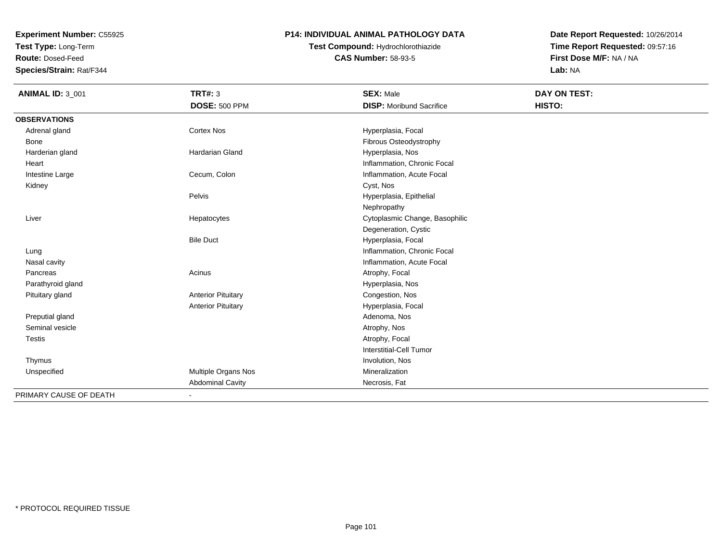**Test Type:** Long-Term

**Route:** Dosed-Feed

**Species/Strain:** Rat/F344

### **P14: INDIVIDUAL ANIMAL PATHOLOGY DATA**

# **Test Compound:** Hydrochlorothiazide**CAS Number:** 58-93-5

| <b>ANIMAL ID: 3_001</b> | <b>TRT#: 3</b>            | <b>SEX: Male</b>                | <b>DAY ON TEST:</b> |  |
|-------------------------|---------------------------|---------------------------------|---------------------|--|
|                         | <b>DOSE: 500 PPM</b>      | <b>DISP:</b> Moribund Sacrifice | HISTO:              |  |
| <b>OBSERVATIONS</b>     |                           |                                 |                     |  |
| Adrenal gland           | <b>Cortex Nos</b>         | Hyperplasia, Focal              |                     |  |
| Bone                    |                           | Fibrous Osteodystrophy          |                     |  |
| Harderian gland         | Hardarian Gland           | Hyperplasia, Nos                |                     |  |
| Heart                   |                           | Inflammation, Chronic Focal     |                     |  |
| Intestine Large         | Cecum, Colon              | Inflammation, Acute Focal       |                     |  |
| Kidney                  |                           | Cyst, Nos                       |                     |  |
|                         | Pelvis                    | Hyperplasia, Epithelial         |                     |  |
|                         |                           | Nephropathy                     |                     |  |
| Liver                   | Hepatocytes               | Cytoplasmic Change, Basophilic  |                     |  |
|                         |                           | Degeneration, Cystic            |                     |  |
|                         | <b>Bile Duct</b>          | Hyperplasia, Focal              |                     |  |
| Lung                    |                           | Inflammation, Chronic Focal     |                     |  |
| Nasal cavity            |                           | Inflammation, Acute Focal       |                     |  |
| Pancreas                | Acinus                    | Atrophy, Focal                  |                     |  |
| Parathyroid gland       |                           | Hyperplasia, Nos                |                     |  |
| Pituitary gland         | <b>Anterior Pituitary</b> | Congestion, Nos                 |                     |  |
|                         | <b>Anterior Pituitary</b> | Hyperplasia, Focal              |                     |  |
| Preputial gland         |                           | Adenoma, Nos                    |                     |  |
| Seminal vesicle         |                           | Atrophy, Nos                    |                     |  |
| <b>Testis</b>           |                           | Atrophy, Focal                  |                     |  |
|                         |                           | <b>Interstitial-Cell Tumor</b>  |                     |  |
| Thymus                  |                           | Involution, Nos                 |                     |  |
| Unspecified             | Multiple Organs Nos       | Mineralization                  |                     |  |
|                         | <b>Abdominal Cavity</b>   | Necrosis, Fat                   |                     |  |
| PRIMARY CAUSE OF DEATH  |                           |                                 |                     |  |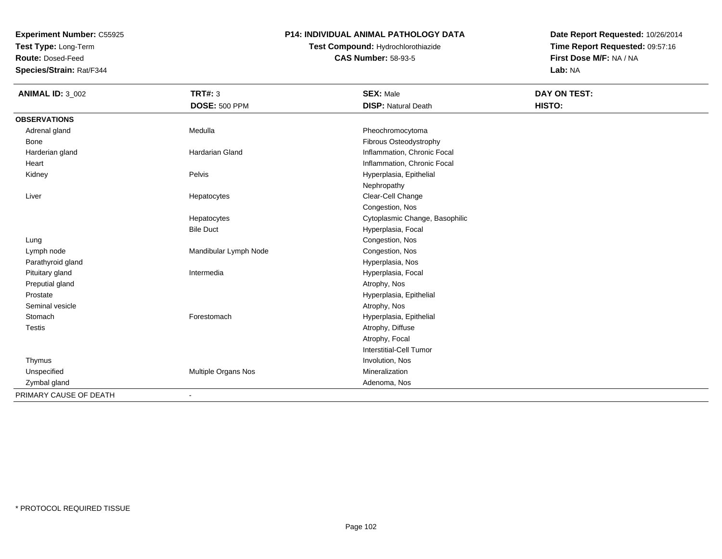**Test Type:** Long-Term

**Route:** Dosed-Feed

**Species/Strain:** Rat/F344

### **P14: INDIVIDUAL ANIMAL PATHOLOGY DATA**

# **Test Compound:** Hydrochlorothiazide**CAS Number:** 58-93-5

| <b>ANIMAL ID: 3_002</b> | <b>TRT#: 3</b><br><b>DOSE: 500 PPM</b> | <b>SEX: Male</b><br><b>DISP: Natural Death</b> | DAY ON TEST:<br>HISTO: |
|-------------------------|----------------------------------------|------------------------------------------------|------------------------|
| <b>OBSERVATIONS</b>     |                                        |                                                |                        |
| Adrenal gland           | Medulla                                | Pheochromocytoma                               |                        |
| <b>Bone</b>             |                                        | Fibrous Osteodystrophy                         |                        |
| Harderian gland         | Hardarian Gland                        | Inflammation, Chronic Focal                    |                        |
| Heart                   |                                        | Inflammation, Chronic Focal                    |                        |
| Kidney                  | Pelvis                                 | Hyperplasia, Epithelial                        |                        |
|                         |                                        | Nephropathy                                    |                        |
| Liver                   | Hepatocytes                            | Clear-Cell Change                              |                        |
|                         |                                        | Congestion, Nos                                |                        |
|                         | Hepatocytes                            | Cytoplasmic Change, Basophilic                 |                        |
|                         | <b>Bile Duct</b>                       | Hyperplasia, Focal                             |                        |
| Lung                    |                                        | Congestion, Nos                                |                        |
| Lymph node              | Mandibular Lymph Node                  | Congestion, Nos                                |                        |
| Parathyroid gland       |                                        | Hyperplasia, Nos                               |                        |
| Pituitary gland         | Intermedia                             | Hyperplasia, Focal                             |                        |
| Preputial gland         |                                        | Atrophy, Nos                                   |                        |
| Prostate                |                                        | Hyperplasia, Epithelial                        |                        |
| Seminal vesicle         |                                        | Atrophy, Nos                                   |                        |
| Stomach                 | Forestomach                            | Hyperplasia, Epithelial                        |                        |
| <b>Testis</b>           |                                        | Atrophy, Diffuse                               |                        |
|                         |                                        | Atrophy, Focal                                 |                        |
|                         |                                        | <b>Interstitial-Cell Tumor</b>                 |                        |
| Thymus                  |                                        | Involution, Nos                                |                        |
| Unspecified             | Multiple Organs Nos                    | Mineralization                                 |                        |
| Zymbal gland            |                                        | Adenoma, Nos                                   |                        |
| PRIMARY CAUSE OF DEATH  | $\overline{\phantom{0}}$               |                                                |                        |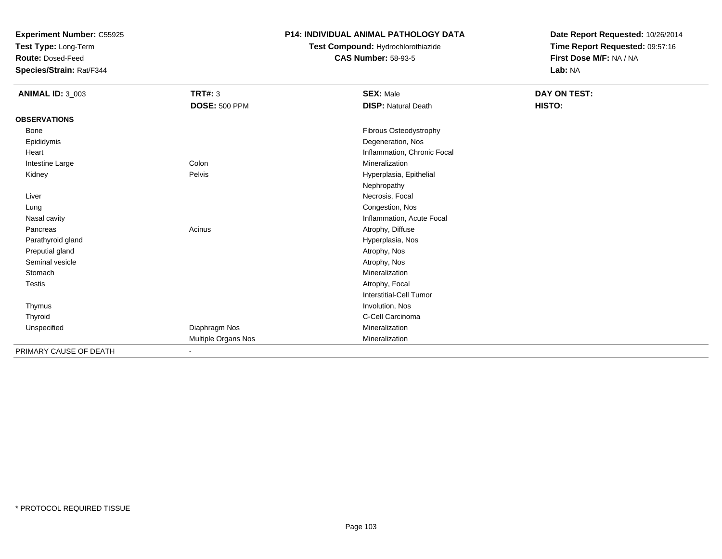**Test Type:** Long-Term

**Route:** Dosed-Feed

**Species/Strain:** Rat/F344

#### **P14: INDIVIDUAL ANIMAL PATHOLOGY DATA**

**Test Compound:** Hydrochlorothiazide**CAS Number:** 58-93-5

| <b>ANIMAL ID: 3_003</b> | <b>TRT#: 3</b>       | <b>SEX: Male</b>            | DAY ON TEST: |
|-------------------------|----------------------|-----------------------------|--------------|
|                         | <b>DOSE: 500 PPM</b> | <b>DISP: Natural Death</b>  | HISTO:       |
| <b>OBSERVATIONS</b>     |                      |                             |              |
| <b>Bone</b>             |                      | Fibrous Osteodystrophy      |              |
| Epididymis              |                      | Degeneration, Nos           |              |
| Heart                   |                      | Inflammation, Chronic Focal |              |
| Intestine Large         | Colon                | Mineralization              |              |
| Kidney                  | Pelvis               | Hyperplasia, Epithelial     |              |
|                         |                      | Nephropathy                 |              |
| Liver                   |                      | Necrosis, Focal             |              |
| Lung                    |                      | Congestion, Nos             |              |
| Nasal cavity            |                      | Inflammation, Acute Focal   |              |
| Pancreas                | Acinus               | Atrophy, Diffuse            |              |
| Parathyroid gland       |                      | Hyperplasia, Nos            |              |
| Preputial gland         |                      | Atrophy, Nos                |              |
| Seminal vesicle         |                      | Atrophy, Nos                |              |
| Stomach                 |                      | Mineralization              |              |
| Testis                  |                      | Atrophy, Focal              |              |
|                         |                      | Interstitial-Cell Tumor     |              |
| Thymus                  |                      | Involution, Nos             |              |
| Thyroid                 |                      | C-Cell Carcinoma            |              |
| Unspecified             | Diaphragm Nos        | Mineralization              |              |
|                         | Multiple Organs Nos  | Mineralization              |              |
| PRIMARY CAUSE OF DEATH  |                      |                             |              |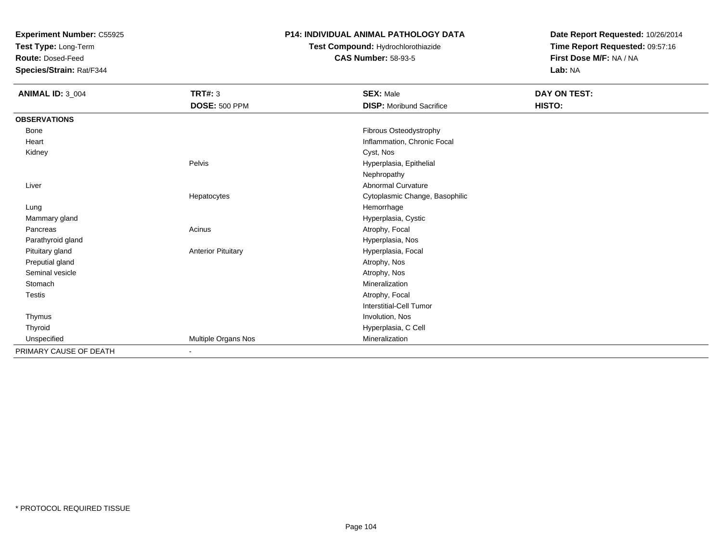**Test Type:** Long-Term

**Route:** Dosed-Feed

**Species/Strain:** Rat/F344

### **P14: INDIVIDUAL ANIMAL PATHOLOGY DATA**

# **Test Compound:** Hydrochlorothiazide**CAS Number:** 58-93-5

| ANIMAL ID: 3_004       | <b>TRT#: 3</b>            | <b>SEX: Male</b>                | DAY ON TEST: |
|------------------------|---------------------------|---------------------------------|--------------|
|                        | <b>DOSE: 500 PPM</b>      | <b>DISP:</b> Moribund Sacrifice | HISTO:       |
| <b>OBSERVATIONS</b>    |                           |                                 |              |
| Bone                   |                           | Fibrous Osteodystrophy          |              |
| Heart                  |                           | Inflammation, Chronic Focal     |              |
| Kidney                 |                           | Cyst, Nos                       |              |
|                        | Pelvis                    | Hyperplasia, Epithelial         |              |
|                        |                           | Nephropathy                     |              |
| Liver                  |                           | <b>Abnormal Curvature</b>       |              |
|                        | Hepatocytes               | Cytoplasmic Change, Basophilic  |              |
| Lung                   |                           | Hemorrhage                      |              |
| Mammary gland          |                           | Hyperplasia, Cystic             |              |
| Pancreas               | Acinus                    | Atrophy, Focal                  |              |
| Parathyroid gland      |                           | Hyperplasia, Nos                |              |
| Pituitary gland        | <b>Anterior Pituitary</b> | Hyperplasia, Focal              |              |
| Preputial gland        |                           | Atrophy, Nos                    |              |
| Seminal vesicle        |                           | Atrophy, Nos                    |              |
| Stomach                |                           | Mineralization                  |              |
| <b>Testis</b>          |                           | Atrophy, Focal                  |              |
|                        |                           | Interstitial-Cell Tumor         |              |
| Thymus                 |                           | Involution, Nos                 |              |
| Thyroid                |                           | Hyperplasia, C Cell             |              |
| Unspecified            | Multiple Organs Nos       | Mineralization                  |              |
| PRIMARY CAUSE OF DEATH |                           |                                 |              |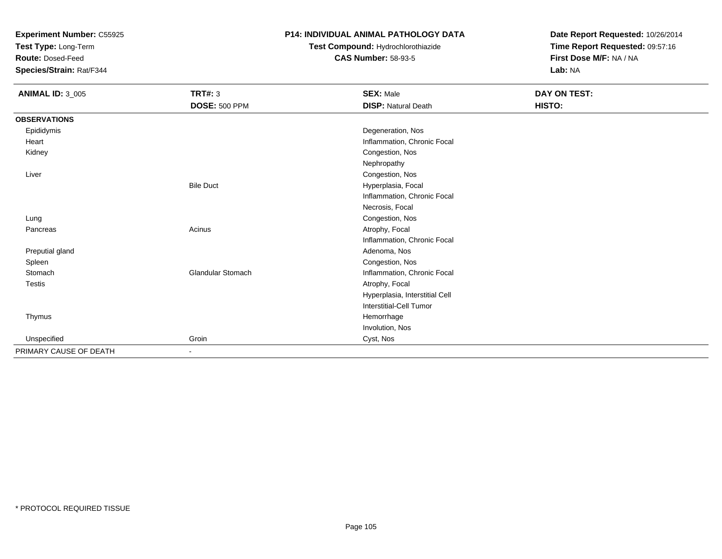**Test Type:** Long-Term

**Route:** Dosed-Feed

**Species/Strain:** Rat/F344

### **P14: INDIVIDUAL ANIMAL PATHOLOGY DATA**

## **Test Compound:** Hydrochlorothiazide**CAS Number:** 58-93-5

| <b>ANIMAL ID: 3_005</b> | <b>TRT#: 3</b>       | <b>SEX: Male</b>               | DAY ON TEST: |  |
|-------------------------|----------------------|--------------------------------|--------------|--|
|                         | <b>DOSE: 500 PPM</b> | <b>DISP: Natural Death</b>     | HISTO:       |  |
| <b>OBSERVATIONS</b>     |                      |                                |              |  |
| Epididymis              |                      | Degeneration, Nos              |              |  |
| Heart                   |                      | Inflammation, Chronic Focal    |              |  |
| Kidney                  |                      | Congestion, Nos                |              |  |
|                         |                      | Nephropathy                    |              |  |
| Liver                   |                      | Congestion, Nos                |              |  |
|                         | <b>Bile Duct</b>     | Hyperplasia, Focal             |              |  |
|                         |                      | Inflammation, Chronic Focal    |              |  |
|                         |                      | Necrosis, Focal                |              |  |
| Lung                    |                      | Congestion, Nos                |              |  |
| Pancreas                | Acinus               | Atrophy, Focal                 |              |  |
|                         |                      | Inflammation, Chronic Focal    |              |  |
| Preputial gland         |                      | Adenoma, Nos                   |              |  |
| Spleen                  |                      | Congestion, Nos                |              |  |
| Stomach                 | Glandular Stomach    | Inflammation, Chronic Focal    |              |  |
| Testis                  |                      | Atrophy, Focal                 |              |  |
|                         |                      | Hyperplasia, Interstitial Cell |              |  |
|                         |                      | Interstitial-Cell Tumor        |              |  |
| Thymus                  |                      | Hemorrhage                     |              |  |
|                         |                      | Involution, Nos                |              |  |
| Unspecified             | Groin                | Cyst, Nos                      |              |  |
| PRIMARY CAUSE OF DEATH  | ٠                    |                                |              |  |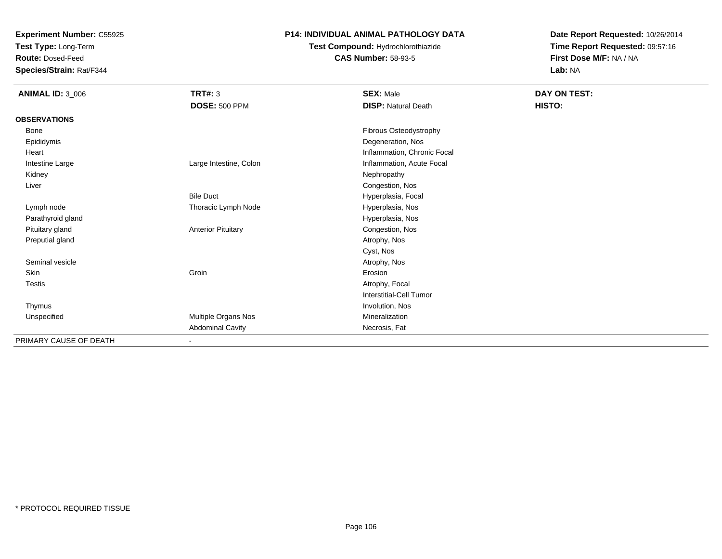**Test Type:** Long-Term

**Route:** Dosed-Feed

**Species/Strain:** Rat/F344

### **P14: INDIVIDUAL ANIMAL PATHOLOGY DATA**

# **Test Compound:** Hydrochlorothiazide**CAS Number:** 58-93-5

| <b>ANIMAL ID: 3_006</b> | TRT#: 3                   | <b>SEX: Male</b>               | DAY ON TEST: |  |
|-------------------------|---------------------------|--------------------------------|--------------|--|
|                         | <b>DOSE: 500 PPM</b>      | <b>DISP: Natural Death</b>     | HISTO:       |  |
| <b>OBSERVATIONS</b>     |                           |                                |              |  |
| Bone                    |                           | Fibrous Osteodystrophy         |              |  |
| Epididymis              |                           | Degeneration, Nos              |              |  |
| Heart                   |                           | Inflammation, Chronic Focal    |              |  |
| Intestine Large         | Large Intestine, Colon    | Inflammation, Acute Focal      |              |  |
| Kidney                  |                           | Nephropathy                    |              |  |
| Liver                   |                           | Congestion, Nos                |              |  |
|                         | <b>Bile Duct</b>          | Hyperplasia, Focal             |              |  |
| Lymph node              | Thoracic Lymph Node       | Hyperplasia, Nos               |              |  |
| Parathyroid gland       |                           | Hyperplasia, Nos               |              |  |
| Pituitary gland         | <b>Anterior Pituitary</b> | Congestion, Nos                |              |  |
| Preputial gland         |                           | Atrophy, Nos                   |              |  |
|                         |                           | Cyst, Nos                      |              |  |
| Seminal vesicle         |                           | Atrophy, Nos                   |              |  |
| Skin                    | Groin                     | Erosion                        |              |  |
| <b>Testis</b>           |                           | Atrophy, Focal                 |              |  |
|                         |                           | <b>Interstitial-Cell Tumor</b> |              |  |
| Thymus                  |                           | Involution, Nos                |              |  |
| Unspecified             | Multiple Organs Nos       | Mineralization                 |              |  |
|                         | <b>Abdominal Cavity</b>   | Necrosis, Fat                  |              |  |
| PRIMARY CAUSE OF DEATH  | $\overline{\phantom{a}}$  |                                |              |  |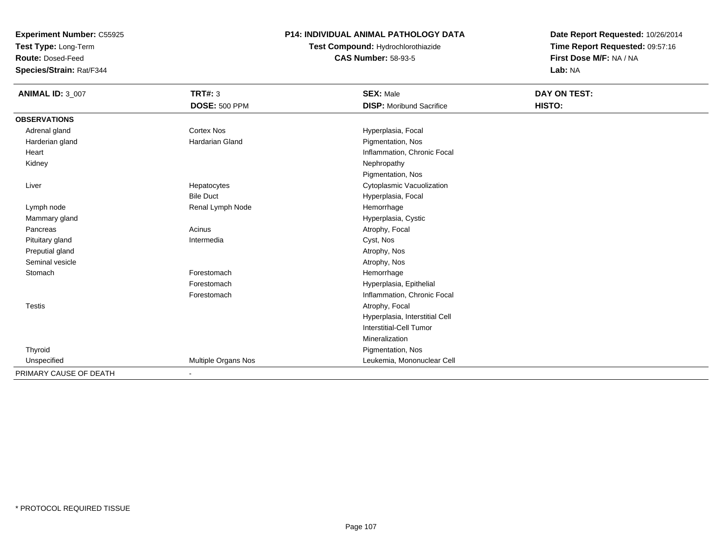**Test Type:** Long-Term

**Route:** Dosed-Feed

**Species/Strain:** Rat/F344

### **P14: INDIVIDUAL ANIMAL PATHOLOGY DATA**

**Test Compound:** Hydrochlorothiazide**CAS Number:** 58-93-5

| <b>ANIMAL ID: 3_007</b> | <b>TRT#: 3</b>         | <b>SEX: Male</b>                | DAY ON TEST: |
|-------------------------|------------------------|---------------------------------|--------------|
|                         | <b>DOSE: 500 PPM</b>   | <b>DISP:</b> Moribund Sacrifice | HISTO:       |
| <b>OBSERVATIONS</b>     |                        |                                 |              |
| Adrenal gland           | Cortex Nos             | Hyperplasia, Focal              |              |
| Harderian gland         | <b>Hardarian Gland</b> | Pigmentation, Nos               |              |
| Heart                   |                        | Inflammation, Chronic Focal     |              |
| Kidney                  |                        | Nephropathy                     |              |
|                         |                        | Pigmentation, Nos               |              |
| Liver                   | Hepatocytes            | Cytoplasmic Vacuolization       |              |
|                         | <b>Bile Duct</b>       | Hyperplasia, Focal              |              |
| Lymph node              | Renal Lymph Node       | Hemorrhage                      |              |
| Mammary gland           |                        | Hyperplasia, Cystic             |              |
| Pancreas                | Acinus                 | Atrophy, Focal                  |              |
| Pituitary gland         | Intermedia             | Cyst, Nos                       |              |
| Preputial gland         |                        | Atrophy, Nos                    |              |
| Seminal vesicle         |                        | Atrophy, Nos                    |              |
| Stomach                 | Forestomach            | Hemorrhage                      |              |
|                         | Forestomach            | Hyperplasia, Epithelial         |              |
|                         | Forestomach            | Inflammation, Chronic Focal     |              |
| <b>Testis</b>           |                        | Atrophy, Focal                  |              |
|                         |                        | Hyperplasia, Interstitial Cell  |              |
|                         |                        | Interstitial-Cell Tumor         |              |
|                         |                        | Mineralization                  |              |
| Thyroid                 |                        | Pigmentation, Nos               |              |
| Unspecified             | Multiple Organs Nos    | Leukemia, Mononuclear Cell      |              |
| PRIMARY CAUSE OF DEATH  |                        |                                 |              |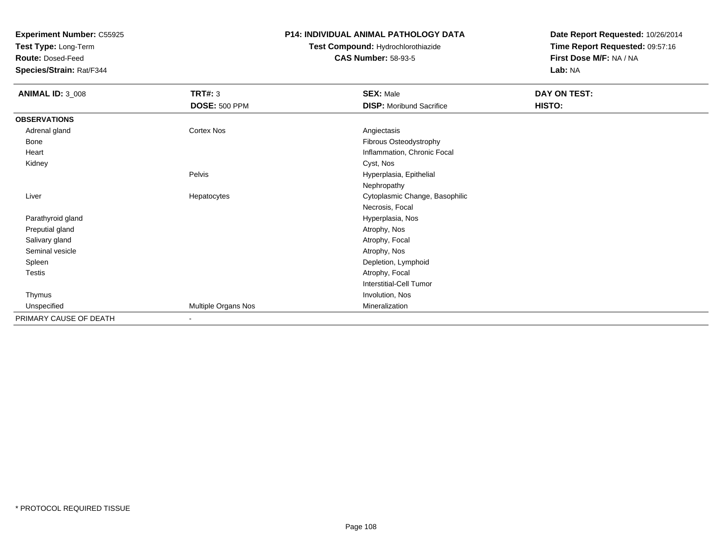**Test Type:** Long-Term

**Route:** Dosed-Feed

**Species/Strain:** Rat/F344

### **P14: INDIVIDUAL ANIMAL PATHOLOGY DATA**

## **Test Compound:** Hydrochlorothiazide**CAS Number:** 58-93-5

| <b>ANIMAL ID: 3_008</b> | <b>TRT#: 3</b>       | <b>SEX: Male</b>                | DAY ON TEST: |
|-------------------------|----------------------|---------------------------------|--------------|
|                         | <b>DOSE: 500 PPM</b> | <b>DISP:</b> Moribund Sacrifice | HISTO:       |
| <b>OBSERVATIONS</b>     |                      |                                 |              |
| Adrenal gland           | Cortex Nos           | Angiectasis                     |              |
| Bone                    |                      | Fibrous Osteodystrophy          |              |
| Heart                   |                      | Inflammation, Chronic Focal     |              |
| Kidney                  |                      | Cyst, Nos                       |              |
|                         | Pelvis               | Hyperplasia, Epithelial         |              |
|                         |                      | Nephropathy                     |              |
| Liver                   | Hepatocytes          | Cytoplasmic Change, Basophilic  |              |
|                         |                      | Necrosis, Focal                 |              |
| Parathyroid gland       |                      | Hyperplasia, Nos                |              |
| Preputial gland         |                      | Atrophy, Nos                    |              |
| Salivary gland          |                      | Atrophy, Focal                  |              |
| Seminal vesicle         |                      | Atrophy, Nos                    |              |
| Spleen                  |                      | Depletion, Lymphoid             |              |
| Testis                  |                      | Atrophy, Focal                  |              |
|                         |                      | <b>Interstitial-Cell Tumor</b>  |              |
| Thymus                  |                      | Involution, Nos                 |              |
| Unspecified             | Multiple Organs Nos  | Mineralization                  |              |
| PRIMARY CAUSE OF DEATH  | $\blacksquare$       |                                 |              |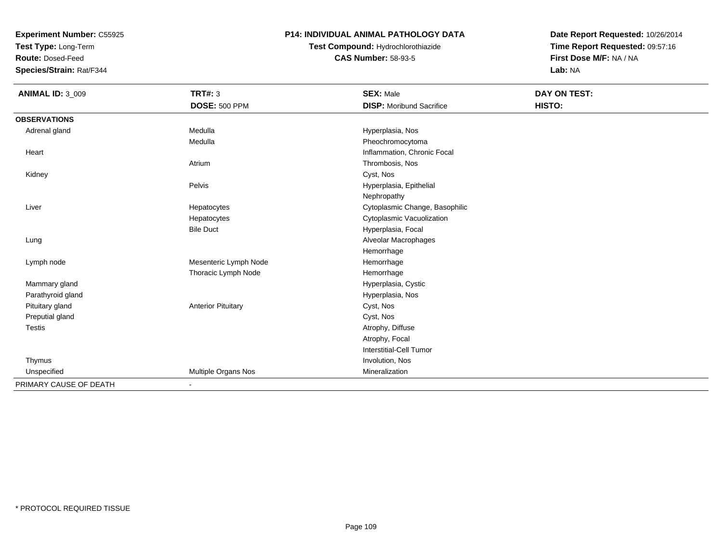**Test Type:** Long-Term

**Route:** Dosed-Feed

**Species/Strain:** Rat/F344

### **P14: INDIVIDUAL ANIMAL PATHOLOGY DATA**

# **Test Compound:** Hydrochlorothiazide**CAS Number:** 58-93-5

| <b>ANIMAL ID: 3_009</b> | <b>TRT#: 3</b>            | <b>SEX: Male</b>                | DAY ON TEST: |  |
|-------------------------|---------------------------|---------------------------------|--------------|--|
|                         | <b>DOSE: 500 PPM</b>      | <b>DISP:</b> Moribund Sacrifice | HISTO:       |  |
| <b>OBSERVATIONS</b>     |                           |                                 |              |  |
| Adrenal gland           | Medulla                   | Hyperplasia, Nos                |              |  |
|                         | Medulla                   | Pheochromocytoma                |              |  |
| Heart                   |                           | Inflammation, Chronic Focal     |              |  |
|                         | Atrium                    | Thrombosis, Nos                 |              |  |
| Kidney                  |                           | Cyst, Nos                       |              |  |
|                         | Pelvis                    | Hyperplasia, Epithelial         |              |  |
|                         |                           | Nephropathy                     |              |  |
| Liver                   | Hepatocytes               | Cytoplasmic Change, Basophilic  |              |  |
|                         | Hepatocytes               | Cytoplasmic Vacuolization       |              |  |
|                         | <b>Bile Duct</b>          | Hyperplasia, Focal              |              |  |
| Lung                    |                           | Alveolar Macrophages            |              |  |
|                         |                           | Hemorrhage                      |              |  |
| Lymph node              | Mesenteric Lymph Node     | Hemorrhage                      |              |  |
|                         | Thoracic Lymph Node       | Hemorrhage                      |              |  |
| Mammary gland           |                           | Hyperplasia, Cystic             |              |  |
| Parathyroid gland       |                           | Hyperplasia, Nos                |              |  |
| Pituitary gland         | <b>Anterior Pituitary</b> | Cyst, Nos                       |              |  |
| Preputial gland         |                           | Cyst, Nos                       |              |  |
| Testis                  |                           | Atrophy, Diffuse                |              |  |
|                         |                           | Atrophy, Focal                  |              |  |
|                         |                           | Interstitial-Cell Tumor         |              |  |
| Thymus                  |                           | Involution, Nos                 |              |  |
| Unspecified             | Multiple Organs Nos       | Mineralization                  |              |  |
| PRIMARY CAUSE OF DEATH  | $\overline{\phantom{a}}$  |                                 |              |  |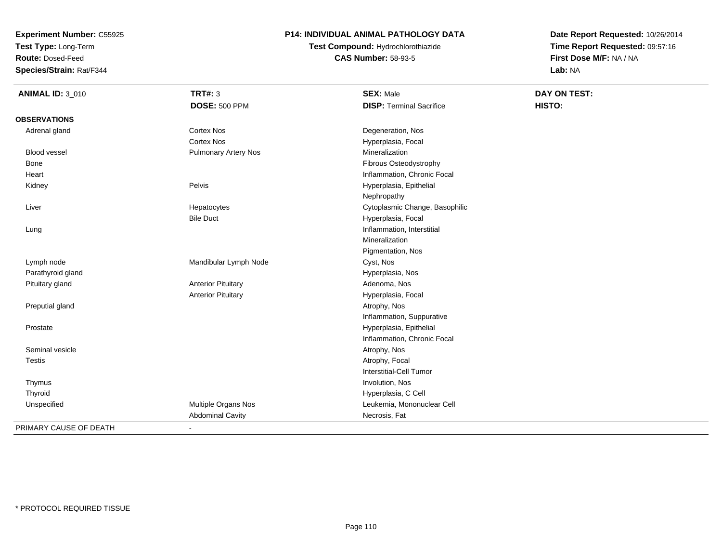**Test Type:** Long-Term

**Route:** Dosed-Feed

**Species/Strain:** Rat/F344

## **P14: INDIVIDUAL ANIMAL PATHOLOGY DATA**

# **Test Compound:** Hydrochlorothiazide**CAS Number:** 58-93-5

| <b>ANIMAL ID: 3_010</b> | <b>TRT#: 3</b>              | <b>SEX: Male</b>                | <b>DAY ON TEST:</b> |
|-------------------------|-----------------------------|---------------------------------|---------------------|
|                         | <b>DOSE: 500 PPM</b>        | <b>DISP: Terminal Sacrifice</b> | HISTO:              |
| <b>OBSERVATIONS</b>     |                             |                                 |                     |
| Adrenal gland           | <b>Cortex Nos</b>           | Degeneration, Nos               |                     |
|                         | <b>Cortex Nos</b>           | Hyperplasia, Focal              |                     |
| <b>Blood vessel</b>     | <b>Pulmonary Artery Nos</b> | Mineralization                  |                     |
| Bone                    |                             | Fibrous Osteodystrophy          |                     |
| Heart                   |                             | Inflammation, Chronic Focal     |                     |
| Kidney                  | Pelvis                      | Hyperplasia, Epithelial         |                     |
|                         |                             | Nephropathy                     |                     |
| Liver                   | Hepatocytes                 | Cytoplasmic Change, Basophilic  |                     |
|                         | <b>Bile Duct</b>            | Hyperplasia, Focal              |                     |
| Lung                    |                             | Inflammation, Interstitial      |                     |
|                         |                             | Mineralization                  |                     |
|                         |                             | Pigmentation, Nos               |                     |
| Lymph node              | Mandibular Lymph Node       | Cyst, Nos                       |                     |
| Parathyroid gland       |                             | Hyperplasia, Nos                |                     |
| Pituitary gland         | <b>Anterior Pituitary</b>   | Adenoma, Nos                    |                     |
|                         | <b>Anterior Pituitary</b>   | Hyperplasia, Focal              |                     |
| Preputial gland         |                             | Atrophy, Nos                    |                     |
|                         |                             | Inflammation, Suppurative       |                     |
| Prostate                |                             | Hyperplasia, Epithelial         |                     |
|                         |                             | Inflammation, Chronic Focal     |                     |
| Seminal vesicle         |                             | Atrophy, Nos                    |                     |
| <b>Testis</b>           |                             | Atrophy, Focal                  |                     |
|                         |                             | Interstitial-Cell Tumor         |                     |
| Thymus                  |                             | Involution, Nos                 |                     |
| Thyroid                 |                             | Hyperplasia, C Cell             |                     |
| Unspecified             | Multiple Organs Nos         | Leukemia, Mononuclear Cell      |                     |
|                         | <b>Abdominal Cavity</b>     | Necrosis, Fat                   |                     |
| PRIMARY CAUSE OF DEATH  | $\sim$                      |                                 |                     |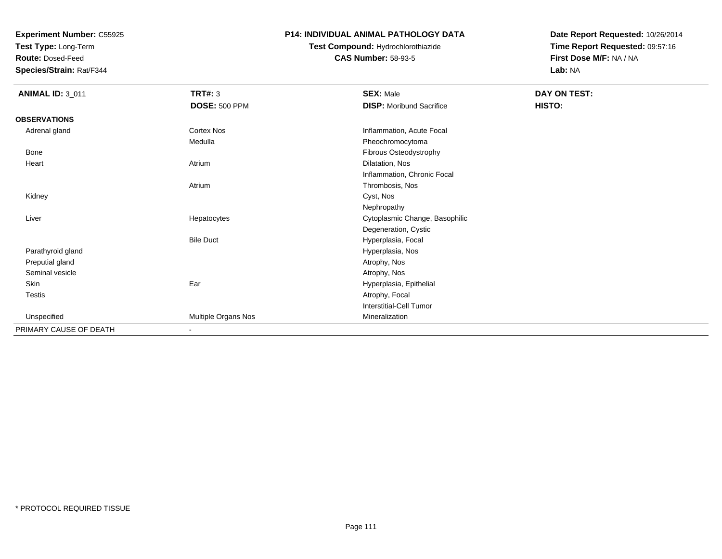**Test Type:** Long-Term

**Route:** Dosed-Feed

**Species/Strain:** Rat/F344

### **P14: INDIVIDUAL ANIMAL PATHOLOGY DATA**

# **Test Compound:** Hydrochlorothiazide**CAS Number:** 58-93-5

| <b>ANIMAL ID: 3_011</b> | <b>TRT#: 3</b>       | <b>SEX: Male</b>                | DAY ON TEST: |  |
|-------------------------|----------------------|---------------------------------|--------------|--|
|                         | <b>DOSE: 500 PPM</b> | <b>DISP:</b> Moribund Sacrifice | HISTO:       |  |
| <b>OBSERVATIONS</b>     |                      |                                 |              |  |
| Adrenal gland           | Cortex Nos           | Inflammation, Acute Focal       |              |  |
|                         | Medulla              | Pheochromocytoma                |              |  |
| Bone                    |                      | Fibrous Osteodystrophy          |              |  |
| Heart                   | Atrium               | Dilatation, Nos                 |              |  |
|                         |                      | Inflammation, Chronic Focal     |              |  |
|                         | Atrium               | Thrombosis, Nos                 |              |  |
| Kidney                  |                      | Cyst, Nos                       |              |  |
|                         |                      | Nephropathy                     |              |  |
| Liver                   | Hepatocytes          | Cytoplasmic Change, Basophilic  |              |  |
|                         |                      | Degeneration, Cystic            |              |  |
|                         | <b>Bile Duct</b>     | Hyperplasia, Focal              |              |  |
| Parathyroid gland       |                      | Hyperplasia, Nos                |              |  |
| Preputial gland         |                      | Atrophy, Nos                    |              |  |
| Seminal vesicle         |                      | Atrophy, Nos                    |              |  |
| Skin                    | Ear                  | Hyperplasia, Epithelial         |              |  |
| Testis                  |                      | Atrophy, Focal                  |              |  |
|                         |                      | Interstitial-Cell Tumor         |              |  |
| Unspecified             | Multiple Organs Nos  | Mineralization                  |              |  |
| PRIMARY CAUSE OF DEATH  |                      |                                 |              |  |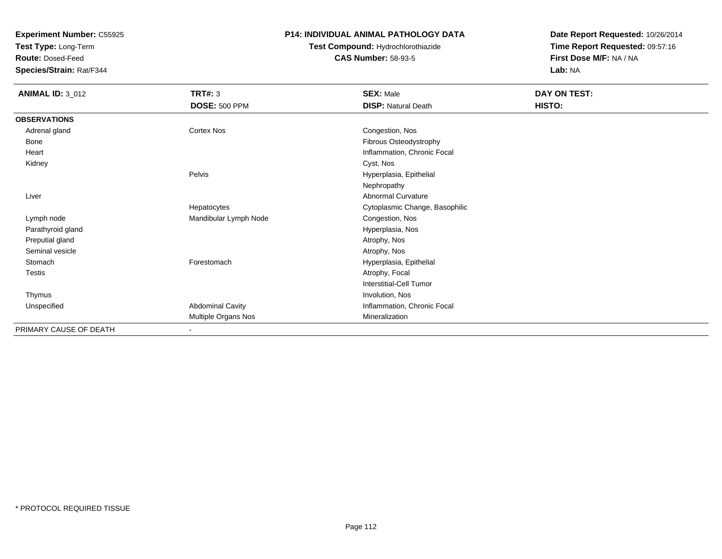**Test Type:** Long-Term

**Route:** Dosed-Feed

**Species/Strain:** Rat/F344

### **P14: INDIVIDUAL ANIMAL PATHOLOGY DATA**

# **Test Compound:** Hydrochlorothiazide**CAS Number:** 58-93-5

| <b>ANIMAL ID: 3_012</b> | TRT#: 3<br><b>DOSE: 500 PPM</b> | <b>SEX: Male</b><br><b>DISP: Natural Death</b> | DAY ON TEST:<br>HISTO: |
|-------------------------|---------------------------------|------------------------------------------------|------------------------|
| <b>OBSERVATIONS</b>     |                                 |                                                |                        |
| Adrenal gland           | Cortex Nos                      | Congestion, Nos                                |                        |
| Bone                    |                                 | Fibrous Osteodystrophy                         |                        |
| Heart                   |                                 | Inflammation, Chronic Focal                    |                        |
| Kidney                  |                                 | Cyst, Nos                                      |                        |
|                         | Pelvis                          | Hyperplasia, Epithelial                        |                        |
|                         |                                 | Nephropathy                                    |                        |
| Liver                   |                                 | <b>Abnormal Curvature</b>                      |                        |
|                         | Hepatocytes                     | Cytoplasmic Change, Basophilic                 |                        |
| Lymph node              | Mandibular Lymph Node           | Congestion, Nos                                |                        |
| Parathyroid gland       |                                 | Hyperplasia, Nos                               |                        |
| Preputial gland         |                                 | Atrophy, Nos                                   |                        |
| Seminal vesicle         |                                 | Atrophy, Nos                                   |                        |
| Stomach                 | Forestomach                     | Hyperplasia, Epithelial                        |                        |
| Testis                  |                                 | Atrophy, Focal                                 |                        |
|                         |                                 | Interstitial-Cell Tumor                        |                        |
| Thymus                  |                                 | Involution, Nos                                |                        |
| Unspecified             | <b>Abdominal Cavity</b>         | Inflammation, Chronic Focal                    |                        |
|                         | Multiple Organs Nos             | Mineralization                                 |                        |
| PRIMARY CAUSE OF DEATH  | $\sim$                          |                                                |                        |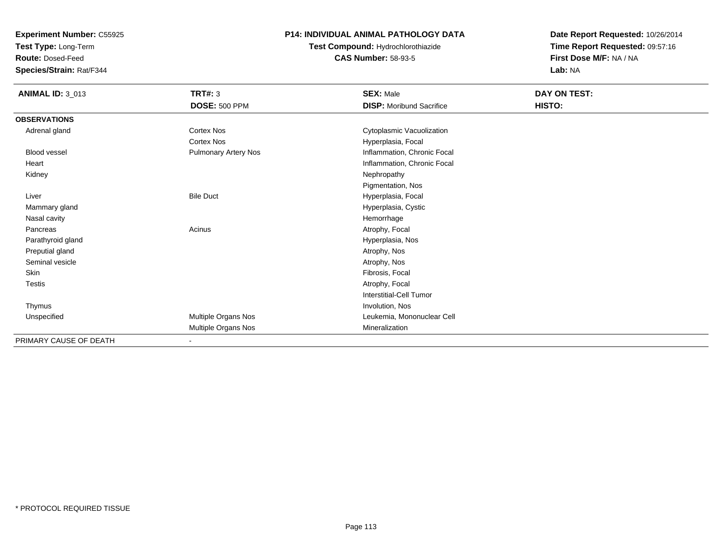**Test Type:** Long-Term

**Route:** Dosed-Feed

**Species/Strain:** Rat/F344

## **P14: INDIVIDUAL ANIMAL PATHOLOGY DATA**

**Test Compound:** Hydrochlorothiazide**CAS Number:** 58-93-5

| <b>ANIMAL ID: 3_013</b> | <b>TRT#: 3</b><br><b>DOSE: 500 PPM</b> | <b>SEX: Male</b><br><b>DISP:</b> Moribund Sacrifice | DAY ON TEST:<br>HISTO: |
|-------------------------|----------------------------------------|-----------------------------------------------------|------------------------|
| <b>OBSERVATIONS</b>     |                                        |                                                     |                        |
| Adrenal gland           | Cortex Nos                             | Cytoplasmic Vacuolization                           |                        |
|                         | Cortex Nos                             | Hyperplasia, Focal                                  |                        |
| <b>Blood vessel</b>     | <b>Pulmonary Artery Nos</b>            | Inflammation, Chronic Focal                         |                        |
| Heart                   |                                        | Inflammation, Chronic Focal                         |                        |
| Kidney                  |                                        | Nephropathy                                         |                        |
|                         |                                        | Pigmentation, Nos                                   |                        |
| Liver                   | <b>Bile Duct</b>                       | Hyperplasia, Focal                                  |                        |
| Mammary gland           |                                        | Hyperplasia, Cystic                                 |                        |
| Nasal cavity            |                                        | Hemorrhage                                          |                        |
| Pancreas                | Acinus                                 | Atrophy, Focal                                      |                        |
| Parathyroid gland       |                                        | Hyperplasia, Nos                                    |                        |
| Preputial gland         |                                        | Atrophy, Nos                                        |                        |
| Seminal vesicle         |                                        | Atrophy, Nos                                        |                        |
| Skin                    |                                        | Fibrosis, Focal                                     |                        |
| Testis                  |                                        | Atrophy, Focal                                      |                        |
|                         |                                        | Interstitial-Cell Tumor                             |                        |
| Thymus                  |                                        | Involution, Nos                                     |                        |
| Unspecified             | Multiple Organs Nos                    | Leukemia, Mononuclear Cell                          |                        |
|                         | Multiple Organs Nos                    | Mineralization                                      |                        |
| PRIMARY CAUSE OF DEATH  | $\blacksquare$                         |                                                     |                        |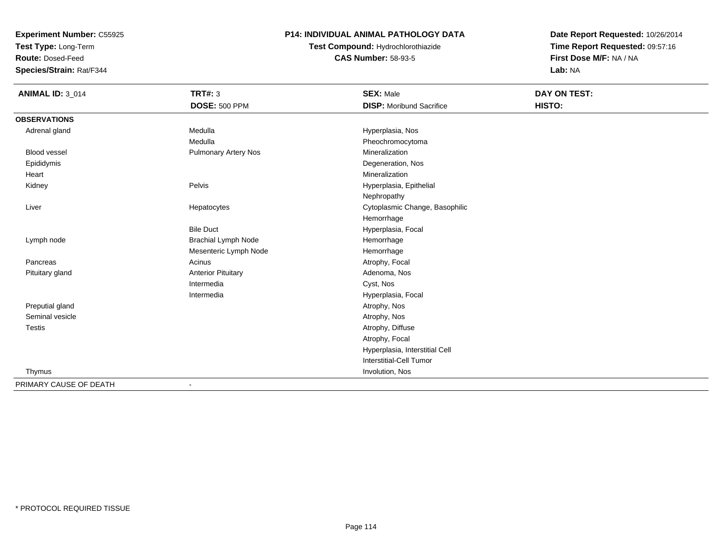**Test Type:** Long-Term

**Route:** Dosed-Feed

**Species/Strain:** Rat/F344

## **P14: INDIVIDUAL ANIMAL PATHOLOGY DATA**

# **Test Compound:** Hydrochlorothiazide**CAS Number:** 58-93-5

| <b>ANIMAL ID: 3_014</b> | <b>TRT#: 3</b>              | <b>SEX: Male</b>                | DAY ON TEST: |  |
|-------------------------|-----------------------------|---------------------------------|--------------|--|
|                         | <b>DOSE: 500 PPM</b>        | <b>DISP:</b> Moribund Sacrifice | HISTO:       |  |
| <b>OBSERVATIONS</b>     |                             |                                 |              |  |
| Adrenal gland           | Medulla                     | Hyperplasia, Nos                |              |  |
|                         | Medulla                     | Pheochromocytoma                |              |  |
| <b>Blood vessel</b>     | <b>Pulmonary Artery Nos</b> | Mineralization                  |              |  |
| Epididymis              |                             | Degeneration, Nos               |              |  |
| Heart                   |                             | Mineralization                  |              |  |
| Kidney                  | Pelvis                      | Hyperplasia, Epithelial         |              |  |
|                         |                             | Nephropathy                     |              |  |
| Liver                   | Hepatocytes                 | Cytoplasmic Change, Basophilic  |              |  |
|                         |                             | Hemorrhage                      |              |  |
|                         | <b>Bile Duct</b>            | Hyperplasia, Focal              |              |  |
| Lymph node              | <b>Brachial Lymph Node</b>  | Hemorrhage                      |              |  |
|                         | Mesenteric Lymph Node       | Hemorrhage                      |              |  |
| Pancreas                | Acinus                      | Atrophy, Focal                  |              |  |
| Pituitary gland         | <b>Anterior Pituitary</b>   | Adenoma, Nos                    |              |  |
|                         | Intermedia                  | Cyst, Nos                       |              |  |
|                         | Intermedia                  | Hyperplasia, Focal              |              |  |
| Preputial gland         |                             | Atrophy, Nos                    |              |  |
| Seminal vesicle         |                             | Atrophy, Nos                    |              |  |
| <b>Testis</b>           |                             | Atrophy, Diffuse                |              |  |
|                         |                             | Atrophy, Focal                  |              |  |
|                         |                             | Hyperplasia, Interstitial Cell  |              |  |
|                         |                             | Interstitial-Cell Tumor         |              |  |
| Thymus                  |                             | Involution, Nos                 |              |  |
| PRIMARY CAUSE OF DEATH  | $\overline{\phantom{a}}$    |                                 |              |  |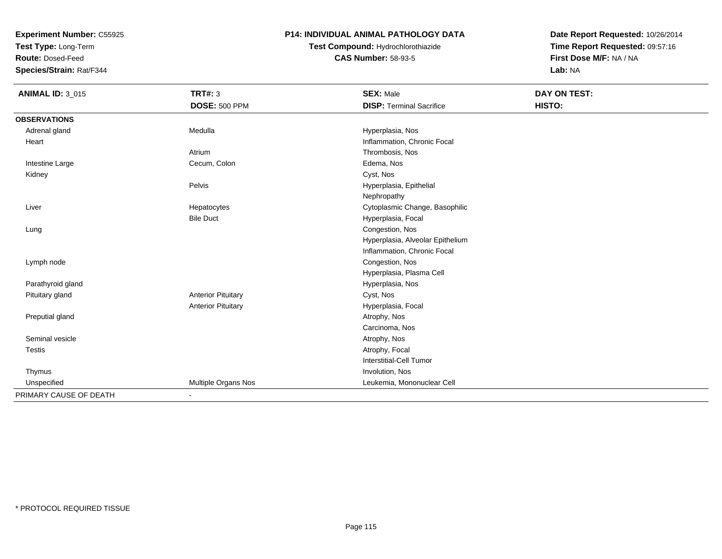**Test Type:** Long-Term

**Route:** Dosed-Feed

**Species/Strain:** Rat/F344

## **P14: INDIVIDUAL ANIMAL PATHOLOGY DATA**

# **Test Compound:** Hydrochlorothiazide**CAS Number:** 58-93-5

| <b>ANIMAL ID: 3_015</b> | <b>TRT#: 3</b>            | <b>SEX: Male</b>                 | <b>DAY ON TEST:</b> |
|-------------------------|---------------------------|----------------------------------|---------------------|
|                         | <b>DOSE: 500 PPM</b>      | <b>DISP: Terminal Sacrifice</b>  | HISTO:              |
| <b>OBSERVATIONS</b>     |                           |                                  |                     |
| Adrenal gland           | Medulla                   | Hyperplasia, Nos                 |                     |
| Heart                   |                           | Inflammation, Chronic Focal      |                     |
|                         | Atrium                    | Thrombosis, Nos                  |                     |
| Intestine Large         | Cecum, Colon              | Edema, Nos                       |                     |
| Kidney                  |                           | Cyst, Nos                        |                     |
|                         | Pelvis                    | Hyperplasia, Epithelial          |                     |
|                         |                           | Nephropathy                      |                     |
| Liver                   | Hepatocytes               | Cytoplasmic Change, Basophilic   |                     |
|                         | <b>Bile Duct</b>          | Hyperplasia, Focal               |                     |
| Lung                    |                           | Congestion, Nos                  |                     |
|                         |                           | Hyperplasia, Alveolar Epithelium |                     |
|                         |                           | Inflammation, Chronic Focal      |                     |
| Lymph node              |                           | Congestion, Nos                  |                     |
|                         |                           | Hyperplasia, Plasma Cell         |                     |
| Parathyroid gland       |                           | Hyperplasia, Nos                 |                     |
| Pituitary gland         | <b>Anterior Pituitary</b> | Cyst, Nos                        |                     |
|                         | <b>Anterior Pituitary</b> | Hyperplasia, Focal               |                     |
| Preputial gland         |                           | Atrophy, Nos                     |                     |
|                         |                           | Carcinoma, Nos                   |                     |
| Seminal vesicle         |                           | Atrophy, Nos                     |                     |
| Testis                  |                           | Atrophy, Focal                   |                     |
|                         |                           | <b>Interstitial-Cell Tumor</b>   |                     |
| Thymus                  |                           | Involution, Nos                  |                     |
| Unspecified             | Multiple Organs Nos       | Leukemia, Mononuclear Cell       |                     |
| PRIMARY CAUSE OF DEATH  |                           |                                  |                     |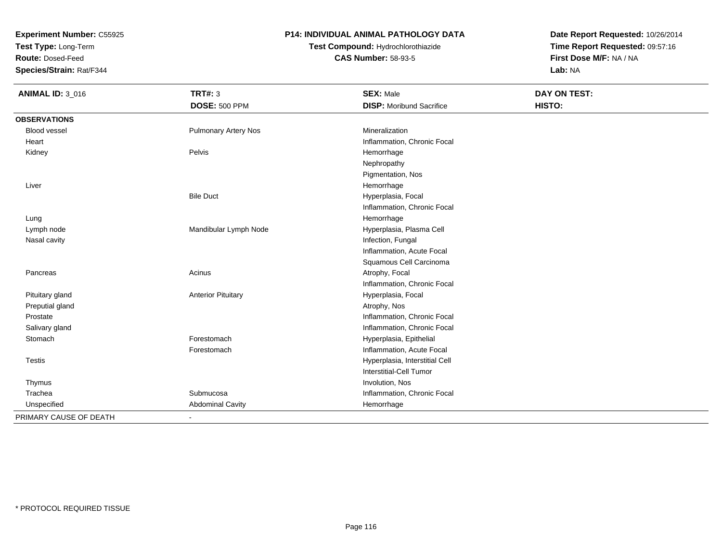**Test Type:** Long-Term

**Route:** Dosed-Feed

**Species/Strain:** Rat/F344

### **P14: INDIVIDUAL ANIMAL PATHOLOGY DATA**

# **Test Compound:** Hydrochlorothiazide**CAS Number:** 58-93-5

| <b>ANIMAL ID: 3 016</b> | <b>TRT#: 3</b>              | <b>SEX: Male</b>                | <b>DAY ON TEST:</b> |
|-------------------------|-----------------------------|---------------------------------|---------------------|
|                         | <b>DOSE: 500 PPM</b>        | <b>DISP:</b> Moribund Sacrifice | HISTO:              |
| <b>OBSERVATIONS</b>     |                             |                                 |                     |
| <b>Blood vessel</b>     | <b>Pulmonary Artery Nos</b> | Mineralization                  |                     |
| Heart                   |                             | Inflammation, Chronic Focal     |                     |
| Kidney                  | Pelvis                      | Hemorrhage                      |                     |
|                         |                             | Nephropathy                     |                     |
|                         |                             | Pigmentation, Nos               |                     |
| Liver                   |                             | Hemorrhage                      |                     |
|                         | <b>Bile Duct</b>            | Hyperplasia, Focal              |                     |
|                         |                             | Inflammation, Chronic Focal     |                     |
| Lung                    |                             | Hemorrhage                      |                     |
| Lymph node              | Mandibular Lymph Node       | Hyperplasia, Plasma Cell        |                     |
| Nasal cavity            |                             | Infection, Fungal               |                     |
|                         |                             | Inflammation, Acute Focal       |                     |
|                         |                             | Squamous Cell Carcinoma         |                     |
| Pancreas                | Acinus                      | Atrophy, Focal                  |                     |
|                         |                             | Inflammation, Chronic Focal     |                     |
| Pituitary gland         | <b>Anterior Pituitary</b>   | Hyperplasia, Focal              |                     |
| Preputial gland         |                             | Atrophy, Nos                    |                     |
| Prostate                |                             | Inflammation, Chronic Focal     |                     |
| Salivary gland          |                             | Inflammation, Chronic Focal     |                     |
| Stomach                 | Forestomach                 | Hyperplasia, Epithelial         |                     |
|                         | Forestomach                 | Inflammation, Acute Focal       |                     |
| <b>Testis</b>           |                             | Hyperplasia, Interstitial Cell  |                     |
|                         |                             | Interstitial-Cell Tumor         |                     |
| Thymus                  |                             | Involution, Nos                 |                     |
| Trachea                 | Submucosa                   | Inflammation, Chronic Focal     |                     |
| Unspecified             | <b>Abdominal Cavity</b>     | Hemorrhage                      |                     |
| PRIMARY CAUSE OF DEATH  | $\blacksquare$              |                                 |                     |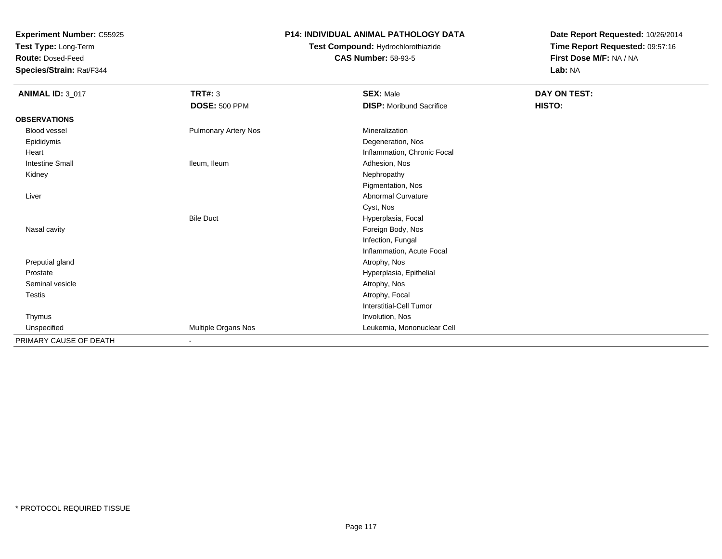**Test Type:** Long-Term

**Route:** Dosed-Feed

**Species/Strain:** Rat/F344

## **P14: INDIVIDUAL ANIMAL PATHOLOGY DATA**

# **Test Compound:** Hydrochlorothiazide**CAS Number:** 58-93-5

| <b>ANIMAL ID: 3_017</b> | <b>TRT#: 3</b>              | <b>SEX: Male</b>                | DAY ON TEST: |  |
|-------------------------|-----------------------------|---------------------------------|--------------|--|
|                         | <b>DOSE: 500 PPM</b>        | <b>DISP:</b> Moribund Sacrifice | HISTO:       |  |
| <b>OBSERVATIONS</b>     |                             |                                 |              |  |
| <b>Blood vessel</b>     | <b>Pulmonary Artery Nos</b> | Mineralization                  |              |  |
| Epididymis              |                             | Degeneration, Nos               |              |  |
| Heart                   |                             | Inflammation, Chronic Focal     |              |  |
| <b>Intestine Small</b>  | Ileum, Ileum                | Adhesion, Nos                   |              |  |
| Kidney                  |                             | Nephropathy                     |              |  |
|                         |                             | Pigmentation, Nos               |              |  |
| Liver                   |                             | Abnormal Curvature              |              |  |
|                         |                             | Cyst, Nos                       |              |  |
|                         | <b>Bile Duct</b>            | Hyperplasia, Focal              |              |  |
| Nasal cavity            |                             | Foreign Body, Nos               |              |  |
|                         |                             | Infection, Fungal               |              |  |
|                         |                             | Inflammation, Acute Focal       |              |  |
| Preputial gland         |                             | Atrophy, Nos                    |              |  |
| Prostate                |                             | Hyperplasia, Epithelial         |              |  |
| Seminal vesicle         |                             | Atrophy, Nos                    |              |  |
| Testis                  |                             | Atrophy, Focal                  |              |  |
|                         |                             | Interstitial-Cell Tumor         |              |  |
| Thymus                  |                             | Involution, Nos                 |              |  |
| Unspecified             | Multiple Organs Nos         | Leukemia, Mononuclear Cell      |              |  |
| PRIMARY CAUSE OF DEATH  | $\blacksquare$              |                                 |              |  |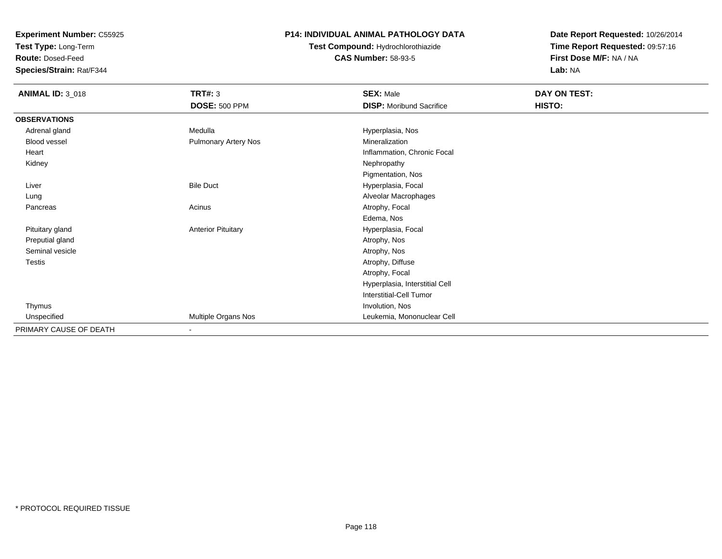**Test Type:** Long-Term

**Route:** Dosed-Feed

**Species/Strain:** Rat/F344

## **P14: INDIVIDUAL ANIMAL PATHOLOGY DATA**

# **Test Compound:** Hydrochlorothiazide**CAS Number:** 58-93-5

| <b>ANIMAL ID: 3_018</b> | <b>TRT#: 3</b>              | <b>SEX: Male</b>                | DAY ON TEST: |
|-------------------------|-----------------------------|---------------------------------|--------------|
|                         | <b>DOSE: 500 PPM</b>        | <b>DISP:</b> Moribund Sacrifice | HISTO:       |
| <b>OBSERVATIONS</b>     |                             |                                 |              |
| Adrenal gland           | Medulla                     | Hyperplasia, Nos                |              |
| Blood vessel            | <b>Pulmonary Artery Nos</b> | Mineralization                  |              |
| Heart                   |                             | Inflammation, Chronic Focal     |              |
| Kidney                  |                             | Nephropathy                     |              |
|                         |                             | Pigmentation, Nos               |              |
| Liver                   | <b>Bile Duct</b>            | Hyperplasia, Focal              |              |
| Lung                    |                             | Alveolar Macrophages            |              |
| Pancreas                | Acinus                      | Atrophy, Focal                  |              |
|                         |                             | Edema, Nos                      |              |
| Pituitary gland         | <b>Anterior Pituitary</b>   | Hyperplasia, Focal              |              |
| Preputial gland         |                             | Atrophy, Nos                    |              |
| Seminal vesicle         |                             | Atrophy, Nos                    |              |
| <b>Testis</b>           |                             | Atrophy, Diffuse                |              |
|                         |                             | Atrophy, Focal                  |              |
|                         |                             | Hyperplasia, Interstitial Cell  |              |
|                         |                             | <b>Interstitial-Cell Tumor</b>  |              |
| Thymus                  |                             | Involution, Nos                 |              |
| Unspecified             | Multiple Organs Nos         | Leukemia, Mononuclear Cell      |              |
| PRIMARY CAUSE OF DEATH  | ٠                           |                                 |              |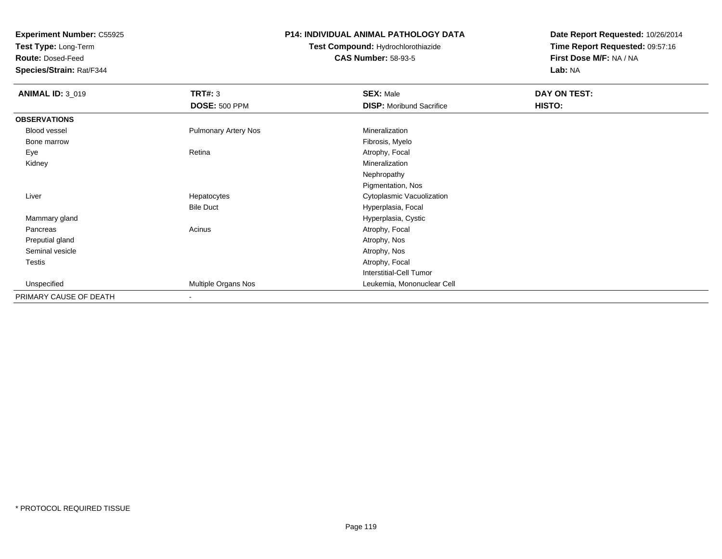**Test Type:** Long-Term

**Route:** Dosed-Feed

**Species/Strain:** Rat/F344

### **P14: INDIVIDUAL ANIMAL PATHOLOGY DATA**

# **Test Compound:** Hydrochlorothiazide**CAS Number:** 58-93-5

| <b>ANIMAL ID: 3_019</b> | TRT#: 3                     | <b>SEX: Male</b>                | DAY ON TEST: |  |
|-------------------------|-----------------------------|---------------------------------|--------------|--|
|                         | <b>DOSE: 500 PPM</b>        | <b>DISP:</b> Moribund Sacrifice | HISTO:       |  |
| <b>OBSERVATIONS</b>     |                             |                                 |              |  |
| Blood vessel            | <b>Pulmonary Artery Nos</b> | Mineralization                  |              |  |
| Bone marrow             |                             | Fibrosis, Myelo                 |              |  |
| Eye                     | Retina                      | Atrophy, Focal                  |              |  |
| Kidney                  |                             | Mineralization                  |              |  |
|                         |                             | Nephropathy                     |              |  |
|                         |                             | Pigmentation, Nos               |              |  |
| Liver                   | Hepatocytes                 | Cytoplasmic Vacuolization       |              |  |
|                         | <b>Bile Duct</b>            | Hyperplasia, Focal              |              |  |
| Mammary gland           |                             | Hyperplasia, Cystic             |              |  |
| Pancreas                | Acinus                      | Atrophy, Focal                  |              |  |
| Preputial gland         |                             | Atrophy, Nos                    |              |  |
| Seminal vesicle         |                             | Atrophy, Nos                    |              |  |
| Testis                  |                             | Atrophy, Focal                  |              |  |
|                         |                             | Interstitial-Cell Tumor         |              |  |
| Unspecified             | Multiple Organs Nos         | Leukemia, Mononuclear Cell      |              |  |
| PRIMARY CAUSE OF DEATH  | $\overline{\phantom{a}}$    |                                 |              |  |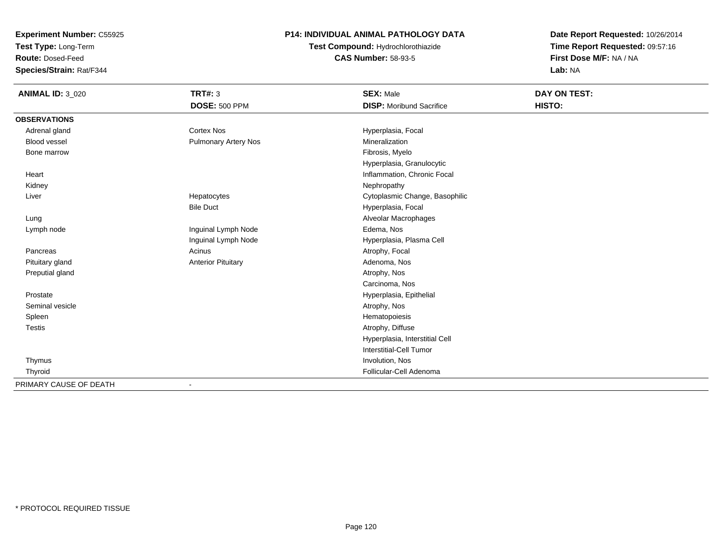**Test Type:** Long-Term

**Route:** Dosed-Feed

**Species/Strain:** Rat/F344

## **P14: INDIVIDUAL ANIMAL PATHOLOGY DATA**

# **Test Compound:** Hydrochlorothiazide**CAS Number:** 58-93-5

| <b>ANIMAL ID: 3_020</b> | <b>TRT#: 3</b>            | <b>SEX: Male</b>                | <b>DAY ON TEST:</b> |
|-------------------------|---------------------------|---------------------------------|---------------------|
|                         | <b>DOSE: 500 PPM</b>      | <b>DISP: Moribund Sacrifice</b> | HISTO:              |
| <b>OBSERVATIONS</b>     |                           |                                 |                     |
| Adrenal gland           | <b>Cortex Nos</b>         | Hyperplasia, Focal              |                     |
| <b>Blood vessel</b>     | Pulmonary Artery Nos      | Mineralization                  |                     |
| Bone marrow             |                           | Fibrosis, Myelo                 |                     |
|                         |                           | Hyperplasia, Granulocytic       |                     |
| Heart                   |                           | Inflammation, Chronic Focal     |                     |
| Kidney                  |                           | Nephropathy                     |                     |
| Liver                   | Hepatocytes               | Cytoplasmic Change, Basophilic  |                     |
|                         | <b>Bile Duct</b>          | Hyperplasia, Focal              |                     |
| Lung                    |                           | Alveolar Macrophages            |                     |
| Lymph node              | Inguinal Lymph Node       | Edema, Nos                      |                     |
|                         | Inguinal Lymph Node       | Hyperplasia, Plasma Cell        |                     |
| Pancreas                | Acinus                    | Atrophy, Focal                  |                     |
| Pituitary gland         | <b>Anterior Pituitary</b> | Adenoma, Nos                    |                     |
| Preputial gland         |                           | Atrophy, Nos                    |                     |
|                         |                           | Carcinoma, Nos                  |                     |
| Prostate                |                           | Hyperplasia, Epithelial         |                     |
| Seminal vesicle         |                           | Atrophy, Nos                    |                     |
| Spleen                  |                           | Hematopoiesis                   |                     |
| Testis                  |                           | Atrophy, Diffuse                |                     |
|                         |                           | Hyperplasia, Interstitial Cell  |                     |
|                         |                           | Interstitial-Cell Tumor         |                     |
| Thymus                  |                           | Involution, Nos                 |                     |
| Thyroid                 |                           | Follicular-Cell Adenoma         |                     |
| PRIMARY CAUSE OF DEATH  |                           |                                 |                     |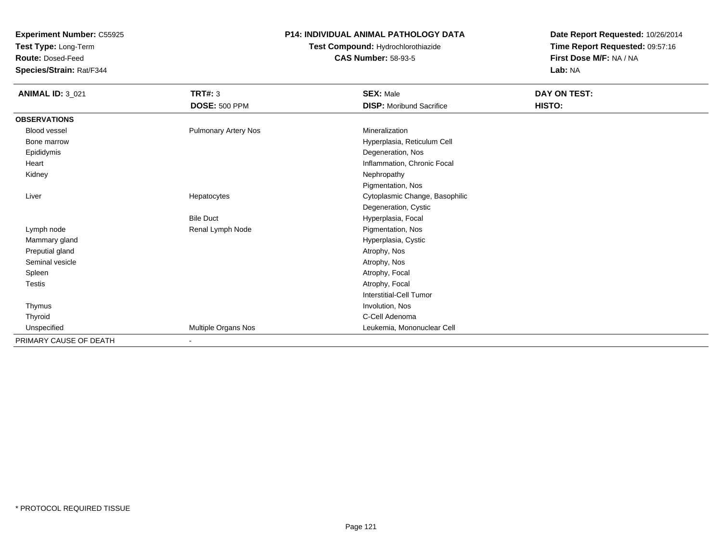**Test Type:** Long-Term

**Route:** Dosed-Feed

**Species/Strain:** Rat/F344

## **P14: INDIVIDUAL ANIMAL PATHOLOGY DATA**

# **Test Compound:** Hydrochlorothiazide**CAS Number:** 58-93-5

| <b>ANIMAL ID: 3_021</b> | <b>TRT#: 3</b>              | <b>SEX: Male</b>                | DAY ON TEST: |  |
|-------------------------|-----------------------------|---------------------------------|--------------|--|
|                         | <b>DOSE: 500 PPM</b>        | <b>DISP:</b> Moribund Sacrifice | HISTO:       |  |
| <b>OBSERVATIONS</b>     |                             |                                 |              |  |
| <b>Blood vessel</b>     | <b>Pulmonary Artery Nos</b> | Mineralization                  |              |  |
| Bone marrow             |                             | Hyperplasia, Reticulum Cell     |              |  |
| Epididymis              |                             | Degeneration, Nos               |              |  |
| Heart                   |                             | Inflammation, Chronic Focal     |              |  |
| Kidney                  |                             | Nephropathy                     |              |  |
|                         |                             | Pigmentation, Nos               |              |  |
| Liver                   | Hepatocytes                 | Cytoplasmic Change, Basophilic  |              |  |
|                         |                             | Degeneration, Cystic            |              |  |
|                         | <b>Bile Duct</b>            | Hyperplasia, Focal              |              |  |
| Lymph node              | Renal Lymph Node            | Pigmentation, Nos               |              |  |
| Mammary gland           |                             | Hyperplasia, Cystic             |              |  |
| Preputial gland         |                             | Atrophy, Nos                    |              |  |
| Seminal vesicle         |                             | Atrophy, Nos                    |              |  |
| Spleen                  |                             | Atrophy, Focal                  |              |  |
| Testis                  |                             | Atrophy, Focal                  |              |  |
|                         |                             | Interstitial-Cell Tumor         |              |  |
| Thymus                  |                             | Involution, Nos                 |              |  |
| Thyroid                 |                             | C-Cell Adenoma                  |              |  |
| Unspecified             | Multiple Organs Nos         | Leukemia, Mononuclear Cell      |              |  |
| PRIMARY CAUSE OF DEATH  | $\overline{\phantom{0}}$    |                                 |              |  |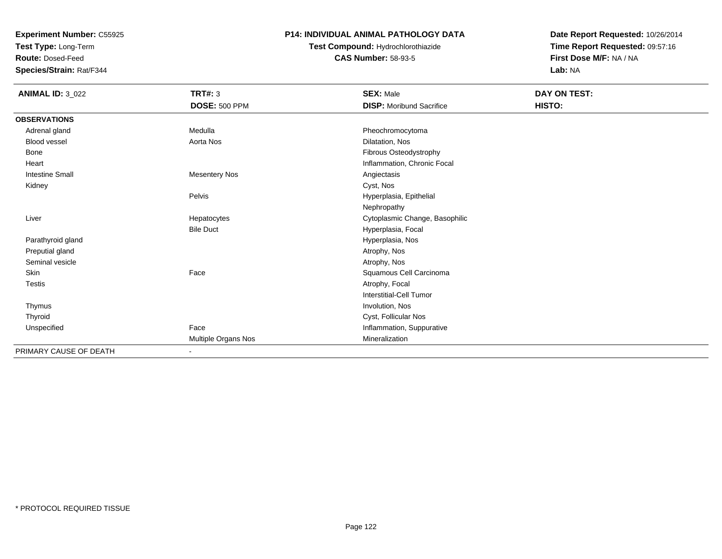**Test Type:** Long-Term

**Route:** Dosed-Feed

**Species/Strain:** Rat/F344

## **P14: INDIVIDUAL ANIMAL PATHOLOGY DATA**

**Test Compound:** Hydrochlorothiazide**CAS Number:** 58-93-5

| <b>ANIMAL ID: 3_022</b> | <b>TRT#: 3</b>       | <b>SEX: Male</b>                | DAY ON TEST: |  |
|-------------------------|----------------------|---------------------------------|--------------|--|
|                         | <b>DOSE: 500 PPM</b> | <b>DISP:</b> Moribund Sacrifice | HISTO:       |  |
| <b>OBSERVATIONS</b>     |                      |                                 |              |  |
| Adrenal gland           | Medulla              | Pheochromocytoma                |              |  |
| <b>Blood vessel</b>     | Aorta Nos            | Dilatation, Nos                 |              |  |
| <b>Bone</b>             |                      | Fibrous Osteodystrophy          |              |  |
| Heart                   |                      | Inflammation, Chronic Focal     |              |  |
| <b>Intestine Small</b>  | <b>Mesentery Nos</b> | Angiectasis                     |              |  |
| Kidney                  |                      | Cyst, Nos                       |              |  |
|                         | Pelvis               | Hyperplasia, Epithelial         |              |  |
|                         |                      | Nephropathy                     |              |  |
| Liver                   | Hepatocytes          | Cytoplasmic Change, Basophilic  |              |  |
|                         | <b>Bile Duct</b>     | Hyperplasia, Focal              |              |  |
| Parathyroid gland       |                      | Hyperplasia, Nos                |              |  |
| Preputial gland         |                      | Atrophy, Nos                    |              |  |
| Seminal vesicle         |                      | Atrophy, Nos                    |              |  |
| Skin                    | Face                 | Squamous Cell Carcinoma         |              |  |
| <b>Testis</b>           |                      | Atrophy, Focal                  |              |  |
|                         |                      | Interstitial-Cell Tumor         |              |  |
| Thymus                  |                      | Involution, Nos                 |              |  |
| Thyroid                 |                      | Cyst, Follicular Nos            |              |  |
| Unspecified             | Face                 | Inflammation, Suppurative       |              |  |
|                         | Multiple Organs Nos  | Mineralization                  |              |  |
| PRIMARY CAUSE OF DEATH  | ٠                    |                                 |              |  |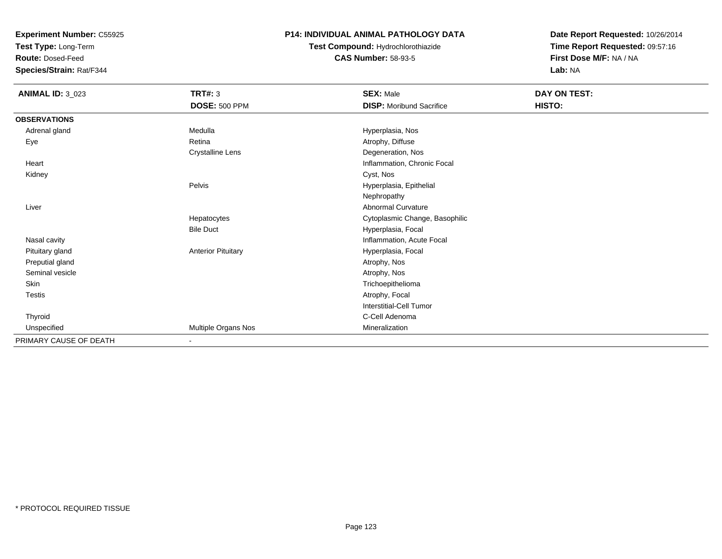**Test Type:** Long-Term

**Route:** Dosed-Feed

**Species/Strain:** Rat/F344

### **P14: INDIVIDUAL ANIMAL PATHOLOGY DATA**

# **Test Compound:** Hydrochlorothiazide**CAS Number:** 58-93-5

| <b>ANIMAL ID: 3_023</b> | TRT#: 3                   | <b>SEX: Male</b>                | DAY ON TEST: |  |
|-------------------------|---------------------------|---------------------------------|--------------|--|
|                         | <b>DOSE: 500 PPM</b>      | <b>DISP:</b> Moribund Sacrifice | HISTO:       |  |
| <b>OBSERVATIONS</b>     |                           |                                 |              |  |
| Adrenal gland           | Medulla                   | Hyperplasia, Nos                |              |  |
| Eye                     | Retina                    | Atrophy, Diffuse                |              |  |
|                         | <b>Crystalline Lens</b>   | Degeneration, Nos               |              |  |
| Heart                   |                           | Inflammation, Chronic Focal     |              |  |
| Kidney                  |                           | Cyst, Nos                       |              |  |
|                         | Pelvis                    | Hyperplasia, Epithelial         |              |  |
|                         |                           | Nephropathy                     |              |  |
| Liver                   |                           | Abnormal Curvature              |              |  |
|                         | Hepatocytes               | Cytoplasmic Change, Basophilic  |              |  |
|                         | <b>Bile Duct</b>          | Hyperplasia, Focal              |              |  |
| Nasal cavity            |                           | Inflammation, Acute Focal       |              |  |
| Pituitary gland         | <b>Anterior Pituitary</b> | Hyperplasia, Focal              |              |  |
| Preputial gland         |                           | Atrophy, Nos                    |              |  |
| Seminal vesicle         |                           | Atrophy, Nos                    |              |  |
| Skin                    |                           | Trichoepithelioma               |              |  |
| Testis                  |                           | Atrophy, Focal                  |              |  |
|                         |                           | <b>Interstitial-Cell Tumor</b>  |              |  |
| Thyroid                 |                           | C-Cell Adenoma                  |              |  |
| Unspecified             | Multiple Organs Nos       | Mineralization                  |              |  |
| PRIMARY CAUSE OF DEATH  | ٠                         |                                 |              |  |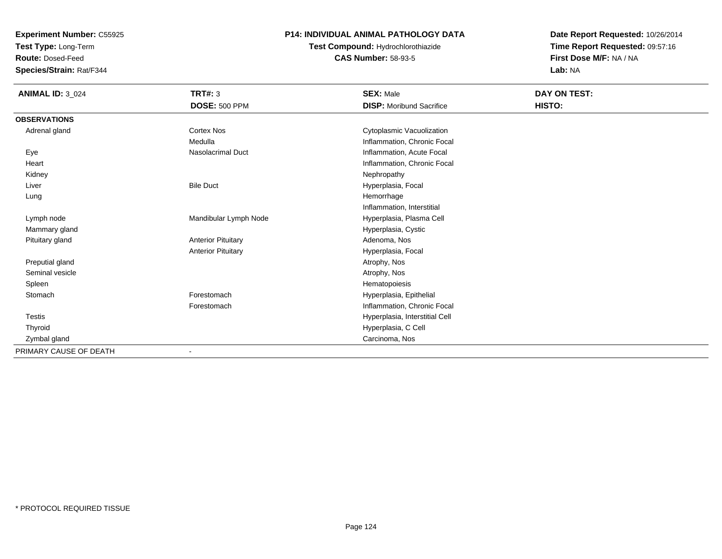**Test Type:** Long-Term

**Route:** Dosed-Feed

**Species/Strain:** Rat/F344

## **P14: INDIVIDUAL ANIMAL PATHOLOGY DATA**

# **Test Compound:** Hydrochlorothiazide**CAS Number:** 58-93-5

| <b>ANIMAL ID: 3_024</b> | TRT#: 3                   | <b>SEX: Male</b>                | DAY ON TEST: |
|-------------------------|---------------------------|---------------------------------|--------------|
|                         | <b>DOSE: 500 PPM</b>      | <b>DISP:</b> Moribund Sacrifice | HISTO:       |
| <b>OBSERVATIONS</b>     |                           |                                 |              |
| Adrenal gland           | Cortex Nos                | Cytoplasmic Vacuolization       |              |
|                         | Medulla                   | Inflammation, Chronic Focal     |              |
| Eye                     | <b>Nasolacrimal Duct</b>  | Inflammation, Acute Focal       |              |
| Heart                   |                           | Inflammation, Chronic Focal     |              |
| Kidney                  |                           | Nephropathy                     |              |
| Liver                   | <b>Bile Duct</b>          | Hyperplasia, Focal              |              |
| Lung                    |                           | Hemorrhage                      |              |
|                         |                           | Inflammation, Interstitial      |              |
| Lymph node              | Mandibular Lymph Node     | Hyperplasia, Plasma Cell        |              |
| Mammary gland           |                           | Hyperplasia, Cystic             |              |
| Pituitary gland         | <b>Anterior Pituitary</b> | Adenoma, Nos                    |              |
|                         | <b>Anterior Pituitary</b> | Hyperplasia, Focal              |              |
| Preputial gland         |                           | Atrophy, Nos                    |              |
| Seminal vesicle         |                           | Atrophy, Nos                    |              |
| Spleen                  |                           | Hematopoiesis                   |              |
| Stomach                 | Forestomach               | Hyperplasia, Epithelial         |              |
|                         | Forestomach               | Inflammation, Chronic Focal     |              |
| <b>Testis</b>           |                           | Hyperplasia, Interstitial Cell  |              |
| Thyroid                 |                           | Hyperplasia, C Cell             |              |
| Zymbal gland            |                           | Carcinoma, Nos                  |              |
| PRIMARY CAUSE OF DEATH  |                           |                                 |              |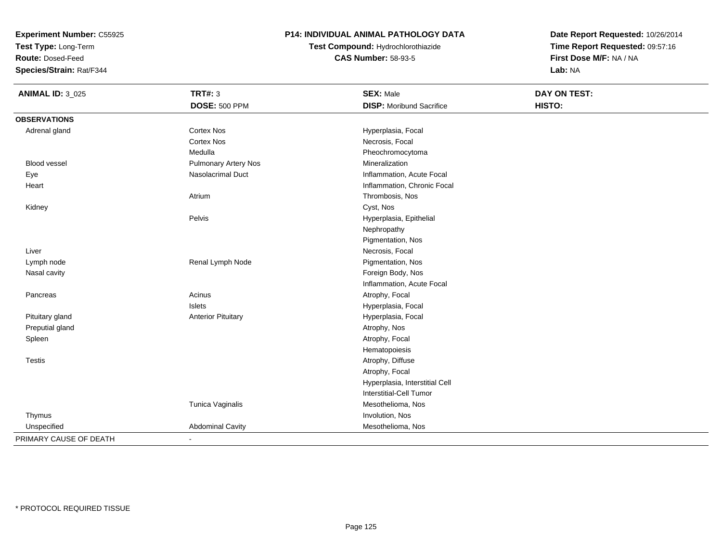**Test Type:** Long-Term

**Route:** Dosed-Feed

**Species/Strain:** Rat/F344

## **P14: INDIVIDUAL ANIMAL PATHOLOGY DATA**

**Test Compound:** Hydrochlorothiazide**CAS Number:** 58-93-5

| <b>ANIMAL ID: 3_025</b> | <b>TRT#: 3</b>            | <b>SEX: Male</b>                | <b>DAY ON TEST:</b> |  |
|-------------------------|---------------------------|---------------------------------|---------------------|--|
|                         | <b>DOSE: 500 PPM</b>      | <b>DISP:</b> Moribund Sacrifice | HISTO:              |  |
| <b>OBSERVATIONS</b>     |                           |                                 |                     |  |
| Adrenal gland           | <b>Cortex Nos</b>         | Hyperplasia, Focal              |                     |  |
|                         | <b>Cortex Nos</b>         | Necrosis, Focal                 |                     |  |
|                         | Medulla                   | Pheochromocytoma                |                     |  |
| Blood vessel            | Pulmonary Artery Nos      | Mineralization                  |                     |  |
| Eye                     | <b>Nasolacrimal Duct</b>  | Inflammation, Acute Focal       |                     |  |
| Heart                   |                           | Inflammation, Chronic Focal     |                     |  |
|                         | Atrium                    | Thrombosis, Nos                 |                     |  |
| Kidney                  |                           | Cyst, Nos                       |                     |  |
|                         | Pelvis                    | Hyperplasia, Epithelial         |                     |  |
|                         |                           | Nephropathy                     |                     |  |
|                         |                           | Pigmentation, Nos               |                     |  |
| Liver                   |                           | Necrosis, Focal                 |                     |  |
| Lymph node              | Renal Lymph Node          | Pigmentation, Nos               |                     |  |
| Nasal cavity            |                           | Foreign Body, Nos               |                     |  |
|                         |                           | Inflammation, Acute Focal       |                     |  |
| Pancreas                | Acinus                    | Atrophy, Focal                  |                     |  |
|                         | <b>Islets</b>             | Hyperplasia, Focal              |                     |  |
| Pituitary gland         | <b>Anterior Pituitary</b> | Hyperplasia, Focal              |                     |  |
| Preputial gland         |                           | Atrophy, Nos                    |                     |  |
| Spleen                  |                           | Atrophy, Focal                  |                     |  |
|                         |                           | Hematopoiesis                   |                     |  |
| <b>Testis</b>           |                           | Atrophy, Diffuse                |                     |  |
|                         |                           | Atrophy, Focal                  |                     |  |
|                         |                           | Hyperplasia, Interstitial Cell  |                     |  |
|                         |                           | <b>Interstitial-Cell Tumor</b>  |                     |  |
|                         | Tunica Vaginalis          | Mesothelioma, Nos               |                     |  |
| Thymus                  |                           | Involution, Nos                 |                     |  |
| Unspecified             | <b>Abdominal Cavity</b>   | Mesothelioma, Nos               |                     |  |
| PRIMARY CAUSE OF DEATH  | $\blacksquare$            |                                 |                     |  |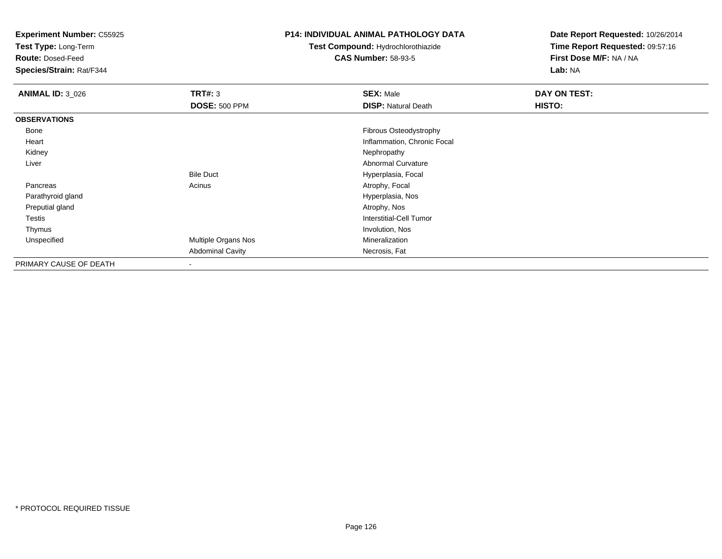**Test Type:** Long-Term

**Route:** Dosed-Feed

**Species/Strain:** Rat/F344

#### **P14: INDIVIDUAL ANIMAL PATHOLOGY DATA**

# **Test Compound:** Hydrochlorothiazide**CAS Number:** 58-93-5

| <b>ANIMAL ID: 3_026</b> | TRT#: 3                 | <b>SEX: Male</b>            | DAY ON TEST: |
|-------------------------|-------------------------|-----------------------------|--------------|
|                         | <b>DOSE: 500 PPM</b>    | <b>DISP: Natural Death</b>  | HISTO:       |
| <b>OBSERVATIONS</b>     |                         |                             |              |
| Bone                    |                         | Fibrous Osteodystrophy      |              |
| Heart                   |                         | Inflammation, Chronic Focal |              |
| Kidney                  |                         | Nephropathy                 |              |
| Liver                   |                         | Abnormal Curvature          |              |
|                         | <b>Bile Duct</b>        | Hyperplasia, Focal          |              |
| Pancreas                | Acinus                  | Atrophy, Focal              |              |
| Parathyroid gland       |                         | Hyperplasia, Nos            |              |
| Preputial gland         |                         | Atrophy, Nos                |              |
| Testis                  |                         | Interstitial-Cell Tumor     |              |
| Thymus                  |                         | Involution, Nos             |              |
| Unspecified             | Multiple Organs Nos     | Mineralization              |              |
|                         | <b>Abdominal Cavity</b> | Necrosis, Fat               |              |
| PRIMARY CAUSE OF DEATH  | $\blacksquare$          |                             |              |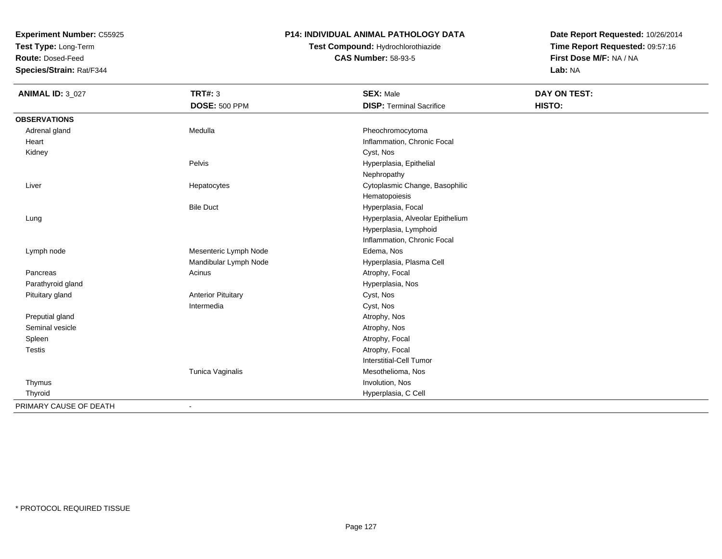**Test Type:** Long-Term

**Route:** Dosed-Feed

**Species/Strain:** Rat/F344

### **P14: INDIVIDUAL ANIMAL PATHOLOGY DATA**

**Test Compound:** Hydrochlorothiazide**CAS Number:** 58-93-5

| <b>ANIMAL ID: 3_027</b> | <b>TRT#: 3</b>            | <b>SEX: Male</b>                 | <b>DAY ON TEST:</b> |
|-------------------------|---------------------------|----------------------------------|---------------------|
|                         | <b>DOSE: 500 PPM</b>      | <b>DISP: Terminal Sacrifice</b>  | HISTO:              |
| <b>OBSERVATIONS</b>     |                           |                                  |                     |
| Adrenal gland           | Medulla                   | Pheochromocytoma                 |                     |
| Heart                   |                           | Inflammation, Chronic Focal      |                     |
| Kidney                  |                           | Cyst, Nos                        |                     |
|                         | Pelvis                    | Hyperplasia, Epithelial          |                     |
|                         |                           | Nephropathy                      |                     |
| Liver                   | Hepatocytes               | Cytoplasmic Change, Basophilic   |                     |
|                         |                           | Hematopoiesis                    |                     |
|                         | <b>Bile Duct</b>          | Hyperplasia, Focal               |                     |
| Lung                    |                           | Hyperplasia, Alveolar Epithelium |                     |
|                         |                           | Hyperplasia, Lymphoid            |                     |
|                         |                           | Inflammation, Chronic Focal      |                     |
| Lymph node              | Mesenteric Lymph Node     | Edema, Nos                       |                     |
|                         | Mandibular Lymph Node     | Hyperplasia, Plasma Cell         |                     |
| Pancreas                | Acinus                    | Atrophy, Focal                   |                     |
| Parathyroid gland       |                           | Hyperplasia, Nos                 |                     |
| Pituitary gland         | <b>Anterior Pituitary</b> | Cyst, Nos                        |                     |
|                         | Intermedia                | Cyst, Nos                        |                     |
| Preputial gland         |                           | Atrophy, Nos                     |                     |
| Seminal vesicle         |                           | Atrophy, Nos                     |                     |
| Spleen                  |                           | Atrophy, Focal                   |                     |
| Testis                  |                           | Atrophy, Focal                   |                     |
|                         |                           | Interstitial-Cell Tumor          |                     |
|                         | Tunica Vaginalis          | Mesothelioma, Nos                |                     |
| Thymus                  |                           | Involution, Nos                  |                     |
| Thyroid                 |                           | Hyperplasia, C Cell              |                     |
| PRIMARY CAUSE OF DEATH  | $\overline{\phantom{a}}$  |                                  |                     |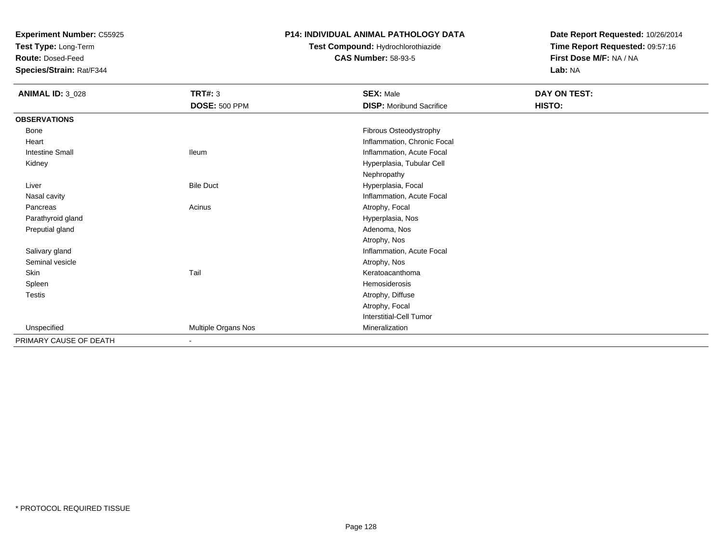**Test Type:** Long-Term

**Route:** Dosed-Feed

**Species/Strain:** Rat/F344

### **P14: INDIVIDUAL ANIMAL PATHOLOGY DATA**

# **Test Compound:** Hydrochlorothiazide**CAS Number:** 58-93-5

| <b>ANIMAL ID: 3_028</b> | <b>TRT#: 3</b>       | <b>SEX: Male</b>                | DAY ON TEST: |  |
|-------------------------|----------------------|---------------------------------|--------------|--|
|                         | <b>DOSE: 500 PPM</b> | <b>DISP:</b> Moribund Sacrifice | HISTO:       |  |
| <b>OBSERVATIONS</b>     |                      |                                 |              |  |
| Bone                    |                      | Fibrous Osteodystrophy          |              |  |
| Heart                   |                      | Inflammation, Chronic Focal     |              |  |
| <b>Intestine Small</b>  | <b>Ileum</b>         | Inflammation, Acute Focal       |              |  |
| Kidney                  |                      | Hyperplasia, Tubular Cell       |              |  |
|                         |                      | Nephropathy                     |              |  |
| Liver                   | <b>Bile Duct</b>     | Hyperplasia, Focal              |              |  |
| Nasal cavity            |                      | Inflammation, Acute Focal       |              |  |
| Pancreas                | Acinus               | Atrophy, Focal                  |              |  |
| Parathyroid gland       |                      | Hyperplasia, Nos                |              |  |
| Preputial gland         |                      | Adenoma, Nos                    |              |  |
|                         |                      | Atrophy, Nos                    |              |  |
| Salivary gland          |                      | Inflammation, Acute Focal       |              |  |
| Seminal vesicle         |                      | Atrophy, Nos                    |              |  |
| Skin                    | Tail                 | Keratoacanthoma                 |              |  |
| Spleen                  |                      | Hemosiderosis                   |              |  |
| Testis                  |                      | Atrophy, Diffuse                |              |  |
|                         |                      | Atrophy, Focal                  |              |  |
|                         |                      | <b>Interstitial-Cell Tumor</b>  |              |  |
| Unspecified             | Multiple Organs Nos  | Mineralization                  |              |  |
| PRIMARY CAUSE OF DEATH  | $\sim$               |                                 |              |  |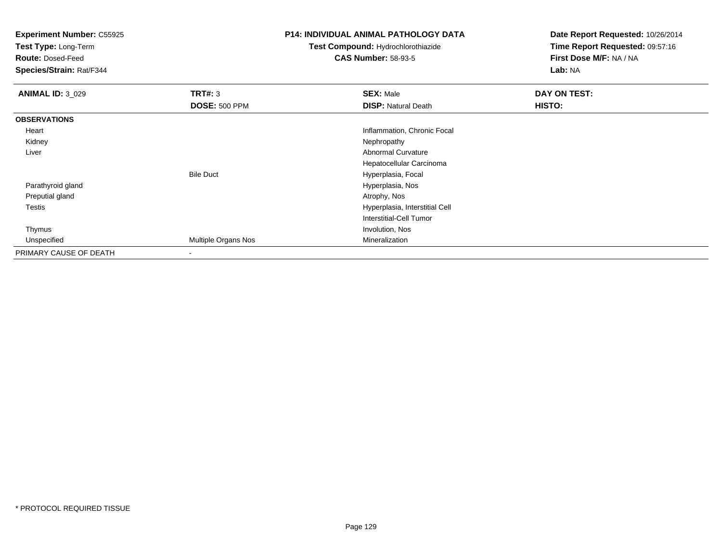**Test Type:** Long-Term

**Route:** Dosed-Feed

**Species/Strain:** Rat/F344

### **P14: INDIVIDUAL ANIMAL PATHOLOGY DATA**

**Test Compound:** Hydrochlorothiazide**CAS Number:** 58-93-5

| <b>ANIMAL ID: 3_029</b> | TRT#: 3              | <b>SEX: Male</b>               | DAY ON TEST: |  |
|-------------------------|----------------------|--------------------------------|--------------|--|
|                         | <b>DOSE: 500 PPM</b> | <b>DISP: Natural Death</b>     | HISTO:       |  |
| <b>OBSERVATIONS</b>     |                      |                                |              |  |
| Heart                   |                      | Inflammation, Chronic Focal    |              |  |
| Kidney                  |                      | Nephropathy                    |              |  |
| Liver                   |                      | Abnormal Curvature             |              |  |
|                         |                      | Hepatocellular Carcinoma       |              |  |
|                         | <b>Bile Duct</b>     | Hyperplasia, Focal             |              |  |
| Parathyroid gland       |                      | Hyperplasia, Nos               |              |  |
| Preputial gland         |                      | Atrophy, Nos                   |              |  |
| <b>Testis</b>           |                      | Hyperplasia, Interstitial Cell |              |  |
|                         |                      | <b>Interstitial-Cell Tumor</b> |              |  |
| Thymus                  |                      | Involution, Nos                |              |  |
| Unspecified             | Multiple Organs Nos  | Mineralization                 |              |  |
| PRIMARY CAUSE OF DEATH  |                      |                                |              |  |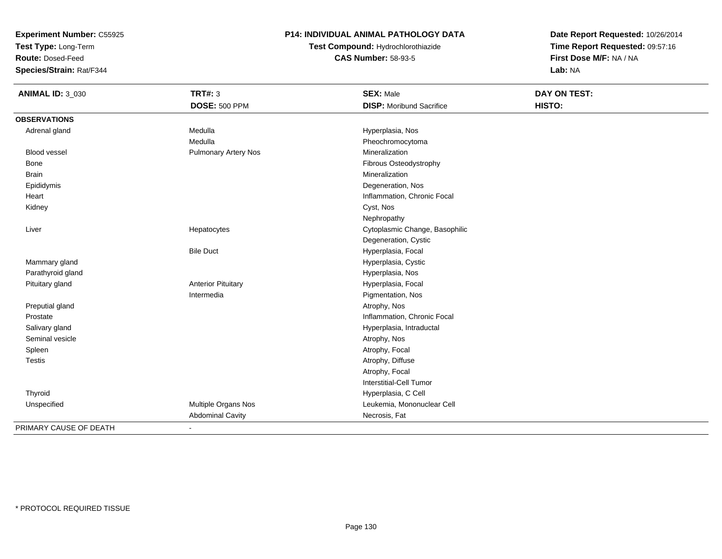**Test Type:** Long-Term

**Route:** Dosed-Feed

**Species/Strain:** Rat/F344

## **P14: INDIVIDUAL ANIMAL PATHOLOGY DATA**

# **Test Compound:** Hydrochlorothiazide**CAS Number:** 58-93-5

| <b>ANIMAL ID: 3_030</b> | <b>TRT#: 3</b>              | <b>SEX: Male</b>                | DAY ON TEST: |
|-------------------------|-----------------------------|---------------------------------|--------------|
|                         | <b>DOSE: 500 PPM</b>        | <b>DISP:</b> Moribund Sacrifice | HISTO:       |
| <b>OBSERVATIONS</b>     |                             |                                 |              |
| Adrenal gland           | Medulla                     | Hyperplasia, Nos                |              |
|                         | Medulla                     | Pheochromocytoma                |              |
| <b>Blood vessel</b>     | <b>Pulmonary Artery Nos</b> | Mineralization                  |              |
| Bone                    |                             | Fibrous Osteodystrophy          |              |
| <b>Brain</b>            |                             | Mineralization                  |              |
| Epididymis              |                             | Degeneration, Nos               |              |
| Heart                   |                             | Inflammation, Chronic Focal     |              |
| Kidney                  |                             | Cyst, Nos                       |              |
|                         |                             | Nephropathy                     |              |
| Liver                   | Hepatocytes                 | Cytoplasmic Change, Basophilic  |              |
|                         |                             | Degeneration, Cystic            |              |
|                         | <b>Bile Duct</b>            | Hyperplasia, Focal              |              |
| Mammary gland           |                             | Hyperplasia, Cystic             |              |
| Parathyroid gland       |                             | Hyperplasia, Nos                |              |
| Pituitary gland         | <b>Anterior Pituitary</b>   | Hyperplasia, Focal              |              |
|                         | Intermedia                  | Pigmentation, Nos               |              |
| Preputial gland         |                             | Atrophy, Nos                    |              |
| Prostate                |                             | Inflammation, Chronic Focal     |              |
| Salivary gland          |                             | Hyperplasia, Intraductal        |              |
| Seminal vesicle         |                             | Atrophy, Nos                    |              |
| Spleen                  |                             | Atrophy, Focal                  |              |
| <b>Testis</b>           |                             | Atrophy, Diffuse                |              |
|                         |                             | Atrophy, Focal                  |              |
|                         |                             | <b>Interstitial-Cell Tumor</b>  |              |
| Thyroid                 |                             | Hyperplasia, C Cell             |              |
| Unspecified             | Multiple Organs Nos         | Leukemia, Mononuclear Cell      |              |
|                         | <b>Abdominal Cavity</b>     | Necrosis, Fat                   |              |
| PRIMARY CAUSE OF DEATH  | $\sim$                      |                                 |              |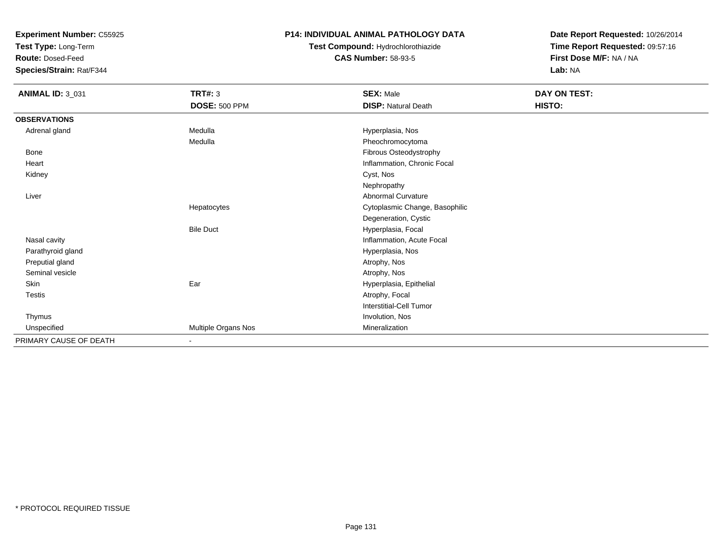**Test Type:** Long-Term

**Route:** Dosed-Feed

**Species/Strain:** Rat/F344

## **P14: INDIVIDUAL ANIMAL PATHOLOGY DATA**

# **Test Compound:** Hydrochlorothiazide**CAS Number:** 58-93-5

| <b>ANIMAL ID: 3_031</b> | <b>TRT#: 3</b>           | <b>SEX: Male</b>               | DAY ON TEST: |  |
|-------------------------|--------------------------|--------------------------------|--------------|--|
|                         | <b>DOSE: 500 PPM</b>     | <b>DISP: Natural Death</b>     | HISTO:       |  |
| <b>OBSERVATIONS</b>     |                          |                                |              |  |
| Adrenal gland           | Medulla                  | Hyperplasia, Nos               |              |  |
|                         | Medulla                  | Pheochromocytoma               |              |  |
| Bone                    |                          | Fibrous Osteodystrophy         |              |  |
| Heart                   |                          | Inflammation, Chronic Focal    |              |  |
| Kidney                  |                          | Cyst, Nos                      |              |  |
|                         |                          | Nephropathy                    |              |  |
| Liver                   |                          | Abnormal Curvature             |              |  |
|                         | Hepatocytes              | Cytoplasmic Change, Basophilic |              |  |
|                         |                          | Degeneration, Cystic           |              |  |
|                         | <b>Bile Duct</b>         | Hyperplasia, Focal             |              |  |
| Nasal cavity            |                          | Inflammation, Acute Focal      |              |  |
| Parathyroid gland       |                          | Hyperplasia, Nos               |              |  |
| Preputial gland         |                          | Atrophy, Nos                   |              |  |
| Seminal vesicle         |                          | Atrophy, Nos                   |              |  |
| Skin                    | Ear                      | Hyperplasia, Epithelial        |              |  |
| Testis                  |                          | Atrophy, Focal                 |              |  |
|                         |                          | <b>Interstitial-Cell Tumor</b> |              |  |
| Thymus                  |                          | Involution, Nos                |              |  |
| Unspecified             | Multiple Organs Nos      | Mineralization                 |              |  |
| PRIMARY CAUSE OF DEATH  | $\overline{\phantom{0}}$ |                                |              |  |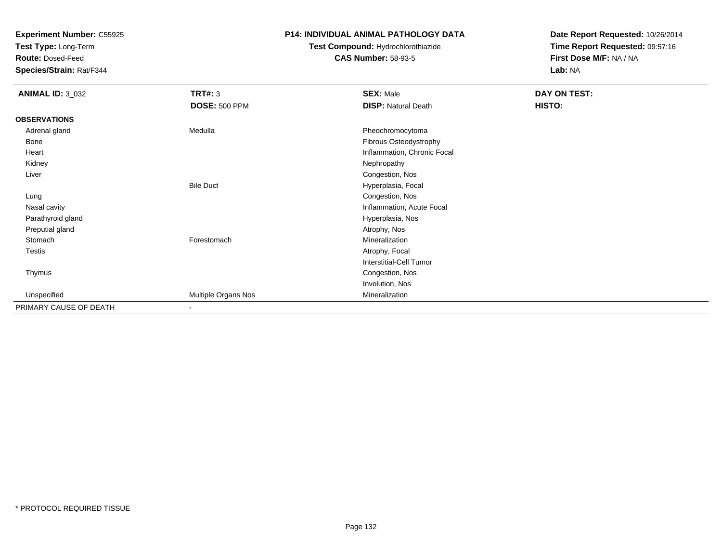**Test Type:** Long-Term

**Route:** Dosed-Feed

**Species/Strain:** Rat/F344

### **P14: INDIVIDUAL ANIMAL PATHOLOGY DATA**

# **Test Compound:** Hydrochlorothiazide**CAS Number:** 58-93-5

| <b>ANIMAL ID: 3_032</b> | <b>TRT#: 3</b>           | <b>SEX: Male</b>            | DAY ON TEST: |  |
|-------------------------|--------------------------|-----------------------------|--------------|--|
|                         | <b>DOSE: 500 PPM</b>     | <b>DISP: Natural Death</b>  | HISTO:       |  |
| <b>OBSERVATIONS</b>     |                          |                             |              |  |
| Adrenal gland           | Medulla                  | Pheochromocytoma            |              |  |
| Bone                    |                          | Fibrous Osteodystrophy      |              |  |
| Heart                   |                          | Inflammation, Chronic Focal |              |  |
| Kidney                  |                          | Nephropathy                 |              |  |
| Liver                   |                          | Congestion, Nos             |              |  |
|                         | <b>Bile Duct</b>         | Hyperplasia, Focal          |              |  |
| Lung                    |                          | Congestion, Nos             |              |  |
| Nasal cavity            |                          | Inflammation, Acute Focal   |              |  |
| Parathyroid gland       |                          | Hyperplasia, Nos            |              |  |
| Preputial gland         |                          | Atrophy, Nos                |              |  |
| Stomach                 | Forestomach              | Mineralization              |              |  |
| Testis                  |                          | Atrophy, Focal              |              |  |
|                         |                          | Interstitial-Cell Tumor     |              |  |
| Thymus                  |                          | Congestion, Nos             |              |  |
|                         |                          | Involution, Nos             |              |  |
| Unspecified             | Multiple Organs Nos      | Mineralization              |              |  |
| PRIMARY CAUSE OF DEATH  | $\overline{\phantom{a}}$ |                             |              |  |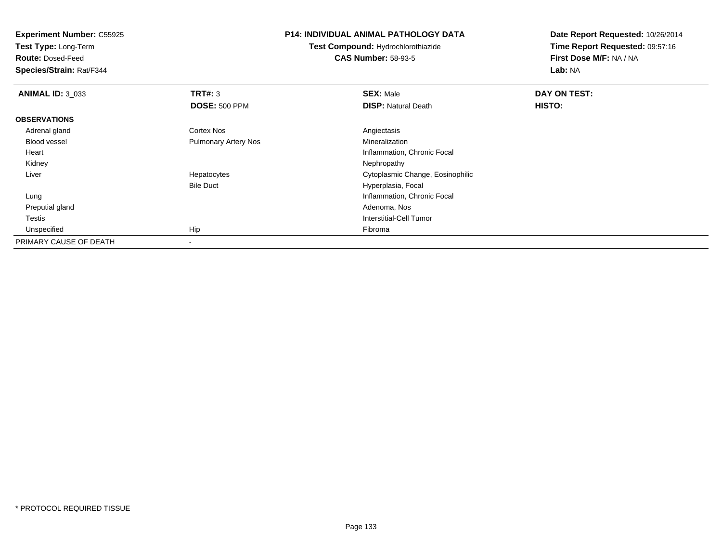**Test Type:** Long-Term

**Route:** Dosed-Feed

**Species/Strain:** Rat/F344

#### **P14: INDIVIDUAL ANIMAL PATHOLOGY DATA**

**Test Compound:** Hydrochlorothiazide**CAS Number:** 58-93-5

| <b>ANIMAL ID: 3 033</b> | TRT#: 3                     | <b>SEX: Male</b>                 | DAY ON TEST:  |  |
|-------------------------|-----------------------------|----------------------------------|---------------|--|
|                         | <b>DOSE: 500 PPM</b>        | <b>DISP: Natural Death</b>       | <b>HISTO:</b> |  |
| <b>OBSERVATIONS</b>     |                             |                                  |               |  |
| Adrenal gland           | <b>Cortex Nos</b>           | Angiectasis                      |               |  |
| <b>Blood vessel</b>     | <b>Pulmonary Artery Nos</b> | Mineralization                   |               |  |
| Heart                   |                             | Inflammation, Chronic Focal      |               |  |
| Kidney                  |                             | Nephropathy                      |               |  |
| Liver                   | Hepatocytes                 | Cytoplasmic Change, Eosinophilic |               |  |
|                         | <b>Bile Duct</b>            | Hyperplasia, Focal               |               |  |
| Lung                    |                             | Inflammation, Chronic Focal      |               |  |
| Preputial gland         |                             | Adenoma, Nos                     |               |  |
| Testis                  |                             | Interstitial-Cell Tumor          |               |  |
| Unspecified             | Hip                         | Fibroma                          |               |  |
| PRIMARY CAUSE OF DEATH  | $\overline{\phantom{a}}$    |                                  |               |  |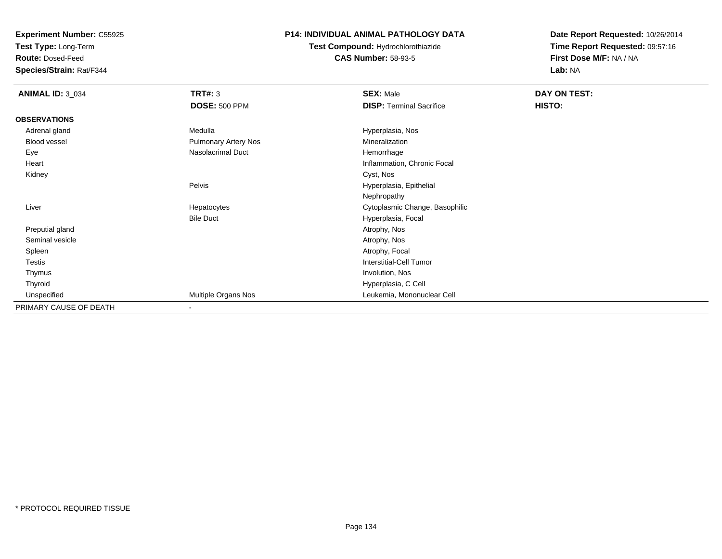**Test Type:** Long-Term

**Route:** Dosed-Feed

**Species/Strain:** Rat/F344

## **P14: INDIVIDUAL ANIMAL PATHOLOGY DATA**

**Test Compound:** Hydrochlorothiazide**CAS Number:** 58-93-5

| <b>ANIMAL ID: 3_034</b> | <b>TRT#: 3</b>              | <b>SEX: Male</b>                | DAY ON TEST: |
|-------------------------|-----------------------------|---------------------------------|--------------|
|                         | <b>DOSE: 500 PPM</b>        | <b>DISP: Terminal Sacrifice</b> | HISTO:       |
| <b>OBSERVATIONS</b>     |                             |                                 |              |
| Adrenal gland           | Medulla                     | Hyperplasia, Nos                |              |
| Blood vessel            | <b>Pulmonary Artery Nos</b> | Mineralization                  |              |
| Eye                     | Nasolacrimal Duct           | Hemorrhage                      |              |
| Heart                   |                             | Inflammation, Chronic Focal     |              |
| Kidney                  |                             | Cyst, Nos                       |              |
|                         | Pelvis                      | Hyperplasia, Epithelial         |              |
|                         |                             | Nephropathy                     |              |
| Liver                   | Hepatocytes                 | Cytoplasmic Change, Basophilic  |              |
|                         | <b>Bile Duct</b>            | Hyperplasia, Focal              |              |
| Preputial gland         |                             | Atrophy, Nos                    |              |
| Seminal vesicle         |                             | Atrophy, Nos                    |              |
| Spleen                  |                             | Atrophy, Focal                  |              |
| Testis                  |                             | Interstitial-Cell Tumor         |              |
| Thymus                  |                             | Involution, Nos                 |              |
| Thyroid                 |                             | Hyperplasia, C Cell             |              |
| Unspecified             | Multiple Organs Nos         | Leukemia, Mononuclear Cell      |              |
| PRIMARY CAUSE OF DEATH  | $\blacksquare$              |                                 |              |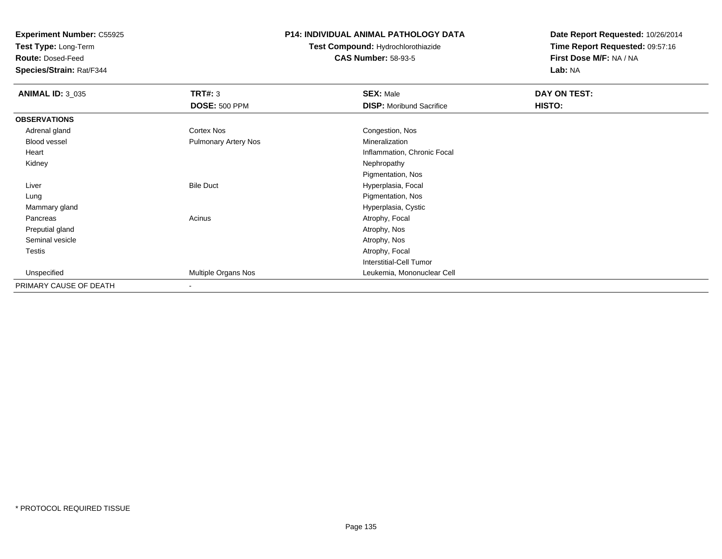**Test Type:** Long-Term

**Route:** Dosed-Feed

**Species/Strain:** Rat/F344

## **P14: INDIVIDUAL ANIMAL PATHOLOGY DATA**

# **Test Compound:** Hydrochlorothiazide**CAS Number:** 58-93-5

| <b>ANIMAL ID: 3_035</b> | TRT#: 3                  | <b>SEX: Male</b>                | DAY ON TEST: |  |
|-------------------------|--------------------------|---------------------------------|--------------|--|
|                         | <b>DOSE: 500 PPM</b>     | <b>DISP:</b> Moribund Sacrifice | HISTO:       |  |
| <b>OBSERVATIONS</b>     |                          |                                 |              |  |
| Adrenal gland           | Cortex Nos               | Congestion, Nos                 |              |  |
| Blood vessel            | Pulmonary Artery Nos     | Mineralization                  |              |  |
| Heart                   |                          | Inflammation, Chronic Focal     |              |  |
| Kidney                  |                          | Nephropathy                     |              |  |
|                         |                          | Pigmentation, Nos               |              |  |
| Liver                   | <b>Bile Duct</b>         | Hyperplasia, Focal              |              |  |
| Lung                    |                          | Pigmentation, Nos               |              |  |
| Mammary gland           |                          | Hyperplasia, Cystic             |              |  |
| Pancreas                | Acinus                   | Atrophy, Focal                  |              |  |
| Preputial gland         |                          | Atrophy, Nos                    |              |  |
| Seminal vesicle         |                          | Atrophy, Nos                    |              |  |
| <b>Testis</b>           |                          | Atrophy, Focal                  |              |  |
|                         |                          | <b>Interstitial-Cell Tumor</b>  |              |  |
| Unspecified             | Multiple Organs Nos      | Leukemia, Mononuclear Cell      |              |  |
| PRIMARY CAUSE OF DEATH  | $\overline{\phantom{a}}$ |                                 |              |  |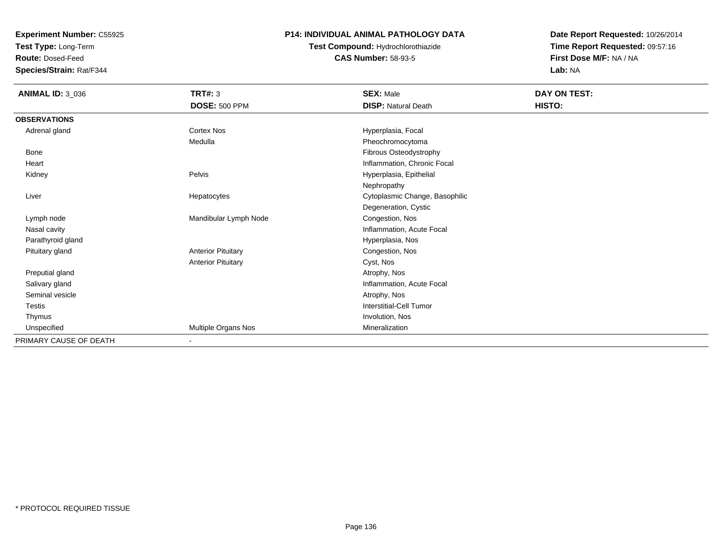**Test Type:** Long-Term

**Route:** Dosed-Feed

**Species/Strain:** Rat/F344

### **P14: INDIVIDUAL ANIMAL PATHOLOGY DATA**

# **Test Compound:** Hydrochlorothiazide**CAS Number:** 58-93-5

| <b>ANIMAL ID: 3_036</b> | TRT#: 3                   | <b>SEX: Male</b>               | DAY ON TEST: |
|-------------------------|---------------------------|--------------------------------|--------------|
|                         | <b>DOSE: 500 PPM</b>      | <b>DISP: Natural Death</b>     | HISTO:       |
| <b>OBSERVATIONS</b>     |                           |                                |              |
| Adrenal gland           | Cortex Nos                | Hyperplasia, Focal             |              |
|                         | Medulla                   | Pheochromocytoma               |              |
| Bone                    |                           | Fibrous Osteodystrophy         |              |
| Heart                   |                           | Inflammation, Chronic Focal    |              |
| Kidney                  | Pelvis                    | Hyperplasia, Epithelial        |              |
|                         |                           | Nephropathy                    |              |
| Liver                   | Hepatocytes               | Cytoplasmic Change, Basophilic |              |
|                         |                           | Degeneration, Cystic           |              |
| Lymph node              | Mandibular Lymph Node     | Congestion, Nos                |              |
| Nasal cavity            |                           | Inflammation, Acute Focal      |              |
| Parathyroid gland       |                           | Hyperplasia, Nos               |              |
| Pituitary gland         | <b>Anterior Pituitary</b> | Congestion, Nos                |              |
|                         | <b>Anterior Pituitary</b> | Cyst, Nos                      |              |
| Preputial gland         |                           | Atrophy, Nos                   |              |
| Salivary gland          |                           | Inflammation, Acute Focal      |              |
| Seminal vesicle         |                           | Atrophy, Nos                   |              |
| <b>Testis</b>           |                           | Interstitial-Cell Tumor        |              |
| Thymus                  |                           | Involution, Nos                |              |
| Unspecified             | Multiple Organs Nos       | Mineralization                 |              |
| PRIMARY CAUSE OF DEATH  |                           |                                |              |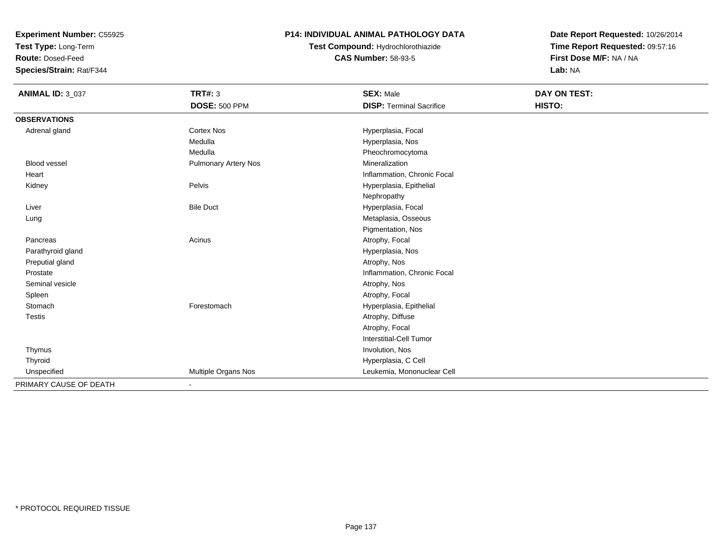**Test Type:** Long-Term

**Route:** Dosed-Feed

**Species/Strain:** Rat/F344

## **P14: INDIVIDUAL ANIMAL PATHOLOGY DATA**

**Test Compound:** Hydrochlorothiazide**CAS Number:** 58-93-5

| <b>ANIMAL ID: 3_037</b> | <b>TRT#: 3</b>              | <b>SEX: Male</b>                | DAY ON TEST: |
|-------------------------|-----------------------------|---------------------------------|--------------|
|                         | <b>DOSE: 500 PPM</b>        | <b>DISP: Terminal Sacrifice</b> | HISTO:       |
| <b>OBSERVATIONS</b>     |                             |                                 |              |
| Adrenal gland           | <b>Cortex Nos</b>           | Hyperplasia, Focal              |              |
|                         | Medulla                     | Hyperplasia, Nos                |              |
|                         | Medulla                     | Pheochromocytoma                |              |
| <b>Blood vessel</b>     | <b>Pulmonary Artery Nos</b> | Mineralization                  |              |
| Heart                   |                             | Inflammation, Chronic Focal     |              |
| Kidney                  | Pelvis                      | Hyperplasia, Epithelial         |              |
|                         |                             | Nephropathy                     |              |
| Liver                   | <b>Bile Duct</b>            | Hyperplasia, Focal              |              |
| Lung                    |                             | Metaplasia, Osseous             |              |
|                         |                             | Pigmentation, Nos               |              |
| Pancreas                | Acinus                      | Atrophy, Focal                  |              |
| Parathyroid gland       |                             | Hyperplasia, Nos                |              |
| Preputial gland         |                             | Atrophy, Nos                    |              |
| Prostate                |                             | Inflammation, Chronic Focal     |              |
| Seminal vesicle         |                             | Atrophy, Nos                    |              |
| Spleen                  |                             | Atrophy, Focal                  |              |
| Stomach                 | Forestomach                 | Hyperplasia, Epithelial         |              |
| <b>Testis</b>           |                             | Atrophy, Diffuse                |              |
|                         |                             | Atrophy, Focal                  |              |
|                         |                             | <b>Interstitial-Cell Tumor</b>  |              |
| Thymus                  |                             | Involution, Nos                 |              |
| Thyroid                 |                             | Hyperplasia, C Cell             |              |
| Unspecified             | Multiple Organs Nos         | Leukemia, Mononuclear Cell      |              |
| PRIMARY CAUSE OF DEATH  | ۰                           |                                 |              |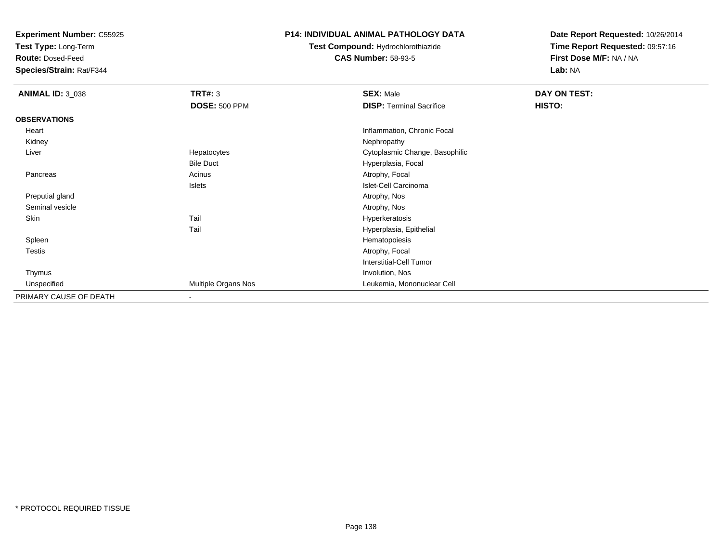**Test Type:** Long-Term

**Route:** Dosed-Feed

**Species/Strain:** Rat/F344

### **P14: INDIVIDUAL ANIMAL PATHOLOGY DATA**

**Test Compound:** Hydrochlorothiazide**CAS Number:** 58-93-5

| <b>ANIMAL ID: 3_038</b> | <b>TRT#: 3</b>       | <b>SEX: Male</b>                | DAY ON TEST: |  |
|-------------------------|----------------------|---------------------------------|--------------|--|
|                         | <b>DOSE: 500 PPM</b> | <b>DISP: Terminal Sacrifice</b> | HISTO:       |  |
| <b>OBSERVATIONS</b>     |                      |                                 |              |  |
| Heart                   |                      | Inflammation, Chronic Focal     |              |  |
| Kidney                  |                      | Nephropathy                     |              |  |
| Liver                   | Hepatocytes          | Cytoplasmic Change, Basophilic  |              |  |
|                         | <b>Bile Duct</b>     | Hyperplasia, Focal              |              |  |
| Pancreas                | Acinus               | Atrophy, Focal                  |              |  |
|                         | Islets               | Islet-Cell Carcinoma            |              |  |
| Preputial gland         |                      | Atrophy, Nos                    |              |  |
| Seminal vesicle         |                      | Atrophy, Nos                    |              |  |
| Skin                    | Tail                 | Hyperkeratosis                  |              |  |
|                         | Tail                 | Hyperplasia, Epithelial         |              |  |
| Spleen                  |                      | Hematopoiesis                   |              |  |
| Testis                  |                      | Atrophy, Focal                  |              |  |
|                         |                      | <b>Interstitial-Cell Tumor</b>  |              |  |
| Thymus                  |                      | Involution, Nos                 |              |  |
| Unspecified             | Multiple Organs Nos  | Leukemia, Mononuclear Cell      |              |  |
| PRIMARY CAUSE OF DEATH  |                      |                                 |              |  |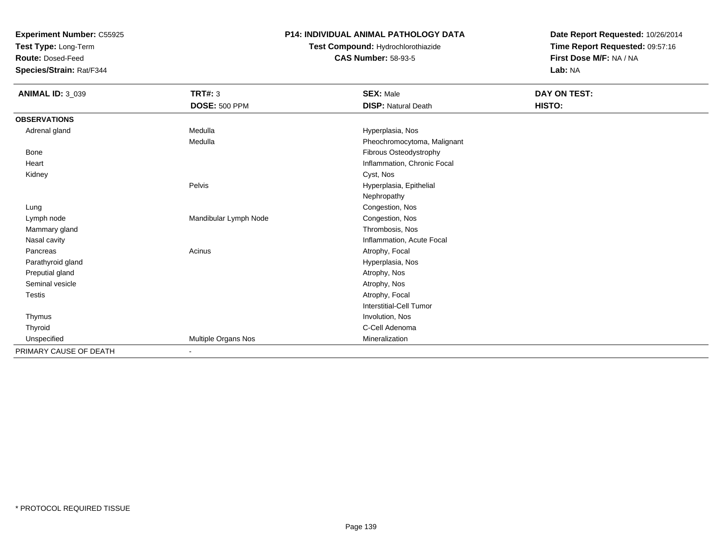**Test Type:** Long-Term

**Route:** Dosed-Feed

**Species/Strain:** Rat/F344

## **P14: INDIVIDUAL ANIMAL PATHOLOGY DATA**

# **Test Compound:** Hydrochlorothiazide**CAS Number:** 58-93-5

| <b>ANIMAL ID: 3_039</b> | <b>TRT#: 3</b>        | <b>SEX: Male</b>               | DAY ON TEST: |
|-------------------------|-----------------------|--------------------------------|--------------|
|                         | <b>DOSE: 500 PPM</b>  | <b>DISP: Natural Death</b>     | HISTO:       |
| <b>OBSERVATIONS</b>     |                       |                                |              |
| Adrenal gland           | Medulla               | Hyperplasia, Nos               |              |
|                         | Medulla               | Pheochromocytoma, Malignant    |              |
| Bone                    |                       | Fibrous Osteodystrophy         |              |
| Heart                   |                       | Inflammation, Chronic Focal    |              |
| Kidney                  |                       | Cyst, Nos                      |              |
|                         | Pelvis                | Hyperplasia, Epithelial        |              |
|                         |                       | Nephropathy                    |              |
| Lung                    |                       | Congestion, Nos                |              |
| Lymph node              | Mandibular Lymph Node | Congestion, Nos                |              |
| Mammary gland           |                       | Thrombosis, Nos                |              |
| Nasal cavity            |                       | Inflammation, Acute Focal      |              |
| Pancreas                | Acinus                | Atrophy, Focal                 |              |
| Parathyroid gland       |                       | Hyperplasia, Nos               |              |
| Preputial gland         |                       | Atrophy, Nos                   |              |
| Seminal vesicle         |                       | Atrophy, Nos                   |              |
| <b>Testis</b>           |                       | Atrophy, Focal                 |              |
|                         |                       | <b>Interstitial-Cell Tumor</b> |              |
| Thymus                  |                       | Involution, Nos                |              |
| Thyroid                 |                       | C-Cell Adenoma                 |              |
| Unspecified             | Multiple Organs Nos   | Mineralization                 |              |
| PRIMARY CAUSE OF DEATH  | $\blacksquare$        |                                |              |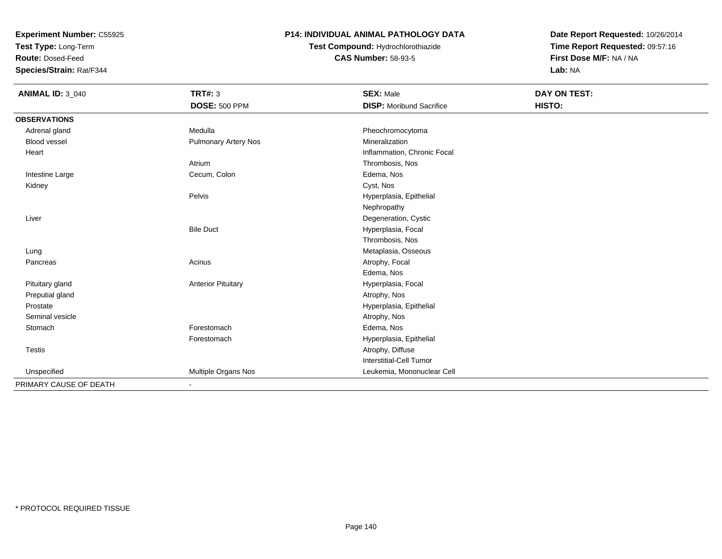**Test Type:** Long-Term

**Route:** Dosed-Feed

**Species/Strain:** Rat/F344

## **P14: INDIVIDUAL ANIMAL PATHOLOGY DATA**

**Test Compound:** Hydrochlorothiazide**CAS Number:** 58-93-5

| <b>ANIMAL ID: 3_040</b> | TRT#: 3                   | <b>SEX: Male</b>                | <b>DAY ON TEST:</b> |  |
|-------------------------|---------------------------|---------------------------------|---------------------|--|
|                         | <b>DOSE: 500 PPM</b>      | <b>DISP:</b> Moribund Sacrifice | HISTO:              |  |
| <b>OBSERVATIONS</b>     |                           |                                 |                     |  |
| Adrenal gland           | Medulla                   | Pheochromocytoma                |                     |  |
| <b>Blood vessel</b>     | Pulmonary Artery Nos      | Mineralization                  |                     |  |
| Heart                   |                           | Inflammation, Chronic Focal     |                     |  |
|                         | Atrium                    | Thrombosis, Nos                 |                     |  |
| Intestine Large         | Cecum, Colon              | Edema, Nos                      |                     |  |
| Kidney                  |                           | Cyst, Nos                       |                     |  |
|                         | Pelvis                    | Hyperplasia, Epithelial         |                     |  |
|                         |                           | Nephropathy                     |                     |  |
| Liver                   |                           | Degeneration, Cystic            |                     |  |
|                         | <b>Bile Duct</b>          | Hyperplasia, Focal              |                     |  |
|                         |                           | Thrombosis, Nos                 |                     |  |
| Lung                    |                           | Metaplasia, Osseous             |                     |  |
| Pancreas                | Acinus                    | Atrophy, Focal                  |                     |  |
|                         |                           | Edema, Nos                      |                     |  |
| Pituitary gland         | <b>Anterior Pituitary</b> | Hyperplasia, Focal              |                     |  |
| Preputial gland         |                           | Atrophy, Nos                    |                     |  |
| Prostate                |                           | Hyperplasia, Epithelial         |                     |  |
| Seminal vesicle         |                           | Atrophy, Nos                    |                     |  |
| Stomach                 | Forestomach               | Edema, Nos                      |                     |  |
|                         | Forestomach               | Hyperplasia, Epithelial         |                     |  |
| <b>Testis</b>           |                           | Atrophy, Diffuse                |                     |  |
|                         |                           | Interstitial-Cell Tumor         |                     |  |
| Unspecified             | Multiple Organs Nos       | Leukemia, Mononuclear Cell      |                     |  |
| PRIMARY CAUSE OF DEATH  | ٠                         |                                 |                     |  |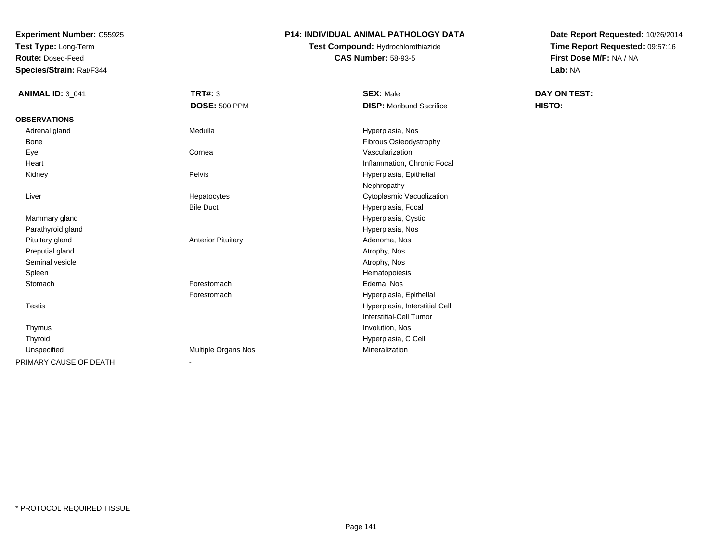**Test Type:** Long-Term

**Route:** Dosed-Feed

**Species/Strain:** Rat/F344

### **P14: INDIVIDUAL ANIMAL PATHOLOGY DATA**

# **Test Compound:** Hydrochlorothiazide**CAS Number:** 58-93-5

| <b>ANIMAL ID: 3_041</b> | <b>TRT#: 3</b>            | <b>SEX: Male</b>                | DAY ON TEST: |  |
|-------------------------|---------------------------|---------------------------------|--------------|--|
|                         | <b>DOSE: 500 PPM</b>      | <b>DISP:</b> Moribund Sacrifice | HISTO:       |  |
| <b>OBSERVATIONS</b>     |                           |                                 |              |  |
| Adrenal gland           | Medulla                   | Hyperplasia, Nos                |              |  |
| Bone                    |                           | Fibrous Osteodystrophy          |              |  |
| Eye                     | Cornea                    | Vascularization                 |              |  |
| Heart                   |                           | Inflammation, Chronic Focal     |              |  |
| Kidney                  | Pelvis                    | Hyperplasia, Epithelial         |              |  |
|                         |                           | Nephropathy                     |              |  |
| Liver                   | Hepatocytes               | Cytoplasmic Vacuolization       |              |  |
|                         | <b>Bile Duct</b>          | Hyperplasia, Focal              |              |  |
| Mammary gland           |                           | Hyperplasia, Cystic             |              |  |
| Parathyroid gland       |                           | Hyperplasia, Nos                |              |  |
| Pituitary gland         | <b>Anterior Pituitary</b> | Adenoma, Nos                    |              |  |
| Preputial gland         |                           | Atrophy, Nos                    |              |  |
| Seminal vesicle         |                           | Atrophy, Nos                    |              |  |
| Spleen                  |                           | Hematopoiesis                   |              |  |
| Stomach                 | Forestomach               | Edema, Nos                      |              |  |
|                         | Forestomach               | Hyperplasia, Epithelial         |              |  |
| <b>Testis</b>           |                           | Hyperplasia, Interstitial Cell  |              |  |
|                         |                           | <b>Interstitial-Cell Tumor</b>  |              |  |
| Thymus                  |                           | Involution, Nos                 |              |  |
| Thyroid                 |                           | Hyperplasia, C Cell             |              |  |
| Unspecified             | Multiple Organs Nos       | Mineralization                  |              |  |
| PRIMARY CAUSE OF DEATH  | $\blacksquare$            |                                 |              |  |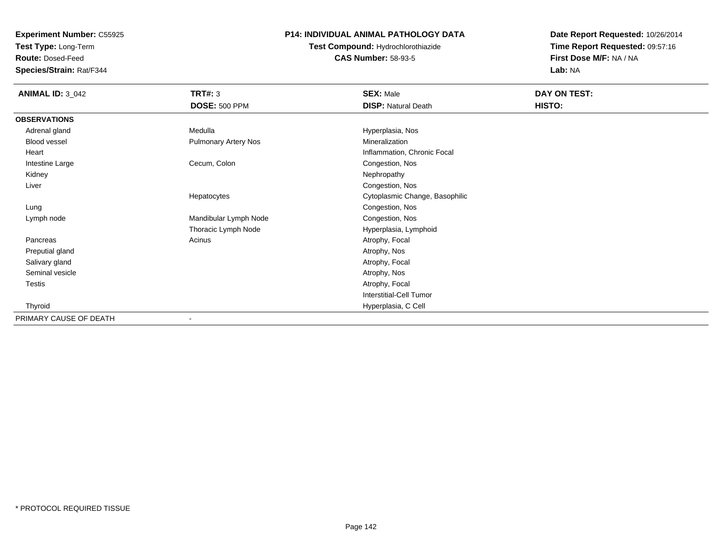**Test Type:** Long-Term

**Route:** Dosed-Feed

**Species/Strain:** Rat/F344

### **P14: INDIVIDUAL ANIMAL PATHOLOGY DATA**

**Test Compound:** Hydrochlorothiazide**CAS Number:** 58-93-5

| <b>ANIMAL ID: 3_042</b> | TRT#: 3                     | <b>SEX: Male</b>               | DAY ON TEST: |
|-------------------------|-----------------------------|--------------------------------|--------------|
|                         | <b>DOSE: 500 PPM</b>        | <b>DISP: Natural Death</b>     | HISTO:       |
| <b>OBSERVATIONS</b>     |                             |                                |              |
| Adrenal gland           | Medulla                     | Hyperplasia, Nos               |              |
| Blood vessel            | <b>Pulmonary Artery Nos</b> | Mineralization                 |              |
| Heart                   |                             | Inflammation, Chronic Focal    |              |
| Intestine Large         | Cecum, Colon                | Congestion, Nos                |              |
| Kidney                  |                             | Nephropathy                    |              |
| Liver                   |                             | Congestion, Nos                |              |
|                         | Hepatocytes                 | Cytoplasmic Change, Basophilic |              |
| Lung                    |                             | Congestion, Nos                |              |
| Lymph node              | Mandibular Lymph Node       | Congestion, Nos                |              |
|                         | Thoracic Lymph Node         | Hyperplasia, Lymphoid          |              |
| Pancreas                | Acinus                      | Atrophy, Focal                 |              |
| Preputial gland         |                             | Atrophy, Nos                   |              |
| Salivary gland          |                             | Atrophy, Focal                 |              |
| Seminal vesicle         |                             | Atrophy, Nos                   |              |
| Testis                  |                             | Atrophy, Focal                 |              |
|                         |                             | <b>Interstitial-Cell Tumor</b> |              |
| Thyroid                 |                             | Hyperplasia, C Cell            |              |
| PRIMARY CAUSE OF DEATH  |                             |                                |              |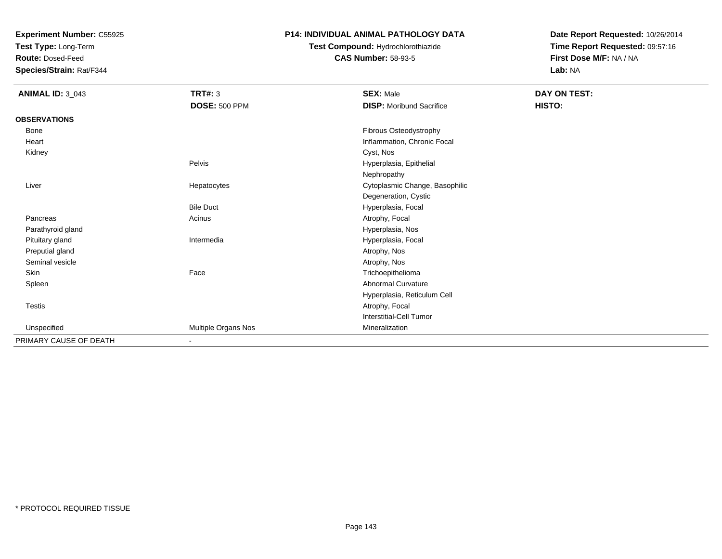**Test Type:** Long-Term

**Route:** Dosed-Feed

**Species/Strain:** Rat/F344

### **P14: INDIVIDUAL ANIMAL PATHOLOGY DATA**

# **Test Compound:** Hydrochlorothiazide**CAS Number:** 58-93-5

| <b>ANIMAL ID: 3_043</b> | <b>TRT#: 3</b>       | <b>SEX: Male</b>                | DAY ON TEST: |  |
|-------------------------|----------------------|---------------------------------|--------------|--|
|                         | <b>DOSE: 500 PPM</b> | <b>DISP:</b> Moribund Sacrifice | HISTO:       |  |
| <b>OBSERVATIONS</b>     |                      |                                 |              |  |
| Bone                    |                      | Fibrous Osteodystrophy          |              |  |
| Heart                   |                      | Inflammation, Chronic Focal     |              |  |
| Kidney                  |                      | Cyst, Nos                       |              |  |
|                         | Pelvis               | Hyperplasia, Epithelial         |              |  |
|                         |                      | Nephropathy                     |              |  |
| Liver                   | Hepatocytes          | Cytoplasmic Change, Basophilic  |              |  |
|                         |                      | Degeneration, Cystic            |              |  |
|                         | <b>Bile Duct</b>     | Hyperplasia, Focal              |              |  |
| Pancreas                | Acinus               | Atrophy, Focal                  |              |  |
| Parathyroid gland       |                      | Hyperplasia, Nos                |              |  |
| Pituitary gland         | Intermedia           | Hyperplasia, Focal              |              |  |
| Preputial gland         |                      | Atrophy, Nos                    |              |  |
| Seminal vesicle         |                      | Atrophy, Nos                    |              |  |
| Skin                    | Face                 | Trichoepithelioma               |              |  |
| Spleen                  |                      | Abnormal Curvature              |              |  |
|                         |                      | Hyperplasia, Reticulum Cell     |              |  |
| Testis                  |                      | Atrophy, Focal                  |              |  |
|                         |                      | Interstitial-Cell Tumor         |              |  |
| Unspecified             | Multiple Organs Nos  | Mineralization                  |              |  |
| PRIMARY CAUSE OF DEATH  | $\blacksquare$       |                                 |              |  |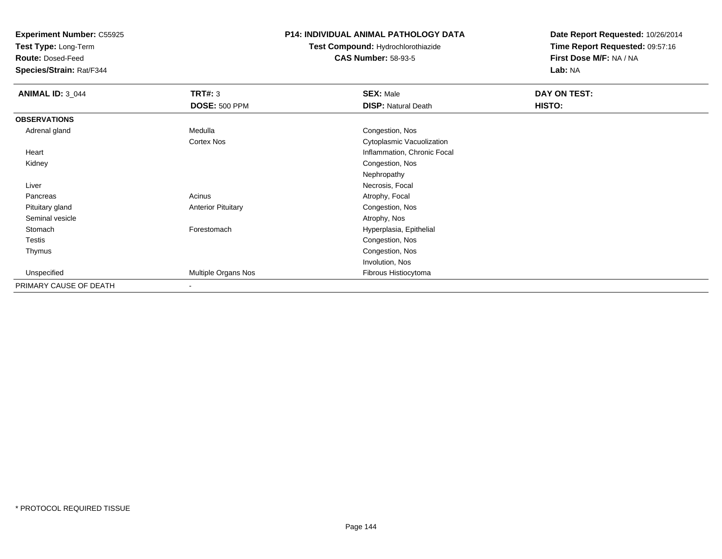**Test Type:** Long-Term

**Route:** Dosed-Feed

**Species/Strain:** Rat/F344

### **P14: INDIVIDUAL ANIMAL PATHOLOGY DATA**

# **Test Compound:** Hydrochlorothiazide**CAS Number:** 58-93-5

| <b>ANIMAL ID: 3_044</b> | <b>TRT#: 3</b>            | <b>SEX: Male</b>            | DAY ON TEST: |  |
|-------------------------|---------------------------|-----------------------------|--------------|--|
|                         | <b>DOSE: 500 PPM</b>      | <b>DISP: Natural Death</b>  | HISTO:       |  |
| <b>OBSERVATIONS</b>     |                           |                             |              |  |
| Adrenal gland           | Medulla                   | Congestion, Nos             |              |  |
|                         | Cortex Nos                | Cytoplasmic Vacuolization   |              |  |
| Heart                   |                           | Inflammation, Chronic Focal |              |  |
| Kidney                  |                           | Congestion, Nos             |              |  |
|                         |                           | Nephropathy                 |              |  |
| Liver                   |                           | Necrosis, Focal             |              |  |
| Pancreas                | Acinus                    | Atrophy, Focal              |              |  |
| Pituitary gland         | <b>Anterior Pituitary</b> | Congestion, Nos             |              |  |
| Seminal vesicle         |                           | Atrophy, Nos                |              |  |
| Stomach                 | Forestomach               | Hyperplasia, Epithelial     |              |  |
| Testis                  |                           | Congestion, Nos             |              |  |
| Thymus                  |                           | Congestion, Nos             |              |  |
|                         |                           | Involution, Nos             |              |  |
| Unspecified             | Multiple Organs Nos       | Fibrous Histiocytoma        |              |  |
| PRIMARY CAUSE OF DEATH  | $\overline{\phantom{a}}$  |                             |              |  |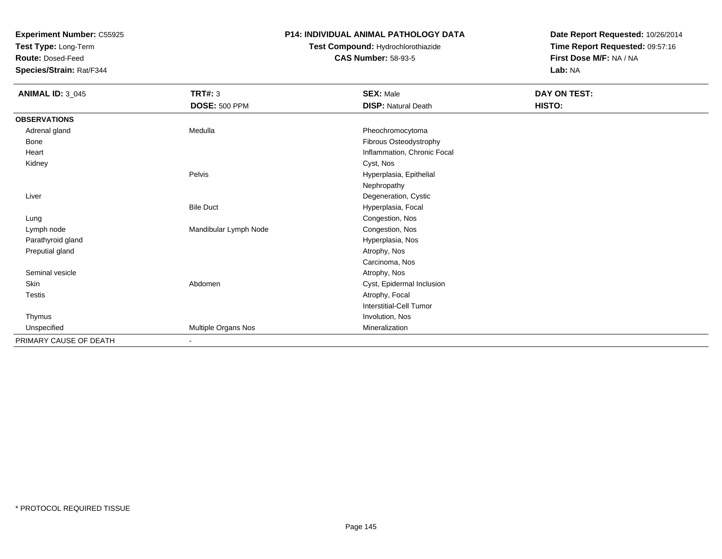**Test Type:** Long-Term

**Route:** Dosed-Feed

**Species/Strain:** Rat/F344

#### **P14: INDIVIDUAL ANIMAL PATHOLOGY DATA**

## **Test Compound:** Hydrochlorothiazide**CAS Number:** 58-93-5

| <b>ANIMAL ID: 3_045</b> | <b>TRT#: 3</b><br><b>DOSE: 500 PPM</b> | <b>SEX: Male</b><br><b>DISP: Natural Death</b> | DAY ON TEST:<br>HISTO: |
|-------------------------|----------------------------------------|------------------------------------------------|------------------------|
| <b>OBSERVATIONS</b>     |                                        |                                                |                        |
| Adrenal gland           | Medulla                                | Pheochromocytoma                               |                        |
| Bone                    |                                        | Fibrous Osteodystrophy                         |                        |
| Heart                   |                                        | Inflammation, Chronic Focal                    |                        |
| Kidney                  |                                        | Cyst, Nos                                      |                        |
|                         | Pelvis                                 | Hyperplasia, Epithelial                        |                        |
|                         |                                        | Nephropathy                                    |                        |
| Liver                   |                                        | Degeneration, Cystic                           |                        |
|                         | <b>Bile Duct</b>                       | Hyperplasia, Focal                             |                        |
| Lung                    |                                        | Congestion, Nos                                |                        |
| Lymph node              | Mandibular Lymph Node                  | Congestion, Nos                                |                        |
| Parathyroid gland       |                                        | Hyperplasia, Nos                               |                        |
| Preputial gland         |                                        | Atrophy, Nos                                   |                        |
|                         |                                        | Carcinoma, Nos                                 |                        |
| Seminal vesicle         |                                        | Atrophy, Nos                                   |                        |
| Skin                    | Abdomen                                | Cyst, Epidermal Inclusion                      |                        |
| Testis                  |                                        | Atrophy, Focal                                 |                        |
|                         |                                        | Interstitial-Cell Tumor                        |                        |
| Thymus                  |                                        | Involution, Nos                                |                        |
| Unspecified             | Multiple Organs Nos                    | Mineralization                                 |                        |
| PRIMARY CAUSE OF DEATH  |                                        |                                                |                        |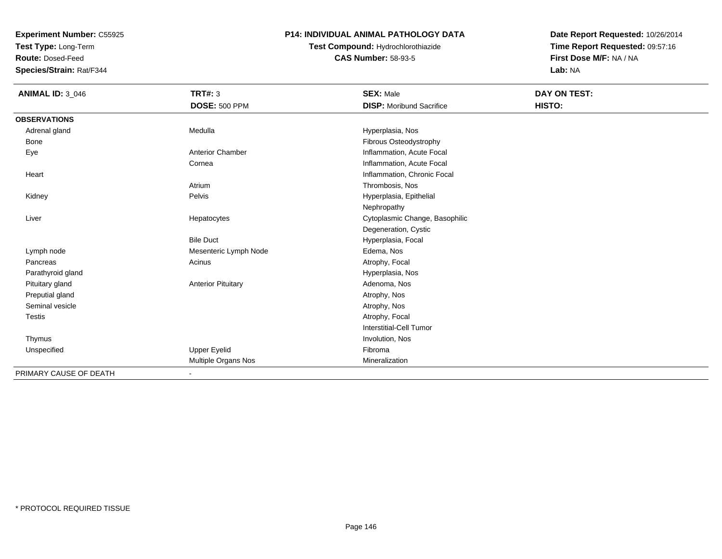**Test Type:** Long-Term

**Route:** Dosed-Feed

**Species/Strain:** Rat/F344

#### **P14: INDIVIDUAL ANIMAL PATHOLOGY DATA**

# **Test Compound:** Hydrochlorothiazide**CAS Number:** 58-93-5

| <b>ANIMAL ID: 3_046</b> | <b>TRT#: 3</b>            | <b>SEX: Male</b>                | DAY ON TEST: |
|-------------------------|---------------------------|---------------------------------|--------------|
|                         | <b>DOSE: 500 PPM</b>      | <b>DISP:</b> Moribund Sacrifice | HISTO:       |
| <b>OBSERVATIONS</b>     |                           |                                 |              |
| Adrenal gland           | Medulla                   | Hyperplasia, Nos                |              |
| <b>Bone</b>             |                           | Fibrous Osteodystrophy          |              |
| Eye                     | <b>Anterior Chamber</b>   | Inflammation, Acute Focal       |              |
|                         | Cornea                    | Inflammation, Acute Focal       |              |
| Heart                   |                           | Inflammation, Chronic Focal     |              |
|                         | Atrium                    | Thrombosis, Nos                 |              |
| Kidney                  | Pelvis                    | Hyperplasia, Epithelial         |              |
|                         |                           | Nephropathy                     |              |
| Liver                   | Hepatocytes               | Cytoplasmic Change, Basophilic  |              |
|                         |                           | Degeneration, Cystic            |              |
|                         | <b>Bile Duct</b>          | Hyperplasia, Focal              |              |
| Lymph node              | Mesenteric Lymph Node     | Edema, Nos                      |              |
| Pancreas                | Acinus                    | Atrophy, Focal                  |              |
| Parathyroid gland       |                           | Hyperplasia, Nos                |              |
| Pituitary gland         | <b>Anterior Pituitary</b> | Adenoma, Nos                    |              |
| Preputial gland         |                           | Atrophy, Nos                    |              |
| Seminal vesicle         |                           | Atrophy, Nos                    |              |
| <b>Testis</b>           |                           | Atrophy, Focal                  |              |
|                         |                           | Interstitial-Cell Tumor         |              |
| Thymus                  |                           | Involution, Nos                 |              |
| Unspecified             | Upper Eyelid              | Fibroma                         |              |
|                         | Multiple Organs Nos       | Mineralization                  |              |
| PRIMARY CAUSE OF DEATH  | ۰                         |                                 |              |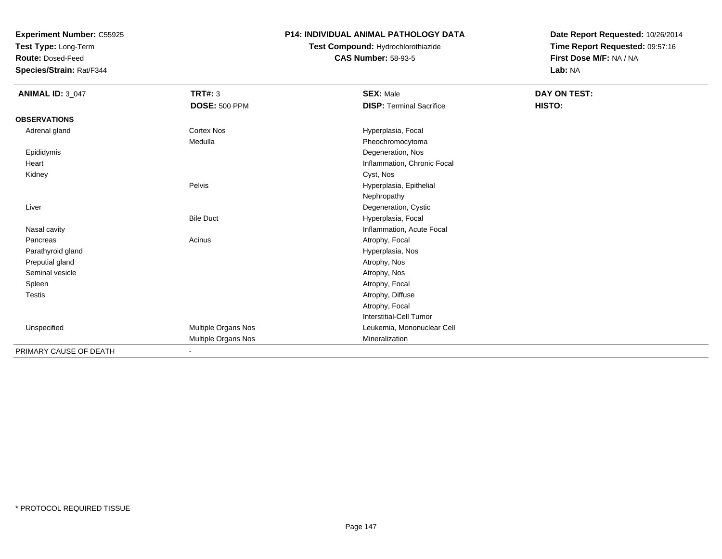**Test Type:** Long-Term

**Route:** Dosed-Feed

**Species/Strain:** Rat/F344

### **P14: INDIVIDUAL ANIMAL PATHOLOGY DATA**

## **Test Compound:** Hydrochlorothiazide**CAS Number:** 58-93-5

| <b>ANIMAL ID: 3_047</b> | <b>TRT#: 3</b><br><b>DOSE: 500 PPM</b> | <b>SEX: Male</b><br><b>DISP: Terminal Sacrifice</b> | DAY ON TEST:<br>HISTO: |
|-------------------------|----------------------------------------|-----------------------------------------------------|------------------------|
| <b>OBSERVATIONS</b>     |                                        |                                                     |                        |
| Adrenal gland           | <b>Cortex Nos</b>                      | Hyperplasia, Focal                                  |                        |
|                         | Medulla                                | Pheochromocytoma                                    |                        |
| Epididymis              |                                        | Degeneration, Nos                                   |                        |
| Heart                   |                                        | Inflammation, Chronic Focal                         |                        |
| Kidney                  |                                        | Cyst, Nos                                           |                        |
|                         | Pelvis                                 | Hyperplasia, Epithelial                             |                        |
|                         |                                        | Nephropathy                                         |                        |
| Liver                   |                                        | Degeneration, Cystic                                |                        |
|                         | <b>Bile Duct</b>                       | Hyperplasia, Focal                                  |                        |
| Nasal cavity            |                                        | Inflammation, Acute Focal                           |                        |
| Pancreas                | Acinus                                 | Atrophy, Focal                                      |                        |
| Parathyroid gland       |                                        | Hyperplasia, Nos                                    |                        |
| Preputial gland         |                                        | Atrophy, Nos                                        |                        |
| Seminal vesicle         |                                        | Atrophy, Nos                                        |                        |
| Spleen                  |                                        | Atrophy, Focal                                      |                        |
| <b>Testis</b>           |                                        | Atrophy, Diffuse                                    |                        |
|                         |                                        | Atrophy, Focal                                      |                        |
|                         |                                        | <b>Interstitial-Cell Tumor</b>                      |                        |
| Unspecified             | Multiple Organs Nos                    | Leukemia, Mononuclear Cell                          |                        |
|                         | Multiple Organs Nos                    | Mineralization                                      |                        |
| PRIMARY CAUSE OF DEATH  | $\blacksquare$                         |                                                     |                        |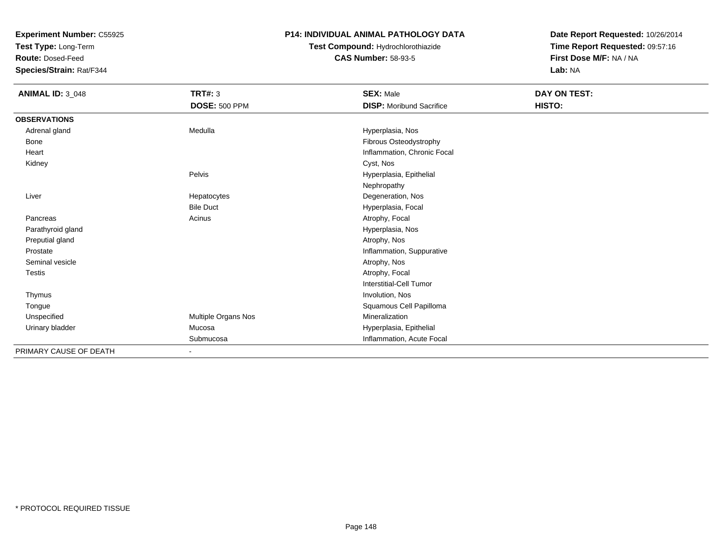**Test Type:** Long-Term

**Route:** Dosed-Feed

**Species/Strain:** Rat/F344

#### **P14: INDIVIDUAL ANIMAL PATHOLOGY DATA**

## **Test Compound:** Hydrochlorothiazide**CAS Number:** 58-93-5

| <b>ANIMAL ID: 3_048</b> | <b>TRT#: 3</b>       | <b>SEX: Male</b>                | DAY ON TEST: |
|-------------------------|----------------------|---------------------------------|--------------|
|                         | <b>DOSE: 500 PPM</b> | <b>DISP:</b> Moribund Sacrifice | HISTO:       |
| <b>OBSERVATIONS</b>     |                      |                                 |              |
| Adrenal gland           | Medulla              | Hyperplasia, Nos                |              |
| Bone                    |                      | Fibrous Osteodystrophy          |              |
| Heart                   |                      | Inflammation, Chronic Focal     |              |
| Kidney                  |                      | Cyst, Nos                       |              |
|                         | Pelvis               | Hyperplasia, Epithelial         |              |
|                         |                      | Nephropathy                     |              |
| Liver                   | Hepatocytes          | Degeneration, Nos               |              |
|                         | <b>Bile Duct</b>     | Hyperplasia, Focal              |              |
| Pancreas                | Acinus               | Atrophy, Focal                  |              |
| Parathyroid gland       |                      | Hyperplasia, Nos                |              |
| Preputial gland         |                      | Atrophy, Nos                    |              |
| Prostate                |                      | Inflammation, Suppurative       |              |
| Seminal vesicle         |                      | Atrophy, Nos                    |              |
| <b>Testis</b>           |                      | Atrophy, Focal                  |              |
|                         |                      | <b>Interstitial-Cell Tumor</b>  |              |
| Thymus                  |                      | Involution, Nos                 |              |
| Tongue                  |                      | Squamous Cell Papilloma         |              |
| Unspecified             | Multiple Organs Nos  | Mineralization                  |              |
| Urinary bladder         | Mucosa               | Hyperplasia, Epithelial         |              |
|                         | Submucosa            | Inflammation, Acute Focal       |              |
| PRIMARY CAUSE OF DEATH  | $\blacksquare$       |                                 |              |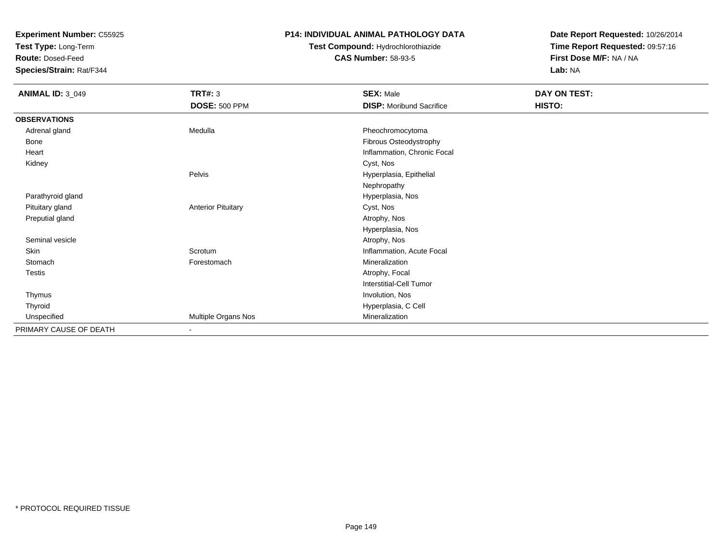**Test Type:** Long-Term

**Route:** Dosed-Feed

**Species/Strain:** Rat/F344

#### **P14: INDIVIDUAL ANIMAL PATHOLOGY DATA**

## **Test Compound:** Hydrochlorothiazide**CAS Number:** 58-93-5

| <b>ANIMAL ID: 3_049</b> | <b>TRT#: 3</b>            | <b>SEX: Male</b>                | DAY ON TEST: |
|-------------------------|---------------------------|---------------------------------|--------------|
|                         | <b>DOSE: 500 PPM</b>      | <b>DISP:</b> Moribund Sacrifice | HISTO:       |
| <b>OBSERVATIONS</b>     |                           |                                 |              |
| Adrenal gland           | Medulla                   | Pheochromocytoma                |              |
| Bone                    |                           | Fibrous Osteodystrophy          |              |
| Heart                   |                           | Inflammation, Chronic Focal     |              |
| Kidney                  |                           | Cyst, Nos                       |              |
|                         | Pelvis                    | Hyperplasia, Epithelial         |              |
|                         |                           | Nephropathy                     |              |
| Parathyroid gland       |                           | Hyperplasia, Nos                |              |
| Pituitary gland         | <b>Anterior Pituitary</b> | Cyst, Nos                       |              |
| Preputial gland         |                           | Atrophy, Nos                    |              |
|                         |                           | Hyperplasia, Nos                |              |
| Seminal vesicle         |                           | Atrophy, Nos                    |              |
| Skin                    | Scrotum                   | Inflammation, Acute Focal       |              |
| Stomach                 | Forestomach               | Mineralization                  |              |
| Testis                  |                           | Atrophy, Focal                  |              |
|                         |                           | <b>Interstitial-Cell Tumor</b>  |              |
| Thymus                  |                           | Involution, Nos                 |              |
| Thyroid                 |                           | Hyperplasia, C Cell             |              |
| Unspecified             | Multiple Organs Nos       | Mineralization                  |              |
| PRIMARY CAUSE OF DEATH  | $\blacksquare$            |                                 |              |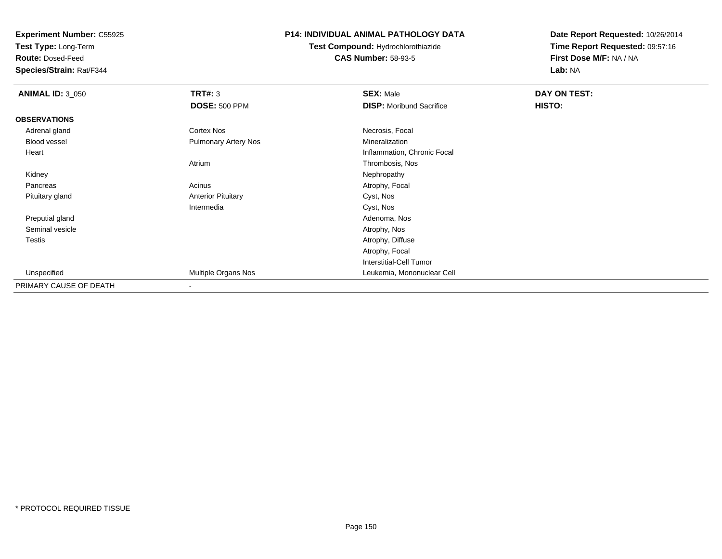**Test Type:** Long-Term

**Route:** Dosed-Feed

**Species/Strain:** Rat/F344

#### **P14: INDIVIDUAL ANIMAL PATHOLOGY DATA**

**Test Compound:** Hydrochlorothiazide**CAS Number:** 58-93-5

| <b>ANIMAL ID: 3_050</b> | TRT#: 3                     | <b>SEX: Male</b>                | DAY ON TEST: |  |
|-------------------------|-----------------------------|---------------------------------|--------------|--|
|                         | <b>DOSE: 500 PPM</b>        | <b>DISP:</b> Moribund Sacrifice | HISTO:       |  |
| <b>OBSERVATIONS</b>     |                             |                                 |              |  |
| Adrenal gland           | Cortex Nos                  | Necrosis, Focal                 |              |  |
| Blood vessel            | <b>Pulmonary Artery Nos</b> | Mineralization                  |              |  |
| Heart                   |                             | Inflammation, Chronic Focal     |              |  |
|                         | Atrium                      | Thrombosis, Nos                 |              |  |
| Kidney                  |                             | Nephropathy                     |              |  |
| Pancreas                | Acinus                      | Atrophy, Focal                  |              |  |
| Pituitary gland         | <b>Anterior Pituitary</b>   | Cyst, Nos                       |              |  |
|                         | Intermedia                  | Cyst, Nos                       |              |  |
| Preputial gland         |                             | Adenoma, Nos                    |              |  |
| Seminal vesicle         |                             | Atrophy, Nos                    |              |  |
| Testis                  |                             | Atrophy, Diffuse                |              |  |
|                         |                             | Atrophy, Focal                  |              |  |
|                         |                             | <b>Interstitial-Cell Tumor</b>  |              |  |
| Unspecified             | Multiple Organs Nos         | Leukemia, Mononuclear Cell      |              |  |
| PRIMARY CAUSE OF DEATH  | $\overline{\phantom{a}}$    |                                 |              |  |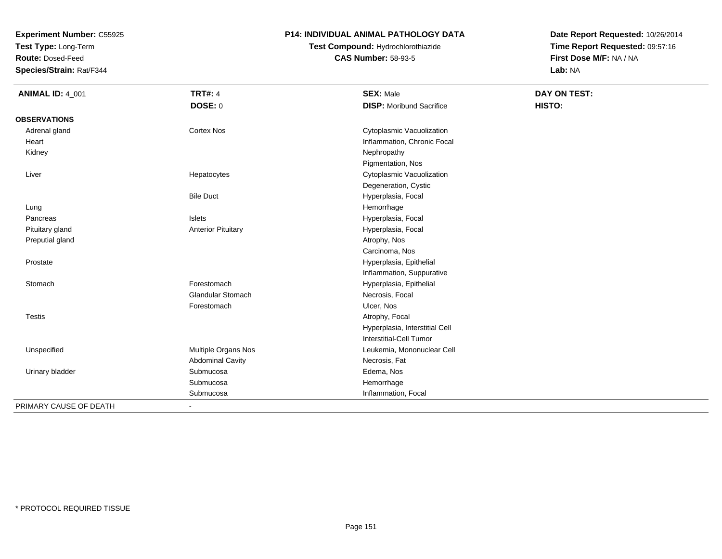**Test Type:** Long-Term

**Route:** Dosed-Feed

**Species/Strain:** Rat/F344

#### **P14: INDIVIDUAL ANIMAL PATHOLOGY DATA**

**Test Compound:** Hydrochlorothiazide**CAS Number:** 58-93-5

| <b>ANIMAL ID: 4_001</b> | <b>TRT#: 4</b>            | <b>SEX: Male</b>                | DAY ON TEST: |
|-------------------------|---------------------------|---------------------------------|--------------|
|                         | <b>DOSE: 0</b>            | <b>DISP:</b> Moribund Sacrifice | HISTO:       |
| <b>OBSERVATIONS</b>     |                           |                                 |              |
| Adrenal gland           | <b>Cortex Nos</b>         | Cytoplasmic Vacuolization       |              |
| Heart                   |                           | Inflammation, Chronic Focal     |              |
| Kidney                  |                           | Nephropathy                     |              |
|                         |                           | Pigmentation, Nos               |              |
| Liver                   | Hepatocytes               | Cytoplasmic Vacuolization       |              |
|                         |                           | Degeneration, Cystic            |              |
|                         | <b>Bile Duct</b>          | Hyperplasia, Focal              |              |
| Lung                    |                           | Hemorrhage                      |              |
| Pancreas                | <b>Islets</b>             | Hyperplasia, Focal              |              |
| Pituitary gland         | <b>Anterior Pituitary</b> | Hyperplasia, Focal              |              |
| Preputial gland         |                           | Atrophy, Nos                    |              |
|                         |                           | Carcinoma, Nos                  |              |
| Prostate                |                           | Hyperplasia, Epithelial         |              |
|                         |                           | Inflammation, Suppurative       |              |
| Stomach                 | Forestomach               | Hyperplasia, Epithelial         |              |
|                         | <b>Glandular Stomach</b>  | Necrosis, Focal                 |              |
|                         | Forestomach               | Ulcer, Nos                      |              |
| <b>Testis</b>           |                           | Atrophy, Focal                  |              |
|                         |                           | Hyperplasia, Interstitial Cell  |              |
|                         |                           | Interstitial-Cell Tumor         |              |
| Unspecified             | Multiple Organs Nos       | Leukemia, Mononuclear Cell      |              |
|                         | <b>Abdominal Cavity</b>   | Necrosis, Fat                   |              |
| Urinary bladder         | Submucosa                 | Edema, Nos                      |              |
|                         | Submucosa                 | Hemorrhage                      |              |
|                         | Submucosa                 | Inflammation, Focal             |              |
| PRIMARY CAUSE OF DEATH  | $\blacksquare$            |                                 |              |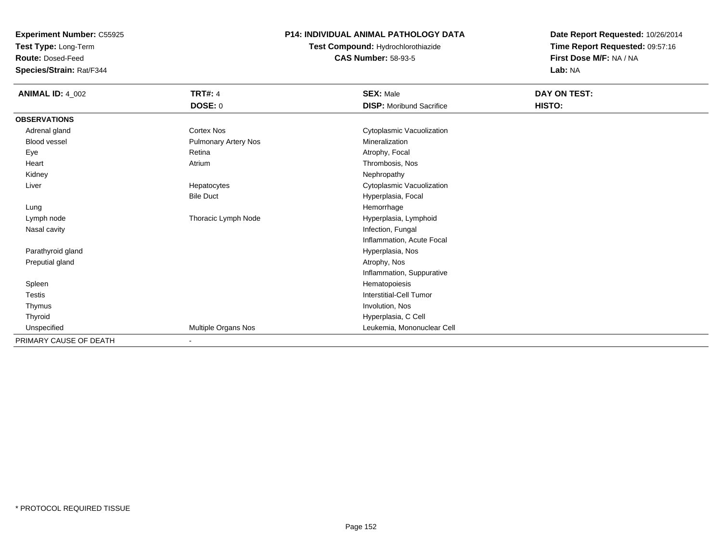**Test Type:** Long-Term

**Route:** Dosed-Feed

**Species/Strain:** Rat/F344

### **P14: INDIVIDUAL ANIMAL PATHOLOGY DATA**

**Test Compound:** Hydrochlorothiazide**CAS Number:** 58-93-5

| <b>ANIMAL ID: 4_002</b> | <b>TRT#: 4</b>              | <b>SEX: Male</b>                | DAY ON TEST: |  |
|-------------------------|-----------------------------|---------------------------------|--------------|--|
|                         | <b>DOSE: 0</b>              | <b>DISP:</b> Moribund Sacrifice | HISTO:       |  |
| <b>OBSERVATIONS</b>     |                             |                                 |              |  |
| Adrenal gland           | <b>Cortex Nos</b>           | Cytoplasmic Vacuolization       |              |  |
| Blood vessel            | <b>Pulmonary Artery Nos</b> | Mineralization                  |              |  |
| Eye                     | Retina                      | Atrophy, Focal                  |              |  |
| Heart                   | Atrium                      | Thrombosis, Nos                 |              |  |
| Kidney                  |                             | Nephropathy                     |              |  |
| Liver                   | Hepatocytes                 | Cytoplasmic Vacuolization       |              |  |
|                         | <b>Bile Duct</b>            | Hyperplasia, Focal              |              |  |
| Lung                    |                             | Hemorrhage                      |              |  |
| Lymph node              | Thoracic Lymph Node         | Hyperplasia, Lymphoid           |              |  |
| Nasal cavity            |                             | Infection, Fungal               |              |  |
|                         |                             | Inflammation, Acute Focal       |              |  |
| Parathyroid gland       |                             | Hyperplasia, Nos                |              |  |
| Preputial gland         |                             | Atrophy, Nos                    |              |  |
|                         |                             | Inflammation, Suppurative       |              |  |
| Spleen                  |                             | Hematopoiesis                   |              |  |
| Testis                  |                             | Interstitial-Cell Tumor         |              |  |
| Thymus                  |                             | Involution, Nos                 |              |  |
| Thyroid                 |                             | Hyperplasia, C Cell             |              |  |
| Unspecified             | Multiple Organs Nos         | Leukemia, Mononuclear Cell      |              |  |
| PRIMARY CAUSE OF DEATH  | ٠                           |                                 |              |  |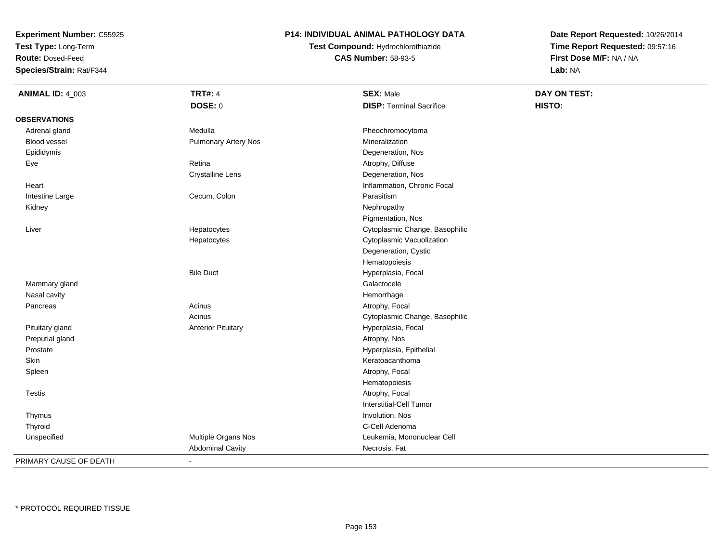**Test Type:** Long-Term

**Route:** Dosed-Feed

**Species/Strain:** Rat/F344

### **P14: INDIVIDUAL ANIMAL PATHOLOGY DATA**

**Test Compound:** Hydrochlorothiazide**CAS Number:** 58-93-5

**Date Report Requested:** 10/26/2014**Time Report Requested:** 09:57:16**First Dose M/F:** NA / NA**Lab:** NA

| <b>ANIMAL ID: 4_003</b> | <b>TRT#: 4</b>            | <b>SEX: Male</b>                | DAY ON TEST: |
|-------------------------|---------------------------|---------------------------------|--------------|
|                         | DOSE: 0                   | <b>DISP: Terminal Sacrifice</b> | HISTO:       |
| <b>OBSERVATIONS</b>     |                           |                                 |              |
| Adrenal gland           | Medulla                   | Pheochromocytoma                |              |
| Blood vessel            | Pulmonary Artery Nos      | Mineralization                  |              |
| Epididymis              |                           | Degeneration, Nos               |              |
| Eye                     | Retina                    | Atrophy, Diffuse                |              |
|                         | <b>Crystalline Lens</b>   | Degeneration, Nos               |              |
| Heart                   |                           | Inflammation, Chronic Focal     |              |
| Intestine Large         | Cecum, Colon              | Parasitism                      |              |
| Kidney                  |                           | Nephropathy                     |              |
|                         |                           | Pigmentation, Nos               |              |
| Liver                   | Hepatocytes               | Cytoplasmic Change, Basophilic  |              |
|                         | Hepatocytes               | Cytoplasmic Vacuolization       |              |
|                         |                           | Degeneration, Cystic            |              |
|                         |                           | Hematopoiesis                   |              |
|                         | <b>Bile Duct</b>          | Hyperplasia, Focal              |              |
| Mammary gland           |                           | Galactocele                     |              |
| Nasal cavity            |                           | Hemorrhage                      |              |
| Pancreas                | Acinus                    | Atrophy, Focal                  |              |
|                         | Acinus                    | Cytoplasmic Change, Basophilic  |              |
| Pituitary gland         | <b>Anterior Pituitary</b> | Hyperplasia, Focal              |              |
| Preputial gland         |                           | Atrophy, Nos                    |              |
| Prostate                |                           | Hyperplasia, Epithelial         |              |
| Skin                    |                           | Keratoacanthoma                 |              |
| Spleen                  |                           | Atrophy, Focal                  |              |
|                         |                           | Hematopoiesis                   |              |
| <b>Testis</b>           |                           | Atrophy, Focal                  |              |
|                         |                           | <b>Interstitial-Cell Tumor</b>  |              |
| Thymus                  |                           | Involution, Nos                 |              |
| Thyroid                 |                           | C-Cell Adenoma                  |              |
| Unspecified             | Multiple Organs Nos       | Leukemia, Mononuclear Cell      |              |
|                         | <b>Abdominal Cavity</b>   | Necrosis, Fat                   |              |
| PRIMARY CAUSE OF DEATH  | $\blacksquare$            |                                 |              |

-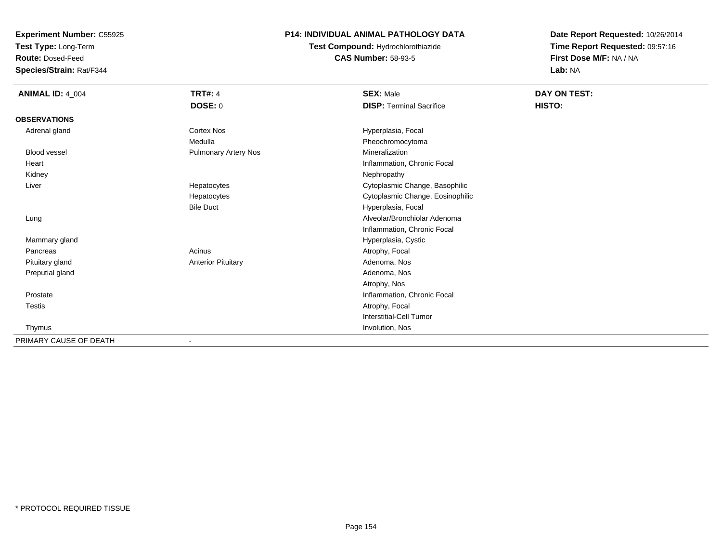**Test Type:** Long-Term

**Route:** Dosed-Feed

**Species/Strain:** Rat/F344

### **P14: INDIVIDUAL ANIMAL PATHOLOGY DATA**

**Test Compound:** Hydrochlorothiazide**CAS Number:** 58-93-5

| <b>ANIMAL ID: 4_004</b> | <b>TRT#: 4</b>            | <b>SEX: Male</b>                 | DAY ON TEST: |  |
|-------------------------|---------------------------|----------------------------------|--------------|--|
|                         | DOSE: 0                   | <b>DISP: Terminal Sacrifice</b>  | HISTO:       |  |
| <b>OBSERVATIONS</b>     |                           |                                  |              |  |
| Adrenal gland           | <b>Cortex Nos</b>         | Hyperplasia, Focal               |              |  |
|                         | Medulla                   | Pheochromocytoma                 |              |  |
| <b>Blood vessel</b>     | Pulmonary Artery Nos      | Mineralization                   |              |  |
| Heart                   |                           | Inflammation, Chronic Focal      |              |  |
| Kidney                  |                           | Nephropathy                      |              |  |
| Liver                   | Hepatocytes               | Cytoplasmic Change, Basophilic   |              |  |
|                         | Hepatocytes               | Cytoplasmic Change, Eosinophilic |              |  |
|                         | <b>Bile Duct</b>          | Hyperplasia, Focal               |              |  |
| Lung                    |                           | Alveolar/Bronchiolar Adenoma     |              |  |
|                         |                           | Inflammation, Chronic Focal      |              |  |
| Mammary gland           |                           | Hyperplasia, Cystic              |              |  |
| Pancreas                | Acinus                    | Atrophy, Focal                   |              |  |
| Pituitary gland         | <b>Anterior Pituitary</b> | Adenoma, Nos                     |              |  |
| Preputial gland         |                           | Adenoma, Nos                     |              |  |
|                         |                           | Atrophy, Nos                     |              |  |
| Prostate                |                           | Inflammation, Chronic Focal      |              |  |
| <b>Testis</b>           |                           | Atrophy, Focal                   |              |  |
|                         |                           | Interstitial-Cell Tumor          |              |  |
| Thymus                  |                           | Involution, Nos                  |              |  |
| PRIMARY CAUSE OF DEATH  |                           |                                  |              |  |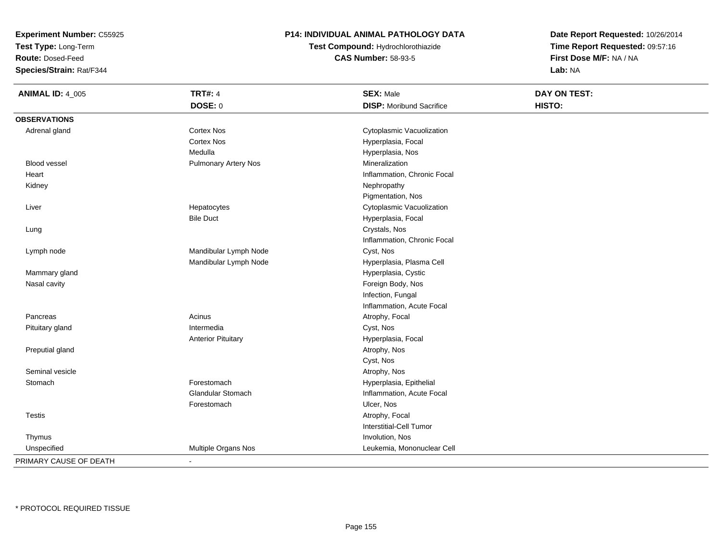**Test Type:** Long-Term

**Route:** Dosed-Feed

**Species/Strain:** Rat/F344

#### **P14: INDIVIDUAL ANIMAL PATHOLOGY DATA**

**Test Compound:** Hydrochlorothiazide**CAS Number:** 58-93-5

| <b>ANIMAL ID: 4_005</b> | <b>TRT#: 4</b>              | <b>SEX: Male</b>                | DAY ON TEST: |  |
|-------------------------|-----------------------------|---------------------------------|--------------|--|
|                         | DOSE: 0                     | <b>DISP:</b> Moribund Sacrifice | HISTO:       |  |
| <b>OBSERVATIONS</b>     |                             |                                 |              |  |
| Adrenal gland           | <b>Cortex Nos</b>           | Cytoplasmic Vacuolization       |              |  |
|                         | <b>Cortex Nos</b>           | Hyperplasia, Focal              |              |  |
|                         | Medulla                     | Hyperplasia, Nos                |              |  |
| Blood vessel            | <b>Pulmonary Artery Nos</b> | Mineralization                  |              |  |
| Heart                   |                             | Inflammation, Chronic Focal     |              |  |
| Kidney                  |                             | Nephropathy                     |              |  |
|                         |                             | Pigmentation, Nos               |              |  |
| Liver                   | Hepatocytes                 | Cytoplasmic Vacuolization       |              |  |
|                         | <b>Bile Duct</b>            | Hyperplasia, Focal              |              |  |
| Lung                    |                             | Crystals, Nos                   |              |  |
|                         |                             | Inflammation, Chronic Focal     |              |  |
| Lymph node              | Mandibular Lymph Node       | Cyst, Nos                       |              |  |
|                         | Mandibular Lymph Node       | Hyperplasia, Plasma Cell        |              |  |
| Mammary gland           |                             | Hyperplasia, Cystic             |              |  |
| Nasal cavity            |                             | Foreign Body, Nos               |              |  |
|                         |                             | Infection, Fungal               |              |  |
|                         |                             | Inflammation, Acute Focal       |              |  |
| Pancreas                | Acinus                      | Atrophy, Focal                  |              |  |
| Pituitary gland         | Intermedia                  | Cyst, Nos                       |              |  |
|                         | <b>Anterior Pituitary</b>   | Hyperplasia, Focal              |              |  |
| Preputial gland         |                             | Atrophy, Nos                    |              |  |
|                         |                             | Cyst, Nos                       |              |  |
| Seminal vesicle         |                             | Atrophy, Nos                    |              |  |
| Stomach                 | Forestomach                 | Hyperplasia, Epithelial         |              |  |
|                         | <b>Glandular Stomach</b>    | Inflammation, Acute Focal       |              |  |
|                         | Forestomach                 | Ulcer, Nos                      |              |  |
| Testis                  |                             | Atrophy, Focal                  |              |  |
|                         |                             | <b>Interstitial-Cell Tumor</b>  |              |  |
| Thymus                  |                             | Involution, Nos                 |              |  |
| Unspecified             | Multiple Organs Nos         | Leukemia, Mononuclear Cell      |              |  |
| PRIMARY CAUSE OF DEATH  | $\sim$                      |                                 |              |  |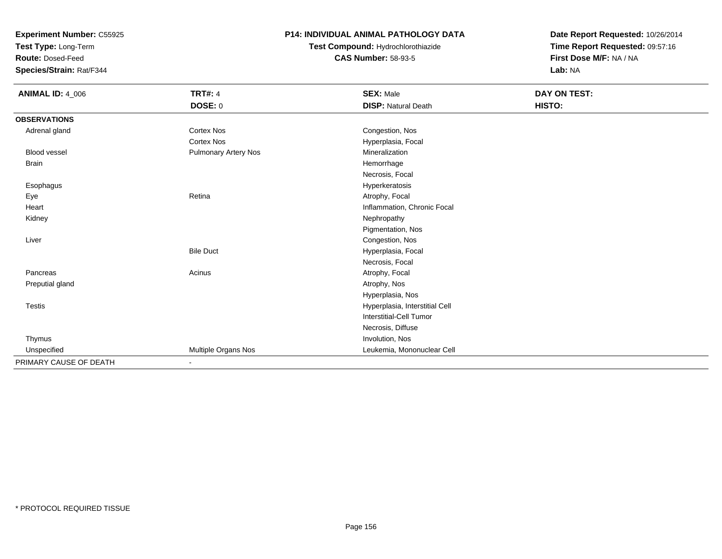**Test Type:** Long-Term

**Route:** Dosed-Feed

**Species/Strain:** Rat/F344

### **P14: INDIVIDUAL ANIMAL PATHOLOGY DATA**

# **Test Compound:** Hydrochlorothiazide**CAS Number:** 58-93-5

| <b>ANIMAL ID: 4_006</b> | <b>TRT#: 4</b>              | <b>SEX: Male</b>               | DAY ON TEST: |  |
|-------------------------|-----------------------------|--------------------------------|--------------|--|
|                         | DOSE: 0                     | <b>DISP: Natural Death</b>     | HISTO:       |  |
| <b>OBSERVATIONS</b>     |                             |                                |              |  |
| Adrenal gland           | <b>Cortex Nos</b>           | Congestion, Nos                |              |  |
|                         | <b>Cortex Nos</b>           | Hyperplasia, Focal             |              |  |
| Blood vessel            | <b>Pulmonary Artery Nos</b> | Mineralization                 |              |  |
| Brain                   |                             | Hemorrhage                     |              |  |
|                         |                             | Necrosis, Focal                |              |  |
| Esophagus               |                             | Hyperkeratosis                 |              |  |
| Eye                     | Retina                      | Atrophy, Focal                 |              |  |
| Heart                   |                             | Inflammation, Chronic Focal    |              |  |
| Kidney                  |                             | Nephropathy                    |              |  |
|                         |                             | Pigmentation, Nos              |              |  |
| Liver                   |                             | Congestion, Nos                |              |  |
|                         | <b>Bile Duct</b>            | Hyperplasia, Focal             |              |  |
|                         |                             | Necrosis, Focal                |              |  |
| Pancreas                | Acinus                      | Atrophy, Focal                 |              |  |
| Preputial gland         |                             | Atrophy, Nos                   |              |  |
|                         |                             | Hyperplasia, Nos               |              |  |
| Testis                  |                             | Hyperplasia, Interstitial Cell |              |  |
|                         |                             | <b>Interstitial-Cell Tumor</b> |              |  |
|                         |                             | Necrosis, Diffuse              |              |  |
| Thymus                  |                             | Involution, Nos                |              |  |
| Unspecified             | Multiple Organs Nos         | Leukemia, Mononuclear Cell     |              |  |
| PRIMARY CAUSE OF DEATH  |                             |                                |              |  |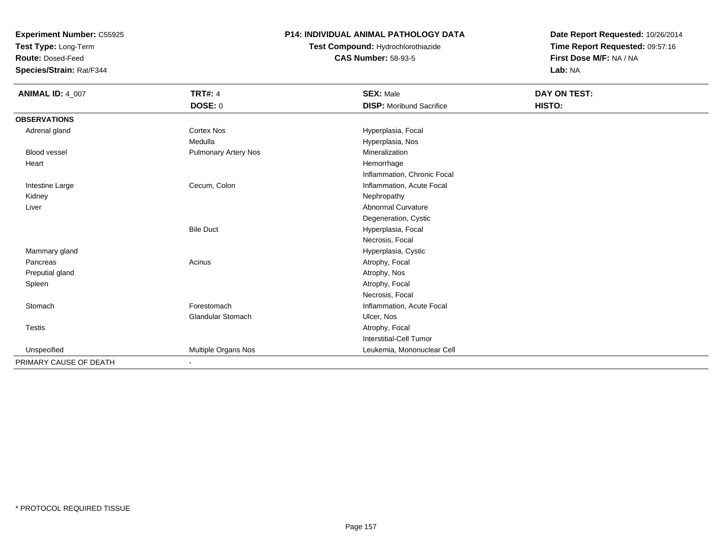**Test Type:** Long-Term

**Route:** Dosed-Feed

**Species/Strain:** Rat/F344

### **P14: INDIVIDUAL ANIMAL PATHOLOGY DATA**

# **Test Compound:** Hydrochlorothiazide**CAS Number:** 58-93-5

| <b>ANIMAL ID: 4_007</b> | <b>TRT#: 4</b>           | <b>SEX: Male</b>                | DAY ON TEST: |  |
|-------------------------|--------------------------|---------------------------------|--------------|--|
|                         | <b>DOSE: 0</b>           | <b>DISP:</b> Moribund Sacrifice | HISTO:       |  |
| <b>OBSERVATIONS</b>     |                          |                                 |              |  |
| Adrenal gland           | <b>Cortex Nos</b>        | Hyperplasia, Focal              |              |  |
|                         | Medulla                  | Hyperplasia, Nos                |              |  |
| <b>Blood vessel</b>     | Pulmonary Artery Nos     | Mineralization                  |              |  |
| Heart                   |                          | Hemorrhage                      |              |  |
|                         |                          | Inflammation, Chronic Focal     |              |  |
| Intestine Large         | Cecum, Colon             | Inflammation, Acute Focal       |              |  |
| Kidney                  |                          | Nephropathy                     |              |  |
| Liver                   |                          | <b>Abnormal Curvature</b>       |              |  |
|                         |                          | Degeneration, Cystic            |              |  |
|                         | <b>Bile Duct</b>         | Hyperplasia, Focal              |              |  |
|                         |                          | Necrosis, Focal                 |              |  |
| Mammary gland           |                          | Hyperplasia, Cystic             |              |  |
| Pancreas                | Acinus                   | Atrophy, Focal                  |              |  |
| Preputial gland         |                          | Atrophy, Nos                    |              |  |
| Spleen                  |                          | Atrophy, Focal                  |              |  |
|                         |                          | Necrosis, Focal                 |              |  |
| Stomach                 | Forestomach              | Inflammation, Acute Focal       |              |  |
|                         | Glandular Stomach        | Ulcer, Nos                      |              |  |
| Testis                  |                          | Atrophy, Focal                  |              |  |
|                         |                          | Interstitial-Cell Tumor         |              |  |
| Unspecified             | Multiple Organs Nos      | Leukemia, Mononuclear Cell      |              |  |
| PRIMARY CAUSE OF DEATH  | $\overline{\phantom{a}}$ |                                 |              |  |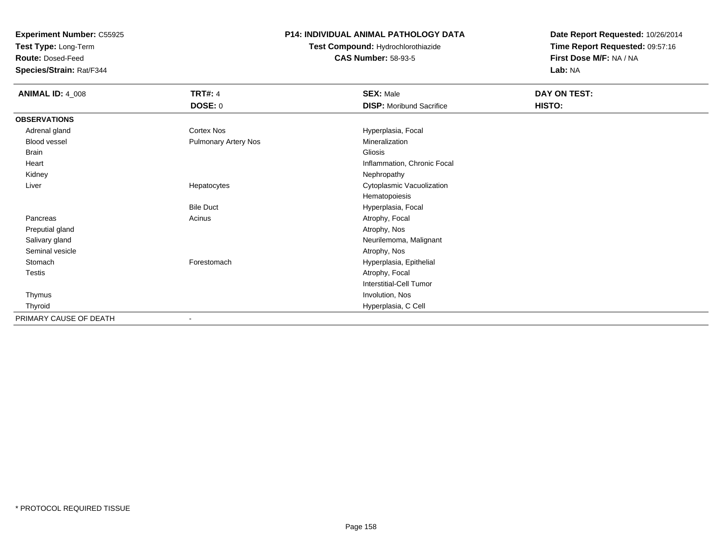**Test Type:** Long-Term

**Route:** Dosed-Feed

**Species/Strain:** Rat/F344

#### **P14: INDIVIDUAL ANIMAL PATHOLOGY DATA**

**Test Compound:** Hydrochlorothiazide**CAS Number:** 58-93-5

| <b>ANIMAL ID: 4_008</b> | <b>TRT#: 4</b>              | <b>SEX: Male</b>                | DAY ON TEST: |  |
|-------------------------|-----------------------------|---------------------------------|--------------|--|
|                         | <b>DOSE: 0</b>              | <b>DISP:</b> Moribund Sacrifice | HISTO:       |  |
| <b>OBSERVATIONS</b>     |                             |                                 |              |  |
| Adrenal gland           | <b>Cortex Nos</b>           | Hyperplasia, Focal              |              |  |
| Blood vessel            | <b>Pulmonary Artery Nos</b> | Mineralization                  |              |  |
| Brain                   |                             | Gliosis                         |              |  |
| Heart                   |                             | Inflammation, Chronic Focal     |              |  |
| Kidney                  |                             | Nephropathy                     |              |  |
| Liver                   | Hepatocytes                 | Cytoplasmic Vacuolization       |              |  |
|                         |                             | Hematopoiesis                   |              |  |
|                         | <b>Bile Duct</b>            | Hyperplasia, Focal              |              |  |
| Pancreas                | Acinus                      | Atrophy, Focal                  |              |  |
| Preputial gland         |                             | Atrophy, Nos                    |              |  |
| Salivary gland          |                             | Neurilemoma, Malignant          |              |  |
| Seminal vesicle         |                             | Atrophy, Nos                    |              |  |
| Stomach                 | Forestomach                 | Hyperplasia, Epithelial         |              |  |
| Testis                  |                             | Atrophy, Focal                  |              |  |
|                         |                             | Interstitial-Cell Tumor         |              |  |
| Thymus                  |                             | Involution, Nos                 |              |  |
| Thyroid                 |                             | Hyperplasia, C Cell             |              |  |
| PRIMARY CAUSE OF DEATH  |                             |                                 |              |  |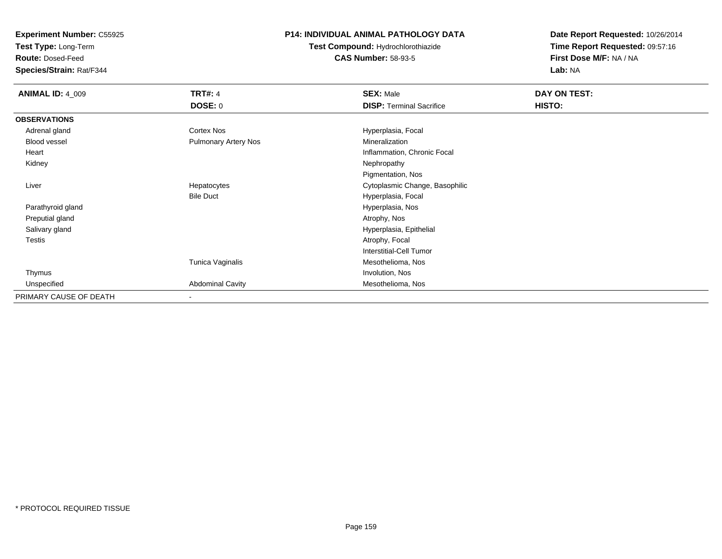**Test Type:** Long-Term

**Route:** Dosed-Feed

**Species/Strain:** Rat/F344

### **P14: INDIVIDUAL ANIMAL PATHOLOGY DATA**

**Test Compound:** Hydrochlorothiazide**CAS Number:** 58-93-5

| <b>ANIMAL ID: 4_009</b> | <b>TRT#: 4</b>              | <b>SEX: Male</b>                | DAY ON TEST: |  |
|-------------------------|-----------------------------|---------------------------------|--------------|--|
|                         | <b>DOSE: 0</b>              | <b>DISP: Terminal Sacrifice</b> | HISTO:       |  |
| <b>OBSERVATIONS</b>     |                             |                                 |              |  |
| Adrenal gland           | <b>Cortex Nos</b>           | Hyperplasia, Focal              |              |  |
| Blood vessel            | <b>Pulmonary Artery Nos</b> | Mineralization                  |              |  |
| Heart                   |                             | Inflammation, Chronic Focal     |              |  |
| Kidney                  |                             | Nephropathy                     |              |  |
|                         |                             | Pigmentation, Nos               |              |  |
| Liver                   | Hepatocytes                 | Cytoplasmic Change, Basophilic  |              |  |
|                         | <b>Bile Duct</b>            | Hyperplasia, Focal              |              |  |
| Parathyroid gland       |                             | Hyperplasia, Nos                |              |  |
| Preputial gland         |                             | Atrophy, Nos                    |              |  |
| Salivary gland          |                             | Hyperplasia, Epithelial         |              |  |
| <b>Testis</b>           |                             | Atrophy, Focal                  |              |  |
|                         |                             | Interstitial-Cell Tumor         |              |  |
|                         | Tunica Vaginalis            | Mesothelioma, Nos               |              |  |
| Thymus                  |                             | Involution, Nos                 |              |  |
| Unspecified             | <b>Abdominal Cavity</b>     | Mesothelioma, Nos               |              |  |
| PRIMARY CAUSE OF DEATH  | $\overline{\phantom{a}}$    |                                 |              |  |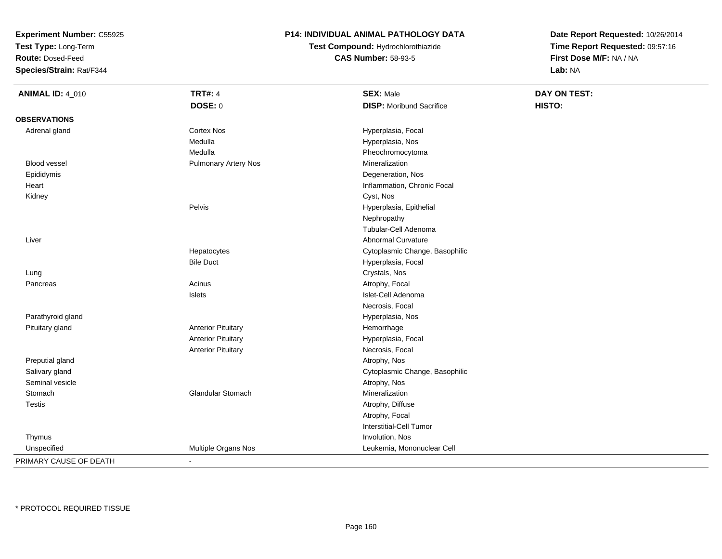**Test Type:** Long-Term

**Route:** Dosed-Feed

**Species/Strain:** Rat/F344

#### **P14: INDIVIDUAL ANIMAL PATHOLOGY DATA**

**Test Compound:** Hydrochlorothiazide**CAS Number:** 58-93-5

| <b>ANIMAL ID: 4_010</b> | <b>TRT#: 4</b>              | <b>SEX: Male</b>                | DAY ON TEST: |  |
|-------------------------|-----------------------------|---------------------------------|--------------|--|
|                         | <b>DOSE: 0</b>              | <b>DISP:</b> Moribund Sacrifice | HISTO:       |  |
| <b>OBSERVATIONS</b>     |                             |                                 |              |  |
| Adrenal gland           | <b>Cortex Nos</b>           | Hyperplasia, Focal              |              |  |
|                         | Medulla                     | Hyperplasia, Nos                |              |  |
|                         | Medulla                     | Pheochromocytoma                |              |  |
| <b>Blood vessel</b>     | <b>Pulmonary Artery Nos</b> | Mineralization                  |              |  |
| Epididymis              |                             | Degeneration, Nos               |              |  |
| Heart                   |                             | Inflammation, Chronic Focal     |              |  |
| Kidney                  |                             | Cyst, Nos                       |              |  |
|                         | Pelvis                      | Hyperplasia, Epithelial         |              |  |
|                         |                             | Nephropathy                     |              |  |
|                         |                             | Tubular-Cell Adenoma            |              |  |
| Liver                   |                             | <b>Abnormal Curvature</b>       |              |  |
|                         | Hepatocytes                 | Cytoplasmic Change, Basophilic  |              |  |
|                         | <b>Bile Duct</b>            | Hyperplasia, Focal              |              |  |
| Lung                    |                             | Crystals, Nos                   |              |  |
| Pancreas                | Acinus                      | Atrophy, Focal                  |              |  |
|                         | Islets                      | Islet-Cell Adenoma              |              |  |
|                         |                             | Necrosis, Focal                 |              |  |
| Parathyroid gland       |                             | Hyperplasia, Nos                |              |  |
| Pituitary gland         | <b>Anterior Pituitary</b>   | Hemorrhage                      |              |  |
|                         | <b>Anterior Pituitary</b>   | Hyperplasia, Focal              |              |  |
|                         | <b>Anterior Pituitary</b>   | Necrosis, Focal                 |              |  |
| Preputial gland         |                             | Atrophy, Nos                    |              |  |
| Salivary gland          |                             | Cytoplasmic Change, Basophilic  |              |  |
| Seminal vesicle         |                             | Atrophy, Nos                    |              |  |
| Stomach                 | Glandular Stomach           | Mineralization                  |              |  |
| Testis                  |                             | Atrophy, Diffuse                |              |  |
|                         |                             | Atrophy, Focal                  |              |  |
|                         |                             | Interstitial-Cell Tumor         |              |  |
| Thymus                  |                             | Involution, Nos                 |              |  |
| Unspecified             | Multiple Organs Nos         | Leukemia, Mononuclear Cell      |              |  |
| PRIMARY CAUSE OF DEATH  | $\blacksquare$              |                                 |              |  |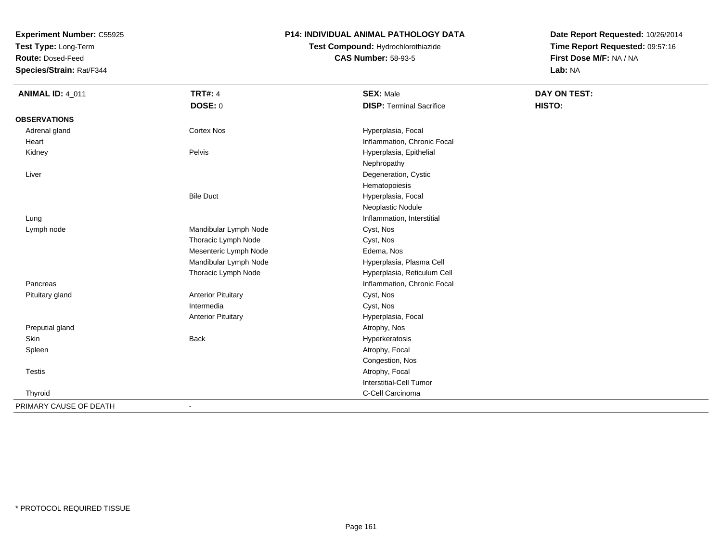**Test Type:** Long-Term

**Route:** Dosed-Feed

**Species/Strain:** Rat/F344

#### **P14: INDIVIDUAL ANIMAL PATHOLOGY DATA**

**Test Compound:** Hydrochlorothiazide**CAS Number:** 58-93-5

| <b>ANIMAL ID: 4_011</b> | <b>TRT#: 4</b>            | <b>SEX: Male</b>                | <b>DAY ON TEST:</b> |  |
|-------------------------|---------------------------|---------------------------------|---------------------|--|
|                         | DOSE: 0                   | <b>DISP: Terminal Sacrifice</b> | HISTO:              |  |
| <b>OBSERVATIONS</b>     |                           |                                 |                     |  |
| Adrenal gland           | <b>Cortex Nos</b>         | Hyperplasia, Focal              |                     |  |
| Heart                   |                           | Inflammation, Chronic Focal     |                     |  |
| Kidney                  | Pelvis                    | Hyperplasia, Epithelial         |                     |  |
|                         |                           | Nephropathy                     |                     |  |
| Liver                   |                           | Degeneration, Cystic            |                     |  |
|                         |                           | Hematopoiesis                   |                     |  |
|                         | <b>Bile Duct</b>          | Hyperplasia, Focal              |                     |  |
|                         |                           | Neoplastic Nodule               |                     |  |
| Lung                    |                           | Inflammation, Interstitial      |                     |  |
| Lymph node              | Mandibular Lymph Node     | Cyst, Nos                       |                     |  |
|                         | Thoracic Lymph Node       | Cyst, Nos                       |                     |  |
|                         | Mesenteric Lymph Node     | Edema, Nos                      |                     |  |
|                         | Mandibular Lymph Node     | Hyperplasia, Plasma Cell        |                     |  |
|                         | Thoracic Lymph Node       | Hyperplasia, Reticulum Cell     |                     |  |
| Pancreas                |                           | Inflammation, Chronic Focal     |                     |  |
| Pituitary gland         | <b>Anterior Pituitary</b> | Cyst, Nos                       |                     |  |
|                         | Intermedia                | Cyst, Nos                       |                     |  |
|                         | <b>Anterior Pituitary</b> | Hyperplasia, Focal              |                     |  |
| Preputial gland         |                           | Atrophy, Nos                    |                     |  |
| Skin                    | <b>Back</b>               | Hyperkeratosis                  |                     |  |
| Spleen                  |                           | Atrophy, Focal                  |                     |  |
|                         |                           | Congestion, Nos                 |                     |  |
| <b>Testis</b>           |                           | Atrophy, Focal                  |                     |  |
|                         |                           | <b>Interstitial-Cell Tumor</b>  |                     |  |
| Thyroid                 |                           | C-Cell Carcinoma                |                     |  |
| PRIMARY CAUSE OF DEATH  |                           |                                 |                     |  |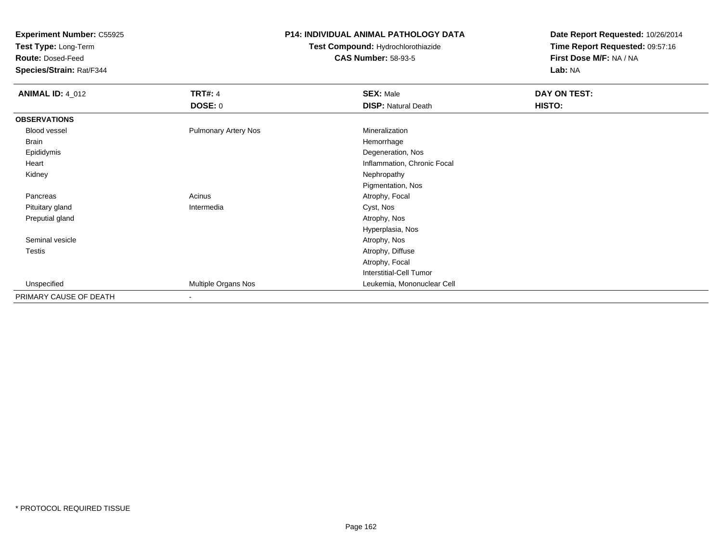**Test Type:** Long-Term

**Route:** Dosed-Feed

**Species/Strain:** Rat/F344

#### **P14: INDIVIDUAL ANIMAL PATHOLOGY DATA**

**Test Compound:** Hydrochlorothiazide**CAS Number:** 58-93-5

| <b>ANIMAL ID: 4_012</b> | <b>TRT#: 4</b>              | <b>SEX: Male</b>            | DAY ON TEST: |  |
|-------------------------|-----------------------------|-----------------------------|--------------|--|
|                         | <b>DOSE: 0</b>              | <b>DISP: Natural Death</b>  | HISTO:       |  |
| <b>OBSERVATIONS</b>     |                             |                             |              |  |
| Blood vessel            | <b>Pulmonary Artery Nos</b> | Mineralization              |              |  |
| Brain                   |                             | Hemorrhage                  |              |  |
| Epididymis              |                             | Degeneration, Nos           |              |  |
| Heart                   |                             | Inflammation, Chronic Focal |              |  |
| Kidney                  |                             | Nephropathy                 |              |  |
|                         |                             | Pigmentation, Nos           |              |  |
| Pancreas                | Acinus                      | Atrophy, Focal              |              |  |
| Pituitary gland         | Intermedia                  | Cyst, Nos                   |              |  |
| Preputial gland         |                             | Atrophy, Nos                |              |  |
|                         |                             | Hyperplasia, Nos            |              |  |
| Seminal vesicle         |                             | Atrophy, Nos                |              |  |
| <b>Testis</b>           |                             | Atrophy, Diffuse            |              |  |
|                         |                             | Atrophy, Focal              |              |  |
|                         |                             | Interstitial-Cell Tumor     |              |  |
| Unspecified             | Multiple Organs Nos         | Leukemia, Mononuclear Cell  |              |  |
| PRIMARY CAUSE OF DEATH  | $\overline{\phantom{a}}$    |                             |              |  |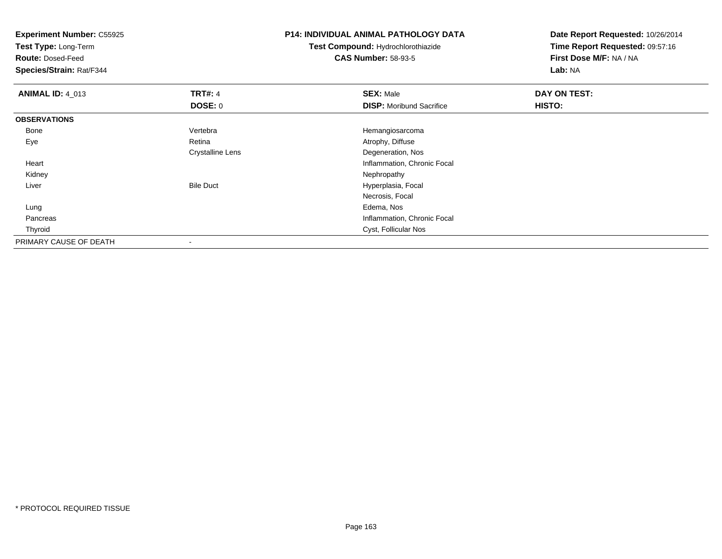**Experiment Number:** C55925**Test Type:** Long-Term**Route:** Dosed-Feed **Species/Strain:** Rat/F344**P14: INDIVIDUAL ANIMAL PATHOLOGY DATATest Compound:** Hydrochlorothiazide**CAS Number:** 58-93-5**Date Report Requested:** 10/26/2014**Time Report Requested:** 09:57:16**First Dose M/F:** NA / NA**Lab:** NA**ANIMAL ID:** 4\_013**TRT#:** 4 **SEX:** Male **DAY ON TEST: DOSE:** 0**DISP:** Moribund Sacrifice **HISTO: OBSERVATIONS** Bone Vertebra Hemangiosarcoma EyeAtrophy, Diffuse Crystalline Lens Degeneration, Nos Heart Inflammation, Chronic Focal Kidney

Bile Duct **Hyperplasia**, Focal

Necrosis, Focal

Cyst, Follicular Nos

Inflammation, Chronic Focal

y the control of the control of the control of the control of the control of the control of the control of the control of the control of the control of the control of the control of the control of the control of the contro

g and the state of the state of the state of the state of the state of the state of the state of the state of the state of the state of the state of the state of the state of the state of the state of the state of the stat

-

Liver

Lung

Pancreas

PRIMARY CAUSE OF DEATH

Thyroid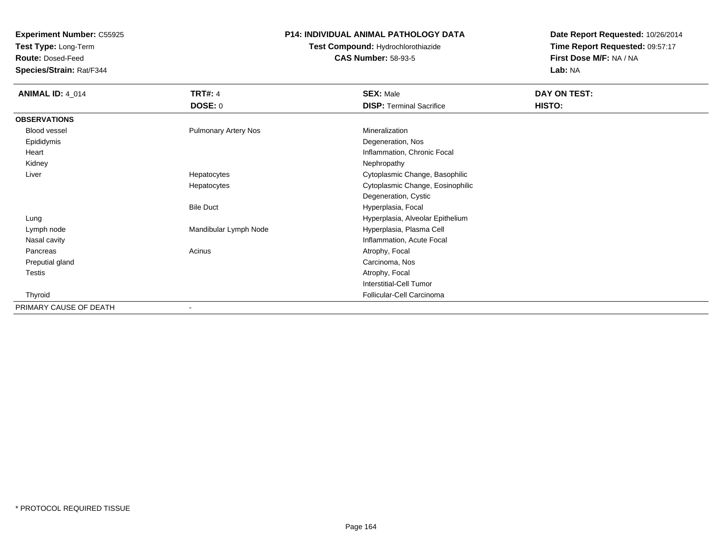**Test Type:** Long-Term

**Route:** Dosed-Feed

**Species/Strain:** Rat/F344

#### **P14: INDIVIDUAL ANIMAL PATHOLOGY DATA**

**Test Compound:** Hydrochlorothiazide**CAS Number:** 58-93-5

| <b>ANIMAL ID: 4_014</b> | <b>TRT#: 4</b>              | <b>SEX: Male</b>                 | DAY ON TEST: |  |
|-------------------------|-----------------------------|----------------------------------|--------------|--|
|                         | <b>DOSE: 0</b>              | <b>DISP: Terminal Sacrifice</b>  | HISTO:       |  |
| <b>OBSERVATIONS</b>     |                             |                                  |              |  |
| Blood vessel            | <b>Pulmonary Artery Nos</b> | Mineralization                   |              |  |
| Epididymis              |                             | Degeneration, Nos                |              |  |
| Heart                   |                             | Inflammation, Chronic Focal      |              |  |
| Kidney                  |                             | Nephropathy                      |              |  |
| Liver                   | Hepatocytes                 | Cytoplasmic Change, Basophilic   |              |  |
|                         | Hepatocytes                 | Cytoplasmic Change, Eosinophilic |              |  |
|                         |                             | Degeneration, Cystic             |              |  |
|                         | <b>Bile Duct</b>            | Hyperplasia, Focal               |              |  |
| Lung                    |                             | Hyperplasia, Alveolar Epithelium |              |  |
| Lymph node              | Mandibular Lymph Node       | Hyperplasia, Plasma Cell         |              |  |
| Nasal cavity            |                             | Inflammation, Acute Focal        |              |  |
| Pancreas                | Acinus                      | Atrophy, Focal                   |              |  |
| Preputial gland         |                             | Carcinoma, Nos                   |              |  |
| Testis                  |                             | Atrophy, Focal                   |              |  |
|                         |                             | Interstitial-Cell Tumor          |              |  |
| Thyroid                 |                             | Follicular-Cell Carcinoma        |              |  |
| PRIMARY CAUSE OF DEATH  |                             |                                  |              |  |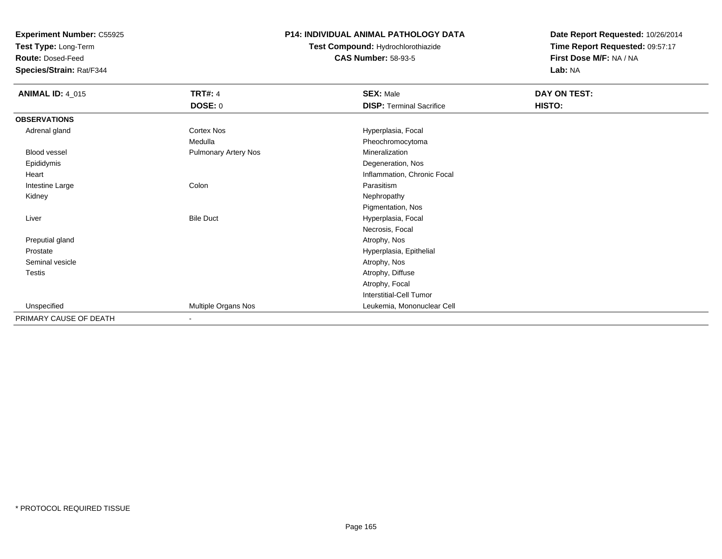**Test Type:** Long-Term

**Route:** Dosed-Feed

**Species/Strain:** Rat/F344

### **P14: INDIVIDUAL ANIMAL PATHOLOGY DATA**

## **Test Compound:** Hydrochlorothiazide**CAS Number:** 58-93-5

| <b>ANIMAL ID: 4_015</b> | <b>TRT#: 4</b>              | <b>SEX: Male</b>                | DAY ON TEST: |  |
|-------------------------|-----------------------------|---------------------------------|--------------|--|
|                         | <b>DOSE: 0</b>              | <b>DISP: Terminal Sacrifice</b> | HISTO:       |  |
| <b>OBSERVATIONS</b>     |                             |                                 |              |  |
| Adrenal gland           | Cortex Nos                  | Hyperplasia, Focal              |              |  |
|                         | Medulla                     | Pheochromocytoma                |              |  |
| Blood vessel            | <b>Pulmonary Artery Nos</b> | Mineralization                  |              |  |
| Epididymis              |                             | Degeneration, Nos               |              |  |
| Heart                   |                             | Inflammation, Chronic Focal     |              |  |
| Intestine Large         | Colon                       | Parasitism                      |              |  |
| Kidney                  |                             | Nephropathy                     |              |  |
|                         |                             | Pigmentation, Nos               |              |  |
| Liver                   | <b>Bile Duct</b>            | Hyperplasia, Focal              |              |  |
|                         |                             | Necrosis, Focal                 |              |  |
| Preputial gland         |                             | Atrophy, Nos                    |              |  |
| Prostate                |                             | Hyperplasia, Epithelial         |              |  |
| Seminal vesicle         |                             | Atrophy, Nos                    |              |  |
| Testis                  |                             | Atrophy, Diffuse                |              |  |
|                         |                             | Atrophy, Focal                  |              |  |
|                         |                             | Interstitial-Cell Tumor         |              |  |
| Unspecified             | Multiple Organs Nos         | Leukemia, Mononuclear Cell      |              |  |
| PRIMARY CAUSE OF DEATH  | $\overline{\phantom{a}}$    |                                 |              |  |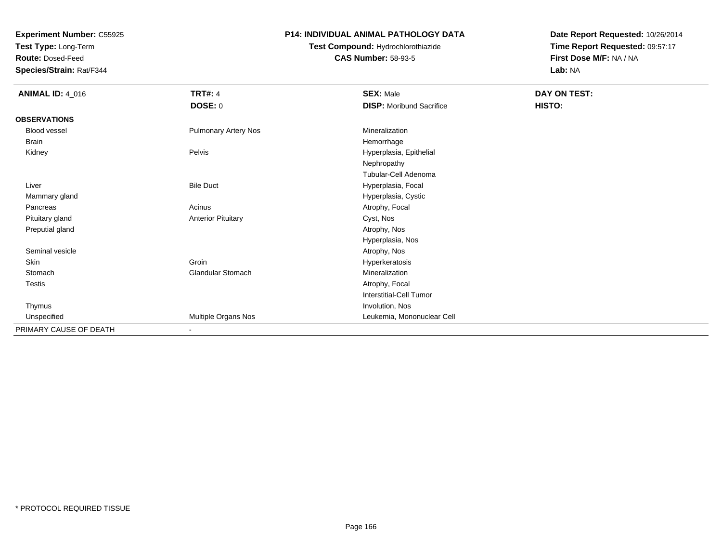**Test Type:** Long-Term

**Route:** Dosed-Feed

**Species/Strain:** Rat/F344

#### **P14: INDIVIDUAL ANIMAL PATHOLOGY DATA**

**Test Compound:** Hydrochlorothiazide**CAS Number:** 58-93-5

| <b>ANIMAL ID: 4_016</b> | <b>TRT#: 4</b>              | <b>SEX: Male</b>                | DAY ON TEST: |  |
|-------------------------|-----------------------------|---------------------------------|--------------|--|
|                         | DOSE: 0                     | <b>DISP:</b> Moribund Sacrifice | HISTO:       |  |
| <b>OBSERVATIONS</b>     |                             |                                 |              |  |
| <b>Blood vessel</b>     | <b>Pulmonary Artery Nos</b> | Mineralization                  |              |  |
| <b>Brain</b>            |                             | Hemorrhage                      |              |  |
| Kidney                  | Pelvis                      | Hyperplasia, Epithelial         |              |  |
|                         |                             | Nephropathy                     |              |  |
|                         |                             | Tubular-Cell Adenoma            |              |  |
| Liver                   | <b>Bile Duct</b>            | Hyperplasia, Focal              |              |  |
| Mammary gland           |                             | Hyperplasia, Cystic             |              |  |
| Pancreas                | Acinus                      | Atrophy, Focal                  |              |  |
| Pituitary gland         | <b>Anterior Pituitary</b>   | Cyst, Nos                       |              |  |
| Preputial gland         |                             | Atrophy, Nos                    |              |  |
|                         |                             | Hyperplasia, Nos                |              |  |
| Seminal vesicle         |                             | Atrophy, Nos                    |              |  |
| Skin                    | Groin                       | Hyperkeratosis                  |              |  |
| Stomach                 | <b>Glandular Stomach</b>    | Mineralization                  |              |  |
| Testis                  |                             | Atrophy, Focal                  |              |  |
|                         |                             | <b>Interstitial-Cell Tumor</b>  |              |  |
| Thymus                  |                             | Involution, Nos                 |              |  |
| Unspecified             | Multiple Organs Nos         | Leukemia, Mononuclear Cell      |              |  |
| PRIMARY CAUSE OF DEATH  | $\overline{\phantom{a}}$    |                                 |              |  |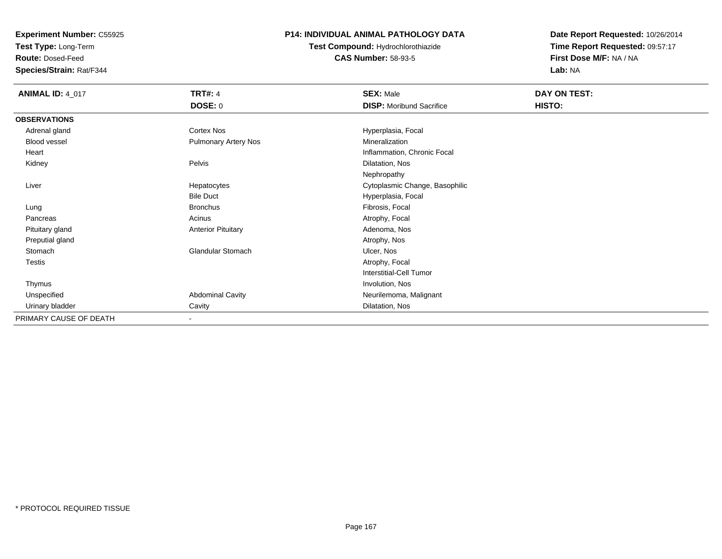**Test Type:** Long-Term

**Route:** Dosed-Feed

**Species/Strain:** Rat/F344

#### **P14: INDIVIDUAL ANIMAL PATHOLOGY DATA**

**Test Compound:** Hydrochlorothiazide**CAS Number:** 58-93-5

| <b>ANIMAL ID: 4_017</b> | <b>TRT#: 4</b>              | <b>SEX: Male</b>                | DAY ON TEST: |  |
|-------------------------|-----------------------------|---------------------------------|--------------|--|
|                         | <b>DOSE: 0</b>              | <b>DISP:</b> Moribund Sacrifice | HISTO:       |  |
| <b>OBSERVATIONS</b>     |                             |                                 |              |  |
| Adrenal gland           | <b>Cortex Nos</b>           | Hyperplasia, Focal              |              |  |
| <b>Blood vessel</b>     | <b>Pulmonary Artery Nos</b> | Mineralization                  |              |  |
| Heart                   |                             | Inflammation, Chronic Focal     |              |  |
| Kidney                  | Pelvis                      | Dilatation, Nos                 |              |  |
|                         |                             | Nephropathy                     |              |  |
| Liver                   | Hepatocytes                 | Cytoplasmic Change, Basophilic  |              |  |
|                         | <b>Bile Duct</b>            | Hyperplasia, Focal              |              |  |
| Lung                    | <b>Bronchus</b>             | Fibrosis, Focal                 |              |  |
| Pancreas                | Acinus                      | Atrophy, Focal                  |              |  |
| Pituitary gland         | <b>Anterior Pituitary</b>   | Adenoma, Nos                    |              |  |
| Preputial gland         |                             | Atrophy, Nos                    |              |  |
| Stomach                 | <b>Glandular Stomach</b>    | Ulcer, Nos                      |              |  |
| <b>Testis</b>           |                             | Atrophy, Focal                  |              |  |
|                         |                             | <b>Interstitial-Cell Tumor</b>  |              |  |
| Thymus                  |                             | Involution, Nos                 |              |  |
| Unspecified             | <b>Abdominal Cavity</b>     | Neurilemoma, Malignant          |              |  |
| Urinary bladder         | Cavity                      | Dilatation, Nos                 |              |  |
| PRIMARY CAUSE OF DEATH  | $\blacksquare$              |                                 |              |  |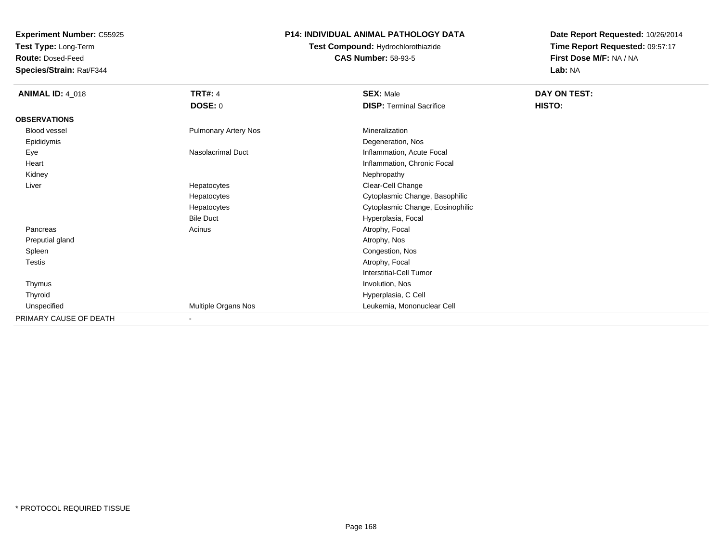**Test Type:** Long-Term

**Route:** Dosed-Feed

**Species/Strain:** Rat/F344

### **P14: INDIVIDUAL ANIMAL PATHOLOGY DATA**

**Test Compound:** Hydrochlorothiazide**CAS Number:** 58-93-5

| <b>ANIMAL ID: 4_018</b> | <b>TRT#: 4</b>              | <b>SEX: Male</b>                 | DAY ON TEST: |  |
|-------------------------|-----------------------------|----------------------------------|--------------|--|
|                         | <b>DOSE: 0</b>              | <b>DISP: Terminal Sacrifice</b>  | HISTO:       |  |
| <b>OBSERVATIONS</b>     |                             |                                  |              |  |
| Blood vessel            | <b>Pulmonary Artery Nos</b> | Mineralization                   |              |  |
| Epididymis              |                             | Degeneration, Nos                |              |  |
| Eye                     | Nasolacrimal Duct           | Inflammation, Acute Focal        |              |  |
| Heart                   |                             | Inflammation, Chronic Focal      |              |  |
| Kidney                  |                             | Nephropathy                      |              |  |
| Liver                   | Hepatocytes                 | Clear-Cell Change                |              |  |
|                         | Hepatocytes                 | Cytoplasmic Change, Basophilic   |              |  |
|                         | Hepatocytes                 | Cytoplasmic Change, Eosinophilic |              |  |
|                         | <b>Bile Duct</b>            | Hyperplasia, Focal               |              |  |
| Pancreas                | Acinus                      | Atrophy, Focal                   |              |  |
| Preputial gland         |                             | Atrophy, Nos                     |              |  |
| Spleen                  |                             | Congestion, Nos                  |              |  |
| <b>Testis</b>           |                             | Atrophy, Focal                   |              |  |
|                         |                             | Interstitial-Cell Tumor          |              |  |
| Thymus                  |                             | Involution, Nos                  |              |  |
| Thyroid                 |                             | Hyperplasia, C Cell              |              |  |
| Unspecified             | Multiple Organs Nos         | Leukemia, Mononuclear Cell       |              |  |
| PRIMARY CAUSE OF DEATH  | $\overline{\phantom{a}}$    |                                  |              |  |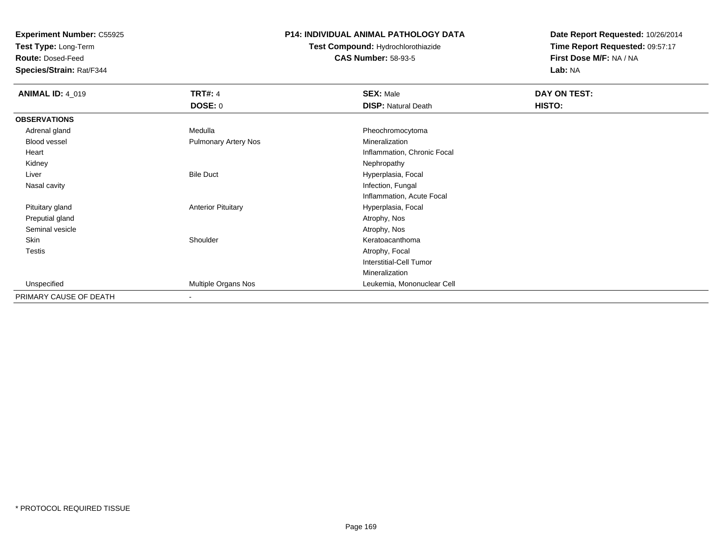**Test Type:** Long-Term

**Route:** Dosed-Feed

**Species/Strain:** Rat/F344

#### **P14: INDIVIDUAL ANIMAL PATHOLOGY DATA**

**Test Compound:** Hydrochlorothiazide**CAS Number:** 58-93-5

| <b>ANIMAL ID: 4_019</b> | <b>TRT#: 4</b>              | <b>SEX: Male</b>               | DAY ON TEST: |  |
|-------------------------|-----------------------------|--------------------------------|--------------|--|
|                         | DOSE: 0                     | <b>DISP: Natural Death</b>     | HISTO:       |  |
| <b>OBSERVATIONS</b>     |                             |                                |              |  |
| Adrenal gland           | Medulla                     | Pheochromocytoma               |              |  |
| Blood vessel            | <b>Pulmonary Artery Nos</b> | Mineralization                 |              |  |
| Heart                   |                             | Inflammation, Chronic Focal    |              |  |
| Kidney                  |                             | Nephropathy                    |              |  |
| Liver                   | <b>Bile Duct</b>            | Hyperplasia, Focal             |              |  |
| Nasal cavity            |                             | Infection, Fungal              |              |  |
|                         |                             | Inflammation, Acute Focal      |              |  |
| Pituitary gland         | <b>Anterior Pituitary</b>   | Hyperplasia, Focal             |              |  |
| Preputial gland         |                             | Atrophy, Nos                   |              |  |
| Seminal vesicle         |                             | Atrophy, Nos                   |              |  |
| Skin                    | Shoulder                    | Keratoacanthoma                |              |  |
| <b>Testis</b>           |                             | Atrophy, Focal                 |              |  |
|                         |                             | <b>Interstitial-Cell Tumor</b> |              |  |
|                         |                             | Mineralization                 |              |  |
| Unspecified             | Multiple Organs Nos         | Leukemia, Mononuclear Cell     |              |  |
| PRIMARY CAUSE OF DEATH  | $\overline{\phantom{a}}$    |                                |              |  |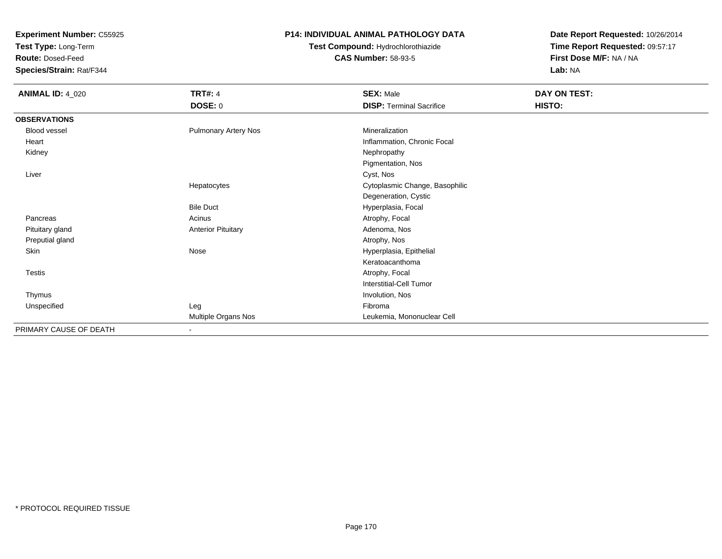**Test Type:** Long-Term

**Route:** Dosed-Feed

**Species/Strain:** Rat/F344

#### **P14: INDIVIDUAL ANIMAL PATHOLOGY DATA**

# **Test Compound:** Hydrochlorothiazide**CAS Number:** 58-93-5

| <b>ANIMAL ID: 4_020</b> | <b>TRT#: 4</b>              | <b>SEX: Male</b>                | DAY ON TEST: |  |
|-------------------------|-----------------------------|---------------------------------|--------------|--|
|                         | <b>DOSE: 0</b>              | <b>DISP: Terminal Sacrifice</b> | HISTO:       |  |
| <b>OBSERVATIONS</b>     |                             |                                 |              |  |
| Blood vessel            | <b>Pulmonary Artery Nos</b> | Mineralization                  |              |  |
| Heart                   |                             | Inflammation, Chronic Focal     |              |  |
| Kidney                  |                             | Nephropathy                     |              |  |
|                         |                             | Pigmentation, Nos               |              |  |
| Liver                   |                             | Cyst, Nos                       |              |  |
|                         | Hepatocytes                 | Cytoplasmic Change, Basophilic  |              |  |
|                         |                             | Degeneration, Cystic            |              |  |
|                         | <b>Bile Duct</b>            | Hyperplasia, Focal              |              |  |
| Pancreas                | Acinus                      | Atrophy, Focal                  |              |  |
| Pituitary gland         | <b>Anterior Pituitary</b>   | Adenoma, Nos                    |              |  |
| Preputial gland         |                             | Atrophy, Nos                    |              |  |
| Skin                    | Nose                        | Hyperplasia, Epithelial         |              |  |
|                         |                             | Keratoacanthoma                 |              |  |
| Testis                  |                             | Atrophy, Focal                  |              |  |
|                         |                             | <b>Interstitial-Cell Tumor</b>  |              |  |
| Thymus                  |                             | Involution, Nos                 |              |  |
| Unspecified             | Leg                         | Fibroma                         |              |  |
|                         | Multiple Organs Nos         | Leukemia, Mononuclear Cell      |              |  |
| PRIMARY CAUSE OF DEATH  | $\blacksquare$              |                                 |              |  |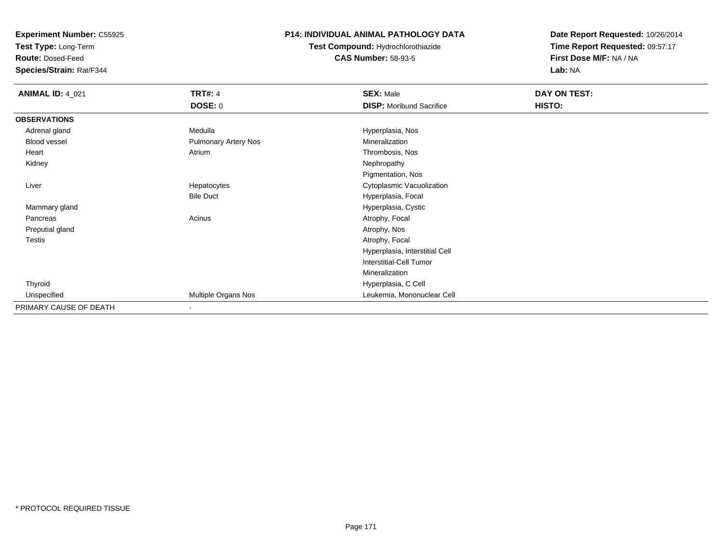**Test Type:** Long-Term

**Route:** Dosed-Feed

**Species/Strain:** Rat/F344

### **P14: INDIVIDUAL ANIMAL PATHOLOGY DATA**

**Test Compound:** Hydrochlorothiazide**CAS Number:** 58-93-5

| <b>ANIMAL ID: 4_021</b> | <b>TRT#: 4</b>              | <b>SEX: Male</b>                | DAY ON TEST: |  |
|-------------------------|-----------------------------|---------------------------------|--------------|--|
|                         | <b>DOSE: 0</b>              | <b>DISP:</b> Moribund Sacrifice | HISTO:       |  |
| <b>OBSERVATIONS</b>     |                             |                                 |              |  |
| Adrenal gland           | Medulla                     | Hyperplasia, Nos                |              |  |
| Blood vessel            | <b>Pulmonary Artery Nos</b> | Mineralization                  |              |  |
| Heart                   | Atrium                      | Thrombosis, Nos                 |              |  |
| Kidney                  |                             | Nephropathy                     |              |  |
|                         |                             | Pigmentation, Nos               |              |  |
| Liver                   | Hepatocytes                 | Cytoplasmic Vacuolization       |              |  |
|                         | <b>Bile Duct</b>            | Hyperplasia, Focal              |              |  |
| Mammary gland           |                             | Hyperplasia, Cystic             |              |  |
| Pancreas                | Acinus                      | Atrophy, Focal                  |              |  |
| Preputial gland         |                             | Atrophy, Nos                    |              |  |
| Testis                  |                             | Atrophy, Focal                  |              |  |
|                         |                             | Hyperplasia, Interstitial Cell  |              |  |
|                         |                             | <b>Interstitial-Cell Tumor</b>  |              |  |
|                         |                             | Mineralization                  |              |  |
| Thyroid                 |                             | Hyperplasia, C Cell             |              |  |
| Unspecified             | Multiple Organs Nos         | Leukemia, Mononuclear Cell      |              |  |
| PRIMARY CAUSE OF DEATH  | ۰                           |                                 |              |  |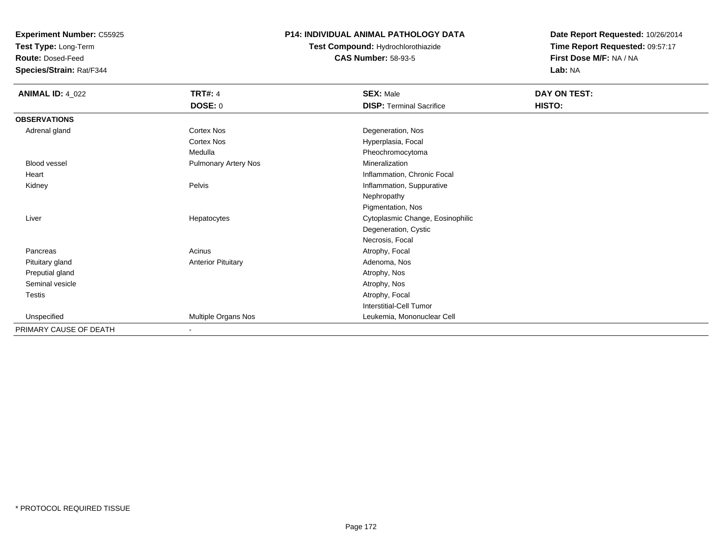**Test Type:** Long-Term

**Route:** Dosed-Feed

**Species/Strain:** Rat/F344

#### **P14: INDIVIDUAL ANIMAL PATHOLOGY DATA**

**Test Compound:** Hydrochlorothiazide**CAS Number:** 58-93-5

| <b>ANIMAL ID: 4_022</b> | <b>TRT#: 4</b>              | <b>SEX: Male</b>                 | DAY ON TEST: |
|-------------------------|-----------------------------|----------------------------------|--------------|
|                         | <b>DOSE: 0</b>              | <b>DISP: Terminal Sacrifice</b>  | HISTO:       |
| <b>OBSERVATIONS</b>     |                             |                                  |              |
| Adrenal gland           | Cortex Nos                  | Degeneration, Nos                |              |
|                         | Cortex Nos                  | Hyperplasia, Focal               |              |
|                         | Medulla                     | Pheochromocytoma                 |              |
| <b>Blood vessel</b>     | <b>Pulmonary Artery Nos</b> | Mineralization                   |              |
| Heart                   |                             | Inflammation, Chronic Focal      |              |
| Kidney                  | Pelvis                      | Inflammation, Suppurative        |              |
|                         |                             | Nephropathy                      |              |
|                         |                             | Pigmentation, Nos                |              |
| Liver                   | Hepatocytes                 | Cytoplasmic Change, Eosinophilic |              |
|                         |                             | Degeneration, Cystic             |              |
|                         |                             | Necrosis, Focal                  |              |
| Pancreas                | Acinus                      | Atrophy, Focal                   |              |
| Pituitary gland         | <b>Anterior Pituitary</b>   | Adenoma, Nos                     |              |
| Preputial gland         |                             | Atrophy, Nos                     |              |
| Seminal vesicle         |                             | Atrophy, Nos                     |              |
| Testis                  |                             | Atrophy, Focal                   |              |
|                         |                             | Interstitial-Cell Tumor          |              |
| Unspecified             | Multiple Organs Nos         | Leukemia, Mononuclear Cell       |              |
| PRIMARY CAUSE OF DEATH  | $\overline{\phantom{a}}$    |                                  |              |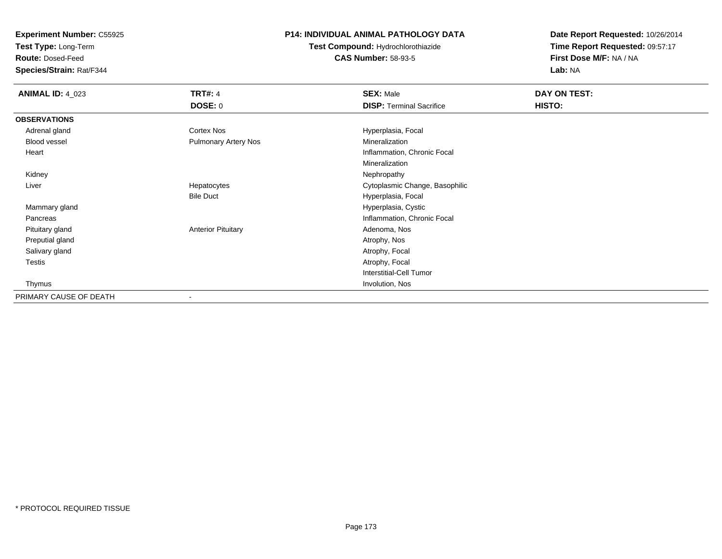**Test Type:** Long-Term

**Route:** Dosed-Feed

**Species/Strain:** Rat/F344

### **P14: INDIVIDUAL ANIMAL PATHOLOGY DATA**

**Test Compound:** Hydrochlorothiazide**CAS Number:** 58-93-5

| <b>ANIMAL ID: 4_023</b> | <b>TRT#: 4</b>              | <b>SEX: Male</b>                | DAY ON TEST: |  |
|-------------------------|-----------------------------|---------------------------------|--------------|--|
|                         | <b>DOSE: 0</b>              | <b>DISP: Terminal Sacrifice</b> | HISTO:       |  |
| <b>OBSERVATIONS</b>     |                             |                                 |              |  |
| Adrenal gland           | <b>Cortex Nos</b>           | Hyperplasia, Focal              |              |  |
| Blood vessel            | <b>Pulmonary Artery Nos</b> | Mineralization                  |              |  |
| Heart                   |                             | Inflammation, Chronic Focal     |              |  |
|                         |                             | Mineralization                  |              |  |
| Kidney                  |                             | Nephropathy                     |              |  |
| Liver                   | Hepatocytes                 | Cytoplasmic Change, Basophilic  |              |  |
|                         | <b>Bile Duct</b>            | Hyperplasia, Focal              |              |  |
| Mammary gland           |                             | Hyperplasia, Cystic             |              |  |
| Pancreas                |                             | Inflammation, Chronic Focal     |              |  |
| Pituitary gland         | <b>Anterior Pituitary</b>   | Adenoma, Nos                    |              |  |
| Preputial gland         |                             | Atrophy, Nos                    |              |  |
| Salivary gland          |                             | Atrophy, Focal                  |              |  |
| <b>Testis</b>           |                             | Atrophy, Focal                  |              |  |
|                         |                             | Interstitial-Cell Tumor         |              |  |
| Thymus                  |                             | Involution, Nos                 |              |  |
| PRIMARY CAUSE OF DEATH  |                             |                                 |              |  |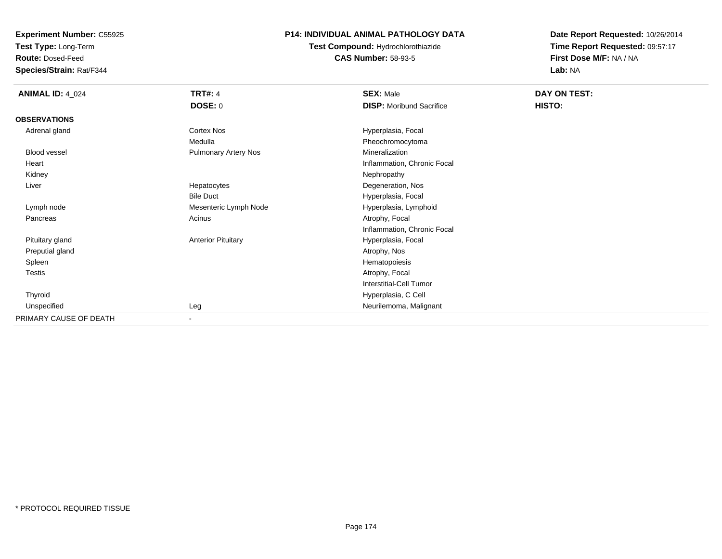**Test Type:** Long-Term

**Route:** Dosed-Feed

**Species/Strain:** Rat/F344

#### **P14: INDIVIDUAL ANIMAL PATHOLOGY DATA**

**Test Compound:** Hydrochlorothiazide**CAS Number:** 58-93-5

| <b>ANIMAL ID: 4_024</b> | <b>TRT#: 4</b>              | <b>SEX: Male</b>                | DAY ON TEST: |  |
|-------------------------|-----------------------------|---------------------------------|--------------|--|
|                         | DOSE: 0                     | <b>DISP: Moribund Sacrifice</b> | HISTO:       |  |
| <b>OBSERVATIONS</b>     |                             |                                 |              |  |
| Adrenal gland           | Cortex Nos                  | Hyperplasia, Focal              |              |  |
|                         | Medulla                     | Pheochromocytoma                |              |  |
| Blood vessel            | <b>Pulmonary Artery Nos</b> | Mineralization                  |              |  |
| Heart                   |                             | Inflammation, Chronic Focal     |              |  |
| Kidney                  |                             | Nephropathy                     |              |  |
| Liver                   | Hepatocytes                 | Degeneration, Nos               |              |  |
|                         | <b>Bile Duct</b>            | Hyperplasia, Focal              |              |  |
| Lymph node              | Mesenteric Lymph Node       | Hyperplasia, Lymphoid           |              |  |
| Pancreas                | Acinus                      | Atrophy, Focal                  |              |  |
|                         |                             | Inflammation, Chronic Focal     |              |  |
| Pituitary gland         | <b>Anterior Pituitary</b>   | Hyperplasia, Focal              |              |  |
| Preputial gland         |                             | Atrophy, Nos                    |              |  |
| Spleen                  |                             | Hematopoiesis                   |              |  |
| Testis                  |                             | Atrophy, Focal                  |              |  |
|                         |                             | <b>Interstitial-Cell Tumor</b>  |              |  |
| Thyroid                 |                             | Hyperplasia, C Cell             |              |  |
| Unspecified             | Leg                         | Neurilemoma, Malignant          |              |  |
| PRIMARY CAUSE OF DEATH  | $\sim$                      |                                 |              |  |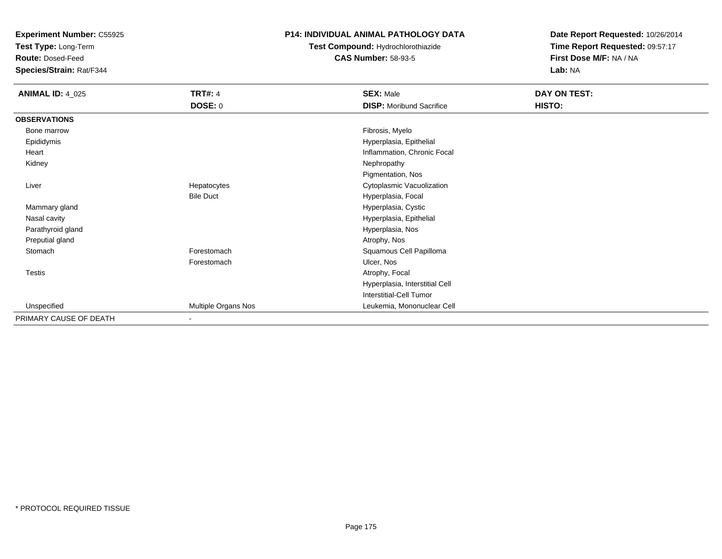**Test Type:** Long-Term

**Route:** Dosed-Feed

**Species/Strain:** Rat/F344

#### **P14: INDIVIDUAL ANIMAL PATHOLOGY DATA**

**Test Compound:** Hydrochlorothiazide**CAS Number:** 58-93-5

| <b>ANIMAL ID: 4_025</b> | <b>TRT#: 4</b>           | <b>SEX: Male</b>                | DAY ON TEST: |
|-------------------------|--------------------------|---------------------------------|--------------|
|                         | <b>DOSE: 0</b>           | <b>DISP:</b> Moribund Sacrifice | HISTO:       |
| <b>OBSERVATIONS</b>     |                          |                                 |              |
| Bone marrow             |                          | Fibrosis, Myelo                 |              |
| Epididymis              |                          | Hyperplasia, Epithelial         |              |
| Heart                   |                          | Inflammation, Chronic Focal     |              |
| Kidney                  |                          | Nephropathy                     |              |
|                         |                          | Pigmentation, Nos               |              |
| Liver                   | Hepatocytes              | Cytoplasmic Vacuolization       |              |
|                         | <b>Bile Duct</b>         | Hyperplasia, Focal              |              |
| Mammary gland           |                          | Hyperplasia, Cystic             |              |
| Nasal cavity            |                          | Hyperplasia, Epithelial         |              |
| Parathyroid gland       |                          | Hyperplasia, Nos                |              |
| Preputial gland         |                          | Atrophy, Nos                    |              |
| Stomach                 | Forestomach              | Squamous Cell Papilloma         |              |
|                         | Forestomach              | Ulcer, Nos                      |              |
| Testis                  |                          | Atrophy, Focal                  |              |
|                         |                          | Hyperplasia, Interstitial Cell  |              |
|                         |                          | <b>Interstitial-Cell Tumor</b>  |              |
| Unspecified             | Multiple Organs Nos      | Leukemia, Mononuclear Cell      |              |
| PRIMARY CAUSE OF DEATH  | $\overline{\phantom{0}}$ |                                 |              |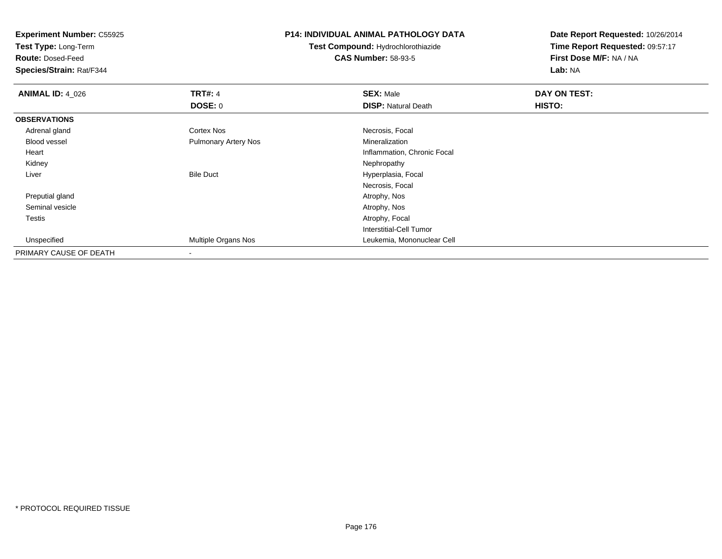**Test Type:** Long-Term

**Route:** Dosed-Feed

**Species/Strain:** Rat/F344

#### **P14: INDIVIDUAL ANIMAL PATHOLOGY DATA**

**Test Compound:** Hydrochlorothiazide**CAS Number:** 58-93-5

| <b>ANIMAL ID: 4_026</b> | <b>TRT#: 4</b>              | <b>SEX: Male</b>               | DAY ON TEST: |  |
|-------------------------|-----------------------------|--------------------------------|--------------|--|
|                         | DOSE: 0                     | <b>DISP: Natural Death</b>     | HISTO:       |  |
| <b>OBSERVATIONS</b>     |                             |                                |              |  |
| Adrenal gland           | <b>Cortex Nos</b>           | Necrosis, Focal                |              |  |
| <b>Blood vessel</b>     | <b>Pulmonary Artery Nos</b> | Mineralization                 |              |  |
| Heart                   |                             | Inflammation, Chronic Focal    |              |  |
| Kidney                  |                             | Nephropathy                    |              |  |
| Liver                   | <b>Bile Duct</b>            | Hyperplasia, Focal             |              |  |
|                         |                             | Necrosis, Focal                |              |  |
| Preputial gland         |                             | Atrophy, Nos                   |              |  |
| Seminal vesicle         |                             | Atrophy, Nos                   |              |  |
| <b>Testis</b>           |                             | Atrophy, Focal                 |              |  |
|                         |                             | <b>Interstitial-Cell Tumor</b> |              |  |
| Unspecified             | <b>Multiple Organs Nos</b>  | Leukemia, Mononuclear Cell     |              |  |
| PRIMARY CAUSE OF DEATH  |                             |                                |              |  |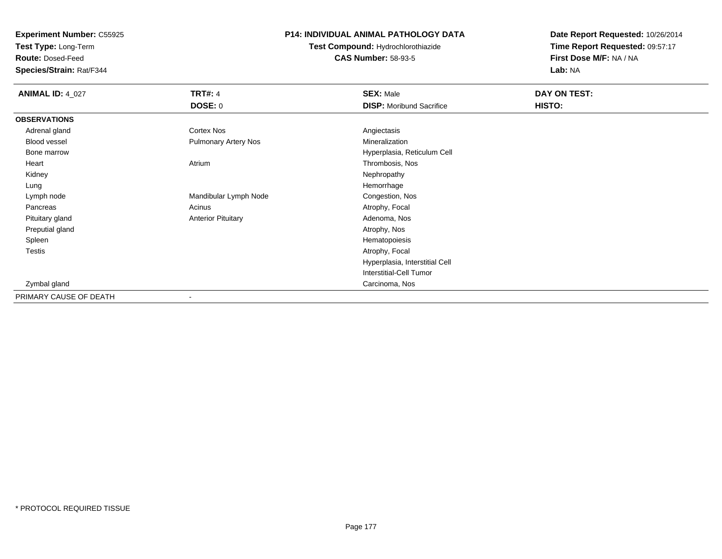**Test Type:** Long-Term

**Route:** Dosed-Feed

**Species/Strain:** Rat/F344

#### **P14: INDIVIDUAL ANIMAL PATHOLOGY DATA**

**Test Compound:** Hydrochlorothiazide**CAS Number:** 58-93-5

| <b>ANIMAL ID: 4_027</b> | <b>TRT#: 4</b>              | <b>SEX: Male</b>                | DAY ON TEST: |  |
|-------------------------|-----------------------------|---------------------------------|--------------|--|
|                         | <b>DOSE: 0</b>              | <b>DISP:</b> Moribund Sacrifice | HISTO:       |  |
| <b>OBSERVATIONS</b>     |                             |                                 |              |  |
| Adrenal gland           | <b>Cortex Nos</b>           | Angiectasis                     |              |  |
| Blood vessel            | <b>Pulmonary Artery Nos</b> | Mineralization                  |              |  |
| Bone marrow             |                             | Hyperplasia, Reticulum Cell     |              |  |
| Heart                   | Atrium                      | Thrombosis, Nos                 |              |  |
| Kidney                  |                             | Nephropathy                     |              |  |
| Lung                    |                             | Hemorrhage                      |              |  |
| Lymph node              | Mandibular Lymph Node       | Congestion, Nos                 |              |  |
| Pancreas                | Acinus                      | Atrophy, Focal                  |              |  |
| Pituitary gland         | <b>Anterior Pituitary</b>   | Adenoma, Nos                    |              |  |
| Preputial gland         |                             | Atrophy, Nos                    |              |  |
| Spleen                  |                             | Hematopoiesis                   |              |  |
| <b>Testis</b>           |                             | Atrophy, Focal                  |              |  |
|                         |                             | Hyperplasia, Interstitial Cell  |              |  |
|                         |                             | Interstitial-Cell Tumor         |              |  |
| Zymbal gland            |                             | Carcinoma, Nos                  |              |  |
| PRIMARY CAUSE OF DEATH  |                             |                                 |              |  |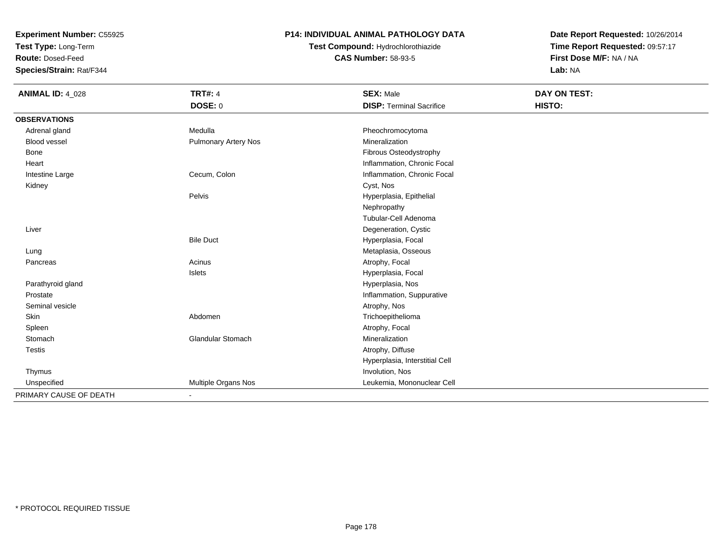**Test Type:** Long-Term

**Route:** Dosed-Feed

**Species/Strain:** Rat/F344

### **P14: INDIVIDUAL ANIMAL PATHOLOGY DATA**

# **Test Compound:** Hydrochlorothiazide**CAS Number:** 58-93-5

| <b>ANIMAL ID: 4_028</b> | <b>TRT#: 4</b>              | <b>SEX: Male</b>                | <b>DAY ON TEST:</b> |  |
|-------------------------|-----------------------------|---------------------------------|---------------------|--|
|                         | <b>DOSE: 0</b>              | <b>DISP: Terminal Sacrifice</b> | HISTO:              |  |
| <b>OBSERVATIONS</b>     |                             |                                 |                     |  |
| Adrenal gland           | Medulla                     | Pheochromocytoma                |                     |  |
| <b>Blood vessel</b>     | <b>Pulmonary Artery Nos</b> | Mineralization                  |                     |  |
| Bone                    |                             | Fibrous Osteodystrophy          |                     |  |
| Heart                   |                             | Inflammation, Chronic Focal     |                     |  |
| Intestine Large         | Cecum, Colon                | Inflammation, Chronic Focal     |                     |  |
| Kidney                  |                             | Cyst, Nos                       |                     |  |
|                         | Pelvis                      | Hyperplasia, Epithelial         |                     |  |
|                         |                             | Nephropathy                     |                     |  |
|                         |                             | Tubular-Cell Adenoma            |                     |  |
| Liver                   |                             | Degeneration, Cystic            |                     |  |
|                         | <b>Bile Duct</b>            | Hyperplasia, Focal              |                     |  |
| Lung                    |                             | Metaplasia, Osseous             |                     |  |
| Pancreas                | Acinus                      | Atrophy, Focal                  |                     |  |
|                         | Islets                      | Hyperplasia, Focal              |                     |  |
| Parathyroid gland       |                             | Hyperplasia, Nos                |                     |  |
| Prostate                |                             | Inflammation, Suppurative       |                     |  |
| Seminal vesicle         |                             | Atrophy, Nos                    |                     |  |
| Skin                    | Abdomen                     | Trichoepithelioma               |                     |  |
| Spleen                  |                             | Atrophy, Focal                  |                     |  |
| Stomach                 | <b>Glandular Stomach</b>    | Mineralization                  |                     |  |
| Testis                  |                             | Atrophy, Diffuse                |                     |  |
|                         |                             | Hyperplasia, Interstitial Cell  |                     |  |
| Thymus                  |                             | Involution, Nos                 |                     |  |
| Unspecified             | Multiple Organs Nos         | Leukemia, Mononuclear Cell      |                     |  |
| PRIMARY CAUSE OF DEATH  |                             |                                 |                     |  |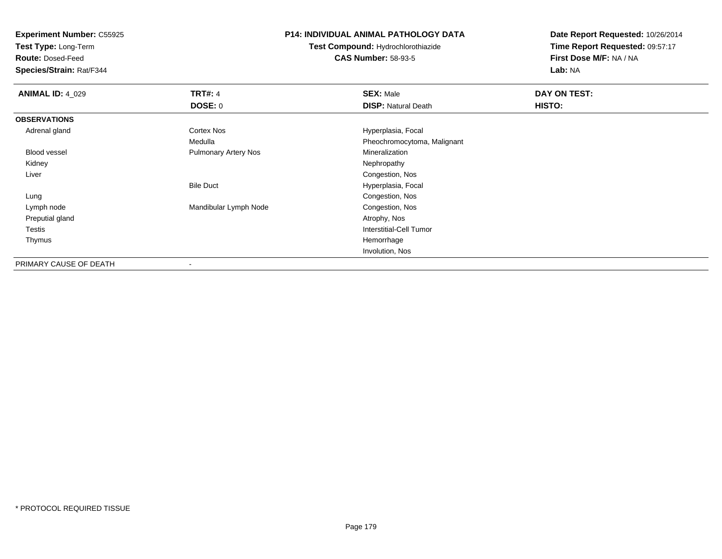**Test Type:** Long-Term

**Route:** Dosed-Feed

**Species/Strain:** Rat/F344

#### **P14: INDIVIDUAL ANIMAL PATHOLOGY DATA**

**Test Compound:** Hydrochlorothiazide**CAS Number:** 58-93-5

| <b>ANIMAL ID: 4 029</b> | <b>TRT#: 4</b>              | <b>SEX: Male</b>            | DAY ON TEST: |  |
|-------------------------|-----------------------------|-----------------------------|--------------|--|
|                         | <b>DOSE: 0</b>              | <b>DISP: Natural Death</b>  | HISTO:       |  |
| <b>OBSERVATIONS</b>     |                             |                             |              |  |
| Adrenal gland           | Cortex Nos                  | Hyperplasia, Focal          |              |  |
|                         | Medulla                     | Pheochromocytoma, Malignant |              |  |
| Blood vessel            | <b>Pulmonary Artery Nos</b> | Mineralization              |              |  |
| Kidney                  |                             | Nephropathy                 |              |  |
| Liver                   |                             | Congestion, Nos             |              |  |
|                         | <b>Bile Duct</b>            | Hyperplasia, Focal          |              |  |
| Lung                    |                             | Congestion, Nos             |              |  |
| Lymph node              | Mandibular Lymph Node       | Congestion, Nos             |              |  |
| Preputial gland         |                             | Atrophy, Nos                |              |  |
| Testis                  |                             | Interstitial-Cell Tumor     |              |  |
| Thymus                  |                             | Hemorrhage                  |              |  |
|                         |                             | Involution, Nos             |              |  |
| PRIMARY CAUSE OF DEATH  | $\overline{\phantom{a}}$    |                             |              |  |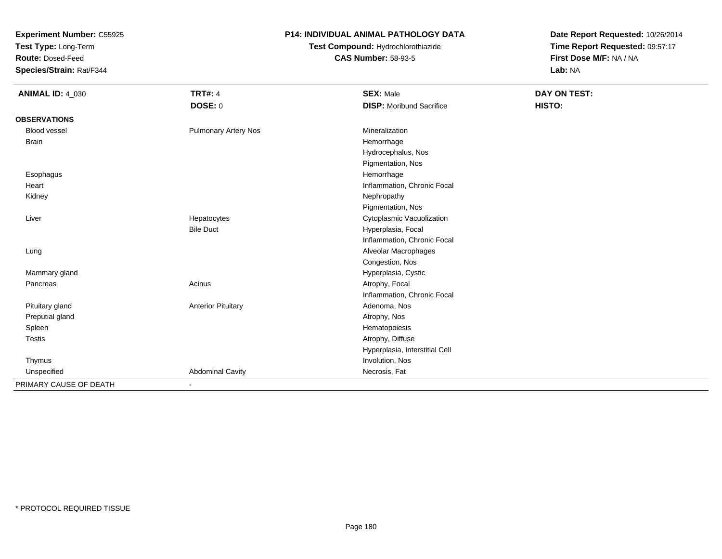**Test Type:** Long-Term

**Route:** Dosed-Feed

**Species/Strain:** Rat/F344

### **P14: INDIVIDUAL ANIMAL PATHOLOGY DATA**

**Test Compound:** Hydrochlorothiazide**CAS Number:** 58-93-5

| <b>ANIMAL ID: 4_030</b> | <b>TRT#: 4</b>              | <b>SEX: Male</b>                | DAY ON TEST: |
|-------------------------|-----------------------------|---------------------------------|--------------|
|                         | <b>DOSE: 0</b>              | <b>DISP: Moribund Sacrifice</b> | HISTO:       |
| <b>OBSERVATIONS</b>     |                             |                                 |              |
| <b>Blood vessel</b>     | <b>Pulmonary Artery Nos</b> | Mineralization                  |              |
| <b>Brain</b>            |                             | Hemorrhage                      |              |
|                         |                             | Hydrocephalus, Nos              |              |
|                         |                             | Pigmentation, Nos               |              |
| Esophagus               |                             | Hemorrhage                      |              |
| Heart                   |                             | Inflammation, Chronic Focal     |              |
| Kidney                  |                             | Nephropathy                     |              |
|                         |                             | Pigmentation, Nos               |              |
| Liver                   | Hepatocytes                 | Cytoplasmic Vacuolization       |              |
|                         | <b>Bile Duct</b>            | Hyperplasia, Focal              |              |
|                         |                             | Inflammation, Chronic Focal     |              |
| Lung                    |                             | Alveolar Macrophages            |              |
|                         |                             | Congestion, Nos                 |              |
| Mammary gland           |                             | Hyperplasia, Cystic             |              |
| Pancreas                | Acinus                      | Atrophy, Focal                  |              |
|                         |                             | Inflammation, Chronic Focal     |              |
| Pituitary gland         | <b>Anterior Pituitary</b>   | Adenoma, Nos                    |              |
| Preputial gland         |                             | Atrophy, Nos                    |              |
| Spleen                  |                             | Hematopoiesis                   |              |
| Testis                  |                             | Atrophy, Diffuse                |              |
|                         |                             | Hyperplasia, Interstitial Cell  |              |
| Thymus                  |                             | Involution, Nos                 |              |
| Unspecified             | <b>Abdominal Cavity</b>     | Necrosis, Fat                   |              |
| PRIMARY CAUSE OF DEATH  | ٠                           |                                 |              |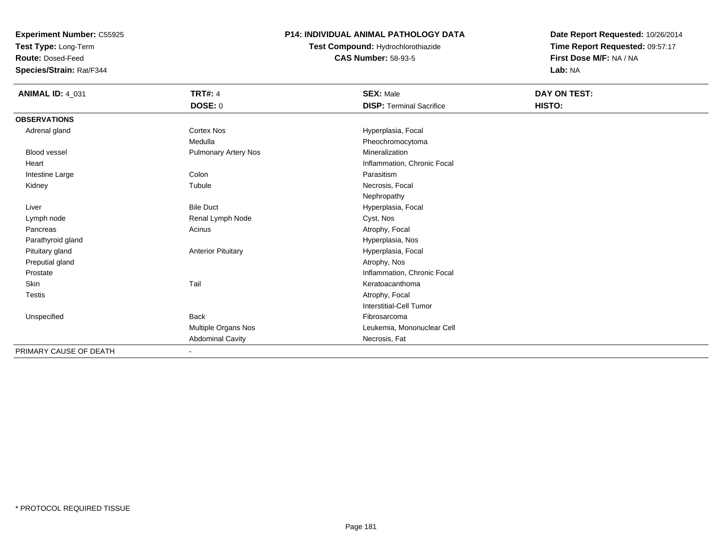**Test Type:** Long-Term

**Route:** Dosed-Feed

**Species/Strain:** Rat/F344

### **P14: INDIVIDUAL ANIMAL PATHOLOGY DATA**

**Test Compound:** Hydrochlorothiazide**CAS Number:** 58-93-5

| <b>ANIMAL ID: 4_031</b> | <b>TRT#: 4</b>            | <b>SEX: Male</b>                | DAY ON TEST: |
|-------------------------|---------------------------|---------------------------------|--------------|
|                         | DOSE: 0                   | <b>DISP: Terminal Sacrifice</b> | HISTO:       |
| <b>OBSERVATIONS</b>     |                           |                                 |              |
| Adrenal gland           | <b>Cortex Nos</b>         | Hyperplasia, Focal              |              |
|                         | Medulla                   | Pheochromocytoma                |              |
| <b>Blood vessel</b>     | Pulmonary Artery Nos      | Mineralization                  |              |
| Heart                   |                           | Inflammation, Chronic Focal     |              |
| Intestine Large         | Colon                     | Parasitism                      |              |
| Kidney                  | Tubule                    | Necrosis, Focal                 |              |
|                         |                           | Nephropathy                     |              |
| Liver                   | <b>Bile Duct</b>          | Hyperplasia, Focal              |              |
| Lymph node              | Renal Lymph Node          | Cyst, Nos                       |              |
| Pancreas                | Acinus                    | Atrophy, Focal                  |              |
| Parathyroid gland       |                           | Hyperplasia, Nos                |              |
| Pituitary gland         | <b>Anterior Pituitary</b> | Hyperplasia, Focal              |              |
| Preputial gland         |                           | Atrophy, Nos                    |              |
| Prostate                |                           | Inflammation, Chronic Focal     |              |
| Skin                    | Tail                      | Keratoacanthoma                 |              |
| <b>Testis</b>           |                           | Atrophy, Focal                  |              |
|                         |                           | <b>Interstitial-Cell Tumor</b>  |              |
| Unspecified             | <b>Back</b>               | Fibrosarcoma                    |              |
|                         | Multiple Organs Nos       | Leukemia, Mononuclear Cell      |              |
|                         | <b>Abdominal Cavity</b>   | Necrosis, Fat                   |              |
| PRIMARY CAUSE OF DEATH  |                           |                                 |              |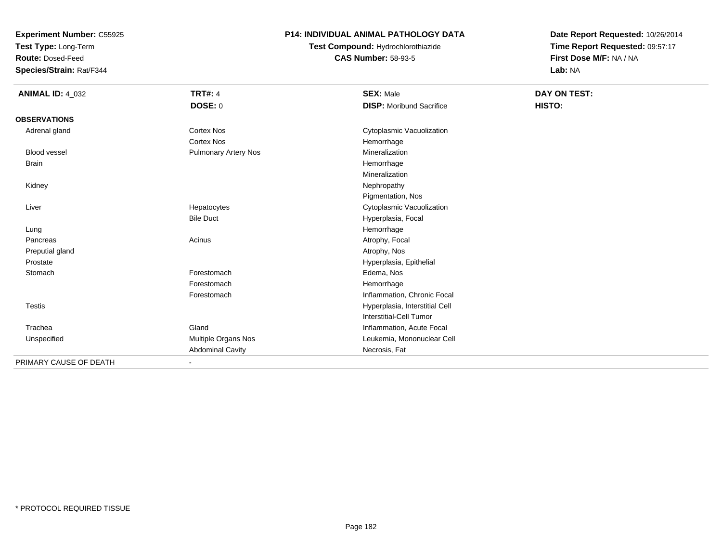**Test Type:** Long-Term

**Route:** Dosed-Feed

**Species/Strain:** Rat/F344

#### **P14: INDIVIDUAL ANIMAL PATHOLOGY DATA**

**Test Compound:** Hydrochlorothiazide**CAS Number:** 58-93-5

| <b>ANIMAL ID: 4_032</b> | <b>TRT#: 4</b>              | <b>SEX: Male</b>                | DAY ON TEST: |  |
|-------------------------|-----------------------------|---------------------------------|--------------|--|
|                         | DOSE: 0                     | <b>DISP:</b> Moribund Sacrifice | HISTO:       |  |
| <b>OBSERVATIONS</b>     |                             |                                 |              |  |
| Adrenal gland           | <b>Cortex Nos</b>           | Cytoplasmic Vacuolization       |              |  |
|                         | <b>Cortex Nos</b>           | Hemorrhage                      |              |  |
| <b>Blood vessel</b>     | <b>Pulmonary Artery Nos</b> | Mineralization                  |              |  |
| <b>Brain</b>            |                             | Hemorrhage                      |              |  |
|                         |                             | Mineralization                  |              |  |
| Kidney                  |                             | Nephropathy                     |              |  |
|                         |                             | Pigmentation, Nos               |              |  |
| Liver                   | Hepatocytes                 | Cytoplasmic Vacuolization       |              |  |
|                         | <b>Bile Duct</b>            | Hyperplasia, Focal              |              |  |
| Lung                    |                             | Hemorrhage                      |              |  |
| Pancreas                | Acinus                      | Atrophy, Focal                  |              |  |
| Preputial gland         |                             | Atrophy, Nos                    |              |  |
| Prostate                |                             | Hyperplasia, Epithelial         |              |  |
| Stomach                 | Forestomach                 | Edema, Nos                      |              |  |
|                         | Forestomach                 | Hemorrhage                      |              |  |
|                         | Forestomach                 | Inflammation, Chronic Focal     |              |  |
| <b>Testis</b>           |                             | Hyperplasia, Interstitial Cell  |              |  |
|                         |                             | <b>Interstitial-Cell Tumor</b>  |              |  |
| Trachea                 | Gland                       | Inflammation, Acute Focal       |              |  |
| Unspecified             | Multiple Organs Nos         | Leukemia, Mononuclear Cell      |              |  |
|                         | <b>Abdominal Cavity</b>     | Necrosis, Fat                   |              |  |
| PRIMARY CAUSE OF DEATH  |                             |                                 |              |  |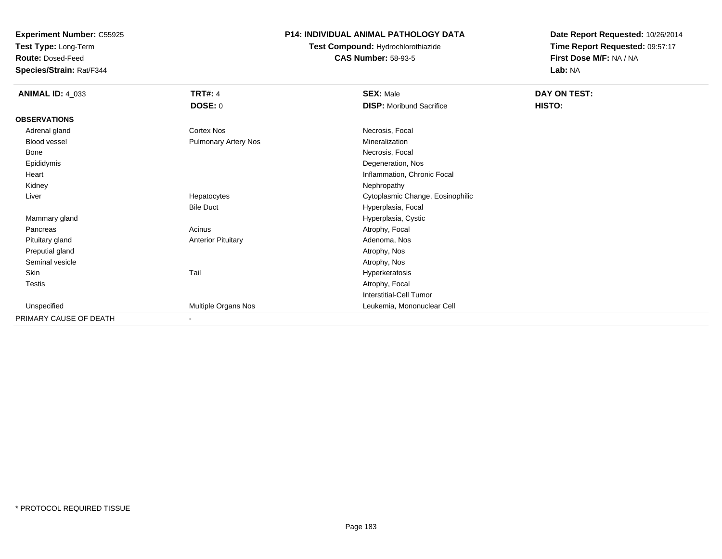**Test Type:** Long-Term

**Route:** Dosed-Feed

**Species/Strain:** Rat/F344

### **P14: INDIVIDUAL ANIMAL PATHOLOGY DATA**

# **Test Compound:** Hydrochlorothiazide**CAS Number:** 58-93-5

| <b>ANIMAL ID: 4_033</b> | <b>TRT#: 4</b>            | <b>SEX: Male</b>                 | DAY ON TEST: |  |
|-------------------------|---------------------------|----------------------------------|--------------|--|
|                         | <b>DOSE: 0</b>            | <b>DISP:</b> Moribund Sacrifice  | HISTO:       |  |
| <b>OBSERVATIONS</b>     |                           |                                  |              |  |
| Adrenal gland           | Cortex Nos                | Necrosis, Focal                  |              |  |
| Blood vessel            | Pulmonary Artery Nos      | Mineralization                   |              |  |
| Bone                    |                           | Necrosis, Focal                  |              |  |
| Epididymis              |                           | Degeneration, Nos                |              |  |
| Heart                   |                           | Inflammation, Chronic Focal      |              |  |
| Kidney                  |                           | Nephropathy                      |              |  |
| Liver                   | Hepatocytes               | Cytoplasmic Change, Eosinophilic |              |  |
|                         | <b>Bile Duct</b>          | Hyperplasia, Focal               |              |  |
| Mammary gland           |                           | Hyperplasia, Cystic              |              |  |
| Pancreas                | Acinus                    | Atrophy, Focal                   |              |  |
| Pituitary gland         | <b>Anterior Pituitary</b> | Adenoma, Nos                     |              |  |
| Preputial gland         |                           | Atrophy, Nos                     |              |  |
| Seminal vesicle         |                           | Atrophy, Nos                     |              |  |
| Skin                    | Tail                      | Hyperkeratosis                   |              |  |
| <b>Testis</b>           |                           | Atrophy, Focal                   |              |  |
|                         |                           | <b>Interstitial-Cell Tumor</b>   |              |  |
| Unspecified             | Multiple Organs Nos       | Leukemia, Mononuclear Cell       |              |  |
| PRIMARY CAUSE OF DEATH  | $\blacksquare$            |                                  |              |  |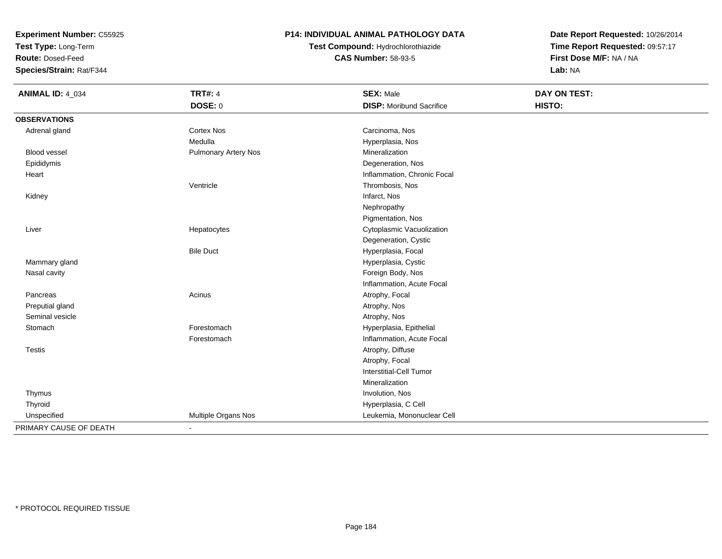**Test Type:** Long-Term

**Route:** Dosed-Feed

**Species/Strain:** Rat/F344

### **P14: INDIVIDUAL ANIMAL PATHOLOGY DATA**

# **Test Compound:** Hydrochlorothiazide**CAS Number:** 58-93-5

| <b>ANIMAL ID: 4_034</b> | <b>TRT#: 4</b>              | <b>SEX: Male</b>                | <b>DAY ON TEST:</b> |
|-------------------------|-----------------------------|---------------------------------|---------------------|
|                         | <b>DOSE: 0</b>              | <b>DISP:</b> Moribund Sacrifice | HISTO:              |
| <b>OBSERVATIONS</b>     |                             |                                 |                     |
| Adrenal gland           | <b>Cortex Nos</b>           | Carcinoma, Nos                  |                     |
|                         | Medulla                     | Hyperplasia, Nos                |                     |
| Blood vessel            | <b>Pulmonary Artery Nos</b> | Mineralization                  |                     |
| Epididymis              |                             | Degeneration, Nos               |                     |
| Heart                   |                             | Inflammation, Chronic Focal     |                     |
|                         | Ventricle                   | Thrombosis, Nos                 |                     |
| Kidney                  |                             | Infarct, Nos                    |                     |
|                         |                             | Nephropathy                     |                     |
|                         |                             | Pigmentation, Nos               |                     |
| Liver                   | Hepatocytes                 | Cytoplasmic Vacuolization       |                     |
|                         |                             | Degeneration, Cystic            |                     |
|                         | <b>Bile Duct</b>            | Hyperplasia, Focal              |                     |
| Mammary gland           |                             | Hyperplasia, Cystic             |                     |
| Nasal cavity            |                             | Foreign Body, Nos               |                     |
|                         |                             | Inflammation, Acute Focal       |                     |
| Pancreas                | Acinus                      | Atrophy, Focal                  |                     |
| Preputial gland         |                             | Atrophy, Nos                    |                     |
| Seminal vesicle         |                             | Atrophy, Nos                    |                     |
| Stomach                 | Forestomach                 | Hyperplasia, Epithelial         |                     |
|                         | Forestomach                 | Inflammation, Acute Focal       |                     |
| Testis                  |                             | Atrophy, Diffuse                |                     |
|                         |                             | Atrophy, Focal                  |                     |
|                         |                             | <b>Interstitial-Cell Tumor</b>  |                     |
|                         |                             | Mineralization                  |                     |
| Thymus                  |                             | Involution, Nos                 |                     |
| Thyroid                 |                             | Hyperplasia, C Cell             |                     |
| Unspecified             | Multiple Organs Nos         | Leukemia, Mononuclear Cell      |                     |
| PRIMARY CAUSE OF DEATH  |                             |                                 |                     |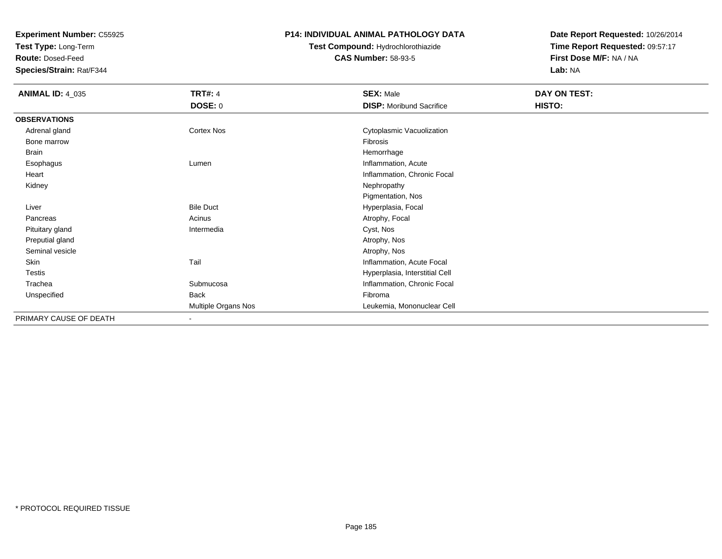**Test Type:** Long-Term

**Route:** Dosed-Feed

**Species/Strain:** Rat/F344

#### **P14: INDIVIDUAL ANIMAL PATHOLOGY DATA**

# **Test Compound:** Hydrochlorothiazide**CAS Number:** 58-93-5

| <b>ANIMAL ID: 4_035</b> | <b>TRT#: 4</b>      | <b>SEX: Male</b>                | DAY ON TEST: |  |
|-------------------------|---------------------|---------------------------------|--------------|--|
|                         | <b>DOSE: 0</b>      | <b>DISP:</b> Moribund Sacrifice | HISTO:       |  |
| <b>OBSERVATIONS</b>     |                     |                                 |              |  |
| Adrenal gland           | Cortex Nos          | Cytoplasmic Vacuolization       |              |  |
| Bone marrow             |                     | Fibrosis                        |              |  |
| Brain                   |                     | Hemorrhage                      |              |  |
| Esophagus               | Lumen               | Inflammation, Acute             |              |  |
| Heart                   |                     | Inflammation, Chronic Focal     |              |  |
| Kidney                  |                     | Nephropathy                     |              |  |
|                         |                     | Pigmentation, Nos               |              |  |
| Liver                   | <b>Bile Duct</b>    | Hyperplasia, Focal              |              |  |
| Pancreas                | Acinus              | Atrophy, Focal                  |              |  |
| Pituitary gland         | Intermedia          | Cyst, Nos                       |              |  |
| Preputial gland         |                     | Atrophy, Nos                    |              |  |
| Seminal vesicle         |                     | Atrophy, Nos                    |              |  |
| Skin                    | Tail                | Inflammation, Acute Focal       |              |  |
| Testis                  |                     | Hyperplasia, Interstitial Cell  |              |  |
| Trachea                 | Submucosa           | Inflammation, Chronic Focal     |              |  |
| Unspecified             | Back                | Fibroma                         |              |  |
|                         | Multiple Organs Nos | Leukemia, Mononuclear Cell      |              |  |
| PRIMARY CAUSE OF DEATH  | $\sim$              |                                 |              |  |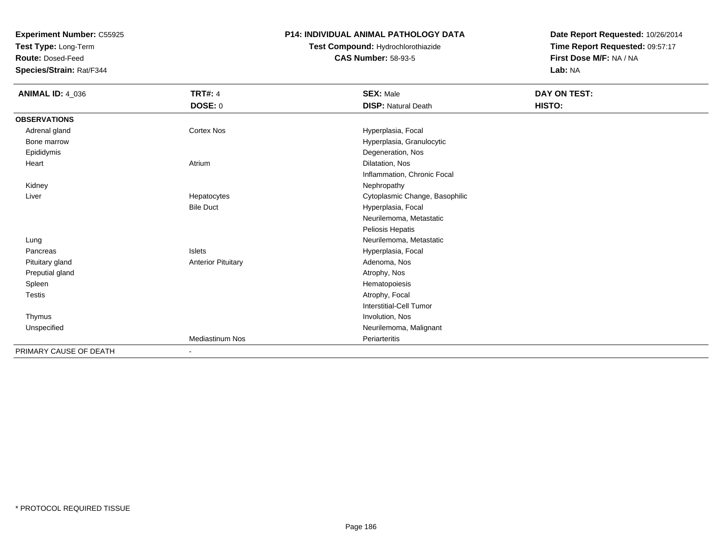**Test Type:** Long-Term

**Route:** Dosed-Feed

**Species/Strain:** Rat/F344

#### **P14: INDIVIDUAL ANIMAL PATHOLOGY DATA**

# **Test Compound:** Hydrochlorothiazide**CAS Number:** 58-93-5

| <b>ANIMAL ID: 4_036</b> | <b>TRT#: 4</b>            | <b>SEX: Male</b>               | DAY ON TEST: |  |
|-------------------------|---------------------------|--------------------------------|--------------|--|
|                         | DOSE: 0                   | <b>DISP: Natural Death</b>     | HISTO:       |  |
| <b>OBSERVATIONS</b>     |                           |                                |              |  |
| Adrenal gland           | <b>Cortex Nos</b>         | Hyperplasia, Focal             |              |  |
| Bone marrow             |                           | Hyperplasia, Granulocytic      |              |  |
| Epididymis              |                           | Degeneration, Nos              |              |  |
| Heart                   | Atrium                    | Dilatation, Nos                |              |  |
|                         |                           | Inflammation, Chronic Focal    |              |  |
| Kidney                  |                           | Nephropathy                    |              |  |
| Liver                   | Hepatocytes               | Cytoplasmic Change, Basophilic |              |  |
|                         | <b>Bile Duct</b>          | Hyperplasia, Focal             |              |  |
|                         |                           | Neurilemoma, Metastatic        |              |  |
|                         |                           | Peliosis Hepatis               |              |  |
| Lung                    |                           | Neurilemoma, Metastatic        |              |  |
| Pancreas                | Islets                    | Hyperplasia, Focal             |              |  |
| Pituitary gland         | <b>Anterior Pituitary</b> | Adenoma, Nos                   |              |  |
| Preputial gland         |                           | Atrophy, Nos                   |              |  |
| Spleen                  |                           | Hematopoiesis                  |              |  |
| Testis                  |                           | Atrophy, Focal                 |              |  |
|                         |                           | <b>Interstitial-Cell Tumor</b> |              |  |
| Thymus                  |                           | Involution, Nos                |              |  |
| Unspecified             |                           | Neurilemoma, Malignant         |              |  |
|                         | <b>Mediastinum Nos</b>    | Periarteritis                  |              |  |
| PRIMARY CAUSE OF DEATH  | $\overline{\phantom{a}}$  |                                |              |  |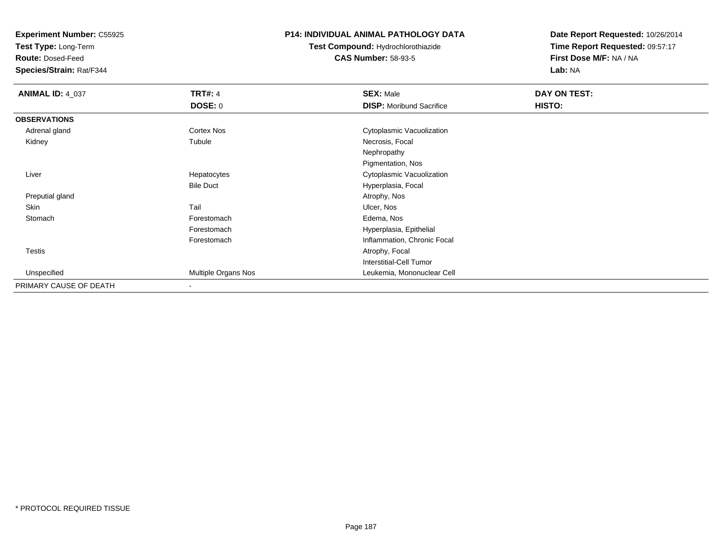**Test Type:** Long-Term

**Route:** Dosed-Feed

**Species/Strain:** Rat/F344

#### **P14: INDIVIDUAL ANIMAL PATHOLOGY DATA**

# **Test Compound:** Hydrochlorothiazide**CAS Number:** 58-93-5

| <b>ANIMAL ID: 4_037</b> | <b>TRT#: 4</b>      | <b>SEX: Male</b>                | DAY ON TEST: |  |
|-------------------------|---------------------|---------------------------------|--------------|--|
|                         | DOSE: 0             | <b>DISP:</b> Moribund Sacrifice | HISTO:       |  |
| <b>OBSERVATIONS</b>     |                     |                                 |              |  |
| Adrenal gland           | Cortex Nos          | Cytoplasmic Vacuolization       |              |  |
| Kidney                  | Tubule              | Necrosis, Focal                 |              |  |
|                         |                     | Nephropathy                     |              |  |
|                         |                     | Pigmentation, Nos               |              |  |
| Liver                   | Hepatocytes         | Cytoplasmic Vacuolization       |              |  |
|                         | <b>Bile Duct</b>    | Hyperplasia, Focal              |              |  |
| Preputial gland         |                     | Atrophy, Nos                    |              |  |
| Skin                    | Tail                | Ulcer, Nos                      |              |  |
| Stomach                 | Forestomach         | Edema, Nos                      |              |  |
|                         | Forestomach         | Hyperplasia, Epithelial         |              |  |
|                         | Forestomach         | Inflammation, Chronic Focal     |              |  |
| Testis                  |                     | Atrophy, Focal                  |              |  |
|                         |                     | <b>Interstitial-Cell Tumor</b>  |              |  |
| Unspecified             | Multiple Organs Nos | Leukemia, Mononuclear Cell      |              |  |
| PRIMARY CAUSE OF DEATH  | $\blacksquare$      |                                 |              |  |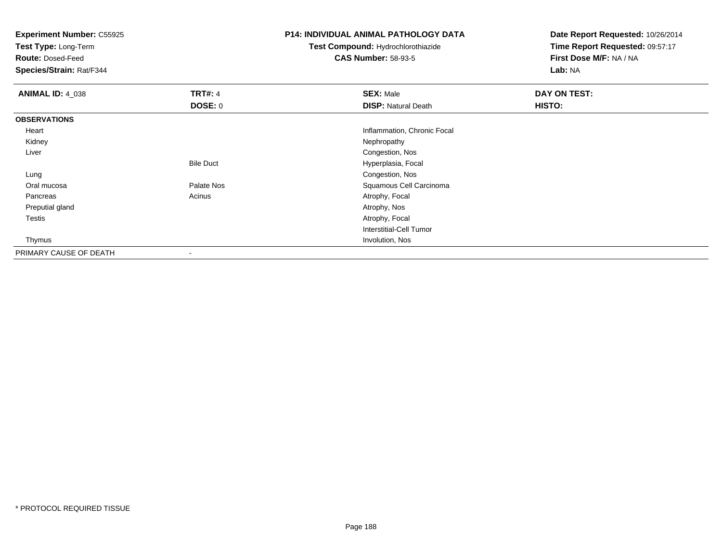**Test Type:** Long-Term

**Route:** Dosed-Feed

**Species/Strain:** Rat/F344

#### **P14: INDIVIDUAL ANIMAL PATHOLOGY DATA**

# **Test Compound:** Hydrochlorothiazide**CAS Number:** 58-93-5

| <b>ANIMAL ID: 4_038</b> | <b>TRT#: 4</b>           | <b>SEX: Male</b>            | DAY ON TEST: |  |
|-------------------------|--------------------------|-----------------------------|--------------|--|
|                         | <b>DOSE: 0</b>           | <b>DISP: Natural Death</b>  | HISTO:       |  |
| <b>OBSERVATIONS</b>     |                          |                             |              |  |
| Heart                   |                          | Inflammation, Chronic Focal |              |  |
| Kidney                  |                          | Nephropathy                 |              |  |
| Liver                   |                          | Congestion, Nos             |              |  |
|                         | <b>Bile Duct</b>         | Hyperplasia, Focal          |              |  |
| Lung                    |                          | Congestion, Nos             |              |  |
| Oral mucosa             | Palate Nos               | Squamous Cell Carcinoma     |              |  |
| Pancreas                | Acinus                   | Atrophy, Focal              |              |  |
| Preputial gland         |                          | Atrophy, Nos                |              |  |
| Testis                  |                          | Atrophy, Focal              |              |  |
|                         |                          | Interstitial-Cell Tumor     |              |  |
| Thymus                  |                          | Involution, Nos             |              |  |
| PRIMARY CAUSE OF DEATH  | $\overline{\phantom{a}}$ |                             |              |  |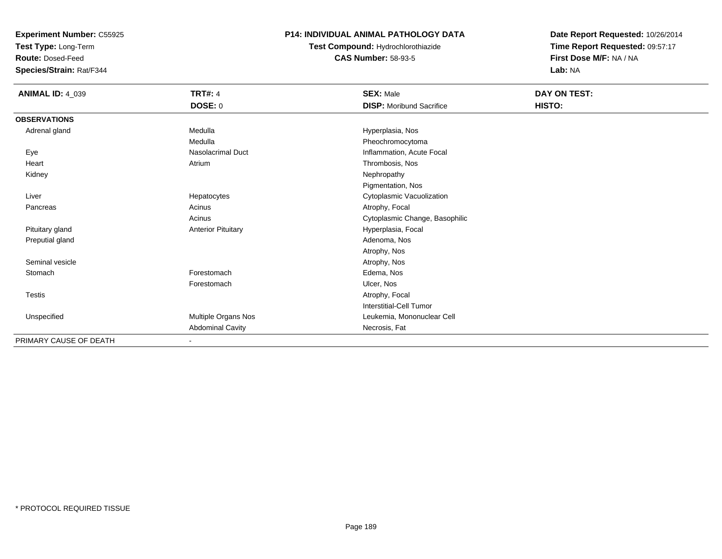**Test Type:** Long-Term

**Route:** Dosed-Feed

**Species/Strain:** Rat/F344

#### **P14: INDIVIDUAL ANIMAL PATHOLOGY DATA**

**Test Compound:** Hydrochlorothiazide**CAS Number:** 58-93-5

| <b>ANIMAL ID: 4_039</b> | <b>TRT#: 4</b>            | <b>SEX: Male</b>                | DAY ON TEST: |  |
|-------------------------|---------------------------|---------------------------------|--------------|--|
|                         | <b>DOSE: 0</b>            | <b>DISP:</b> Moribund Sacrifice | HISTO:       |  |
| <b>OBSERVATIONS</b>     |                           |                                 |              |  |
| Adrenal gland           | Medulla                   | Hyperplasia, Nos                |              |  |
|                         | Medulla                   | Pheochromocytoma                |              |  |
| Eye                     | Nasolacrimal Duct         | Inflammation, Acute Focal       |              |  |
| Heart                   | Atrium                    | Thrombosis, Nos                 |              |  |
| Kidney                  |                           | Nephropathy                     |              |  |
|                         |                           | Pigmentation, Nos               |              |  |
| Liver                   | Hepatocytes               | Cytoplasmic Vacuolization       |              |  |
| Pancreas                | Acinus                    | Atrophy, Focal                  |              |  |
|                         | Acinus                    | Cytoplasmic Change, Basophilic  |              |  |
| Pituitary gland         | <b>Anterior Pituitary</b> | Hyperplasia, Focal              |              |  |
| Preputial gland         |                           | Adenoma, Nos                    |              |  |
|                         |                           | Atrophy, Nos                    |              |  |
| Seminal vesicle         |                           | Atrophy, Nos                    |              |  |
| Stomach                 | Forestomach               | Edema, Nos                      |              |  |
|                         | Forestomach               | Ulcer, Nos                      |              |  |
| Testis                  |                           | Atrophy, Focal                  |              |  |
|                         |                           | Interstitial-Cell Tumor         |              |  |
| Unspecified             | Multiple Organs Nos       | Leukemia, Mononuclear Cell      |              |  |
|                         | <b>Abdominal Cavity</b>   | Necrosis, Fat                   |              |  |
| PRIMARY CAUSE OF DEATH  | $\blacksquare$            |                                 |              |  |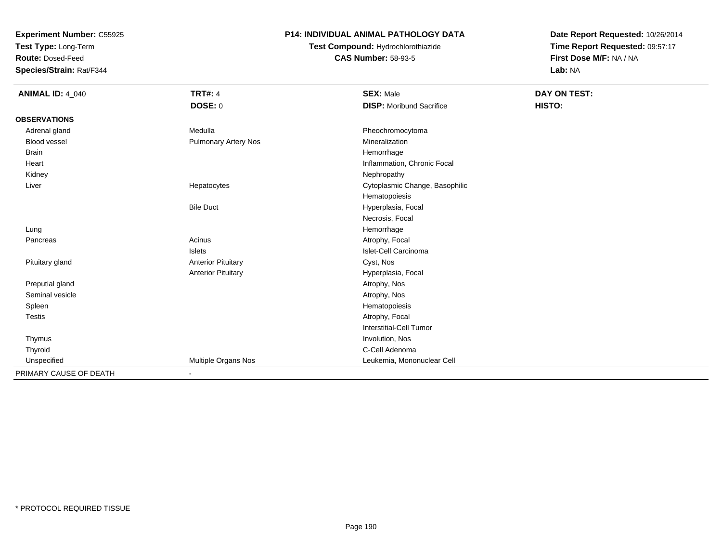**Test Type:** Long-Term

**Route:** Dosed-Feed

**Species/Strain:** Rat/F344

### **P14: INDIVIDUAL ANIMAL PATHOLOGY DATA**

# **Test Compound:** Hydrochlorothiazide**CAS Number:** 58-93-5

| <b>ANIMAL ID: 4_040</b> | <b>TRT#: 4</b>              | <b>SEX: Male</b>                | DAY ON TEST: |  |
|-------------------------|-----------------------------|---------------------------------|--------------|--|
|                         | <b>DOSE: 0</b>              | <b>DISP:</b> Moribund Sacrifice | HISTO:       |  |
| <b>OBSERVATIONS</b>     |                             |                                 |              |  |
| Adrenal gland           | Medulla                     | Pheochromocytoma                |              |  |
| Blood vessel            | <b>Pulmonary Artery Nos</b> | Mineralization                  |              |  |
| <b>Brain</b>            |                             | Hemorrhage                      |              |  |
| Heart                   |                             | Inflammation, Chronic Focal     |              |  |
| Kidney                  |                             | Nephropathy                     |              |  |
| Liver                   | Hepatocytes                 | Cytoplasmic Change, Basophilic  |              |  |
|                         |                             | Hematopoiesis                   |              |  |
|                         | <b>Bile Duct</b>            | Hyperplasia, Focal              |              |  |
|                         |                             | Necrosis, Focal                 |              |  |
| Lung                    |                             | Hemorrhage                      |              |  |
| Pancreas                | Acinus                      | Atrophy, Focal                  |              |  |
|                         | Islets                      | Islet-Cell Carcinoma            |              |  |
| Pituitary gland         | <b>Anterior Pituitary</b>   | Cyst, Nos                       |              |  |
|                         | <b>Anterior Pituitary</b>   | Hyperplasia, Focal              |              |  |
| Preputial gland         |                             | Atrophy, Nos                    |              |  |
| Seminal vesicle         |                             | Atrophy, Nos                    |              |  |
| Spleen                  |                             | Hematopoiesis                   |              |  |
| <b>Testis</b>           |                             | Atrophy, Focal                  |              |  |
|                         |                             | Interstitial-Cell Tumor         |              |  |
| Thymus                  |                             | Involution, Nos                 |              |  |
| Thyroid                 |                             | C-Cell Adenoma                  |              |  |
| Unspecified             | Multiple Organs Nos         | Leukemia, Mononuclear Cell      |              |  |
| PRIMARY CAUSE OF DEATH  | $\overline{\phantom{a}}$    |                                 |              |  |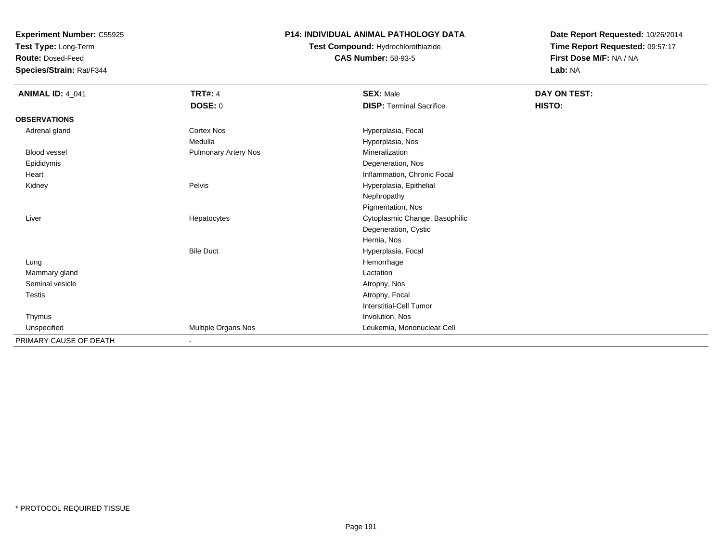**Test Type:** Long-Term

**Route:** Dosed-Feed

**Species/Strain:** Rat/F344

### **P14: INDIVIDUAL ANIMAL PATHOLOGY DATA**

**Test Compound:** Hydrochlorothiazide**CAS Number:** 58-93-5

| <b>ANIMAL ID: 4_041</b> | <b>TRT#: 4</b>              | <b>SEX: Male</b>                | DAY ON TEST: |
|-------------------------|-----------------------------|---------------------------------|--------------|
|                         | DOSE: 0                     | <b>DISP: Terminal Sacrifice</b> | HISTO:       |
| <b>OBSERVATIONS</b>     |                             |                                 |              |
| Adrenal gland           | <b>Cortex Nos</b>           | Hyperplasia, Focal              |              |
|                         | Medulla                     | Hyperplasia, Nos                |              |
| <b>Blood vessel</b>     | <b>Pulmonary Artery Nos</b> | Mineralization                  |              |
| Epididymis              |                             | Degeneration, Nos               |              |
| Heart                   |                             | Inflammation, Chronic Focal     |              |
| Kidney                  | Pelvis                      | Hyperplasia, Epithelial         |              |
|                         |                             | Nephropathy                     |              |
|                         |                             | Pigmentation, Nos               |              |
| Liver                   | Hepatocytes                 | Cytoplasmic Change, Basophilic  |              |
|                         |                             | Degeneration, Cystic            |              |
|                         |                             | Hernia, Nos                     |              |
|                         | <b>Bile Duct</b>            | Hyperplasia, Focal              |              |
| Lung                    |                             | Hemorrhage                      |              |
| Mammary gland           |                             | Lactation                       |              |
| Seminal vesicle         |                             | Atrophy, Nos                    |              |
| <b>Testis</b>           |                             | Atrophy, Focal                  |              |
|                         |                             | Interstitial-Cell Tumor         |              |
| Thymus                  |                             | Involution, Nos                 |              |
| Unspecified             | Multiple Organs Nos         | Leukemia, Mononuclear Cell      |              |
| PRIMARY CAUSE OF DEATH  | $\blacksquare$              |                                 |              |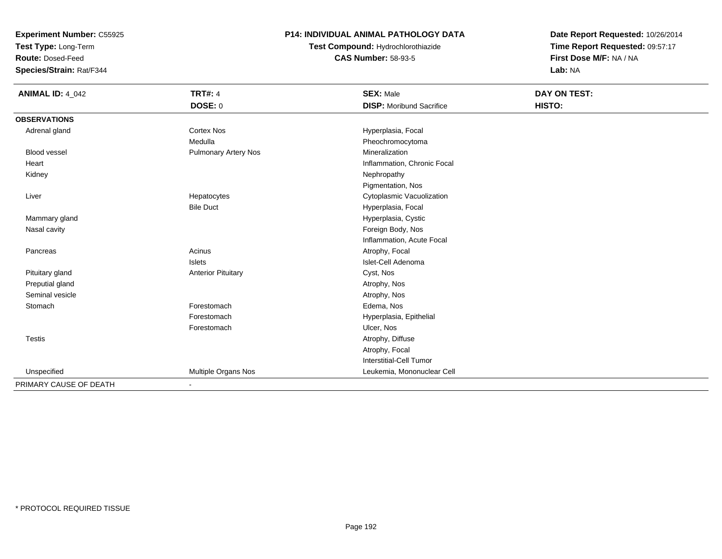**Test Type:** Long-Term

**Route:** Dosed-Feed

**Species/Strain:** Rat/F344

### **P14: INDIVIDUAL ANIMAL PATHOLOGY DATA**

**Test Compound:** Hydrochlorothiazide**CAS Number:** 58-93-5

| <b>ANIMAL ID: 4_042</b> | <b>TRT#: 4</b><br><b>DOSE: 0</b> | <b>SEX: Male</b><br><b>DISP:</b> Moribund Sacrifice | DAY ON TEST:<br>HISTO: |
|-------------------------|----------------------------------|-----------------------------------------------------|------------------------|
| <b>OBSERVATIONS</b>     |                                  |                                                     |                        |
| Adrenal gland           | <b>Cortex Nos</b>                | Hyperplasia, Focal                                  |                        |
|                         | Medulla                          | Pheochromocytoma                                    |                        |
| <b>Blood vessel</b>     | <b>Pulmonary Artery Nos</b>      | Mineralization                                      |                        |
| Heart                   |                                  | Inflammation, Chronic Focal                         |                        |
| Kidney                  |                                  | Nephropathy                                         |                        |
|                         |                                  | Pigmentation, Nos                                   |                        |
| Liver                   | Hepatocytes                      | Cytoplasmic Vacuolization                           |                        |
|                         | <b>Bile Duct</b>                 | Hyperplasia, Focal                                  |                        |
| Mammary gland           |                                  | Hyperplasia, Cystic                                 |                        |
| Nasal cavity            |                                  | Foreign Body, Nos                                   |                        |
|                         |                                  | Inflammation, Acute Focal                           |                        |
| Pancreas                | Acinus                           | Atrophy, Focal                                      |                        |
|                         | <b>Islets</b>                    | Islet-Cell Adenoma                                  |                        |
| Pituitary gland         | <b>Anterior Pituitary</b>        | Cyst, Nos                                           |                        |
| Preputial gland         |                                  | Atrophy, Nos                                        |                        |
| Seminal vesicle         |                                  | Atrophy, Nos                                        |                        |
| Stomach                 | Forestomach                      | Edema, Nos                                          |                        |
|                         | Forestomach                      | Hyperplasia, Epithelial                             |                        |
|                         | Forestomach                      | Ulcer, Nos                                          |                        |
| <b>Testis</b>           |                                  | Atrophy, Diffuse                                    |                        |
|                         |                                  | Atrophy, Focal                                      |                        |
|                         |                                  | <b>Interstitial-Cell Tumor</b>                      |                        |
| Unspecified             | Multiple Organs Nos              | Leukemia, Mononuclear Cell                          |                        |
| PRIMARY CAUSE OF DEATH  | $\overline{\phantom{a}}$         |                                                     |                        |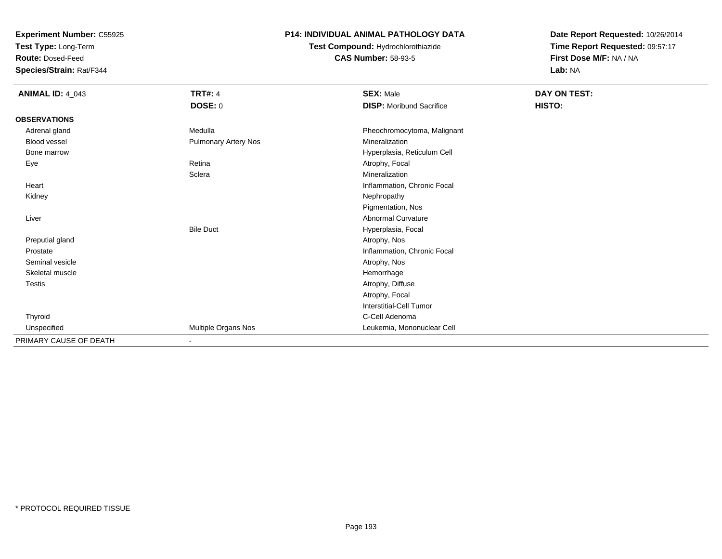**Test Type:** Long-Term

**Route:** Dosed-Feed

**Species/Strain:** Rat/F344

#### **P14: INDIVIDUAL ANIMAL PATHOLOGY DATA**

**Test Compound:** Hydrochlorothiazide**CAS Number:** 58-93-5

| <b>ANIMAL ID: 4_043</b> | <b>TRT#: 4</b><br><b>DOSE: 0</b> | <b>SEX: Male</b><br><b>DISP:</b> Moribund Sacrifice | <b>DAY ON TEST:</b><br>HISTO: |
|-------------------------|----------------------------------|-----------------------------------------------------|-------------------------------|
| <b>OBSERVATIONS</b>     |                                  |                                                     |                               |
| Adrenal gland           | Medulla                          | Pheochromocytoma, Malignant                         |                               |
| Blood vessel            | Pulmonary Artery Nos             | Mineralization                                      |                               |
| Bone marrow             |                                  | Hyperplasia, Reticulum Cell                         |                               |
| Eye                     | Retina                           | Atrophy, Focal                                      |                               |
|                         | Sclera                           | Mineralization                                      |                               |
| Heart                   |                                  | Inflammation, Chronic Focal                         |                               |
| Kidney                  |                                  | Nephropathy                                         |                               |
|                         |                                  | Pigmentation, Nos                                   |                               |
| Liver                   |                                  | <b>Abnormal Curvature</b>                           |                               |
|                         | <b>Bile Duct</b>                 | Hyperplasia, Focal                                  |                               |
| Preputial gland         |                                  | Atrophy, Nos                                        |                               |
| Prostate                |                                  | Inflammation, Chronic Focal                         |                               |
| Seminal vesicle         |                                  | Atrophy, Nos                                        |                               |
| Skeletal muscle         |                                  | Hemorrhage                                          |                               |
| <b>Testis</b>           |                                  | Atrophy, Diffuse                                    |                               |
|                         |                                  | Atrophy, Focal                                      |                               |
|                         |                                  | <b>Interstitial-Cell Tumor</b>                      |                               |
| Thyroid                 |                                  | C-Cell Adenoma                                      |                               |
| Unspecified             | Multiple Organs Nos              | Leukemia, Mononuclear Cell                          |                               |
| PRIMARY CAUSE OF DEATH  | $\overline{\phantom{a}}$         |                                                     |                               |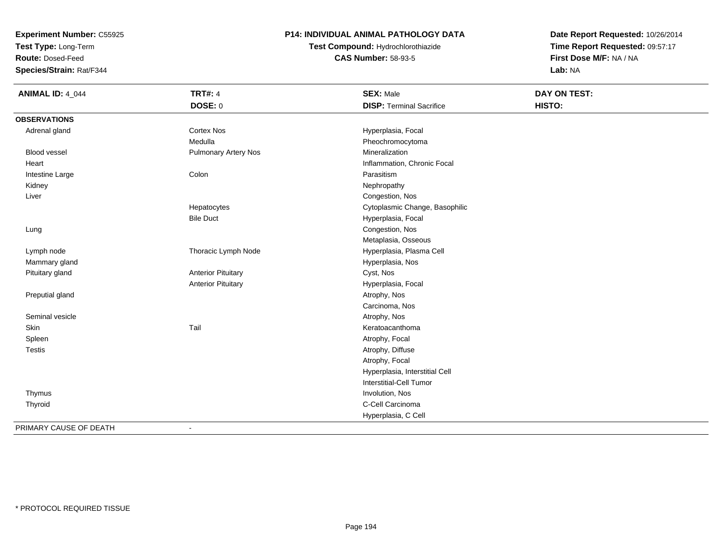**Test Type:** Long-Term

**Route:** Dosed-Feed

**Species/Strain:** Rat/F344

### **P14: INDIVIDUAL ANIMAL PATHOLOGY DATA**

**Test Compound:** Hydrochlorothiazide**CAS Number:** 58-93-5

| <b>ANIMAL ID: 4_044</b> | <b>TRT#: 4</b>              | <b>SEX: Male</b>                | <b>DAY ON TEST:</b> |  |
|-------------------------|-----------------------------|---------------------------------|---------------------|--|
|                         | <b>DOSE: 0</b>              | <b>DISP: Terminal Sacrifice</b> | HISTO:              |  |
| <b>OBSERVATIONS</b>     |                             |                                 |                     |  |
| Adrenal gland           | <b>Cortex Nos</b>           | Hyperplasia, Focal              |                     |  |
|                         | Medulla                     | Pheochromocytoma                |                     |  |
| <b>Blood vessel</b>     | <b>Pulmonary Artery Nos</b> | Mineralization                  |                     |  |
| Heart                   |                             | Inflammation, Chronic Focal     |                     |  |
| Intestine Large         | Colon                       | Parasitism                      |                     |  |
| Kidney                  |                             | Nephropathy                     |                     |  |
| Liver                   |                             | Congestion, Nos                 |                     |  |
|                         | Hepatocytes                 | Cytoplasmic Change, Basophilic  |                     |  |
|                         | <b>Bile Duct</b>            | Hyperplasia, Focal              |                     |  |
| Lung                    |                             | Congestion, Nos                 |                     |  |
|                         |                             | Metaplasia, Osseous             |                     |  |
| Lymph node              | Thoracic Lymph Node         | Hyperplasia, Plasma Cell        |                     |  |
| Mammary gland           |                             | Hyperplasia, Nos                |                     |  |
| Pituitary gland         | <b>Anterior Pituitary</b>   | Cyst, Nos                       |                     |  |
|                         | <b>Anterior Pituitary</b>   | Hyperplasia, Focal              |                     |  |
| Preputial gland         |                             | Atrophy, Nos                    |                     |  |
|                         |                             | Carcinoma, Nos                  |                     |  |
| Seminal vesicle         |                             | Atrophy, Nos                    |                     |  |
| Skin                    | Tail                        | Keratoacanthoma                 |                     |  |
| Spleen                  |                             | Atrophy, Focal                  |                     |  |
| Testis                  |                             | Atrophy, Diffuse                |                     |  |
|                         |                             | Atrophy, Focal                  |                     |  |
|                         |                             | Hyperplasia, Interstitial Cell  |                     |  |
|                         |                             | Interstitial-Cell Tumor         |                     |  |
| Thymus                  |                             | Involution, Nos                 |                     |  |
| Thyroid                 |                             | C-Cell Carcinoma                |                     |  |
|                         |                             | Hyperplasia, C Cell             |                     |  |
| PRIMARY CAUSE OF DEATH  | $\blacksquare$              |                                 |                     |  |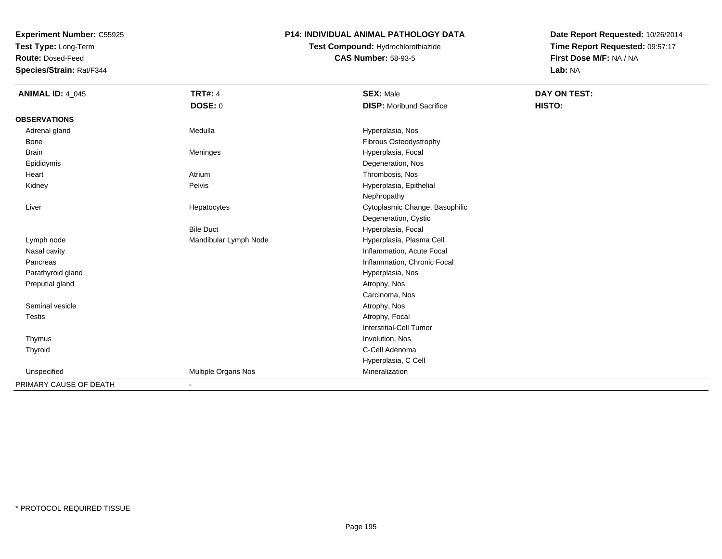**Test Type:** Long-Term

**Route:** Dosed-Feed

**Species/Strain:** Rat/F344

### **P14: INDIVIDUAL ANIMAL PATHOLOGY DATA**

# **Test Compound:** Hydrochlorothiazide**CAS Number:** 58-93-5

| <b>ANIMAL ID: 4_045</b> | <b>TRT#: 4</b>        | <b>SEX: Male</b>                | DAY ON TEST: |  |
|-------------------------|-----------------------|---------------------------------|--------------|--|
|                         | <b>DOSE: 0</b>        | <b>DISP:</b> Moribund Sacrifice | HISTO:       |  |
| <b>OBSERVATIONS</b>     |                       |                                 |              |  |
| Adrenal gland           | Medulla               | Hyperplasia, Nos                |              |  |
| Bone                    |                       | Fibrous Osteodystrophy          |              |  |
| <b>Brain</b>            | Meninges              | Hyperplasia, Focal              |              |  |
| Epididymis              |                       | Degeneration, Nos               |              |  |
| Heart                   | Atrium                | Thrombosis, Nos                 |              |  |
| Kidney                  | Pelvis                | Hyperplasia, Epithelial         |              |  |
|                         |                       | Nephropathy                     |              |  |
| Liver                   | Hepatocytes           | Cytoplasmic Change, Basophilic  |              |  |
|                         |                       | Degeneration, Cystic            |              |  |
|                         | <b>Bile Duct</b>      | Hyperplasia, Focal              |              |  |
| Lymph node              | Mandibular Lymph Node | Hyperplasia, Plasma Cell        |              |  |
| Nasal cavity            |                       | Inflammation, Acute Focal       |              |  |
| Pancreas                |                       | Inflammation, Chronic Focal     |              |  |
| Parathyroid gland       |                       | Hyperplasia, Nos                |              |  |
| Preputial gland         |                       | Atrophy, Nos                    |              |  |
|                         |                       | Carcinoma, Nos                  |              |  |
| Seminal vesicle         |                       | Atrophy, Nos                    |              |  |
| Testis                  |                       | Atrophy, Focal                  |              |  |
|                         |                       | Interstitial-Cell Tumor         |              |  |
| Thymus                  |                       | Involution, Nos                 |              |  |
| Thyroid                 |                       | C-Cell Adenoma                  |              |  |
|                         |                       | Hyperplasia, C Cell             |              |  |
| Unspecified             | Multiple Organs Nos   | Mineralization                  |              |  |
| PRIMARY CAUSE OF DEATH  |                       |                                 |              |  |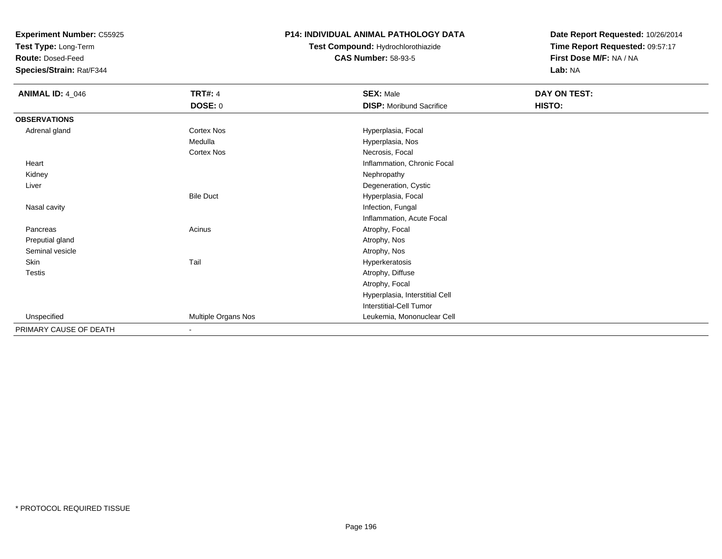**Test Type:** Long-Term

**Route:** Dosed-Feed

**Species/Strain:** Rat/F344

#### **P14: INDIVIDUAL ANIMAL PATHOLOGY DATA**

# **Test Compound:** Hydrochlorothiazide**CAS Number:** 58-93-5

| <b>ANIMAL ID: 4_046</b> | <b>TRT#: 4</b><br>DOSE: 0 | <b>SEX: Male</b><br><b>DISP:</b> Moribund Sacrifice | DAY ON TEST:<br>HISTO: |
|-------------------------|---------------------------|-----------------------------------------------------|------------------------|
| <b>OBSERVATIONS</b>     |                           |                                                     |                        |
| Adrenal gland           | <b>Cortex Nos</b>         | Hyperplasia, Focal                                  |                        |
|                         | Medulla                   | Hyperplasia, Nos                                    |                        |
|                         | Cortex Nos                | Necrosis, Focal                                     |                        |
| Heart                   |                           | Inflammation, Chronic Focal                         |                        |
| Kidney                  |                           | Nephropathy                                         |                        |
| Liver                   |                           | Degeneration, Cystic                                |                        |
|                         | <b>Bile Duct</b>          | Hyperplasia, Focal                                  |                        |
| Nasal cavity            |                           | Infection, Fungal                                   |                        |
|                         |                           | Inflammation, Acute Focal                           |                        |
| Pancreas                | Acinus                    | Atrophy, Focal                                      |                        |
| Preputial gland         |                           | Atrophy, Nos                                        |                        |
| Seminal vesicle         |                           | Atrophy, Nos                                        |                        |
| Skin                    | Tail                      | Hyperkeratosis                                      |                        |
| <b>Testis</b>           |                           | Atrophy, Diffuse                                    |                        |
|                         |                           | Atrophy, Focal                                      |                        |
|                         |                           | Hyperplasia, Interstitial Cell                      |                        |
|                         |                           | Interstitial-Cell Tumor                             |                        |
| Unspecified             | Multiple Organs Nos       | Leukemia, Mononuclear Cell                          |                        |
| PRIMARY CAUSE OF DEATH  | $\blacksquare$            |                                                     |                        |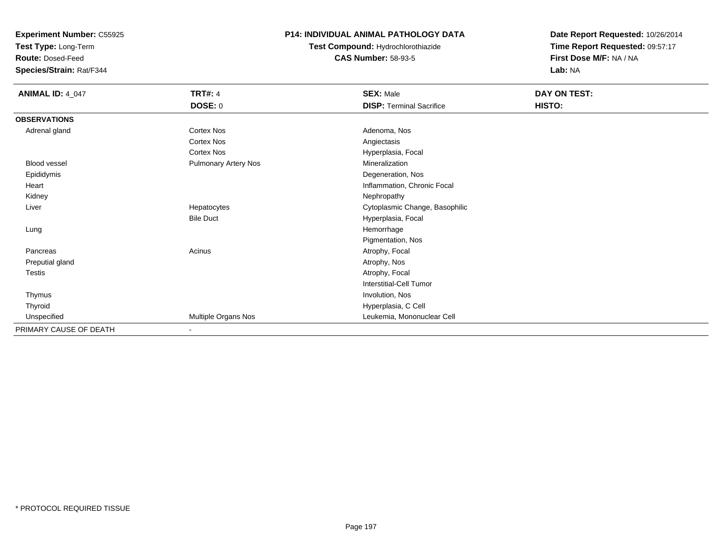**Test Type:** Long-Term

**Route:** Dosed-Feed

**Species/Strain:** Rat/F344

#### **P14: INDIVIDUAL ANIMAL PATHOLOGY DATA**

**Test Compound:** Hydrochlorothiazide**CAS Number:** 58-93-5

| <b>ANIMAL ID: 4_047</b> | <b>TRT#: 4</b>       | <b>SEX: Male</b>                | DAY ON TEST: |  |
|-------------------------|----------------------|---------------------------------|--------------|--|
|                         | DOSE: 0              | <b>DISP: Terminal Sacrifice</b> | HISTO:       |  |
| <b>OBSERVATIONS</b>     |                      |                                 |              |  |
| Adrenal gland           | Cortex Nos           | Adenoma, Nos                    |              |  |
|                         | Cortex Nos           | Angiectasis                     |              |  |
|                         | Cortex Nos           | Hyperplasia, Focal              |              |  |
| Blood vessel            | Pulmonary Artery Nos | Mineralization                  |              |  |
| Epididymis              |                      | Degeneration, Nos               |              |  |
| Heart                   |                      | Inflammation, Chronic Focal     |              |  |
| Kidney                  |                      | Nephropathy                     |              |  |
| Liver                   | Hepatocytes          | Cytoplasmic Change, Basophilic  |              |  |
|                         | <b>Bile Duct</b>     | Hyperplasia, Focal              |              |  |
| Lung                    |                      | Hemorrhage                      |              |  |
|                         |                      | Pigmentation, Nos               |              |  |
| Pancreas                | Acinus               | Atrophy, Focal                  |              |  |
| Preputial gland         |                      | Atrophy, Nos                    |              |  |
| Testis                  |                      | Atrophy, Focal                  |              |  |
|                         |                      | Interstitial-Cell Tumor         |              |  |
| Thymus                  |                      | Involution, Nos                 |              |  |
| Thyroid                 |                      | Hyperplasia, C Cell             |              |  |
| Unspecified             | Multiple Organs Nos  | Leukemia, Mononuclear Cell      |              |  |
| PRIMARY CAUSE OF DEATH  |                      |                                 |              |  |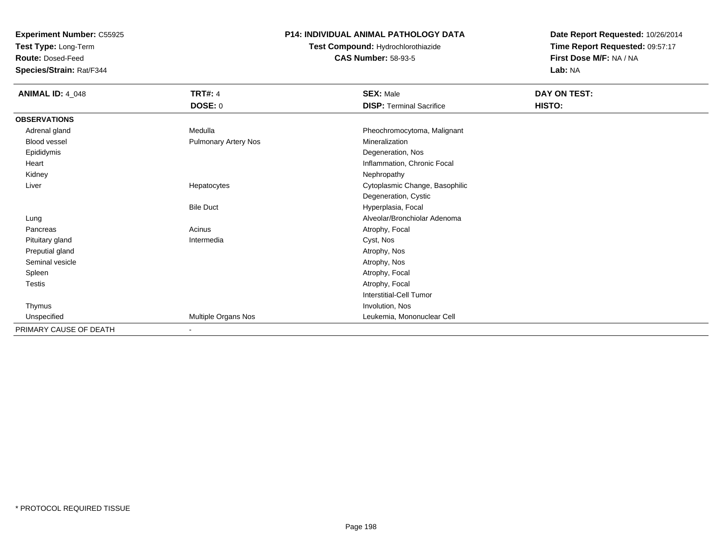**Test Type:** Long-Term

**Route:** Dosed-Feed

**Species/Strain:** Rat/F344

### **P14: INDIVIDUAL ANIMAL PATHOLOGY DATA**

**Test Compound:** Hydrochlorothiazide**CAS Number:** 58-93-5

| <b>ANIMAL ID: 4_048</b> | <b>TRT#: 4</b><br><b>DOSE: 0</b> | <b>SEX: Male</b><br><b>DISP: Terminal Sacrifice</b> | DAY ON TEST:<br>HISTO: |
|-------------------------|----------------------------------|-----------------------------------------------------|------------------------|
| <b>OBSERVATIONS</b>     |                                  |                                                     |                        |
| Adrenal gland           | Medulla                          | Pheochromocytoma, Malignant                         |                        |
| Blood vessel            | Pulmonary Artery Nos             | Mineralization                                      |                        |
| Epididymis              |                                  | Degeneration, Nos                                   |                        |
| Heart                   |                                  | Inflammation, Chronic Focal                         |                        |
| Kidney                  |                                  | Nephropathy                                         |                        |
| Liver                   | Hepatocytes                      | Cytoplasmic Change, Basophilic                      |                        |
|                         |                                  | Degeneration, Cystic                                |                        |
|                         | <b>Bile Duct</b>                 | Hyperplasia, Focal                                  |                        |
| Lung                    |                                  | Alveolar/Bronchiolar Adenoma                        |                        |
| Pancreas                | Acinus                           | Atrophy, Focal                                      |                        |
| Pituitary gland         | Intermedia                       | Cyst, Nos                                           |                        |
| Preputial gland         |                                  | Atrophy, Nos                                        |                        |
| Seminal vesicle         |                                  | Atrophy, Nos                                        |                        |
| Spleen                  |                                  | Atrophy, Focal                                      |                        |
| Testis                  |                                  | Atrophy, Focal                                      |                        |
|                         |                                  | <b>Interstitial-Cell Tumor</b>                      |                        |
| Thymus                  |                                  | Involution, Nos                                     |                        |
| Unspecified             | Multiple Organs Nos              | Leukemia, Mononuclear Cell                          |                        |
| PRIMARY CAUSE OF DEATH  | $\blacksquare$                   |                                                     |                        |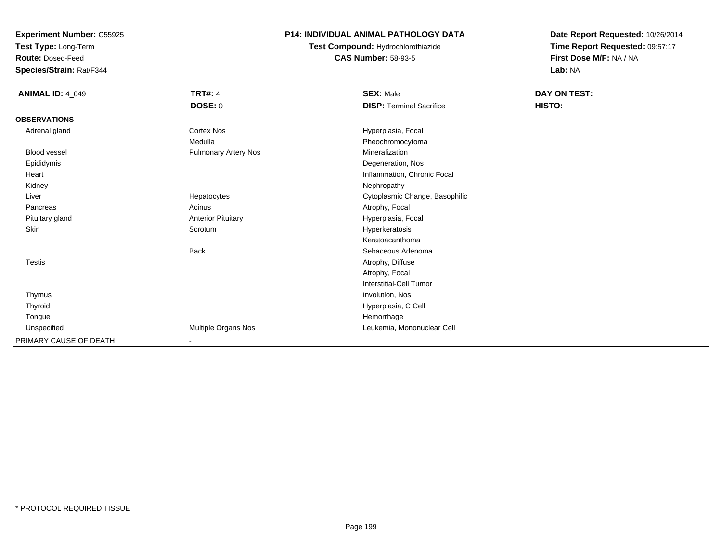**Test Type:** Long-Term

**Route:** Dosed-Feed

**Species/Strain:** Rat/F344

### **P14: INDIVIDUAL ANIMAL PATHOLOGY DATA**

**Test Compound:** Hydrochlorothiazide**CAS Number:** 58-93-5

| <b>ANIMAL ID: 4_049</b> | <b>TRT#: 4</b>              | <b>SEX: Male</b>                | DAY ON TEST: |  |
|-------------------------|-----------------------------|---------------------------------|--------------|--|
|                         | DOSE: 0                     | <b>DISP: Terminal Sacrifice</b> | HISTO:       |  |
| <b>OBSERVATIONS</b>     |                             |                                 |              |  |
| Adrenal gland           | Cortex Nos                  | Hyperplasia, Focal              |              |  |
|                         | Medulla                     | Pheochromocytoma                |              |  |
| <b>Blood vessel</b>     | <b>Pulmonary Artery Nos</b> | Mineralization                  |              |  |
| Epididymis              |                             | Degeneration, Nos               |              |  |
| Heart                   |                             | Inflammation, Chronic Focal     |              |  |
| Kidney                  |                             | Nephropathy                     |              |  |
| Liver                   | Hepatocytes                 | Cytoplasmic Change, Basophilic  |              |  |
| Pancreas                | Acinus                      | Atrophy, Focal                  |              |  |
| Pituitary gland         | <b>Anterior Pituitary</b>   | Hyperplasia, Focal              |              |  |
| Skin                    | Scrotum                     | Hyperkeratosis                  |              |  |
|                         |                             | Keratoacanthoma                 |              |  |
|                         | <b>Back</b>                 | Sebaceous Adenoma               |              |  |
| <b>Testis</b>           |                             | Atrophy, Diffuse                |              |  |
|                         |                             | Atrophy, Focal                  |              |  |
|                         |                             | Interstitial-Cell Tumor         |              |  |
| Thymus                  |                             | Involution, Nos                 |              |  |
| Thyroid                 |                             | Hyperplasia, C Cell             |              |  |
| Tongue                  |                             | Hemorrhage                      |              |  |
| Unspecified             | Multiple Organs Nos         | Leukemia, Mononuclear Cell      |              |  |
| PRIMARY CAUSE OF DEATH  |                             |                                 |              |  |